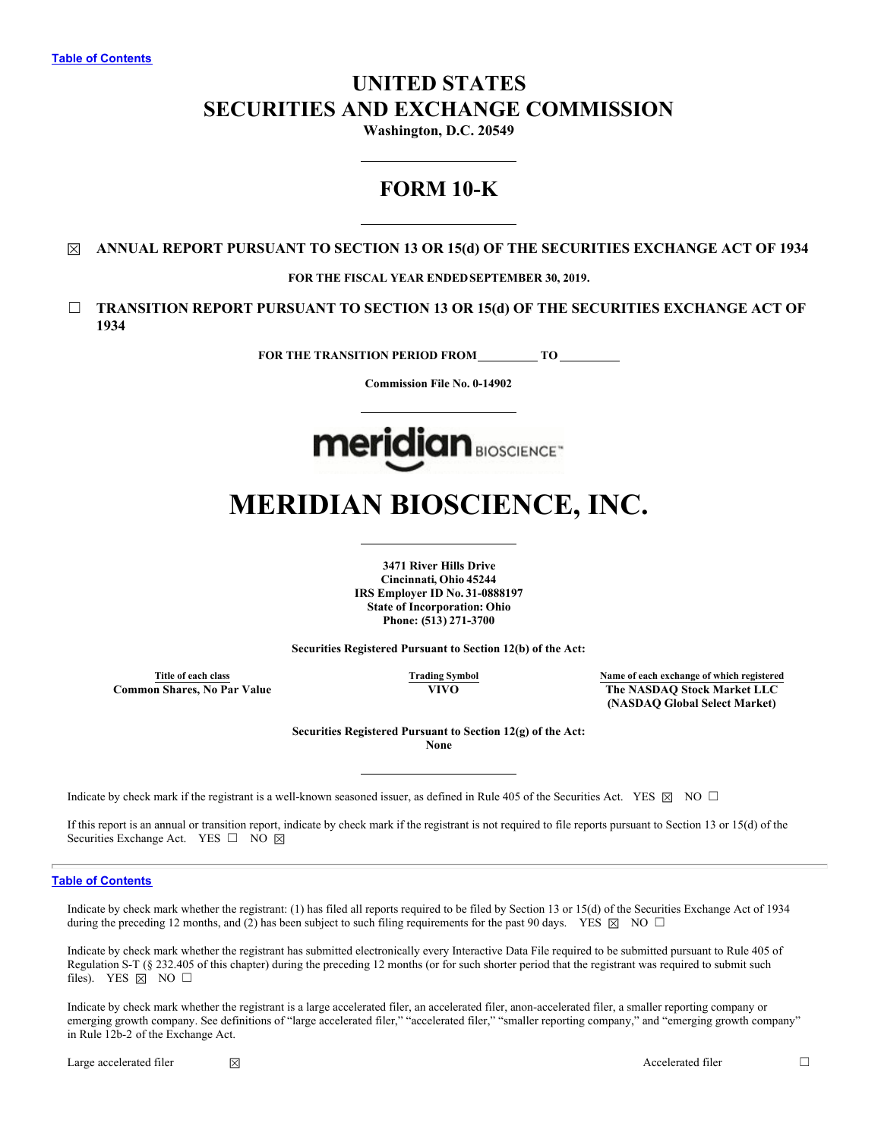**Table of [Contents](#page-1-0)**

# **UNITED STATES SECURITIES AND EXCHANGE COMMISSION**

**Washington, D.C. 20549**

# **FORM 10-K**

☒ **ANNUAL REPORT PURSUANT TO SECTION 13 OR 15(d) OF THE SECURITIES EXCHANGE ACT OF 1934**

**FOR THE FISCAL YEAR ENDEDSEPTEMBER 30, 2019.**

☐ **TRANSITION REPORT PURSUANT TO SECTION 13 OR 15(d) OF THE SECURITIES EXCHANGE ACT OF 1934**

**FOR THE TRANSITION PERIOD FROM TO**

**Commission File No. 0-14902**



# **MERIDIAN BIOSCIENCE, INC.**

**3471 River Hills Drive Cincinnati, Ohio 45244 IRS Employer ID No. 31-0888197 State of Incorporation: Ohio Phone: (513) 271-3700**

**Securities Registered Pursuant to Section 12(b) of the Act:**

**Title of each class Trading Symbol Name of each exchange of which registered Common Shares, No Par Value VIVO The NASDAQ Stock Market LLC (NASDAQ Global Select Market)**

> **Securities Registered Pursuant to Section 12(g) of the Act: None**

Indicate by check mark if the registrant is a well-known seasoned issuer, as defined in Rule 405 of the Securities Act. YES  $\boxtimes$  NO  $\Box$ 

If this report is an annual or transition report, indicate by check mark if the registrant is not required to file reports pursuant to Section 13 or 15(d) of the Securities Exchange Act. YES □ NO ⊠

#### **Table of [Contents](#page-1-0)**

Indicate by check mark whether the registrant: (1) has filed all reports required to be filed by Section 13 or 15(d) of the Securities Exchange Act of 1934 during the preceding 12 months, and (2) has been subject to such filing requirements for the past 90 days. YES  $\boxtimes$  NO  $\Box$ 

Indicate by check mark whether the registrant has submitted electronically every Interactive Data File required to be submitted pursuant to Rule 405 of Regulation S-T (§ 232.405 of this chapter) during the preceding 12 months (or for such shorter period that the registrant was required to submit such files). YES  $\boxtimes$  NO  $\square$ 

Indicate by check mark whether the registrant is a large accelerated filer, an accelerated filer, anon-accelerated filer, a smaller reporting company or emerging growth company. See definitions of "large accelerated filer," "accelerated filer," "smaller reporting company," and "emerging growth company" in Rule 12b-2 of the Exchange Act.

Large accelerated filer □ Accelerated filer □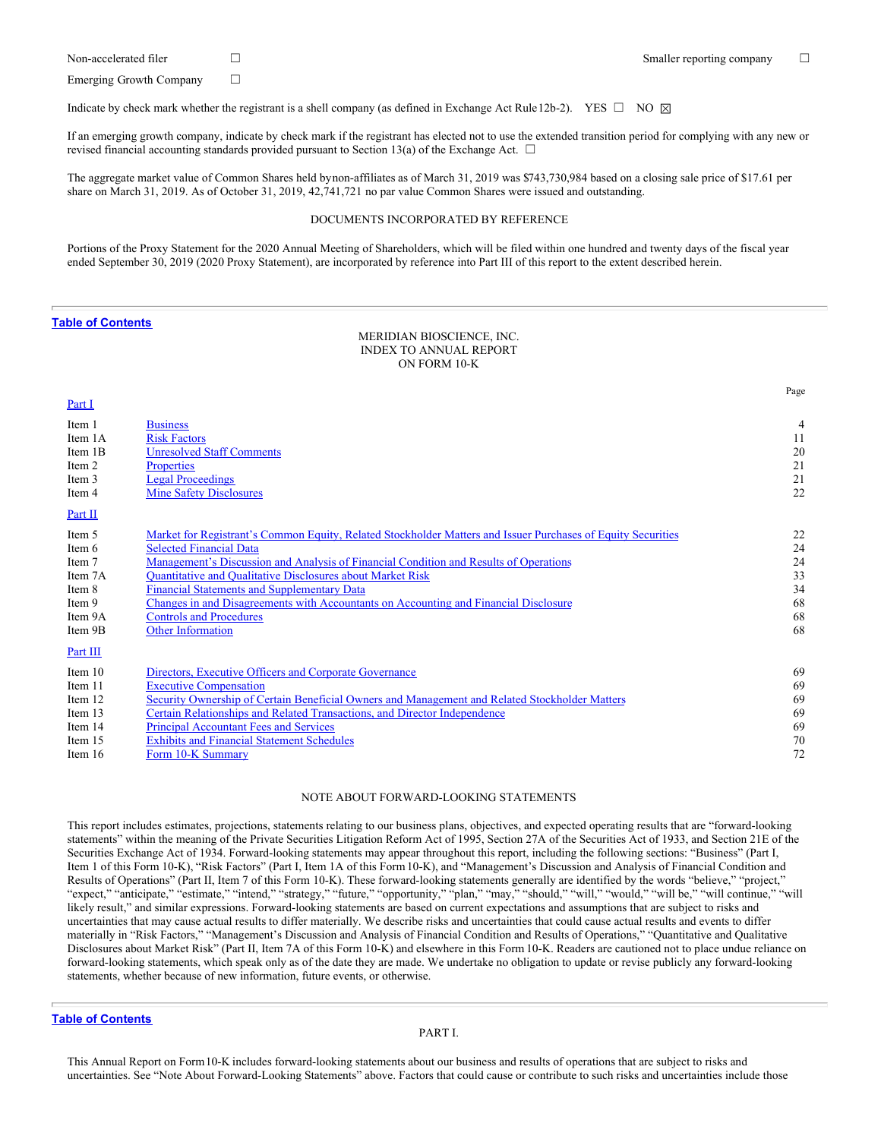<span id="page-1-0"></span>

Page

Emerging Growth Company  $\Box$ 

Indicate by check mark whether the registrant is a shell company (as defined in Exchange Act Rule12b-2). YES  $\Box$  NO  $\boxtimes$ 

If an emerging growth company, indicate by check mark if the registrant has elected not to use the extended transition period for complying with any new or revised financial accounting standards provided pursuant to Section 13(a) of the Exchange Act.  $\Box$ 

The aggregate market value of Common Shares held bynon-affiliates as of March 31, 2019 was \$743,730,984 based on a closing sale price of \$17.61 per share on March 31, 2019. As of October 31, 2019, 42,741,721 no par value Common Shares were issued and outstanding.

# DOCUMENTS INCORPORATED BY REFERENCE

Portions of the Proxy Statement for the 2020 Annual Meeting of Shareholders, which will be filed within one hundred and twenty days of the fiscal year ended September 30, 2019 (2020 Proxy Statement), are incorporated by reference into Part III of this report to the extent described herein.

# **Table of Contents**

#### MERIDIAN BIOSCIENCE, INC. INDEX TO ANNUAL REPORT ON FORM 10-K

| Part I            |                                                                                                              | a agu   |
|-------------------|--------------------------------------------------------------------------------------------------------------|---------|
| Item 1<br>Item 1A | <b>Business</b><br><b>Risk Factors</b>                                                                       | 4<br>11 |
| Item 1B           | <b>Unresolved Staff Comments</b>                                                                             | 20      |
| Item 2            | Properties                                                                                                   | 21      |
| Item 3            | <b>Legal Proceedings</b>                                                                                     | 21      |
| Item 4            | <b>Mine Safety Disclosures</b>                                                                               | 22      |
| Part II           |                                                                                                              |         |
| Item 5            | Market for Registrant's Common Equity, Related Stockholder Matters and Issuer Purchases of Equity Securities | 22      |
| Item 6            | <b>Selected Financial Data</b>                                                                               | 24      |
| Item 7            | Management's Discussion and Analysis of Financial Condition and Results of Operations                        | 24      |
| Item 7A           | <b>Ouantitative and Oualitative Disclosures about Market Risk</b>                                            | 33      |
| Item 8            | <b>Financial Statements and Supplementary Data</b>                                                           | 34      |
| Item 9            | Changes in and Disagreements with Accountants on Accounting and Financial Disclosure                         | 68      |
| Item 9A           | <b>Controls and Procedures</b>                                                                               | 68      |
| Item 9B           | <b>Other Information</b>                                                                                     | 68      |
| Part III          |                                                                                                              |         |
| Item 10           | Directors, Executive Officers and Corporate Governance                                                       | 69      |
| Item 11           | <b>Executive Compensation</b>                                                                                | 69      |
| Item 12           | Security Ownership of Certain Beneficial Owners and Management and Related Stockholder Matters               | 69      |
| Item 13           | Certain Relationships and Related Transactions, and Director Independence                                    | 69      |
| Item 14           | <b>Principal Accountant Fees and Services</b>                                                                | 69      |
| Item 15           | <b>Exhibits and Financial Statement Schedules</b>                                                            | 70      |
| Item 16           | Form 10-K Summary                                                                                            | 72      |

# NOTE ABOUT FORWARD-LOOKING STATEMENTS

This report includes estimates, projections, statements relating to our business plans, objectives, and expected operating results that are "forward-looking statements" within the meaning of the Private Securities Litigation Reform Act of 1995, Section 27A of the Securities Act of 1933, and Section 21E of the Securities Exchange Act of 1934. Forward-looking statements may appear throughout this report, including the following sections: "Business" (Part I, Item 1 of this Form 10-K), "Risk Factors" (Part I, Item 1A of this Form10-K), and "Management's Discussion and Analysis of Financial Condition and Results of Operations" (Part II, Item 7 of this Form 10-K). These forward-looking statements generally are identified by the words "believe," "project," "expect," "anticipate," "estimate," "intend," "strategy," "future," "opportunity," "plan," "may," "should," "will," "would," "will be," "will continue," "will likely result," and similar expressions. Forward-looking statements are based on current expectations and assumptions that are subject to risks and uncertainties that may cause actual results to differ materially. We describe risks and uncertainties that could cause actual results and events to differ materially in "Risk Factors," "Management's Discussion and Analysis of Financial Condition and Results of Operations," "Quantitative and Qualitative Disclosures about Market Risk" (Part II, Item 7A of this Form 10-K) and elsewhere in this Form 10-K. Readers are cautioned not to place undue reliance on forward-looking statements, which speak only as of the date they are made. We undertake no obligation to update or revise publicly any forward-looking statements, whether because of new information, future events, or otherwise.

**Table of Contents**

#### PART I.

This Annual Report on Form10-K includes forward-looking statements about our business and results of operations that are subject to risks and uncertainties. See "Note About Forward-Looking Statements" above. Factors that could cause or contribute to such risks and uncertainties include those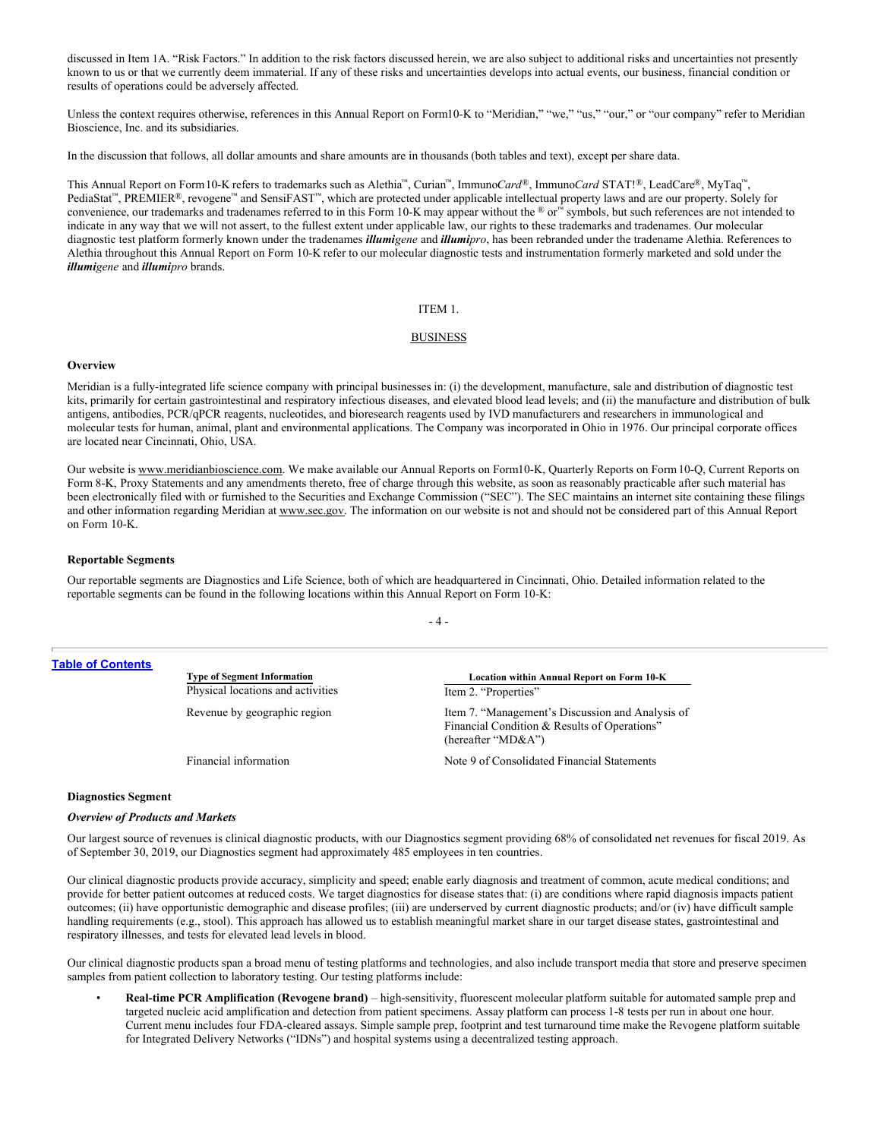<span id="page-2-0"></span>discussed in Item 1A. "Risk Factors." In addition to the risk factors discussed herein, we are also subject to additional risks and uncertainties not presently known to us or that we currently deem immaterial. If any of these risks and uncertainties develops into actual events, our business, financial condition or results of operations could be adversely affected.

Unless the context requires otherwise, references in this Annual Report on Form10-K to "Meridian," "we," "us," "our," or "our company" refer to Meridian Bioscience, Inc. and its subsidiaries.

In the discussion that follows, all dollar amounts and share amounts are in thousands (both tables and text), except per share data.

This Annual Report on Form10-K refers to trademarks such as Alethia™, Curian™, Immuno*Card®*, Immuno*Card* STAT!*®*, LeadCare*®*, MyTaq™, PediaStat<sup>™</sup>, PREMIER<sup>®</sup>, revogene<sup>™</sup> and SensiFAST<sup>™</sup>, which are protected under applicable intellectual property laws and are our property. Solely for convenience, our trademarks and tradenames referred to in this Form 10-K may appear without the *®* or™ symbols, but such references are not intended to indicate in any way that we will not assert, to the fullest extent under applicable law, our rights to these trademarks and tradenames. Our molecular diagnostic test platform formerly known under the tradenames *illumigene* and *illumipro*, has been rebranded under the tradename Alethia. References to Alethia throughout this Annual Report on Form 10-K refer to our molecular diagnostic tests and instrumentation formerly marketed and sold under the *illumigene* and *illumipro* brands.

# ITEM 1.

#### **BUSINESS**

#### **Overview**

Meridian is a fully-integrated life science company with principal businesses in: (i) the development, manufacture, sale and distribution of diagnostic test kits, primarily for certain gastrointestinal and respiratory infectious diseases, and elevated blood lead levels; and (ii) the manufacture and distribution of bulk antigens, antibodies, PCR/qPCR reagents, nucleotides, and bioresearch reagents used by IVD manufacturers and researchers in immunological and molecular tests for human, animal, plant and environmental applications. The Company was incorporated in Ohio in 1976. Our principal corporate offices are located near Cincinnati, Ohio, USA.

Our website is www.meridianbioscience.com. We make available our Annual Reports on Form10-K, Quarterly Reports on Form10-Q, Current Reports on Form 8-K, Proxy Statements and any amendments thereto, free of charge through this website, as soon as reasonably practicable after such material has been electronically filed with or furnished to the Securities and Exchange Commission ("SEC"). The SEC maintains an internet site containing these filings and other information regarding Meridian at www.sec.gov. The information on our website is not and should not be considered part of this Annual Report on Form 10-K.

#### **Reportable Segments**

**Table** 

Our reportable segments are Diagnostics and Life Science, both of which are headquartered in Cincinnati, Ohio. Detailed information related to the reportable segments can be found in the following locations within this Annual Report on Form 10-K:

| of Contents | <b>Type of Segment Information</b> | Location within Annual Report on Form 10-K                                                                             |
|-------------|------------------------------------|------------------------------------------------------------------------------------------------------------------------|
|             | Physical locations and activities  | Item 2. "Properties"                                                                                                   |
|             | Revenue by geographic region       | Item 7. "Management's Discussion and Analysis of<br>Financial Condition & Results of Operations"<br>(hereafter "MD&A") |
|             | Financial information              | Note 9 of Consolidated Financial Statements                                                                            |
|             |                                    |                                                                                                                        |

 $-4-$ 

#### **Diagnostics Segment**

#### *Overview of Products and Markets*

Our largest source of revenues is clinical diagnostic products, with our Diagnostics segment providing 68% of consolidated net revenues for fiscal 2019. As of September 30, 2019, our Diagnostics segment had approximately 485 employees in ten countries.

Our clinical diagnostic products provide accuracy, simplicity and speed; enable early diagnosis and treatment of common, acute medical conditions; and provide for better patient outcomes at reduced costs. We target diagnostics for disease states that: (i) are conditions where rapid diagnosis impacts patient outcomes; (ii) have opportunistic demographic and disease profiles; (iii) are underserved by current diagnostic products; and/or (iv) have difficult sample handling requirements (e.g., stool). This approach has allowed us to establish meaningful market share in our target disease states, gastrointestinal and respiratory illnesses, and tests for elevated lead levels in blood.

Our clinical diagnostic products span a broad menu of testing platforms and technologies, and also include transport media that store and preserve specimen samples from patient collection to laboratory testing. Our testing platforms include:

• **Real-time PCR Amplification (Revogene brand)** – high-sensitivity, fluorescent molecular platform suitable for automated sample prep and targeted nucleic acid amplification and detection from patient specimens. Assay platform can process 1-8 tests per run in about one hour. Current menu includes four FDA-cleared assays. Simple sample prep, footprint and test turnaround time make the Revogene platform suitable for Integrated Delivery Networks ("IDNs") and hospital systems using a decentralized testing approach.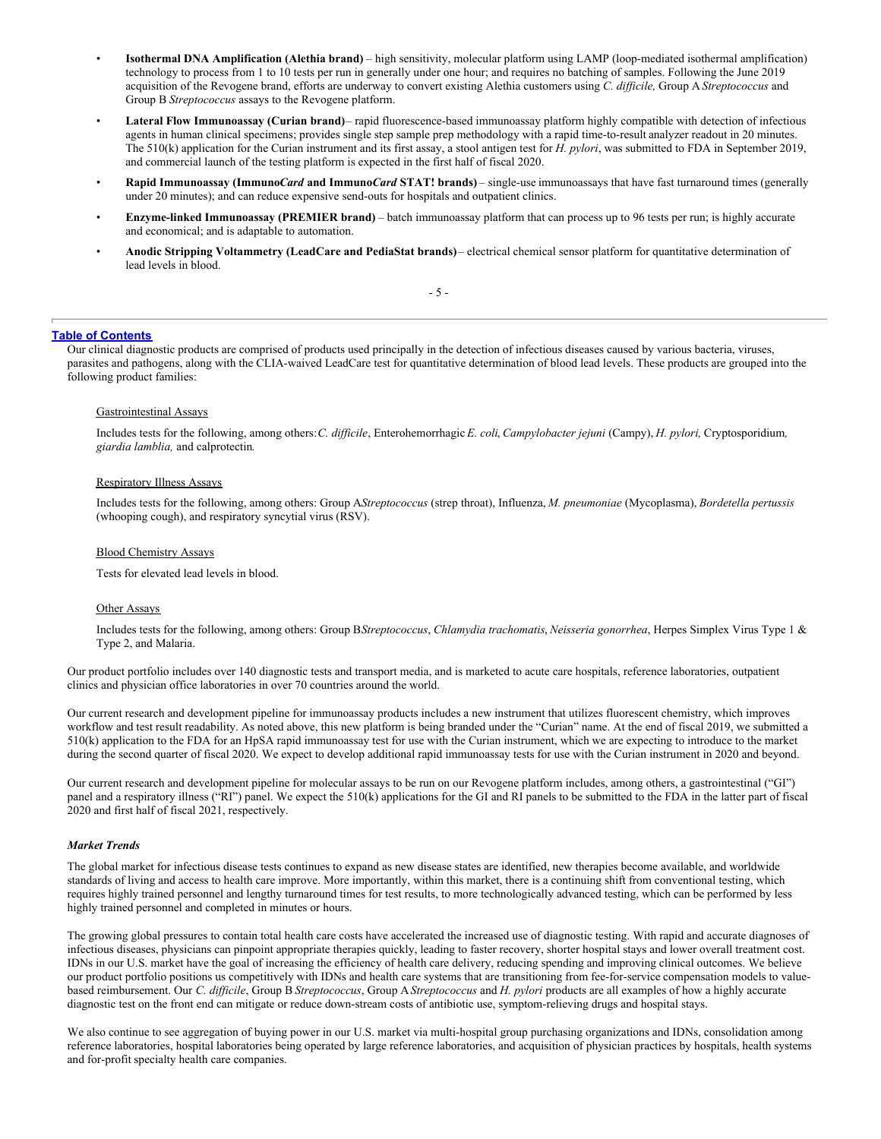- **Isothermal DNA Amplification (Alethia brand)** high sensitivity, molecular platform using LAMP (loop-mediated isothermal amplification) technology to process from 1 to 10 tests per run in generally under one hour; and requires no batching of samples. Following the June 2019 acquisition of the Revogene brand, efforts are underway to convert existing Alethia customers using *C. dif icile,* Group A *Streptococcus* and Group B *Streptococcus* assays to the Revogene platform.
- **Lateral Flow Immunoassay (Curian brand)** rapid fluorescence-based immunoassay platform highly compatible with detection of infectious agents in human clinical specimens; provides single step sample prep methodology with a rapid time-to-result analyzer readout in 20 minutes. The 510(k) application for the Curian instrument and its first assay, a stool antigen test for *H. pylori*, was submitted to FDA in September 2019, and commercial launch of the testing platform is expected in the first half of fiscal 2020.
- **Rapid Immunoassay (Immuno***Card* **and Immuno***Card* **STAT! brands)** single-use immunoassays that have fast turnaround times (generally under 20 minutes); and can reduce expensive send-outs for hospitals and outpatient clinics.
- **Enzyme-linked Immunoassay (PREMIER brand)** batch immunoassay platform that can process up to 96 tests per run; is highly accurate and economical; and is adaptable to automation.
- **Anodic Stripping Voltammetry (LeadCare and PediaStat brands)** electrical chemical sensor platform for quantitative determination of lead levels in blood.

- 5 -

# **Table of [Contents](#page-1-0)**

Our clinical diagnostic products are comprised of products used principally in the detection of infectious diseases caused by various bacteria, viruses, parasites and pathogens, along with the CLIA-waived LeadCare test for quantitative determination of blood lead levels. These products are grouped into the following product families:

#### Gastrointestinal Assays

Includes tests for the following, among others:*C. dif icile*, Enterohemorrhagic *E. coli*, *Campylobacter jejuni* (Campy), *H. pylori,* Cryptosporidium*, giardia lamblia,* and calprotectin*.*

#### Respiratory Illness Assays

Includes tests for the following, among others: Group A*Streptococcus* (strep throat), Influenza, *M. pneumoniae* (Mycoplasma), *Bordetella pertussis* (whooping cough), and respiratory syncytial virus (RSV).

#### Blood Chemistry Assays

Tests for elevated lead levels in blood.

#### Other Assays

Includes tests for the following, among others: Group B*Streptococcus*, *Chlamydia trachomatis*, *Neisseria gonorrhea*, Herpes Simplex Virus Type 1 & Type 2, and Malaria.

Our product portfolio includes over 140 diagnostic tests and transport media, and is marketed to acute care hospitals, reference laboratories, outpatient clinics and physician office laboratories in over 70 countries around the world.

Our current research and development pipeline for immunoassay products includes a new instrument that utilizes fluorescent chemistry, which improves workflow and test result readability. As noted above, this new platform is being branded under the "Curian" name. At the end of fiscal 2019, we submitted a 510(k) application to the FDA for an HpSA rapid immunoassay test for use with the Curian instrument, which we are expecting to introduce to the market during the second quarter of fiscal 2020. We expect to develop additional rapid immunoassay tests for use with the Curian instrument in 2020 and beyond.

Our current research and development pipeline for molecular assays to be run on our Revogene platform includes, among others, a gastrointestinal ("GI") panel and a respiratory illness ("RI") panel. We expect the 510(k) applications for the GI and RI panels to be submitted to the FDA in the latter part of fiscal 2020 and first half of fiscal 2021, respectively.

#### *Market Trends*

The global market for infectious disease tests continues to expand as new disease states are identified, new therapies become available, and worldwide standards of living and access to health care improve. More importantly, within this market, there is a continuing shift from conventional testing, which requires highly trained personnel and lengthy turnaround times for test results, to more technologically advanced testing, which can be performed by less highly trained personnel and completed in minutes or hours.

The growing global pressures to contain total health care costs have accelerated the increased use of diagnostic testing. With rapid and accurate diagnoses of infectious diseases, physicians can pinpoint appropriate therapies quickly, leading to faster recovery, shorter hospital stays and lower overall treatment cost. IDNs in our U.S. market have the goal of increasing the efficiency of health care delivery, reducing spending and improving clinical outcomes. We believe our product portfolio positions us competitively with IDNs and health care systems that are transitioning from fee-for-service compensation models to valuebased reimbursement. Our *C. dif icile*, Group B *Streptococcus*, Group A*Streptococcus* and *H. pylori* products are all examples of how a highly accurate diagnostic test on the front end can mitigate or reduce down-stream costs of antibiotic use, symptom-relieving drugs and hospital stays.

We also continue to see aggregation of buying power in our U.S. market via multi-hospital group purchasing organizations and IDNs, consolidation among reference laboratories, hospital laboratories being operated by large reference laboratories, and acquisition of physician practices by hospitals, health systems and for-profit specialty health care companies.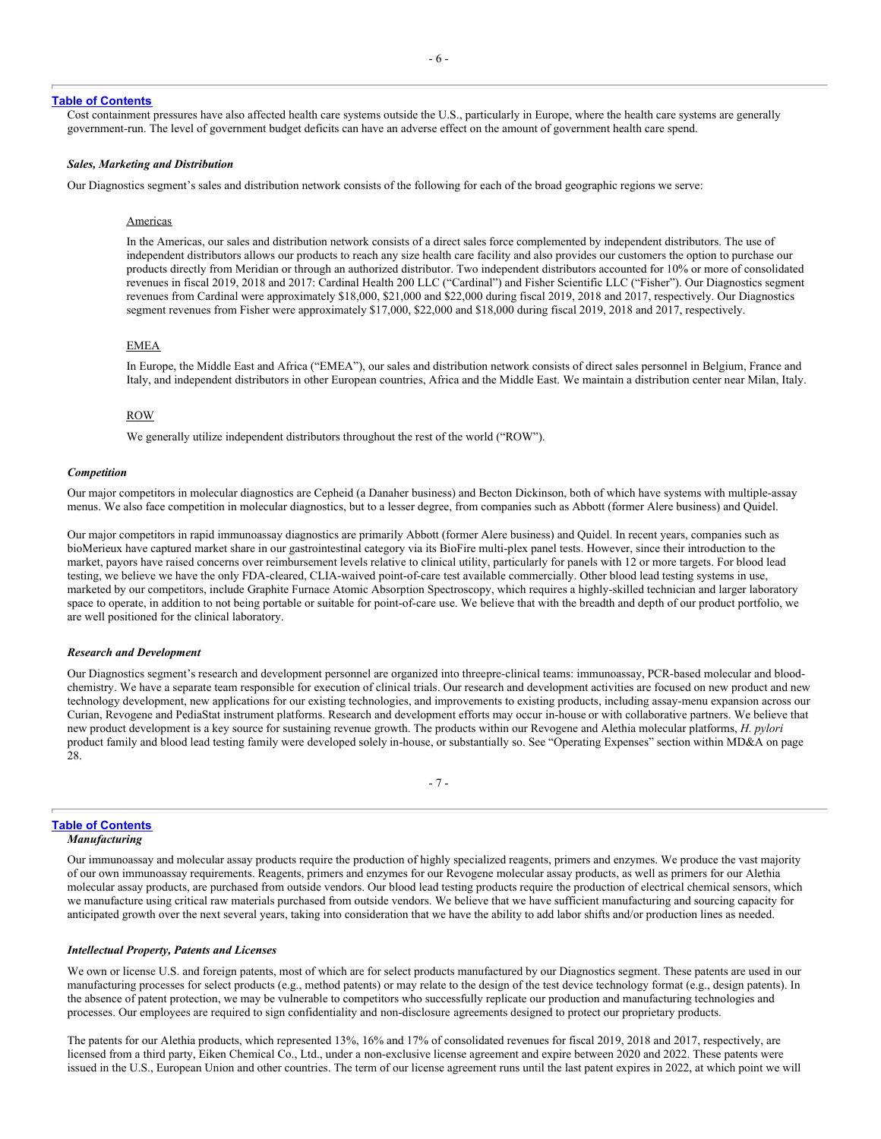#### **Table of [Contents](#page-1-0)**

Cost containment pressures have also affected health care systems outside the U.S., particularly in Europe, where the health care systems are generally government-run. The level of government budget deficits can have an adverse effect on the amount of government health care spend.

#### *Sales, Marketing and Distribution*

Our Diagnostics segment's sales and distribution network consists of the following for each of the broad geographic regions we serve:

#### **Americas**

In the Americas, our sales and distribution network consists of a direct sales force complemented by independent distributors. The use of independent distributors allows our products to reach any size health care facility and also provides our customers the option to purchase our products directly from Meridian or through an authorized distributor. Two independent distributors accounted for 10% or more of consolidated revenues in fiscal 2019, 2018 and 2017: Cardinal Health 200 LLC ("Cardinal") and Fisher Scientific LLC ("Fisher"). Our Diagnostics segment revenues from Cardinal were approximately \$18,000, \$21,000 and \$22,000 during fiscal 2019, 2018 and 2017, respectively. Our Diagnostics segment revenues from Fisher were approximately \$17,000, \$22,000 and \$18,000 during fiscal 2019, 2018 and 2017, respectively.

#### EMEA

In Europe, the Middle East and Africa ("EMEA"), our sales and distribution network consists of direct sales personnel in Belgium, France and Italy, and independent distributors in other European countries, Africa and the Middle East. We maintain a distribution center near Milan, Italy.

# ROW

We generally utilize independent distributors throughout the rest of the world ("ROW").

#### *Competition*

Our major competitors in molecular diagnostics are Cepheid (a Danaher business) and Becton Dickinson, both of which have systems with multiple-assay menus. We also face competition in molecular diagnostics, but to a lesser degree, from companies such as Abbott (former Alere business) and Quidel.

Our major competitors in rapid immunoassay diagnostics are primarily Abbott (former Alere business) and Quidel. In recent years, companies such as bioMerieux have captured market share in our gastrointestinal category via its BioFire multi-plex panel tests. However, since their introduction to the market, payors have raised concerns over reimbursement levels relative to clinical utility, particularly for panels with 12 or more targets. For blood lead testing, we believe we have the only FDA-cleared, CLIA-waived point-of-care test available commercially. Other blood lead testing systems in use, marketed by our competitors, include Graphite Furnace Atomic Absorption Spectroscopy, which requires a highly-skilled technician and larger laboratory space to operate, in addition to not being portable or suitable for point-of-care use. We believe that with the breadth and depth of our product portfolio, we are well positioned for the clinical laboratory.

#### *Research and Development*

Our Diagnostics segment's research and development personnel are organized into threepre-clinical teams: immunoassay, PCR-based molecular and bloodchemistry. We have a separate team responsible for execution of clinical trials. Our research and development activities are focused on new product and new technology development, new applications for our existing technologies, and improvements to existing products, including assay-menu expansion across our Curian, Revogene and PediaStat instrument platforms. Research and development efforts may occur in-house or with collaborative partners. We believe that new product development is a key source for sustaining revenue growth. The products within our Revogene and Alethia molecular platforms, *H. pylori* product family and blood lead testing family were developed solely in-house, or substantially so. See "Operating Expenses" section within MD&A on page 28.

$$
-7 -
$$

# **Table of [Contents](#page-1-0)**

*Manufacturing*

Our immunoassay and molecular assay products require the production of highly specialized reagents, primers and enzymes. We produce the vast majority of our own immunoassay requirements. Reagents, primers and enzymes for our Revogene molecular assay products, as well as primers for our Alethia molecular assay products, are purchased from outside vendors. Our blood lead testing products require the production of electrical chemical sensors, which we manufacture using critical raw materials purchased from outside vendors. We believe that we have sufficient manufacturing and sourcing capacity for anticipated growth over the next several years, taking into consideration that we have the ability to add labor shifts and/or production lines as needed.

#### *Intellectual Property, Patents and Licenses*

We own or license U.S. and foreign patents, most of which are for select products manufactured by our Diagnostics segment. These patents are used in our manufacturing processes for select products (e.g., method patents) or may relate to the design of the test device technology format (e.g., design patents). In the absence of patent protection, we may be vulnerable to competitors who successfully replicate our production and manufacturing technologies and processes. Our employees are required to sign confidentiality and non-disclosure agreements designed to protect our proprietary products.

The patents for our Alethia products, which represented 13%, 16% and 17% of consolidated revenues for fiscal 2019, 2018 and 2017, respectively, are licensed from a third party, Eiken Chemical Co., Ltd., under a non-exclusive license agreement and expire between 2020 and 2022. These patents were issued in the U.S., European Union and other countries. The term of our license agreement runs until the last patent expires in 2022, at which point we will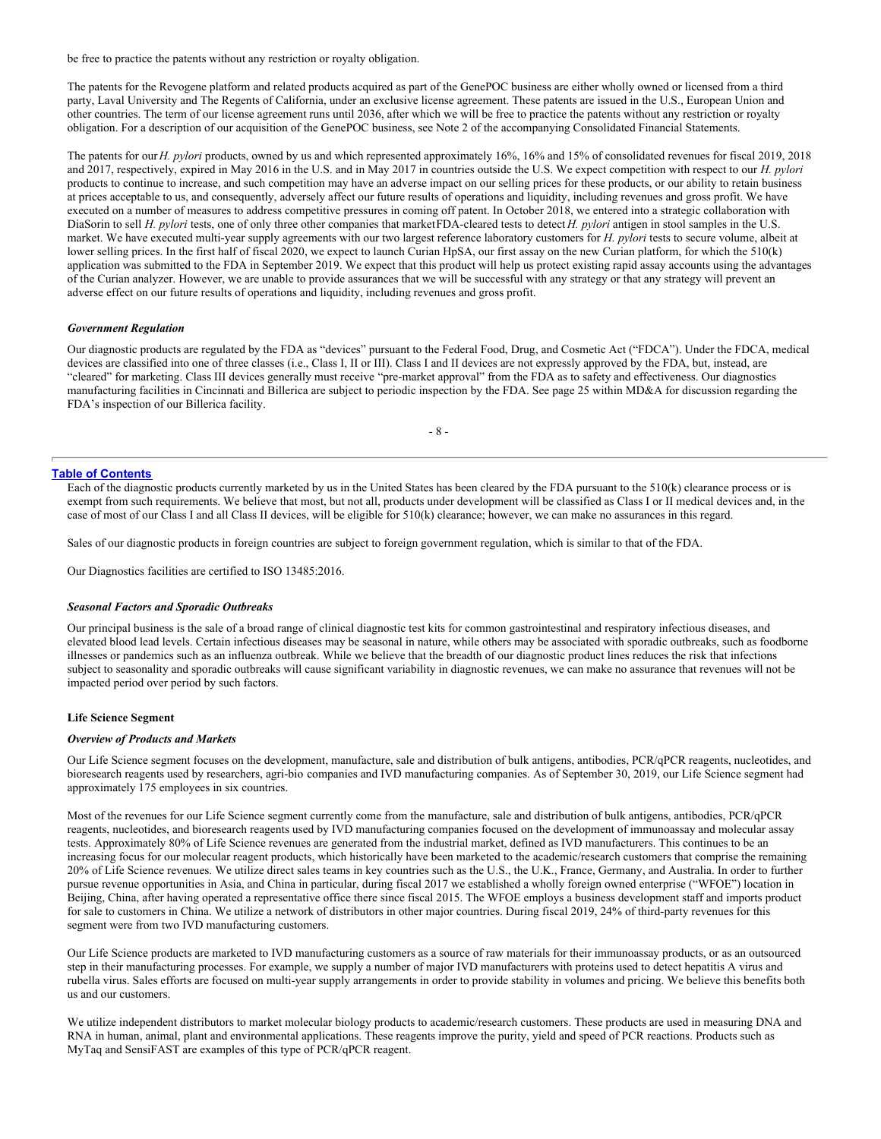be free to practice the patents without any restriction or royalty obligation.

The patents for the Revogene platform and related products acquired as part of the GenePOC business are either wholly owned or licensed from a third party, Laval University and The Regents of California, under an exclusive license agreement. These patents are issued in the U.S., European Union and other countries. The term of our license agreement runs until 2036, after which we will be free to practice the patents without any restriction or royalty obligation. For a description of our acquisition of the GenePOC business, see Note 2 of the accompanying Consolidated Financial Statements.

The patents for our*H. pylori* products, owned by us and which represented approximately 16%, 16% and 15% of consolidated revenues for fiscal 2019, 2018 and 2017, respectively, expired in May 2016 in the U.S. and in May 2017 in countries outside the U.S. We expect competition with respect to our *H. pylori* products to continue to increase, and such competition may have an adverse impact on our selling prices for these products, or our ability to retain business at prices acceptable to us, and consequently, adversely affect our future results of operations and liquidity, including revenues and gross profit. We have executed on a number of measures to address competitive pressures in coming off patent. In October 2018, we entered into a strategic collaboration with DiaSorin to sell *H. pylori* tests, one of only three other companies that marketFDA-cleared tests to detect *H. pylori* antigen in stool samples in the U.S. market. We have executed multi-year supply agreements with our two largest reference laboratory customers for *H. pylori* tests to secure volume, albeit at lower selling prices. In the first half of fiscal 2020, we expect to launch Curian HpSA, our first assay on the new Curian platform, for which the 510(k) application was submitted to the FDA in September 2019. We expect that this product will help us protect existing rapid assay accounts using the advantages of the Curian analyzer. However, we are unable to provide assurances that we will be successful with any strategy or that any strategy will prevent an adverse effect on our future results of operations and liquidity, including revenues and gross profit.

#### *Government Regulation*

Our diagnostic products are regulated by the FDA as "devices" pursuant to the Federal Food, Drug, and Cosmetic Act ("FDCA"). Under the FDCA, medical devices are classified into one of three classes (i.e., Class I, II or III). Class I and II devices are not expressly approved by the FDA, but, instead, are "cleared" for marketing. Class III devices generally must receive "pre-market approval" from the FDA as to safety and effectiveness. Our diagnostics manufacturing facilities in Cincinnati and Billerica are subject to periodic inspection by the FDA. See page 25 within MD&A for discussion regarding the FDA's inspection of our Billerica facility.

- 8 -

#### **Table of [Contents](#page-1-0)**

Each of the diagnostic products currently marketed by us in the United States has been cleared by the FDA pursuant to the 510(k) clearance process or is exempt from such requirements. We believe that most, but not all, products under development will be classified as Class I or II medical devices and, in the case of most of our Class I and all Class II devices, will be eligible for 510(k) clearance; however, we can make no assurances in this regard.

Sales of our diagnostic products in foreign countries are subject to foreign government regulation, which is similar to that of the FDA.

Our Diagnostics facilities are certified to ISO 13485:2016.

#### *Seasonal Factors and Sporadic Outbreaks*

Our principal business is the sale of a broad range of clinical diagnostic test kits for common gastrointestinal and respiratory infectious diseases, and elevated blood lead levels. Certain infectious diseases may be seasonal in nature, while others may be associated with sporadic outbreaks, such as foodborne illnesses or pandemics such as an influenza outbreak. While we believe that the breadth of our diagnostic product lines reduces the risk that infections subject to seasonality and sporadic outbreaks will cause significant variability in diagnostic revenues, we can make no assurance that revenues will not be impacted period over period by such factors.

#### **Life Science Segment**

#### *Overview of Products and Markets*

Our Life Science segment focuses on the development, manufacture, sale and distribution of bulk antigens, antibodies, PCR/qPCR reagents, nucleotides, and bioresearch reagents used by researchers, agri-bio companies and IVD manufacturing companies. As of September 30, 2019, our Life Science segment had approximately 175 employees in six countries.

Most of the revenues for our Life Science segment currently come from the manufacture, sale and distribution of bulk antigens, antibodies, PCR/qPCR reagents, nucleotides, and bioresearch reagents used by IVD manufacturing companies focused on the development of immunoassay and molecular assay tests. Approximately 80% of Life Science revenues are generated from the industrial market, defined as IVD manufacturers. This continues to be an increasing focus for our molecular reagent products, which historically have been marketed to the academic/research customers that comprise the remaining 20% of Life Science revenues. We utilize direct sales teams in key countries such as the U.S., the U.K., France, Germany, and Australia. In order to further pursue revenue opportunities in Asia, and China in particular, during fiscal 2017 we established a wholly foreign owned enterprise ("WFOE") location in Beijing, China, after having operated a representative office there since fiscal 2015. The WFOE employs a business development staff and imports product for sale to customers in China. We utilize a network of distributors in other major countries. During fiscal 2019, 24% of third-party revenues for this segment were from two IVD manufacturing customers.

Our Life Science products are marketed to IVD manufacturing customers as a source of raw materials for their immunoassay products, or as an outsourced step in their manufacturing processes. For example, we supply a number of major IVD manufacturers with proteins used to detect hepatitis A virus and rubella virus. Sales efforts are focused on multi-year supply arrangements in order to provide stability in volumes and pricing. We believe this benefits both us and our customers.

We utilize independent distributors to market molecular biology products to academic/research customers. These products are used in measuring DNA and RNA in human, animal, plant and environmental applications. These reagents improve the purity, yield and speed of PCR reactions. Products such as MyTaq and SensiFAST are examples of this type of PCR/qPCR reagent.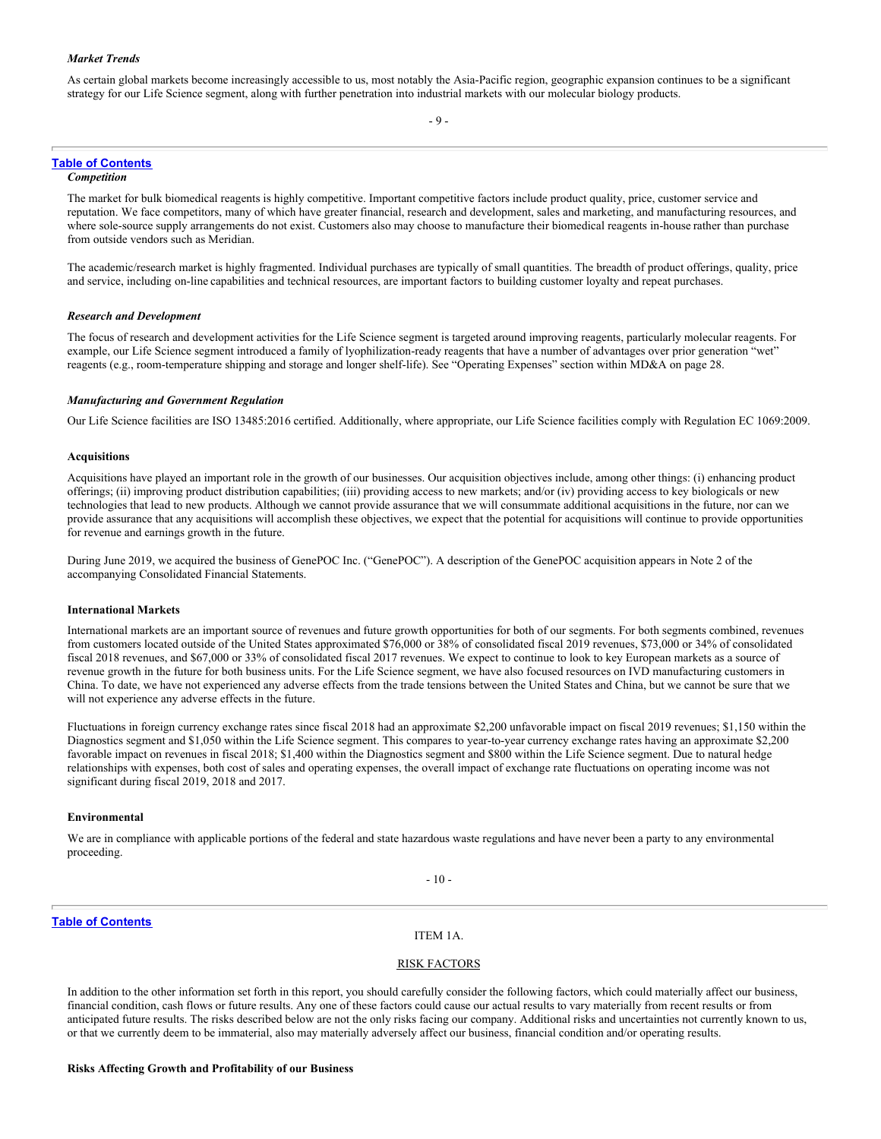#### <span id="page-6-0"></span>*Market Trends*

As certain global markets become increasingly accessible to us, most notably the Asia-Pacific region, geographic expansion continues to be a significant strategy for our Life Science segment, along with further penetration into industrial markets with our molecular biology products.

- 9 -

# **Table of [Contents](#page-1-0)**

#### *Competition*

The market for bulk biomedical reagents is highly competitive. Important competitive factors include product quality, price, customer service and reputation. We face competitors, many of which have greater financial, research and development, sales and marketing, and manufacturing resources, and where sole-source supply arrangements do not exist. Customers also may choose to manufacture their biomedical reagents in-house rather than purchase from outside vendors such as Meridian.

The academic/research market is highly fragmented. Individual purchases are typically of small quantities. The breadth of product offerings, quality, price and service, including on-line capabilities and technical resources, are important factors to building customer loyalty and repeat purchases.

#### *Research and Development*

The focus of research and development activities for the Life Science segment is targeted around improving reagents, particularly molecular reagents. For example, our Life Science segment introduced a family of lyophilization-ready reagents that have a number of advantages over prior generation "wet" reagents (e.g., room-temperature shipping and storage and longer shelf-life). See "Operating Expenses" section within MD&A on page 28.

#### *Manufacturing and Government Regulation*

Our Life Science facilities are ISO 13485:2016 certified. Additionally, where appropriate, our Life Science facilities comply with Regulation EC 1069:2009.

#### **Acquisitions**

Acquisitions have played an important role in the growth of our businesses. Our acquisition objectives include, among other things: (i) enhancing product offerings; (ii) improving product distribution capabilities; (iii) providing access to new markets; and/or (iv) providing access to key biologicals or new technologies that lead to new products. Although we cannot provide assurance that we will consummate additional acquisitions in the future, nor can we provide assurance that any acquisitions will accomplish these objectives, we expect that the potential for acquisitions will continue to provide opportunities for revenue and earnings growth in the future.

During June 2019, we acquired the business of GenePOC Inc. ("GenePOC"). A description of the GenePOC acquisition appears in Note 2 of the accompanying Consolidated Financial Statements.

#### **International Markets**

International markets are an important source of revenues and future growth opportunities for both of our segments. For both segments combined, revenues from customers located outside of the United States approximated \$76,000 or 38% of consolidated fiscal 2019 revenues, \$73,000 or 34% of consolidated fiscal 2018 revenues, and \$67,000 or 33% of consolidated fiscal 2017 revenues. We expect to continue to look to key European markets as a source of revenue growth in the future for both business units. For the Life Science segment, we have also focused resources on IVD manufacturing customers in China. To date, we have not experienced any adverse effects from the trade tensions between the United States and China, but we cannot be sure that we will not experience any adverse effects in the future.

Fluctuations in foreign currency exchange rates since fiscal 2018 had an approximate \$2,200 unfavorable impact on fiscal 2019 revenues; \$1,150 within the Diagnostics segment and \$1,050 within the Life Science segment. This compares to year-to-year currency exchange rates having an approximate \$2,200 favorable impact on revenues in fiscal 2018; \$1,400 within the Diagnostics segment and \$800 within the Life Science segment. Due to natural hedge relationships with expenses, both cost of sales and operating expenses, the overall impact of exchange rate fluctuations on operating income was not significant during fiscal 2019, 2018 and 2017.

#### **Environmental**

We are in compliance with applicable portions of the federal and state hazardous waste regulations and have never been a party to any environmental proceeding.

- 10 -

#### **Table of [Contents](#page-1-0)**

#### ITEM 1A.

#### RISK FACTORS

In addition to the other information set forth in this report, you should carefully consider the following factors, which could materially affect our business, financial condition, cash flows or future results. Any one of these factors could cause our actual results to vary materially from recent results or from anticipated future results. The risks described below are not the only risks facing our company. Additional risks and uncertainties not currently known to us, or that we currently deem to be immaterial, also may materially adversely affect our business, financial condition and/or operating results.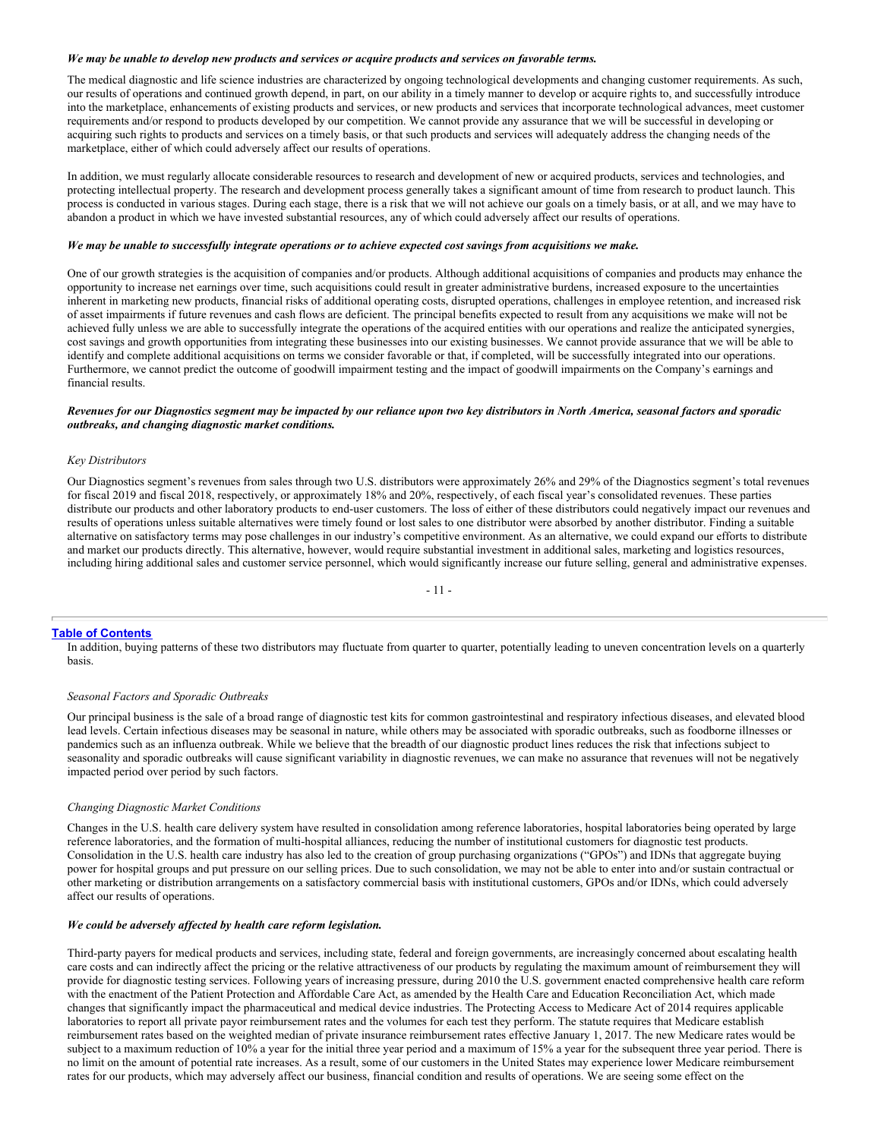#### We may be unable to develop new products and services or acquire products and services on favorable terms.

The medical diagnostic and life science industries are characterized by ongoing technological developments and changing customer requirements. As such, our results of operations and continued growth depend, in part, on our ability in a timely manner to develop or acquire rights to, and successfully introduce into the marketplace, enhancements of existing products and services, or new products and services that incorporate technological advances, meet customer requirements and/or respond to products developed by our competition. We cannot provide any assurance that we will be successful in developing or acquiring such rights to products and services on a timely basis, or that such products and services will adequately address the changing needs of the marketplace, either of which could adversely affect our results of operations.

In addition, we must regularly allocate considerable resources to research and development of new or acquired products, services and technologies, and protecting intellectual property. The research and development process generally takes a significant amount of time from research to product launch. This process is conducted in various stages. During each stage, there is a risk that we will not achieve our goals on a timely basis, or at all, and we may have to abandon a product in which we have invested substantial resources, any of which could adversely affect our results of operations.

#### We may be unable to successfully integrate operations or to achieve expected cost savings from acquisitions we make.

One of our growth strategies is the acquisition of companies and/or products. Although additional acquisitions of companies and products may enhance the opportunity to increase net earnings over time, such acquisitions could result in greater administrative burdens, increased exposure to the uncertainties inherent in marketing new products, financial risks of additional operating costs, disrupted operations, challenges in employee retention, and increased risk of asset impairments if future revenues and cash flows are deficient. The principal benefits expected to result from any acquisitions we make will not be achieved fully unless we are able to successfully integrate the operations of the acquired entities with our operations and realize the anticipated synergies, cost savings and growth opportunities from integrating these businesses into our existing businesses. We cannot provide assurance that we will be able to identify and complete additional acquisitions on terms we consider favorable or that, if completed, will be successfully integrated into our operations. Furthermore, we cannot predict the outcome of goodwill impairment testing and the impact of goodwill impairments on the Company's earnings and financial results.

#### Revenues for our Diagnostics segment may be impacted by our reliance upon two key distributors in North America, seasonal factors and sporadic *outbreaks, and changing diagnostic market conditions.*

#### *Key Distributors*

Our Diagnostics segment's revenues from sales through two U.S. distributors were approximately 26% and 29% of the Diagnostics segment's total revenues for fiscal 2019 and fiscal 2018, respectively, or approximately 18% and 20%, respectively, of each fiscal year's consolidated revenues. These parties distribute our products and other laboratory products to end-user customers. The loss of either of these distributors could negatively impact our revenues and results of operations unless suitable alternatives were timely found or lost sales to one distributor were absorbed by another distributor. Finding a suitable alternative on satisfactory terms may pose challenges in our industry's competitive environment. As an alternative, we could expand our efforts to distribute and market our products directly. This alternative, however, would require substantial investment in additional sales, marketing and logistics resources, including hiring additional sales and customer service personnel, which would significantly increase our future selling, general and administrative expenses.

#### - 11 -

#### **Table of [Contents](#page-1-0)**

In addition, buying patterns of these two distributors may fluctuate from quarter to quarter, potentially leading to uneven concentration levels on a quarterly basis.

#### *Seasonal Factors and Sporadic Outbreaks*

Our principal business is the sale of a broad range of diagnostic test kits for common gastrointestinal and respiratory infectious diseases, and elevated blood lead levels. Certain infectious diseases may be seasonal in nature, while others may be associated with sporadic outbreaks, such as foodborne illnesses or pandemics such as an influenza outbreak. While we believe that the breadth of our diagnostic product lines reduces the risk that infections subject to seasonality and sporadic outbreaks will cause significant variability in diagnostic revenues, we can make no assurance that revenues will not be negatively impacted period over period by such factors.

#### *Changing Diagnostic Market Conditions*

Changes in the U.S. health care delivery system have resulted in consolidation among reference laboratories, hospital laboratories being operated by large reference laboratories, and the formation of multi-hospital alliances, reducing the number of institutional customers for diagnostic test products. Consolidation in the U.S. health care industry has also led to the creation of group purchasing organizations ("GPOs") and IDNs that aggregate buying power for hospital groups and put pressure on our selling prices. Due to such consolidation, we may not be able to enter into and/or sustain contractual or other marketing or distribution arrangements on a satisfactory commercial basis with institutional customers, GPOs and/or IDNs, which could adversely affect our results of operations.

#### *We could be adversely af ected by health care reform legislation.*

Third-party payers for medical products and services, including state, federal and foreign governments, are increasingly concerned about escalating health care costs and can indirectly affect the pricing or the relative attractiveness of our products by regulating the maximum amount of reimbursement they will provide for diagnostic testing services. Following years of increasing pressure, during 2010 the U.S. government enacted comprehensive health care reform with the enactment of the Patient Protection and Affordable Care Act, as amended by the Health Care and Education Reconciliation Act, which made changes that significantly impact the pharmaceutical and medical device industries. The Protecting Access to Medicare Act of 2014 requires applicable laboratories to report all private payor reimbursement rates and the volumes for each test they perform. The statute requires that Medicare establish reimbursement rates based on the weighted median of private insurance reimbursement rates effective January 1, 2017. The new Medicare rates would be subject to a maximum reduction of 10% a year for the initial three year period and a maximum of 15% a year for the subsequent three year period. There is no limit on the amount of potential rate increases. As a result, some of our customers in the United States may experience lower Medicare reimbursement rates for our products, which may adversely affect our business, financial condition and results of operations. We are seeing some effect on the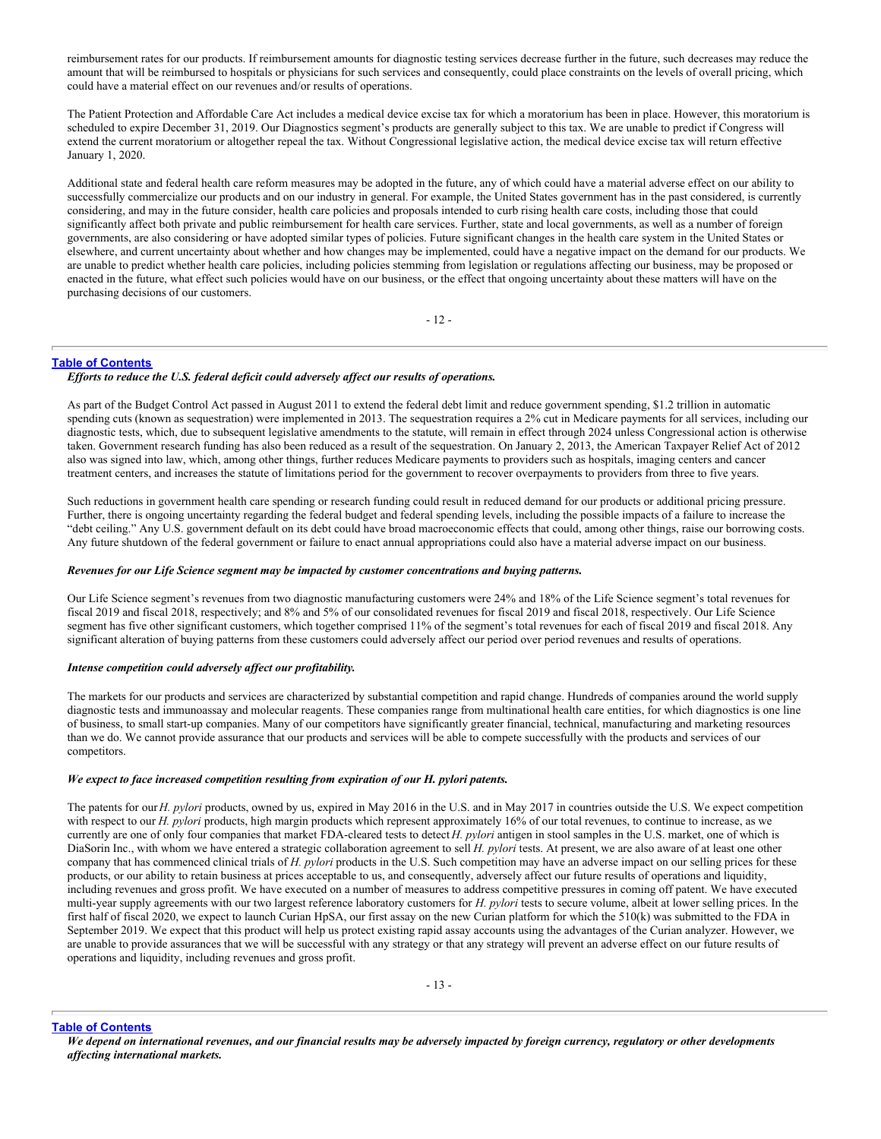reimbursement rates for our products. If reimbursement amounts for diagnostic testing services decrease further in the future, such decreases may reduce the amount that will be reimbursed to hospitals or physicians for such services and consequently, could place constraints on the levels of overall pricing, which could have a material effect on our revenues and/or results of operations.

The Patient Protection and Affordable Care Act includes a medical device excise tax for which a moratorium has been in place. However, this moratorium is scheduled to expire December 31, 2019. Our Diagnostics segment's products are generally subject to this tax. We are unable to predict if Congress will extend the current moratorium or altogether repeal the tax. Without Congressional legislative action, the medical device excise tax will return effective January 1, 2020.

Additional state and federal health care reform measures may be adopted in the future, any of which could have a material adverse effect on our ability to successfully commercialize our products and on our industry in general. For example, the United States government has in the past considered, is currently considering, and may in the future consider, health care policies and proposals intended to curb rising health care costs, including those that could significantly affect both private and public reimbursement for health care services. Further, state and local governments, as well as a number of foreign governments, are also considering or have adopted similar types of policies. Future significant changes in the health care system in the United States or elsewhere, and current uncertainty about whether and how changes may be implemented, could have a negative impact on the demand for our products. We are unable to predict whether health care policies, including policies stemming from legislation or regulations affecting our business, may be proposed or enacted in the future, what effect such policies would have on our business, or the effect that ongoing uncertainty about these matters will have on the purchasing decisions of our customers.

- 12 -

#### **Table of [Contents](#page-1-0)**

#### *Ef orts to reduce the U.S. federal deficit could adversely af ect our results of operations.*

As part of the Budget Control Act passed in August 2011 to extend the federal debt limit and reduce government spending, \$1.2 trillion in automatic spending cuts (known as sequestration) were implemented in 2013. The sequestration requires a 2% cut in Medicare payments for all services, including our diagnostic tests, which, due to subsequent legislative amendments to the statute, will remain in effect through 2024 unless Congressional action is otherwise taken. Government research funding has also been reduced as a result of the sequestration. On January 2, 2013, the American Taxpayer Relief Act of 2012 also was signed into law, which, among other things, further reduces Medicare payments to providers such as hospitals, imaging centers and cancer treatment centers, and increases the statute of limitations period for the government to recover overpayments to providers from three to five years.

Such reductions in government health care spending or research funding could result in reduced demand for our products or additional pricing pressure. Further, there is ongoing uncertainty regarding the federal budget and federal spending levels, including the possible impacts of a failure to increase the "debt ceiling." Any U.S. government default on its debt could have broad macroeconomic effects that could, among other things, raise our borrowing costs. Any future shutdown of the federal government or failure to enact annual appropriations could also have a material adverse impact on our business.

#### *Revenues for our Life Science segment may be impacted by customer concentrations and buying patterns.*

Our Life Science segment's revenues from two diagnostic manufacturing customers were 24% and 18% of the Life Science segment's total revenues for fiscal 2019 and fiscal 2018, respectively; and 8% and 5% of our consolidated revenues for fiscal 2019 and fiscal 2018, respectively. Our Life Science segment has five other significant customers, which together comprised 11% of the segment's total revenues for each of fiscal 2019 and fiscal 2018. Any significant alteration of buying patterns from these customers could adversely affect our period over period revenues and results of operations.

#### *Intense competition could adversely af ect our profitability.*

The markets for our products and services are characterized by substantial competition and rapid change. Hundreds of companies around the world supply diagnostic tests and immunoassay and molecular reagents. These companies range from multinational health care entities, for which diagnostics is one line of business, to small start-up companies. Many of our competitors have significantly greater financial, technical, manufacturing and marketing resources than we do. We cannot provide assurance that our products and services will be able to compete successfully with the products and services of our competitors.

#### *We expect to face increased competition resulting from expiration of our H. pylori patents.*

The patents for our*H. pylori* products, owned by us, expired in May 2016 in the U.S. and in May 2017 in countries outside the U.S. We expect competition with respect to our *H. pylori* products, high margin products which represent approximately 16% of our total revenues, to continue to increase, as we currently are one of only four companies that market FDA-cleared tests to detect *H. pylori* antigen in stool samples in the U.S. market, one of which is DiaSorin Inc., with whom we have entered a strategic collaboration agreement to sell *H. pylori* tests. At present, we are also aware of at least one other company that has commenced clinical trials of *H. pylori* products in the U.S. Such competition may have an adverse impact on our selling prices for these products, or our ability to retain business at prices acceptable to us, and consequently, adversely affect our future results of operations and liquidity, including revenues and gross profit. We have executed on a number of measures to address competitive pressures in coming off patent. We have executed multi-year supply agreements with our two largest reference laboratory customers for *H. pylori* tests to secure volume, albeit at lower selling prices. In the first half of fiscal 2020, we expect to launch Curian HpSA, our first assay on the new Curian platform for which the 510(k) was submitted to the FDA in September 2019. We expect that this product will help us protect existing rapid assay accounts using the advantages of the Curian analyzer. However, we are unable to provide assurances that we will be successful with any strategy or that any strategy will prevent an adverse effect on our future results of operations and liquidity, including revenues and gross profit.

#### **Table of [Contents](#page-1-0)**

We depend on international revenues, and our financial results may be adversely impacted by foreign currency, regulatory or other developments *af ecting international markets.*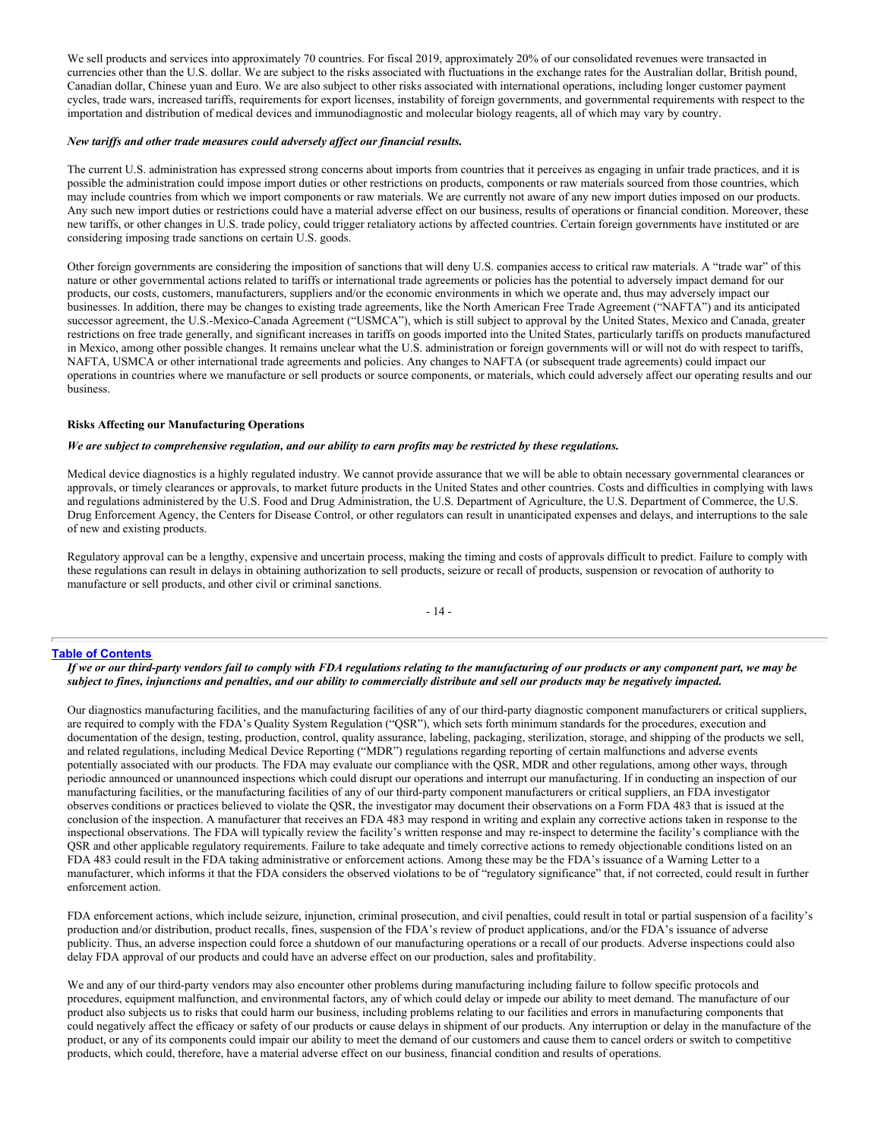We sell products and services into approximately 70 countries. For fiscal 2019, approximately 20% of our consolidated revenues were transacted in currencies other than the U.S. dollar. We are subject to the risks associated with fluctuations in the exchange rates for the Australian dollar, British pound, Canadian dollar, Chinese yuan and Euro. We are also subject to other risks associated with international operations, including longer customer payment cycles, trade wars, increased tariffs, requirements for export licenses, instability of foreign governments, and governmental requirements with respect to the importation and distribution of medical devices and immunodiagnostic and molecular biology reagents, all of which may vary by country.

#### *New tarif s and other trade measures could adversely af ect our financial results.*

The current U.S. administration has expressed strong concerns about imports from countries that it perceives as engaging in unfair trade practices, and it is possible the administration could impose import duties or other restrictions on products, components or raw materials sourced from those countries, which may include countries from which we import components or raw materials. We are currently not aware of any new import duties imposed on our products. Any such new import duties or restrictions could have a material adverse effect on our business, results of operations or financial condition. Moreover, these new tariffs, or other changes in U.S. trade policy, could trigger retaliatory actions by affected countries. Certain foreign governments have instituted or are considering imposing trade sanctions on certain U.S. goods.

Other foreign governments are considering the imposition of sanctions that will deny U.S. companies access to critical raw materials. A "trade war" of this nature or other governmental actions related to tariffs or international trade agreements or policies has the potential to adversely impact demand for our products, our costs, customers, manufacturers, suppliers and/or the economic environments in which we operate and, thus may adversely impact our businesses. In addition, there may be changes to existing trade agreements, like the North American Free Trade Agreement ("NAFTA") and its anticipated successor agreement, the U.S.-Mexico-Canada Agreement ("USMCA"), which is still subject to approval by the United States, Mexico and Canada, greater restrictions on free trade generally, and significant increases in tariffs on goods imported into the United States, particularly tariffs on products manufactured in Mexico, among other possible changes. It remains unclear what the U.S. administration or foreign governments will or will not do with respect to tariffs, NAFTA, USMCA or other international trade agreements and policies. Any changes to NAFTA (or subsequent trade agreements) could impact our operations in countries where we manufacture or sell products or source components, or materials, which could adversely affect our operating results and our business.

#### **Risks Affecting our Manufacturing Operations**

# We are subject to comprehensive regulation, and our ability to earn profits may be restricted by these regulations.

Medical device diagnostics is a highly regulated industry. We cannot provide assurance that we will be able to obtain necessary governmental clearances or approvals, or timely clearances or approvals, to market future products in the United States and other countries. Costs and difficulties in complying with laws and regulations administered by the U.S. Food and Drug Administration, the U.S. Department of Agriculture, the U.S. Department of Commerce, the U.S. Drug Enforcement Agency, the Centers for Disease Control, or other regulators can result in unanticipated expenses and delays, and interruptions to the sale of new and existing products.

Regulatory approval can be a lengthy, expensive and uncertain process, making the timing and costs of approvals difficult to predict. Failure to comply with these regulations can result in delays in obtaining authorization to sell products, seizure or recall of products, suspension or revocation of authority to manufacture or sell products, and other civil or criminal sanctions.

- 14 -

# **Table of [Contents](#page-1-0)**

#### If we or our third-party vendors fail to comply with FDA regulations relating to the manufacturing of our products or any component part, we may be subject to fines, injunctions and penalties, and our ability to commercially distribute and sell our products may be negatively impacted.

Our diagnostics manufacturing facilities, and the manufacturing facilities of any of our third-party diagnostic component manufacturers or critical suppliers, are required to comply with the FDA's Quality System Regulation ("QSR"), which sets forth minimum standards for the procedures, execution and documentation of the design, testing, production, control, quality assurance, labeling, packaging, sterilization, storage, and shipping of the products we sell, and related regulations, including Medical Device Reporting ("MDR") regulations regarding reporting of certain malfunctions and adverse events potentially associated with our products. The FDA may evaluate our compliance with the QSR, MDR and other regulations, among other ways, through periodic announced or unannounced inspections which could disrupt our operations and interrupt our manufacturing. If in conducting an inspection of our manufacturing facilities, or the manufacturing facilities of any of our third-party component manufacturers or critical suppliers, an FDA investigator observes conditions or practices believed to violate the QSR, the investigator may document their observations on a Form FDA 483 that is issued at the conclusion of the inspection. A manufacturer that receives an FDA 483 may respond in writing and explain any corrective actions taken in response to the inspectional observations. The FDA will typically review the facility's written response and may re-inspect to determine the facility's compliance with the QSR and other applicable regulatory requirements. Failure to take adequate and timely corrective actions to remedy objectionable conditions listed on an FDA 483 could result in the FDA taking administrative or enforcement actions. Among these may be the FDA's issuance of a Warning Letter to a manufacturer, which informs it that the FDA considers the observed violations to be of "regulatory significance" that, if not corrected, could result in further enforcement action.

FDA enforcement actions, which include seizure, injunction, criminal prosecution, and civil penalties, could result in total or partial suspension of a facility's production and/or distribution, product recalls, fines, suspension of the FDA's review of product applications, and/or the FDA's issuance of adverse publicity. Thus, an adverse inspection could force a shutdown of our manufacturing operations or a recall of our products. Adverse inspections could also delay FDA approval of our products and could have an adverse effect on our production, sales and profitability.

We and any of our third-party vendors may also encounter other problems during manufacturing including failure to follow specific protocols and procedures, equipment malfunction, and environmental factors, any of which could delay or impede our ability to meet demand. The manufacture of our product also subjects us to risks that could harm our business, including problems relating to our facilities and errors in manufacturing components that could negatively affect the efficacy or safety of our products or cause delays in shipment of our products. Any interruption or delay in the manufacture of the product, or any of its components could impair our ability to meet the demand of our customers and cause them to cancel orders or switch to competitive products, which could, therefore, have a material adverse effect on our business, financial condition and results of operations.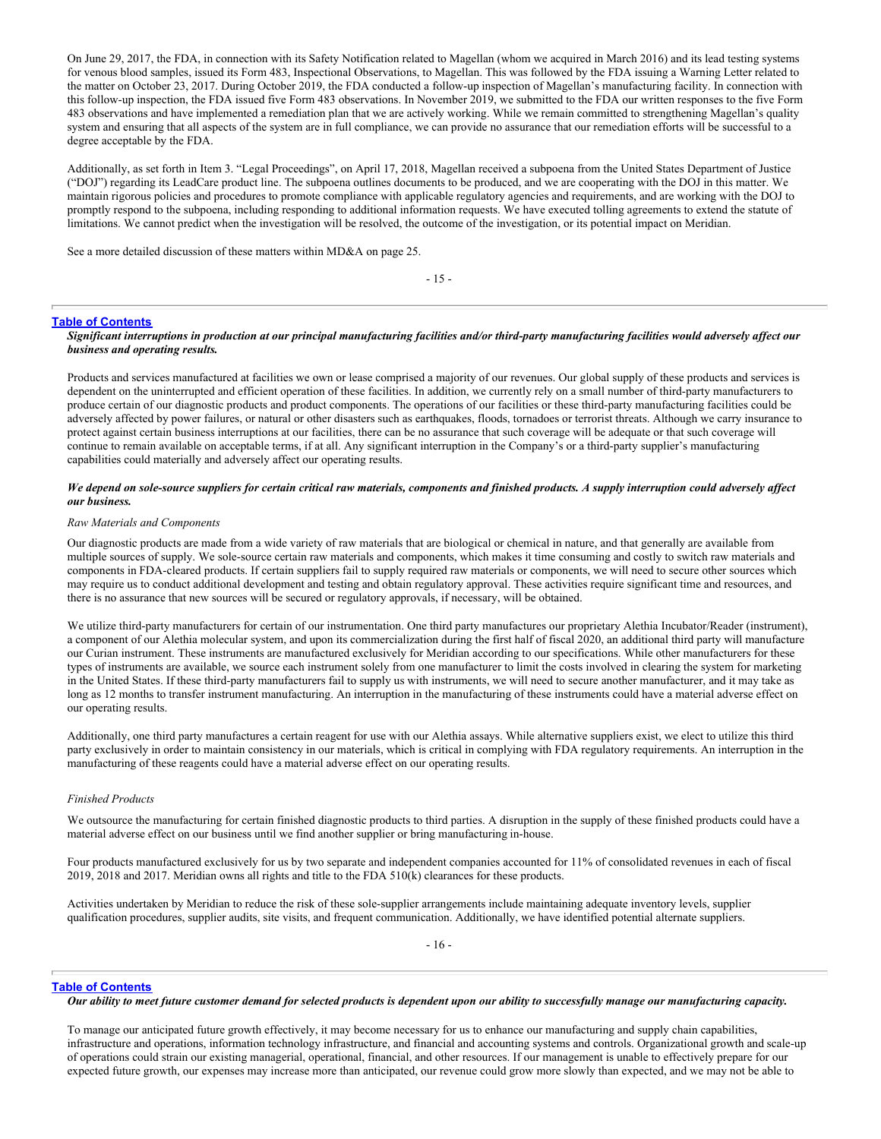On June 29, 2017, the FDA, in connection with its Safety Notification related to Magellan (whom we acquired in March 2016) and its lead testing systems for venous blood samples, issued its Form 483, Inspectional Observations, to Magellan. This was followed by the FDA issuing a Warning Letter related to the matter on October 23, 2017. During October 2019, the FDA conducted a follow-up inspection of Magellan's manufacturing facility. In connection with this follow-up inspection, the FDA issued five Form 483 observations. In November 2019, we submitted to the FDA our written responses to the five Form 483 observations and have implemented a remediation plan that we are actively working. While we remain committed to strengthening Magellan's quality system and ensuring that all aspects of the system are in full compliance, we can provide no assurance that our remediation efforts will be successful to a degree acceptable by the FDA.

Additionally, as set forth in Item 3. "Legal Proceedings", on April 17, 2018, Magellan received a subpoena from the United States Department of Justice ("DOJ") regarding its LeadCare product line. The subpoena outlines documents to be produced, and we are cooperating with the DOJ in this matter. We maintain rigorous policies and procedures to promote compliance with applicable regulatory agencies and requirements, and are working with the DOJ to promptly respond to the subpoena, including responding to additional information requests. We have executed tolling agreements to extend the statute of limitations. We cannot predict when the investigation will be resolved, the outcome of the investigation, or its potential impact on Meridian.

See a more detailed discussion of these matters within MD&A on page 25.

- 15 -

#### **Table of [Contents](#page-1-0)**

#### Significant interruptions in production at our principal manufacturing facilities and/or third-party manufacturing facilities would adversely affect our *business and operating results.*

Products and services manufactured at facilities we own or lease comprised a majority of our revenues. Our global supply of these products and services is dependent on the uninterrupted and efficient operation of these facilities. In addition, we currently rely on a small number of third-party manufacturers to produce certain of our diagnostic products and product components. The operations of our facilities or these third-party manufacturing facilities could be adversely affected by power failures, or natural or other disasters such as earthquakes, floods, tornadoes or terrorist threats. Although we carry insurance to protect against certain business interruptions at our facilities, there can be no assurance that such coverage will be adequate or that such coverage will continue to remain available on acceptable terms, if at all. Any significant interruption in the Company's or a third-party supplier's manufacturing capabilities could materially and adversely affect our operating results.

#### We depend on sole-source suppliers for certain critical raw materials, components and finished products. A supply interruption could adversely affect *our business.*

#### *Raw Materials and Components*

Our diagnostic products are made from a wide variety of raw materials that are biological or chemical in nature, and that generally are available from multiple sources of supply. We sole-source certain raw materials and components, which makes it time consuming and costly to switch raw materials and components in FDA-cleared products. If certain suppliers fail to supply required raw materials or components, we will need to secure other sources which may require us to conduct additional development and testing and obtain regulatory approval. These activities require significant time and resources, and there is no assurance that new sources will be secured or regulatory approvals, if necessary, will be obtained.

We utilize third-party manufacturers for certain of our instrumentation. One third party manufactures our proprietary Alethia Incubator/Reader (instrument), a component of our Alethia molecular system, and upon its commercialization during the first half of fiscal 2020, an additional third party will manufacture our Curian instrument. These instruments are manufactured exclusively for Meridian according to our specifications. While other manufacturers for these types of instruments are available, we source each instrument solely from one manufacturer to limit the costs involved in clearing the system for marketing in the United States. If these third-party manufacturers fail to supply us with instruments, we will need to secure another manufacturer, and it may take as long as 12 months to transfer instrument manufacturing. An interruption in the manufacturing of these instruments could have a material adverse effect on our operating results.

Additionally, one third party manufactures a certain reagent for use with our Alethia assays. While alternative suppliers exist, we elect to utilize this third party exclusively in order to maintain consistency in our materials, which is critical in complying with FDA regulatory requirements. An interruption in the manufacturing of these reagents could have a material adverse effect on our operating results.

# *Finished Products*

We outsource the manufacturing for certain finished diagnostic products to third parties. A disruption in the supply of these finished products could have a material adverse effect on our business until we find another supplier or bring manufacturing in-house.

Four products manufactured exclusively for us by two separate and independent companies accounted for 11% of consolidated revenues in each of fiscal 2019, 2018 and 2017. Meridian owns all rights and title to the FDA 510(k) clearances for these products.

Activities undertaken by Meridian to reduce the risk of these sole-supplier arrangements include maintaining adequate inventory levels, supplier qualification procedures, supplier audits, site visits, and frequent communication. Additionally, we have identified potential alternate suppliers.

# **Table of [Contents](#page-1-0)**

#### Our ability to meet future customer demand for selected products is dependent upon our ability to successfully manage our manufacturing capacity.

To manage our anticipated future growth effectively, it may become necessary for us to enhance our manufacturing and supply chain capabilities, infrastructure and operations, information technology infrastructure, and financial and accounting systems and controls. Organizational growth and scale-up of operations could strain our existing managerial, operational, financial, and other resources. If our management is unable to effectively prepare for our expected future growth, our expenses may increase more than anticipated, our revenue could grow more slowly than expected, and we may not be able to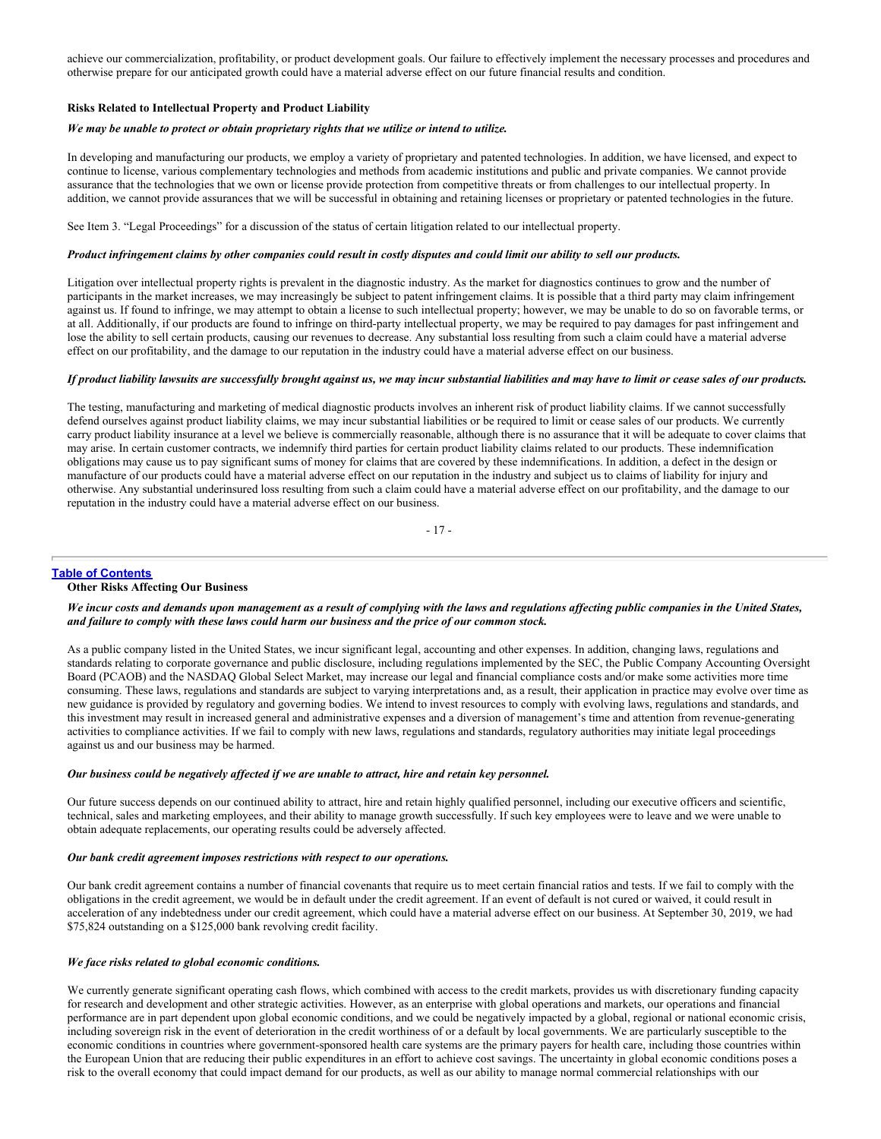achieve our commercialization, profitability, or product development goals. Our failure to effectively implement the necessary processes and procedures and otherwise prepare for our anticipated growth could have a material adverse effect on our future financial results and condition.

#### **Risks Related to Intellectual Property and Product Liability**

#### *We may be unable to protect or obtain proprietary rights that we utilize or intend to utilize.*

In developing and manufacturing our products, we employ a variety of proprietary and patented technologies. In addition, we have licensed, and expect to continue to license, various complementary technologies and methods from academic institutions and public and private companies. We cannot provide assurance that the technologies that we own or license provide protection from competitive threats or from challenges to our intellectual property. In addition, we cannot provide assurances that we will be successful in obtaining and retaining licenses or proprietary or patented technologies in the future.

See Item 3. "Legal Proceedings" for a discussion of the status of certain litigation related to our intellectual property.

#### Product infringement claims by other companies could result in costly disputes and could limit our ability to sell our products.

Litigation over intellectual property rights is prevalent in the diagnostic industry. As the market for diagnostics continues to grow and the number of participants in the market increases, we may increasingly be subject to patent infringement claims. It is possible that a third party may claim infringement against us. If found to infringe, we may attempt to obtain a license to such intellectual property; however, we may be unable to do so on favorable terms, or at all. Additionally, if our products are found to infringe on third-party intellectual property, we may be required to pay damages for past infringement and lose the ability to sell certain products, causing our revenues to decrease. Any substantial loss resulting from such a claim could have a material adverse effect on our profitability, and the damage to our reputation in the industry could have a material adverse effect on our business.

#### If product liability lawsuits are successfully brought against us, we may incur substantial liabilities and may have to limit or cease sales of our products.

The testing, manufacturing and marketing of medical diagnostic products involves an inherent risk of product liability claims. If we cannot successfully defend ourselves against product liability claims, we may incur substantial liabilities or be required to limit or cease sales of our products. We currently carry product liability insurance at a level we believe is commercially reasonable, although there is no assurance that it will be adequate to cover claims that may arise. In certain customer contracts, we indemnify third parties for certain product liability claims related to our products. These indemnification obligations may cause us to pay significant sums of money for claims that are covered by these indemnifications. In addition, a defect in the design or manufacture of our products could have a material adverse effect on our reputation in the industry and subject us to claims of liability for injury and otherwise. Any substantial underinsured loss resulting from such a claim could have a material adverse effect on our profitability, and the damage to our reputation in the industry could have a material adverse effect on our business.

- 17 -

#### **Table of [Contents](#page-1-0)**

# **Other Risks Affecting Our Business**

#### We incur costs and demands upon management as a result of complying with the laws and regulations affecting public companies in the United States, *and failure to comply with these laws could harm our business and the price of our common stock.*

As a public company listed in the United States, we incur significant legal, accounting and other expenses. In addition, changing laws, regulations and standards relating to corporate governance and public disclosure, including regulations implemented by the SEC, the Public Company Accounting Oversight Board (PCAOB) and the NASDAQ Global Select Market, may increase our legal and financial compliance costs and/or make some activities more time consuming. These laws, regulations and standards are subject to varying interpretations and, as a result, their application in practice may evolve over time as new guidance is provided by regulatory and governing bodies. We intend to invest resources to comply with evolving laws, regulations and standards, and this investment may result in increased general and administrative expenses and a diversion of management's time and attention from revenue-generating activities to compliance activities. If we fail to comply with new laws, regulations and standards, regulatory authorities may initiate legal proceedings against us and our business may be harmed.

#### Our business could be negatively affected if we are unable to attract, hire and retain key personnel.

Our future success depends on our continued ability to attract, hire and retain highly qualified personnel, including our executive officers and scientific, technical, sales and marketing employees, and their ability to manage growth successfully. If such key employees were to leave and we were unable to obtain adequate replacements, our operating results could be adversely affected.

#### *Our bank credit agreement imposes restrictions with respect to our operations.*

Our bank credit agreement contains a number of financial covenants that require us to meet certain financial ratios and tests. If we fail to comply with the obligations in the credit agreement, we would be in default under the credit agreement. If an event of default is not cured or waived, it could result in acceleration of any indebtedness under our credit agreement, which could have a material adverse effect on our business. At September 30, 2019, we had \$75,824 outstanding on a \$125,000 bank revolving credit facility.

#### *We face risks related to global economic conditions.*

We currently generate significant operating cash flows, which combined with access to the credit markets, provides us with discretionary funding capacity for research and development and other strategic activities. However, as an enterprise with global operations and markets, our operations and financial performance are in part dependent upon global economic conditions, and we could be negatively impacted by a global, regional or national economic crisis, including sovereign risk in the event of deterioration in the credit worthiness of or a default by local governments. We are particularly susceptible to the economic conditions in countries where government-sponsored health care systems are the primary payers for health care, including those countries within the European Union that are reducing their public expenditures in an effort to achieve cost savings. The uncertainty in global economic conditions poses a risk to the overall economy that could impact demand for our products, as well as our ability to manage normal commercial relationships with our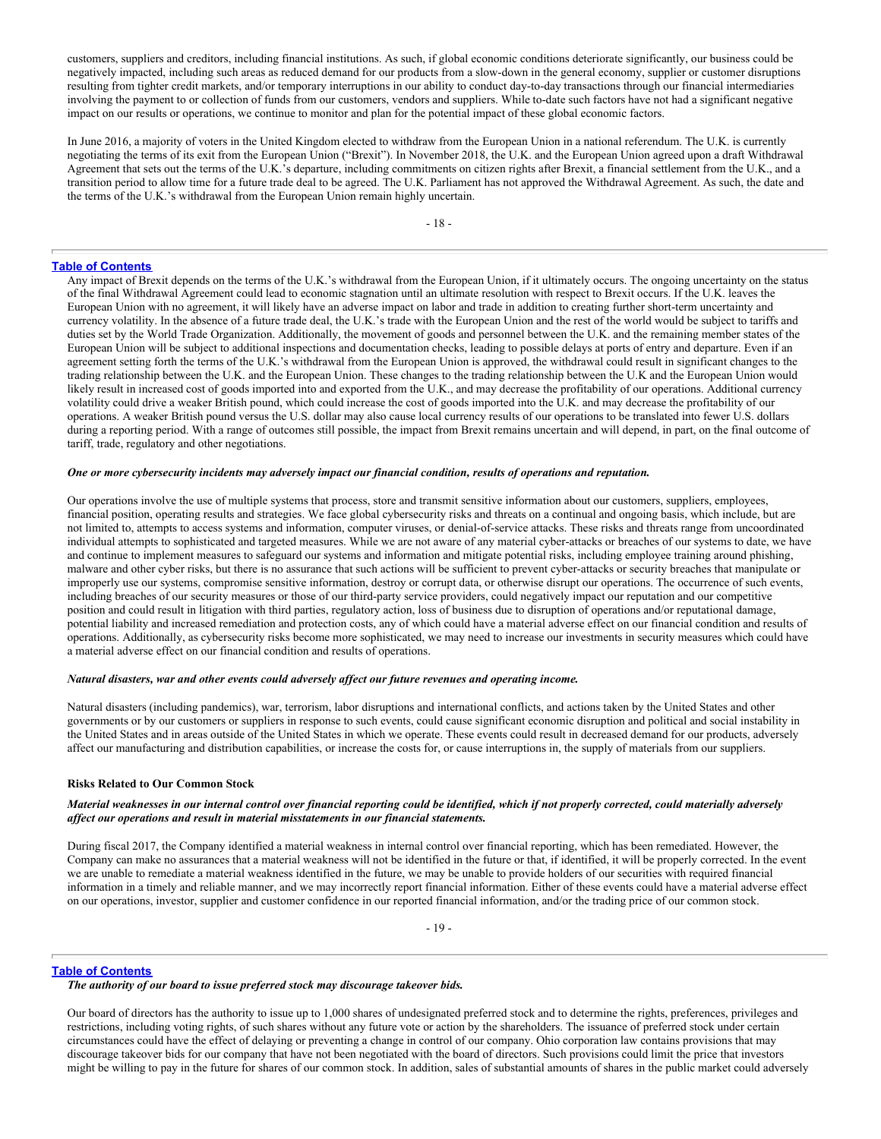customers, suppliers and creditors, including financial institutions. As such, if global economic conditions deteriorate significantly, our business could be negatively impacted, including such areas as reduced demand for our products from a slow-down in the general economy, supplier or customer disruptions resulting from tighter credit markets, and/or temporary interruptions in our ability to conduct day-to-day transactions through our financial intermediaries involving the payment to or collection of funds from our customers, vendors and suppliers. While to-date such factors have not had a significant negative impact on our results or operations, we continue to monitor and plan for the potential impact of these global economic factors.

In June 2016, a majority of voters in the United Kingdom elected to withdraw from the European Union in a national referendum. The U.K. is currently negotiating the terms of its exit from the European Union ("Brexit"). In November 2018, the U.K. and the European Union agreed upon a draft Withdrawal Agreement that sets out the terms of the U.K.'s departure, including commitments on citizen rights after Brexit, a financial settlement from the U.K., and a transition period to allow time for a future trade deal to be agreed. The U.K. Parliament has not approved the Withdrawal Agreement. As such, the date and the terms of the U.K.'s withdrawal from the European Union remain highly uncertain.

- 18 -

#### **Table of [Contents](#page-1-0)**

Any impact of Brexit depends on the terms of the U.K.'s withdrawal from the European Union, if it ultimately occurs. The ongoing uncertainty on the status of the final Withdrawal Agreement could lead to economic stagnation until an ultimate resolution with respect to Brexit occurs. If the U.K. leaves the European Union with no agreement, it will likely have an adverse impact on labor and trade in addition to creating further short-term uncertainty and currency volatility. In the absence of a future trade deal, the U.K.'s trade with the European Union and the rest of the world would be subject to tariffs and duties set by the World Trade Organization. Additionally, the movement of goods and personnel between the U.K. and the remaining member states of the European Union will be subject to additional inspections and documentation checks, leading to possible delays at ports of entry and departure. Even if an agreement setting forth the terms of the U.K.'s withdrawal from the European Union is approved, the withdrawal could result in significant changes to the trading relationship between the U.K. and the European Union. These changes to the trading relationship between the U.K and the European Union would likely result in increased cost of goods imported into and exported from the U.K., and may decrease the profitability of our operations. Additional currency volatility could drive a weaker British pound, which could increase the cost of goods imported into the U.K. and may decrease the profitability of our operations. A weaker British pound versus the U.S. dollar may also cause local currency results of our operations to be translated into fewer U.S. dollars during a reporting period. With a range of outcomes still possible, the impact from Brexit remains uncertain and will depend, in part, on the final outcome of tariff, trade, regulatory and other negotiations.

#### One or more cybersecurity incidents may adversely impact our financial condition, results of operations and reputation.

Our operations involve the use of multiple systems that process, store and transmit sensitive information about our customers, suppliers, employees, financial position, operating results and strategies. We face global cybersecurity risks and threats on a continual and ongoing basis, which include, but are not limited to, attempts to access systems and information, computer viruses, or denial-of-service attacks. These risks and threats range from uncoordinated individual attempts to sophisticated and targeted measures. While we are not aware of any material cyber-attacks or breaches of our systems to date, we have and continue to implement measures to safeguard our systems and information and mitigate potential risks, including employee training around phishing, malware and other cyber risks, but there is no assurance that such actions will be sufficient to prevent cyber-attacks or security breaches that manipulate or improperly use our systems, compromise sensitive information, destroy or corrupt data, or otherwise disrupt our operations. The occurrence of such events, including breaches of our security measures or those of our third-party service providers, could negatively impact our reputation and our competitive position and could result in litigation with third parties, regulatory action, loss of business due to disruption of operations and/or reputational damage, potential liability and increased remediation and protection costs, any of which could have a material adverse effect on our financial condition and results of operations. Additionally, as cybersecurity risks become more sophisticated, we may need to increase our investments in security measures which could have a material adverse effect on our financial condition and results of operations.

#### *Natural disasters, war and other events could adversely af ect our future revenues and operating income.*

Natural disasters (including pandemics), war, terrorism, labor disruptions and international conflicts, and actions taken by the United States and other governments or by our customers or suppliers in response to such events, could cause significant economic disruption and political and social instability in the United States and in areas outside of the United States in which we operate. These events could result in decreased demand for our products, adversely affect our manufacturing and distribution capabilities, or increase the costs for, or cause interruptions in, the supply of materials from our suppliers.

#### **Risks Related to Our Common Stock**

#### Material weaknesses in our internal control over financial reporting could be identified, which if not properly corrected, could materially adversely *af ect our operations and result in material misstatements in our financial statements.*

During fiscal 2017, the Company identified a material weakness in internal control over financial reporting, which has been remediated. However, the Company can make no assurances that a material weakness will not be identified in the future or that, if identified, it will be properly corrected. In the event we are unable to remediate a material weakness identified in the future, we may be unable to provide holders of our securities with required financial information in a timely and reliable manner, and we may incorrectly report financial information. Either of these events could have a material adverse effect on our operations, investor, supplier and customer confidence in our reported financial information, and/or the trading price of our common stock.

- 19 -

#### **Table of [Contents](#page-1-0)**

*The authority of our board to issue preferred stock may discourage takeover bids.*

Our board of directors has the authority to issue up to 1,000 shares of undesignated preferred stock and to determine the rights, preferences, privileges and restrictions, including voting rights, of such shares without any future vote or action by the shareholders. The issuance of preferred stock under certain circumstances could have the effect of delaying or preventing a change in control of our company. Ohio corporation law contains provisions that may discourage takeover bids for our company that have not been negotiated with the board of directors. Such provisions could limit the price that investors might be willing to pay in the future for shares of our common stock. In addition, sales of substantial amounts of shares in the public market could adversely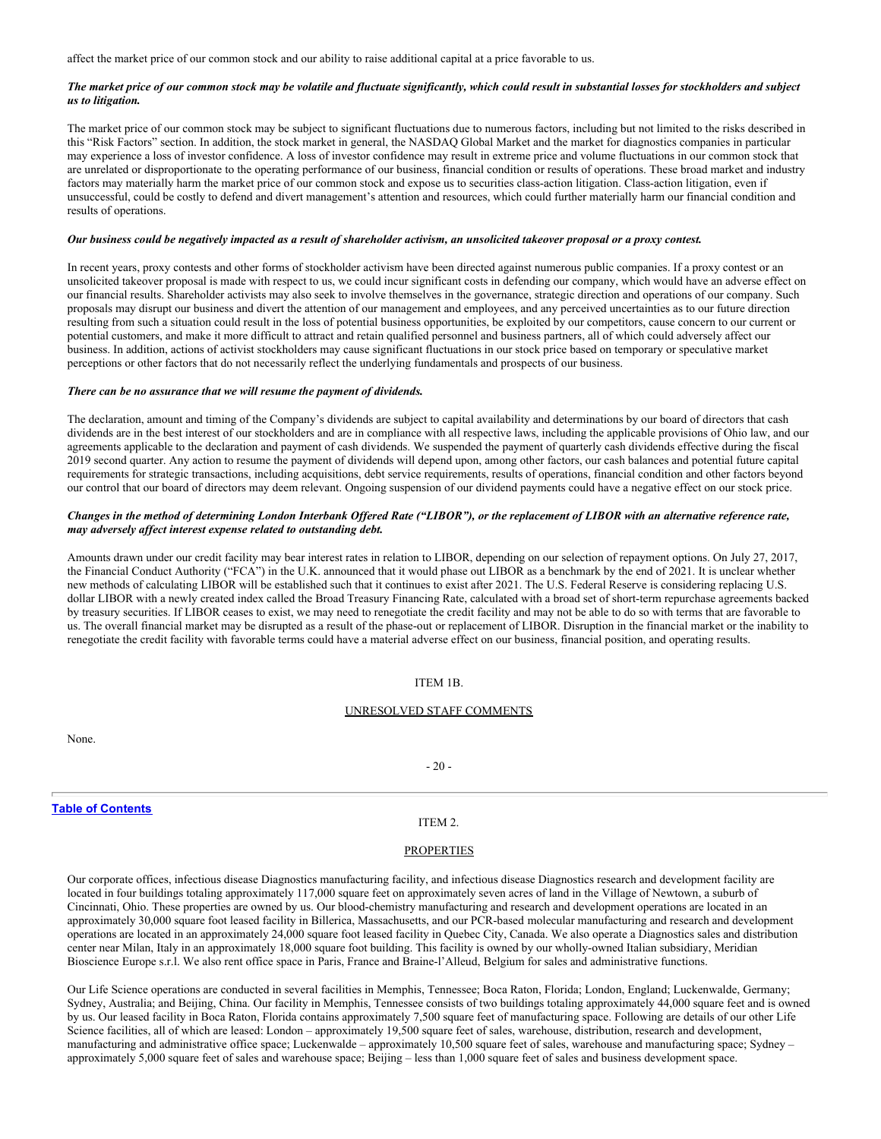<span id="page-13-0"></span>affect the market price of our common stock and our ability to raise additional capital at a price favorable to us.

#### The market price of our common stock may be volatile and fluctuate significantly, which could result in substantial losses for stockholders and subject *us to litigation.*

The market price of our common stock may be subject to significant fluctuations due to numerous factors, including but not limited to the risks described in this "Risk Factors" section. In addition, the stock market in general, the NASDAQ Global Market and the market for diagnostics companies in particular may experience a loss of investor confidence. A loss of investor confidence may result in extreme price and volume fluctuations in our common stock that are unrelated or disproportionate to the operating performance of our business, financial condition or results of operations. These broad market and industry factors may materially harm the market price of our common stock and expose us to securities class-action litigation. Class-action litigation, even if unsuccessful, could be costly to defend and divert management's attention and resources, which could further materially harm our financial condition and results of operations.

#### Our business could be negatively impacted as a result of shareholder activism, an unsolicited takeover proposal or a proxy contest.

In recent years, proxy contests and other forms of stockholder activism have been directed against numerous public companies. If a proxy contest or an unsolicited takeover proposal is made with respect to us, we could incur significant costs in defending our company, which would have an adverse effect on our financial results. Shareholder activists may also seek to involve themselves in the governance, strategic direction and operations of our company. Such proposals may disrupt our business and divert the attention of our management and employees, and any perceived uncertainties as to our future direction resulting from such a situation could result in the loss of potential business opportunities, be exploited by our competitors, cause concern to our current or potential customers, and make it more difficult to attract and retain qualified personnel and business partners, all of which could adversely affect our business. In addition, actions of activist stockholders may cause significant fluctuations in our stock price based on temporary or speculative market perceptions or other factors that do not necessarily reflect the underlying fundamentals and prospects of our business.

#### *There can be no assurance that we will resume the payment of dividends.*

The declaration, amount and timing of the Company's dividends are subject to capital availability and determinations by our board of directors that cash dividends are in the best interest of our stockholders and are in compliance with all respective laws, including the applicable provisions of Ohio law, and our agreements applicable to the declaration and payment of cash dividends. We suspended the payment of quarterly cash dividends effective during the fiscal 2019 second quarter. Any action to resume the payment of dividends will depend upon, among other factors, our cash balances and potential future capital requirements for strategic transactions, including acquisitions, debt service requirements, results of operations, financial condition and other factors beyond our control that our board of directors may deem relevant. Ongoing suspension of our dividend payments could have a negative effect on our stock price.

# Changes in the method of determining London Interbank Offered Rate ("LIBOR"), or the replacement of LIBOR with an alternative reference rate, *may adversely af ect interest expense related to outstanding debt.*

Amounts drawn under our credit facility may bear interest rates in relation to LIBOR, depending on our selection of repayment options. On July 27, 2017, the Financial Conduct Authority ("FCA") in the U.K. announced that it would phase out LIBOR as a benchmark by the end of 2021. It is unclear whether new methods of calculating LIBOR will be established such that it continues to exist after 2021. The U.S. Federal Reserve is considering replacing U.S. dollar LIBOR with a newly created index called the Broad Treasury Financing Rate, calculated with a broad set of short-term repurchase agreements backed by treasury securities. If LIBOR ceases to exist, we may need to renegotiate the credit facility and may not be able to do so with terms that are favorable to us. The overall financial market may be disrupted as a result of the phase-out or replacement of LIBOR. Disruption in the financial market or the inability to renegotiate the credit facility with favorable terms could have a material adverse effect on our business, financial position, and operating results.

# ITEM 1B.

# UNRESOLVED STAFF COMMENTS

- 20 -

None.

**Table of [Contents](#page-1-0)**

# ITEM 2.

#### PROPERTIES

Our corporate offices, infectious disease Diagnostics manufacturing facility, and infectious disease Diagnostics research and development facility are located in four buildings totaling approximately 117,000 square feet on approximately seven acres of land in the Village of Newtown, a suburb of Cincinnati, Ohio. These properties are owned by us. Our blood-chemistry manufacturing and research and development operations are located in an approximately 30,000 square foot leased facility in Billerica, Massachusetts, and our PCR-based molecular manufacturing and research and development operations are located in an approximately 24,000 square foot leased facility in Quebec City, Canada. We also operate a Diagnostics sales and distribution center near Milan, Italy in an approximately 18,000 square foot building. This facility is owned by our wholly-owned Italian subsidiary, Meridian Bioscience Europe s.r.l. We also rent office space in Paris, France and Braine-l'Alleud, Belgium for sales and administrative functions.

Our Life Science operations are conducted in several facilities in Memphis, Tennessee; Boca Raton, Florida; London, England; Luckenwalde, Germany; Sydney, Australia; and Beijing, China. Our facility in Memphis, Tennessee consists of two buildings totaling approximately 44,000 square feet and is owned by us. Our leased facility in Boca Raton, Florida contains approximately 7,500 square feet of manufacturing space. Following are details of our other Life Science facilities, all of which are leased: London – approximately 19,500 square feet of sales, warehouse, distribution, research and development, manufacturing and administrative office space; Luckenwalde – approximately 10,500 square feet of sales, warehouse and manufacturing space; Sydney – approximately 5,000 square feet of sales and warehouse space; Beijing – less than 1,000 square feet of sales and business development space.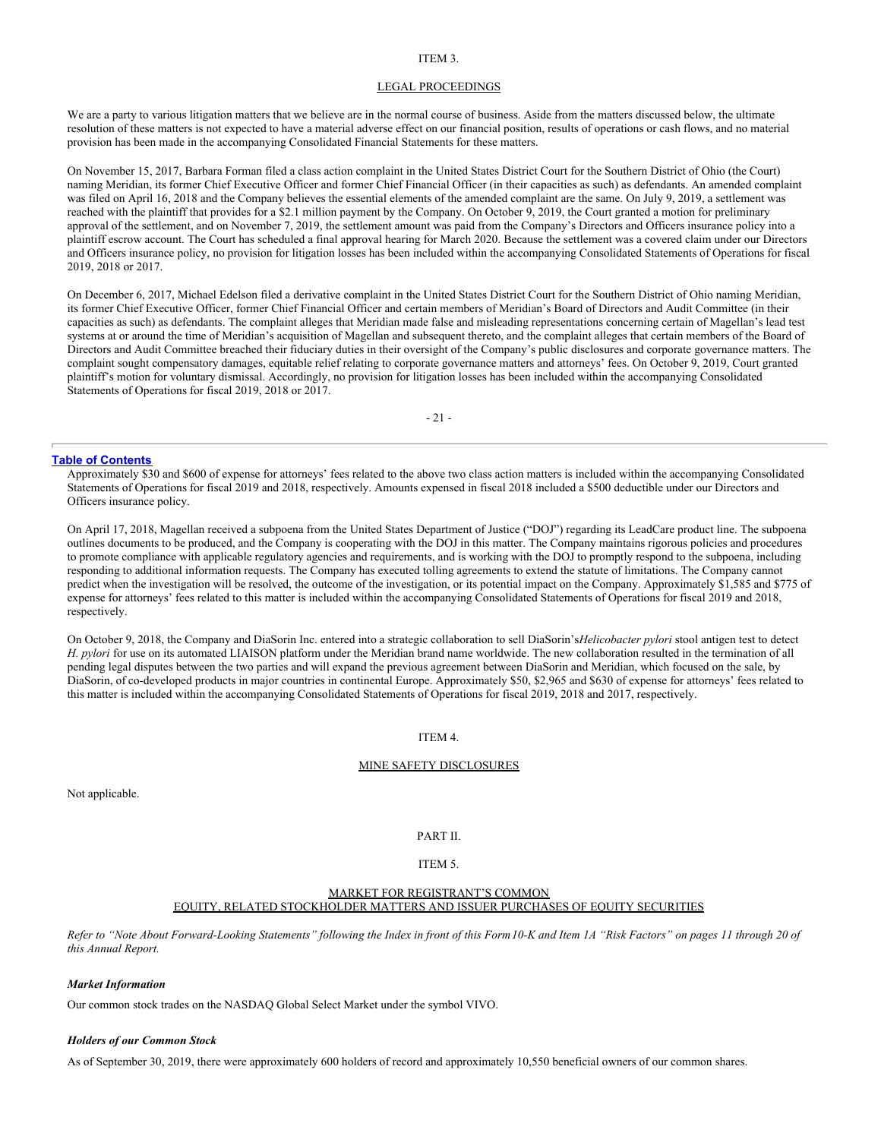#### ITEM 3.

# LEGAL PROCEEDINGS

<span id="page-14-0"></span>We are a party to various litigation matters that we believe are in the normal course of business. Aside from the matters discussed below, the ultimate resolution of these matters is not expected to have a material adverse effect on our financial position, results of operations or cash flows, and no material provision has been made in the accompanying Consolidated Financial Statements for these matters.

On November 15, 2017, Barbara Forman filed a class action complaint in the United States District Court for the Southern District of Ohio (the Court) naming Meridian, its former Chief Executive Officer and former Chief Financial Officer (in their capacities as such) as defendants. An amended complaint was filed on April 16, 2018 and the Company believes the essential elements of the amended complaint are the same. On July 9, 2019, a settlement was reached with the plaintiff that provides for a \$2.1 million payment by the Company. On October 9, 2019, the Court granted a motion for preliminary approval of the settlement, and on November 7, 2019, the settlement amount was paid from the Company's Directors and Officers insurance policy into a plaintiff escrow account. The Court has scheduled a final approval hearing for March 2020. Because the settlement was a covered claim under our Directors and Officers insurance policy, no provision for litigation losses has been included within the accompanying Consolidated Statements of Operations for fiscal 2019, 2018 or 2017.

On December 6, 2017, Michael Edelson filed a derivative complaint in the United States District Court for the Southern District of Ohio naming Meridian, its former Chief Executive Officer, former Chief Financial Officer and certain members of Meridian's Board of Directors and Audit Committee (in their capacities as such) as defendants. The complaint alleges that Meridian made false and misleading representations concerning certain of Magellan's lead test systems at or around the time of Meridian's acquisition of Magellan and subsequent thereto, and the complaint alleges that certain members of the Board of Directors and Audit Committee breached their fiduciary duties in their oversight of the Company's public disclosures and corporate governance matters. The complaint sought compensatory damages, equitable relief relating to corporate governance matters and attorneys' fees. On October 9, 2019, Court granted plaintiff's motion for voluntary dismissal. Accordingly, no provision for litigation losses has been included within the accompanying Consolidated Statements of Operations for fiscal 2019, 2018 or 2017.

- 21 -

#### **Table of [Contents](#page-1-0)**

Approximately \$30 and \$600 of expense for attorneys' fees related to the above two class action matters is included within the accompanying Consolidated Statements of Operations for fiscal 2019 and 2018, respectively. Amounts expensed in fiscal 2018 included a \$500 deductible under our Directors and Officers insurance policy.

On April 17, 2018, Magellan received a subpoena from the United States Department of Justice ("DOJ") regarding its LeadCare product line. The subpoena outlines documents to be produced, and the Company is cooperating with the DOJ in this matter. The Company maintains rigorous policies and procedures to promote compliance with applicable regulatory agencies and requirements, and is working with the DOJ to promptly respond to the subpoena, including responding to additional information requests. The Company has executed tolling agreements to extend the statute of limitations. The Company cannot predict when the investigation will be resolved, the outcome of the investigation, or its potential impact on the Company. Approximately \$1,585 and \$775 of expense for attorneys' fees related to this matter is included within the accompanying Consolidated Statements of Operations for fiscal 2019 and 2018, respectively.

On October 9, 2018, the Company and DiaSorin Inc. entered into a strategic collaboration to sell DiaSorin's*Helicobacter pylori* stool antigen test to detect *H. pylori* for use on its automated LIAISON platform under the Meridian brand name worldwide. The new collaboration resulted in the termination of all pending legal disputes between the two parties and will expand the previous agreement between DiaSorin and Meridian, which focused on the sale, by DiaSorin, of co-developed products in major countries in continental Europe. Approximately \$50, \$2,965 and \$630 of expense for attorneys' fees related to this matter is included within the accompanying Consolidated Statements of Operations for fiscal 2019, 2018 and 2017, respectively.

# ITEM 4.

#### MINE SAFETY DISCLOSURES

Not applicable.

#### PART II.

#### ITEM 5.

# MARKET FOR REGISTRANT'S COMMON EQUITY, RELATED STOCKHOLDER MATTERS AND ISSUER PURCHASES OF EQUITY SECURITIES

Refer to "Note About Forward-Looking Statements" following the Index in front of this Form 10-K and Item 1A "Risk Factors" on pages 11 through 20 of *this Annual Report.*

#### *Market Information*

Our common stock trades on the NASDAQ Global Select Market under the symbol VIVO.

#### *Holders of our Common Stock*

As of September 30, 2019, there were approximately 600 holders of record and approximately 10,550 beneficial owners of our common shares.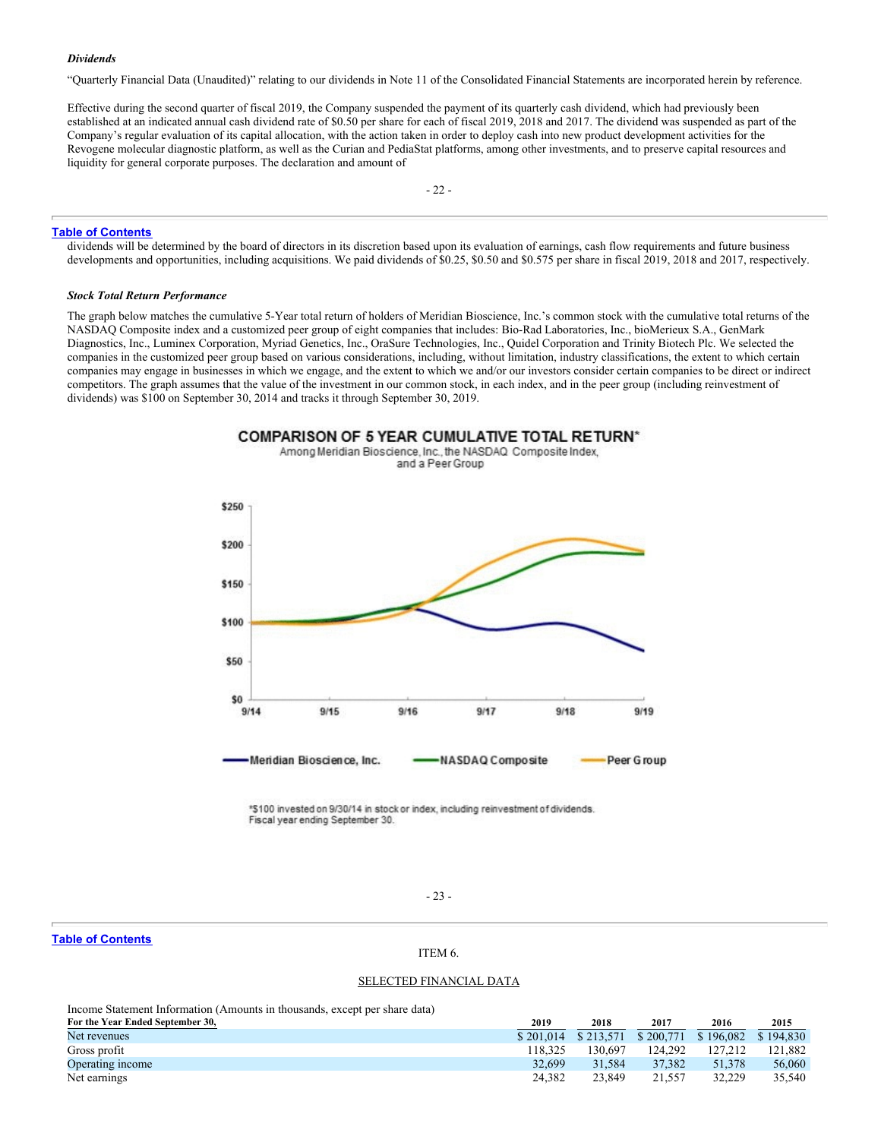#### <span id="page-15-0"></span>*Dividends*

"Quarterly Financial Data (Unaudited)" relating to our dividends in Note 11 of the Consolidated Financial Statements are incorporated herein by reference.

Effective during the second quarter of fiscal 2019, the Company suspended the payment of its quarterly cash dividend, which had previously been established at an indicated annual cash dividend rate of \$0.50 per share for each of fiscal 2019, 2018 and 2017. The dividend was suspended as part of the Company's regular evaluation of its capital allocation, with the action taken in order to deploy cash into new product development activities for the Revogene molecular diagnostic platform, as well as the Curian and PediaStat platforms, among other investments, and to preserve capital resources and liquidity for general corporate purposes. The declaration and amount of

#### **Table of [Contents](#page-1-0)**

dividends will be determined by the board of directors in its discretion based upon its evaluation of earnings, cash flow requirements and future business developments and opportunities, including acquisitions. We paid dividends of \$0.25, \$0.50 and \$0.575 per share in fiscal 2019, 2018 and 2017, respectively.

#### *Stock Total Return Performance*

The graph below matches the cumulative 5-Year total return of holders of Meridian Bioscience, Inc.'s common stock with the cumulative total returns of the NASDAQ Composite index and a customized peer group of eight companies that includes: Bio-Rad Laboratories, Inc., bioMerieux S.A., GenMark Diagnostics, Inc., Luminex Corporation, Myriad Genetics, Inc., OraSure Technologies, Inc., Quidel Corporation and Trinity Biotech Plc. We selected the companies in the customized peer group based on various considerations, including, without limitation, industry classifications, the extent to which certain companies may engage in businesses in which we engage, and the extent to which we and/or our investors consider certain companies to be direct or indirect competitors. The graph assumes that the value of the investment in our common stock, in each index, and in the peer group (including reinvestment of dividends) was \$100 on September 30, 2014 and tracks it through September 30, 2019.

**COMPARISON OF 5 YEAR CUMULATIVE TOTAL RETURN\*** 



\*\$100 invested on 9/30/14 in stock or index, including reinvestment of dividends. Fiscal year ending September 30.

- 23 -

# **Table of [Contents](#page-1-0)**

ITEM 6.

# SELECTED FINANCIAL DATA

Income Statement Information (Amounts in thousands, except per share data)

| For the Year Ended September 30. | 2019      | 2018      | 2017    | 2016                          | 2015    |
|----------------------------------|-----------|-----------|---------|-------------------------------|---------|
| Net revenues                     | \$201,014 | \$213.571 |         | \$200.771 \$196.082 \$194.830 |         |
| Gross profit                     | 118.325   | 130.697   | 124.292 | 127.212                       | 121.882 |
| Operating income                 | 32.699    | 31.584    | 37,382  | 51.378                        | 56,060  |
| Net earnings                     | 24.382    | 23.849    | 21.557  | 32.229                        | 35,540  |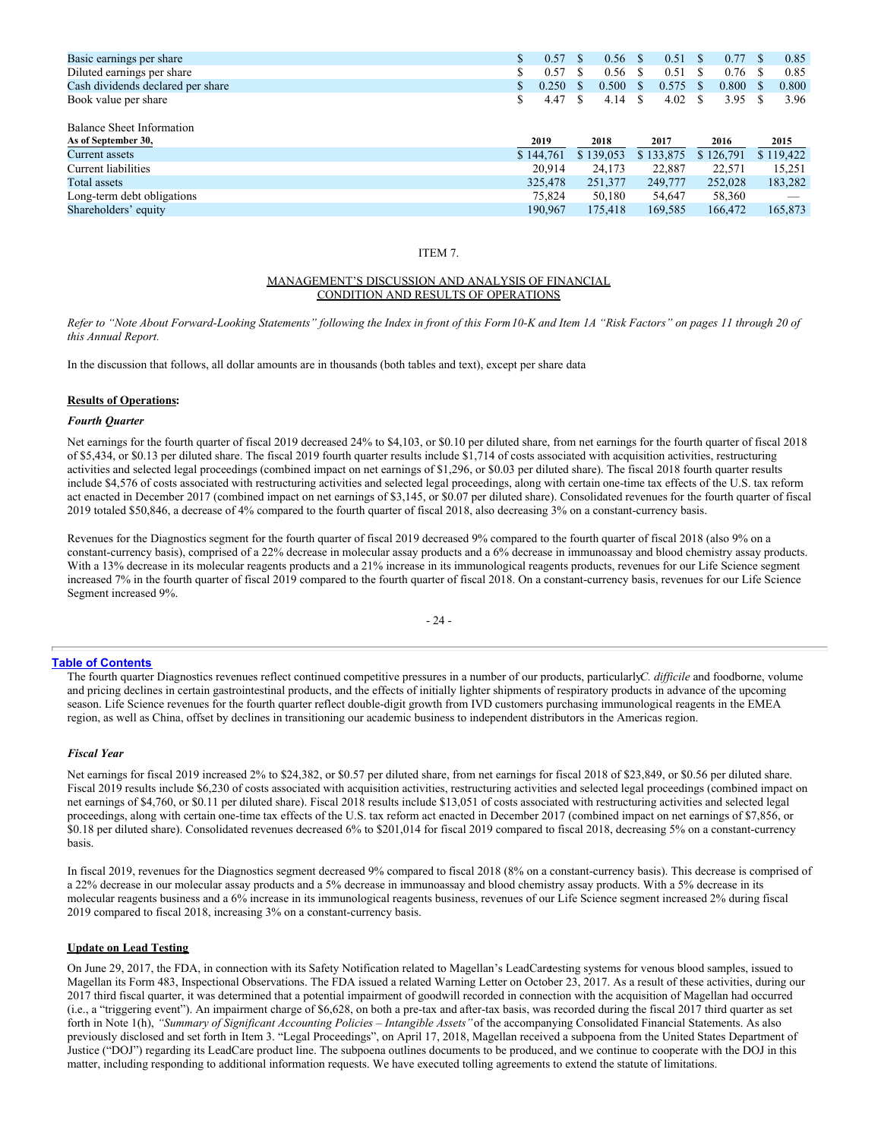<span id="page-16-0"></span>

| Basic earnings per share          |  |  |  | \$ 0.57 \$ 0.56 \$ 0.51 \$ 0.77 \$ 0.85 |                                                      |
|-----------------------------------|--|--|--|-----------------------------------------|------------------------------------------------------|
| Diluted earnings per share        |  |  |  | \$ 0.57 \$ 0.56 \$ 0.51 \$ 0.76 \$ 0.85 |                                                      |
| Cash dividends declared per share |  |  |  |                                         | $\text{S}$ 0.250 \$ 0.500 \$ 0.575 \$ 0.800 \$ 0.800 |
| Book value per share              |  |  |  |                                         | \$ 4.47 \$ 4.14 \$ 4.02 \$ 3.95 \$ 3.96              |

| Balance Sheet Information  |           |         |                                         |         |                          |
|----------------------------|-----------|---------|-----------------------------------------|---------|--------------------------|
| As of September 30,        | 2019      | 2018    | 2017                                    | 2016    | 2015                     |
| Current assets             | \$144,761 |         | \$139,053 \$133,875 \$126,791 \$119,422 |         |                          |
| Current liabilities        | 20.914    | 24.173  | 22,887                                  | 22.571  | 15.251                   |
| Total assets               | 325,478   | 251,377 | 249,777                                 | 252,028 | 183,282                  |
| Long-term debt obligations | 75,824    | 50.180  | 54.647                                  | 58,360  | $\overline{\phantom{a}}$ |
| Shareholders' equity       | 190.967   | 175.418 | 169.585                                 | 166,472 | 165,873                  |

# ITEM 7.

#### MANAGEMENT'S DISCUSSION AND ANALYSIS OF FINANCIAL CONDITION AND RESULTS OF OPERATIONS

Refer to "Note About Forward-Looking Statements" following the Index in front of this Form 10-K and Item 1A "Risk Factors" on pages 11 through 20 of *this Annual Report.*

In the discussion that follows, all dollar amounts are in thousands (both tables and text), except per share data*.*

#### **Results of Operations:**

#### *Fourth Quarter*

Net earnings for the fourth quarter of fiscal 2019 decreased 24% to \$4,103, or \$0.10 per diluted share, from net earnings for the fourth quarter of fiscal 2018 of \$5,434, or \$0.13 per diluted share. The fiscal 2019 fourth quarter results include \$1,714 of costs associated with acquisition activities, restructuring activities and selected legal proceedings (combined impact on net earnings of \$1,296, or \$0.03 per diluted share). The fiscal 2018 fourth quarter results include \$4,576 of costs associated with restructuring activities and selected legal proceedings, along with certain one-time tax effects of the U.S. tax reform act enacted in December 2017 (combined impact on net earnings of \$3,145, or \$0.07 per diluted share). Consolidated revenues for the fourth quarter of fiscal 2019 totaled \$50,846, a decrease of 4% compared to the fourth quarter of fiscal 2018, also decreasing 3% on a constant-currency basis.

Revenues for the Diagnostics segment for the fourth quarter of fiscal 2019 decreased 9% compared to the fourth quarter of fiscal 2018 (also 9% on a constant-currency basis), comprised of a 22% decrease in molecular assay products and a 6% decrease in immunoassay and blood chemistry assay products. With a 13% decrease in its molecular reagents products and a 21% increase in its immunological reagents products, revenues for our Life Science segment increased 7% in the fourth quarter of fiscal 2019 compared to the fourth quarter of fiscal 2018. On a constant-currency basis, revenues for our Life Science Segment increased 9%.

- 24 -

#### **Table of [Contents](#page-1-0)**

The fourth quarter Diagnostics revenues reflect continued competitive pressures in a number of our products, particularly*C. dif icile* and foodborne, volume and pricing declines in certain gastrointestinal products, and the effects of initially lighter shipments of respiratory products in advance of the upcoming season. Life Science revenues for the fourth quarter reflect double-digit growth from IVD customers purchasing immunological reagents in the EMEA region, as well as China, offset by declines in transitioning our academic business to independent distributors in the Americas region.

#### *Fiscal Year*

Net earnings for fiscal 2019 increased 2% to \$24,382, or \$0.57 per diluted share, from net earnings for fiscal 2018 of \$23,849, or \$0.56 per diluted share. Fiscal 2019 results include \$6,230 of costs associated with acquisition activities, restructuring activities and selected legal proceedings (combined impact on net earnings of \$4,760, or \$0.11 per diluted share). Fiscal 2018 results include \$13,051 of costs associated with restructuring activities and selected legal proceedings, along with certain one-time tax effects of the U.S. tax reform act enacted in December 2017 (combined impact on net earnings of \$7,856, or \$0.18 per diluted share). Consolidated revenues decreased 6% to \$201,014 for fiscal 2019 compared to fiscal 2018, decreasing 5% on a constant-currency basis.

In fiscal 2019, revenues for the Diagnostics segment decreased 9% compared to fiscal 2018 (8% on a constant-currency basis). This decrease is comprised of a 22% decrease in our molecular assay products and a 5% decrease in immunoassay and blood chemistry assay products. With a 5% decrease in its molecular reagents business and a 6% increase in its immunological reagents business, revenues of our Life Science segment increased 2% during fiscal 2019 compared to fiscal 2018, increasing 3% on a constant-currency basis.

#### **Update on Lead Testing**

On June 29, 2017, the FDA, in connection with its Safety Notification related to Magellan's LeadCaretesting systems for venous blood samples, issued to Magellan its Form 483, Inspectional Observations. The FDA issued a related Warning Letter on October 23, 2017. As a result of these activities, during our 2017 third fiscal quarter, it was determined that a potential impairment of goodwill recorded in connection with the acquisition of Magellan had occurred (i.e., a "triggering event"). An impairment charge of \$6,628, on both a pre-tax and after-tax basis, was recorded during the fiscal 2017 third quarter as set forth in Note 1(h), *"Summary of Significant Accounting Policies – Intangible Assets"*of the accompanying Consolidated Financial Statements. As also previously disclosed and set forth in Item 3. "Legal Proceedings", on April 17, 2018, Magellan received a subpoena from the United States Department of Justice ("DOJ") regarding its LeadCare product line. The subpoena outlines documents to be produced, and we continue to cooperate with the DOJ in this matter, including responding to additional information requests. We have executed tolling agreements to extend the statute of limitations.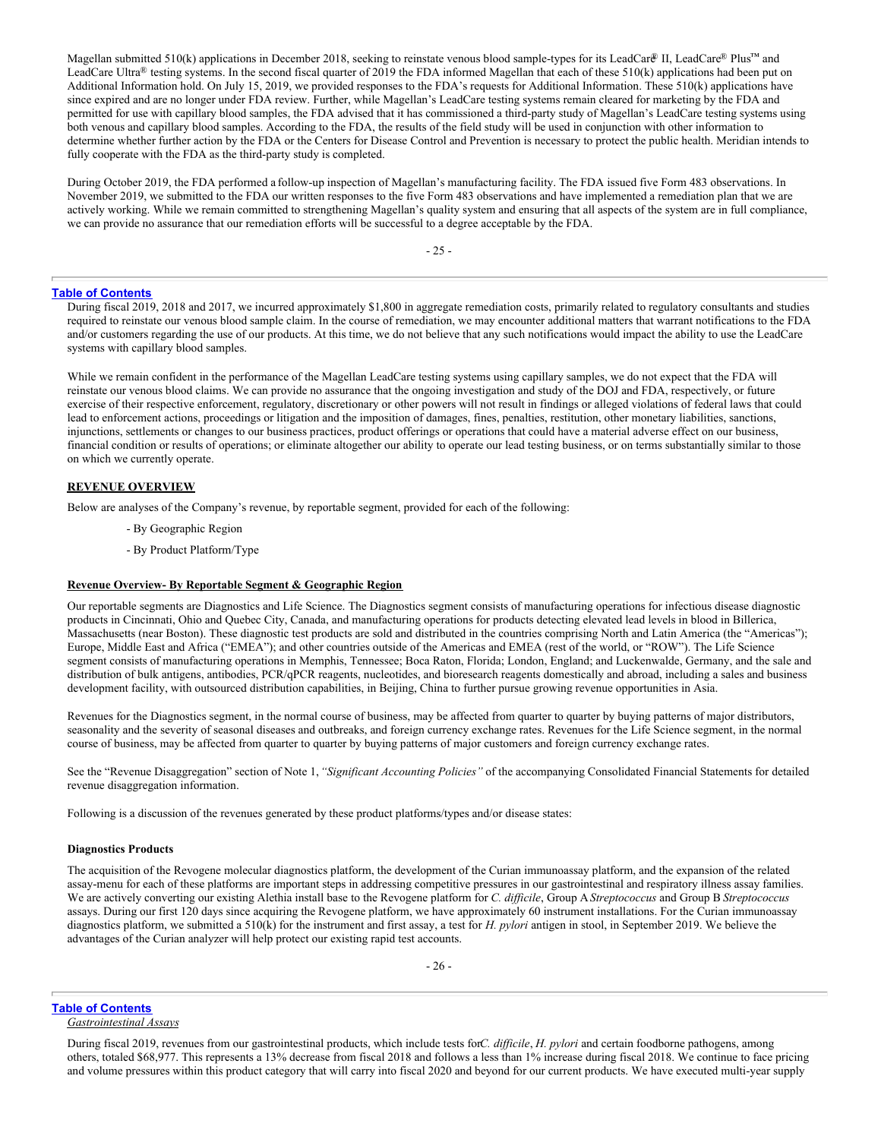Magellan submitted 510(k) applications in December 2018, seeking to reinstate venous blood sample-types for its LeadCare® II, LeadCare® Plus™ and LeadCare Ultra® testing systems. In the second fiscal quarter of 2019 the FDA informed Magellan that each of these 510(k) applications had been put on Additional Information hold. On July 15, 2019, we provided responses to the FDA's requests for Additional Information. These 510(k) applications have since expired and are no longer under FDA review. Further, while Magellan's LeadCare testing systems remain cleared for marketing by the FDA and permitted for use with capillary blood samples, the FDA advised that it has commissioned a third-party study of Magellan's LeadCare testing systems using both venous and capillary blood samples. According to the FDA, the results of the field study will be used in conjunction with other information to determine whether further action by the FDA or the Centers for Disease Control and Prevention is necessary to protect the public health. Meridian intends to fully cooperate with the FDA as the third-party study is completed.

During October 2019, the FDA performed a follow-up inspection of Magellan's manufacturing facility. The FDA issued five Form 483 observations. In November 2019, we submitted to the FDA our written responses to the five Form 483 observations and have implemented a remediation plan that we are actively working. While we remain committed to strengthening Magellan's quality system and ensuring that all aspects of the system are in full compliance, we can provide no assurance that our remediation efforts will be successful to a degree acceptable by the FDA.

- 25 -

#### **Table of [Contents](#page-1-0)**

During fiscal 2019, 2018 and 2017, we incurred approximately \$1,800 in aggregate remediation costs, primarily related to regulatory consultants and studies required to reinstate our venous blood sample claim. In the course of remediation, we may encounter additional matters that warrant notifications to the FDA and/or customers regarding the use of our products. At this time, we do not believe that any such notifications would impact the ability to use the LeadCare systems with capillary blood samples.

While we remain confident in the performance of the Magellan LeadCare testing systems using capillary samples, we do not expect that the FDA will reinstate our venous blood claims. We can provide no assurance that the ongoing investigation and study of the DOJ and FDA, respectively, or future exercise of their respective enforcement, regulatory, discretionary or other powers will not result in findings or alleged violations of federal laws that could lead to enforcement actions, proceedings or litigation and the imposition of damages, fines, penalties, restitution, other monetary liabilities, sanctions, injunctions, settlements or changes to our business practices, product offerings or operations that could have a material adverse effect on our business, financial condition or results of operations; or eliminate altogether our ability to operate our lead testing business, or on terms substantially similar to those on which we currently operate.

#### **REVENUE OVERVIEW**

Below are analyses of the Company's revenue, by reportable segment, provided for each of the following:

- By Geographic Region
- By Product Platform/Type

#### **Revenue Overview- By Reportable Segment & Geographic Region**

Our reportable segments are Diagnostics and Life Science. The Diagnostics segment consists of manufacturing operations for infectious disease diagnostic products in Cincinnati, Ohio and Quebec City, Canada, and manufacturing operations for products detecting elevated lead levels in blood in Billerica, Massachusetts (near Boston). These diagnostic test products are sold and distributed in the countries comprising North and Latin America (the "Americas"); Europe, Middle East and Africa ("EMEA"); and other countries outside of the Americas and EMEA (rest of the world, or "ROW"). The Life Science segment consists of manufacturing operations in Memphis, Tennessee; Boca Raton, Florida; London, England; and Luckenwalde, Germany, and the sale and distribution of bulk antigens, antibodies, PCR/qPCR reagents, nucleotides, and bioresearch reagents domestically and abroad, including a sales and business development facility, with outsourced distribution capabilities, in Beijing, China to further pursue growing revenue opportunities in Asia.

Revenues for the Diagnostics segment, in the normal course of business, may be affected from quarter to quarter by buying patterns of major distributors, seasonality and the severity of seasonal diseases and outbreaks, and foreign currency exchange rates. Revenues for the Life Science segment, in the normal course of business, may be affected from quarter to quarter by buying patterns of major customers and foreign currency exchange rates.

See the "Revenue Disaggregation" section of Note 1,*"Significant Accounting Policies"* of the accompanying Consolidated Financial Statements for detailed revenue disaggregation information.

Following is a discussion of the revenues generated by these product platforms/types and/or disease states:

#### **Diagnostics Products**

The acquisition of the Revogene molecular diagnostics platform, the development of the Curian immunoassay platform, and the expansion of the related assay-menu for each of these platforms are important steps in addressing competitive pressures in our gastrointestinal and respiratory illness assay families. We are actively converting our existing Alethia install base to the Revogene platform for *C. dif icile*, Group A*Streptococcus* and Group B *Streptococcus* assays. During our first 120 days since acquiring the Revogene platform, we have approximately 60 instrument installations. For the Curian immunoassay diagnostics platform, we submitted a 510(k) for the instrument and first assay, a test for *H. pylori* antigen in stool, in September 2019. We believe the advantages of the Curian analyzer will help protect our existing rapid test accounts.

**Table of [Contents](#page-1-0)**

*Gastrointestinal Assays*

During fiscal 2019, revenues from our gastrointestinal products, which include tests for*C. dif icile*, *H. pylori* and certain foodborne pathogens, among others, totaled \$68,977. This represents a 13% decrease from fiscal 2018 and follows a less than 1% increase during fiscal 2018. We continue to face pricing and volume pressures within this product category that will carry into fiscal 2020 and beyond for our current products. We have executed multi-year supply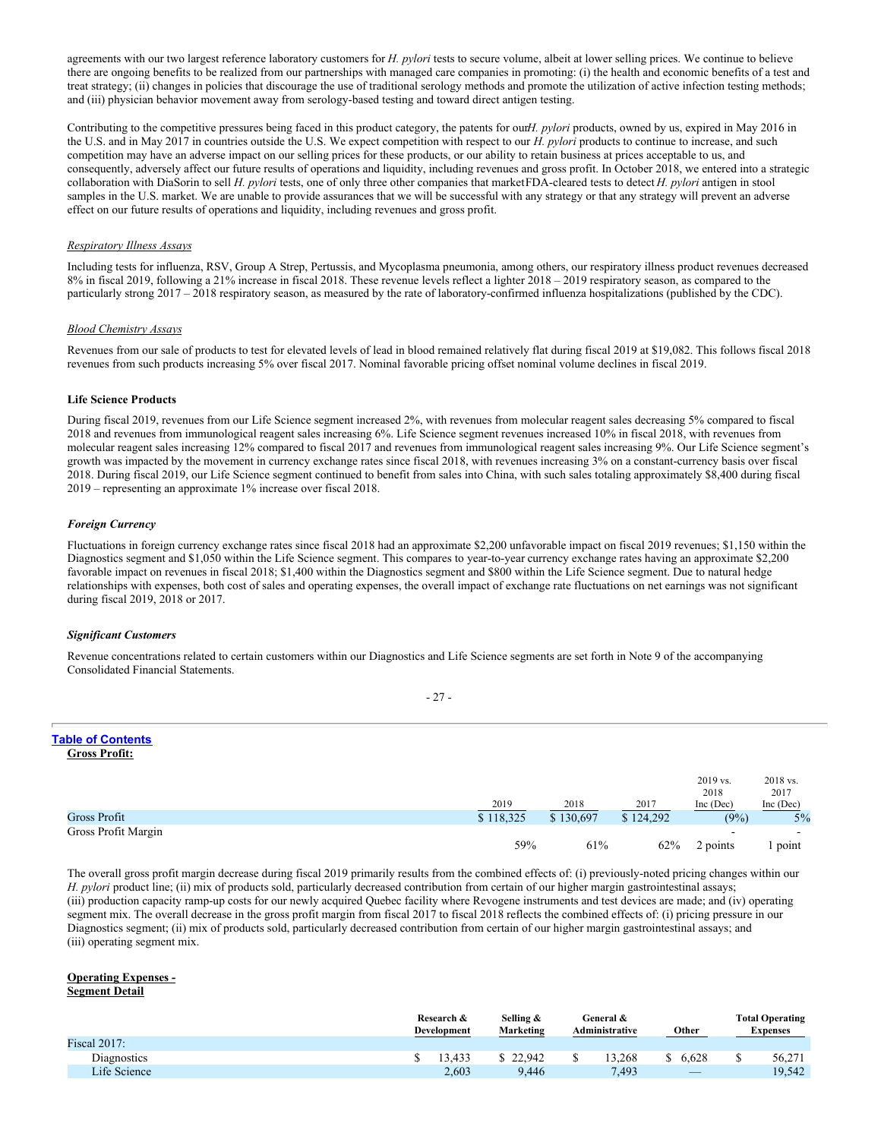agreements with our two largest reference laboratory customers for *H. pylori* tests to secure volume, albeit at lower selling prices. We continue to believe there are ongoing benefits to be realized from our partnerships with managed care companies in promoting: (i) the health and economic benefits of a test and treat strategy; (ii) changes in policies that discourage the use of traditional serology methods and promote the utilization of active infection testing methods; and (iii) physician behavior movement away from serology-based testing and toward direct antigen testing.

Contributing to the competitive pressures being faced in this product category, the patents for our*H. pylori* products, owned by us, expired in May 2016 in the U.S. and in May 2017 in countries outside the U.S. We expect competition with respect to our *H. pylori* products to continue to increase, and such competition may have an adverse impact on our selling prices for these products, or our ability to retain business at prices acceptable to us, and consequently, adversely affect our future results of operations and liquidity, including revenues and gross profit. In October 2018, we entered into a strategic collaboration with DiaSorin to sell *H. pylori* tests, one of only three other companies that marketFDA-cleared tests to detect *H. pylori* antigen in stool samples in the U.S. market. We are unable to provide assurances that we will be successful with any strategy or that any strategy will prevent an adverse effect on our future results of operations and liquidity, including revenues and gross profit.

#### *Respiratory Illness Assays*

Including tests for influenza, RSV, Group A Strep, Pertussis, and Mycoplasma pneumonia, among others, our respiratory illness product revenues decreased 8% in fiscal 2019, following a 21% increase in fiscal 2018. These revenue levels reflect a lighter 2018 – 2019 respiratory season, as compared to the particularly strong 2017 – 2018 respiratory season, as measured by the rate of laboratory-confirmed influenza hospitalizations (published by the CDC).

#### *Blood Chemistry Assays*

Revenues from our sale of products to test for elevated levels of lead in blood remained relatively flat during fiscal 2019 at \$19,082. This follows fiscal 2018 revenues from such products increasing 5% over fiscal 2017. Nominal favorable pricing offset nominal volume declines in fiscal 2019.

#### **Life Science Products**

During fiscal 2019, revenues from our Life Science segment increased 2%, with revenues from molecular reagent sales decreasing 5% compared to fiscal 2018 and revenues from immunological reagent sales increasing 6%. Life Science segment revenues increased 10% in fiscal 2018, with revenues from molecular reagent sales increasing 12% compared to fiscal 2017 and revenues from immunological reagent sales increasing 9%. Our Life Science segment's growth was impacted by the movement in currency exchange rates since fiscal 2018, with revenues increasing 3% on a constant-currency basis over fiscal 2018. During fiscal 2019, our Life Science segment continued to benefit from sales into China, with such sales totaling approximately \$8,400 during fiscal 2019 – representing an approximate 1% increase over fiscal 2018.

#### *Foreign Currency*

Fluctuations in foreign currency exchange rates since fiscal 2018 had an approximate \$2,200 unfavorable impact on fiscal 2019 revenues; \$1,150 within the Diagnostics segment and \$1,050 within the Life Science segment. This compares to year-to-year currency exchange rates having an approximate \$2,200 favorable impact on revenues in fiscal 2018; \$1,400 within the Diagnostics segment and \$800 within the Life Science segment. Due to natural hedge relationships with expenses, both cost of sales and operating expenses, the overall impact of exchange rate fluctuations on net earnings was not significant during fiscal 2019, 2018 or 2017.

#### *Significant Customers*

 $\blacksquare$ 

Revenue concentrations related to certain customers within our Diagnostics and Life Science segments are set forth in Note 9 of the accompanying Consolidated Financial Statements.

| <b>Table of Contents</b><br><b>Gross Profit:</b> |           |           |           |                                 |                                 |
|--------------------------------------------------|-----------|-----------|-----------|---------------------------------|---------------------------------|
|                                                  | 2019      | 2018      | 2017      | 2019 vs.<br>2018<br>Inc $(Dec)$ | 2018 vs.<br>2017<br>Inc $(Dec)$ |
| Gross Profit                                     | \$118,325 | \$130,697 | \$124,292 | (9%)                            | 5%                              |
| Gross Profit Margin                              | 59%       | 61%       | 62%       | -<br>2 points                   | -<br>l point                    |

- 27 -

The overall gross profit margin decrease during fiscal 2019 primarily results from the combined effects of: (i) previously-noted pricing changes within our *H. pylori* product line; (ii) mix of products sold, particularly decreased contribution from certain of our higher margin gastrointestinal assays; (iii) production capacity ramp-up costs for our newly acquired Quebec facility where Revogene instruments and test devices are made; and (iv) operating segment mix. The overall decrease in the gross profit margin from fiscal 2017 to fiscal 2018 reflects the combined effects of: (i) pricing pressure in our Diagnostics segment; (ii) mix of products sold, particularly decreased contribution from certain of our higher margin gastrointestinal assays; and (iii) operating segment mix.

# **Operating Expenses -**

# **Segment Detail**

|                     | Research &<br>Development | Selling &<br>Marketing | General &<br>Administrative | Other                    | <b>Total Operating</b><br><b>Expenses</b> |
|---------------------|---------------------------|------------------------|-----------------------------|--------------------------|-------------------------------------------|
| <b>Fiscal 2017:</b> |                           |                        |                             |                          |                                           |
| Diagnostics         | 13.433                    | \$22,942               | 13.268                      | 6.628                    | 56,271                                    |
| Life Science        | 2.603                     | 9.446                  | 7,493                       | $\overline{\phantom{a}}$ | 19.542                                    |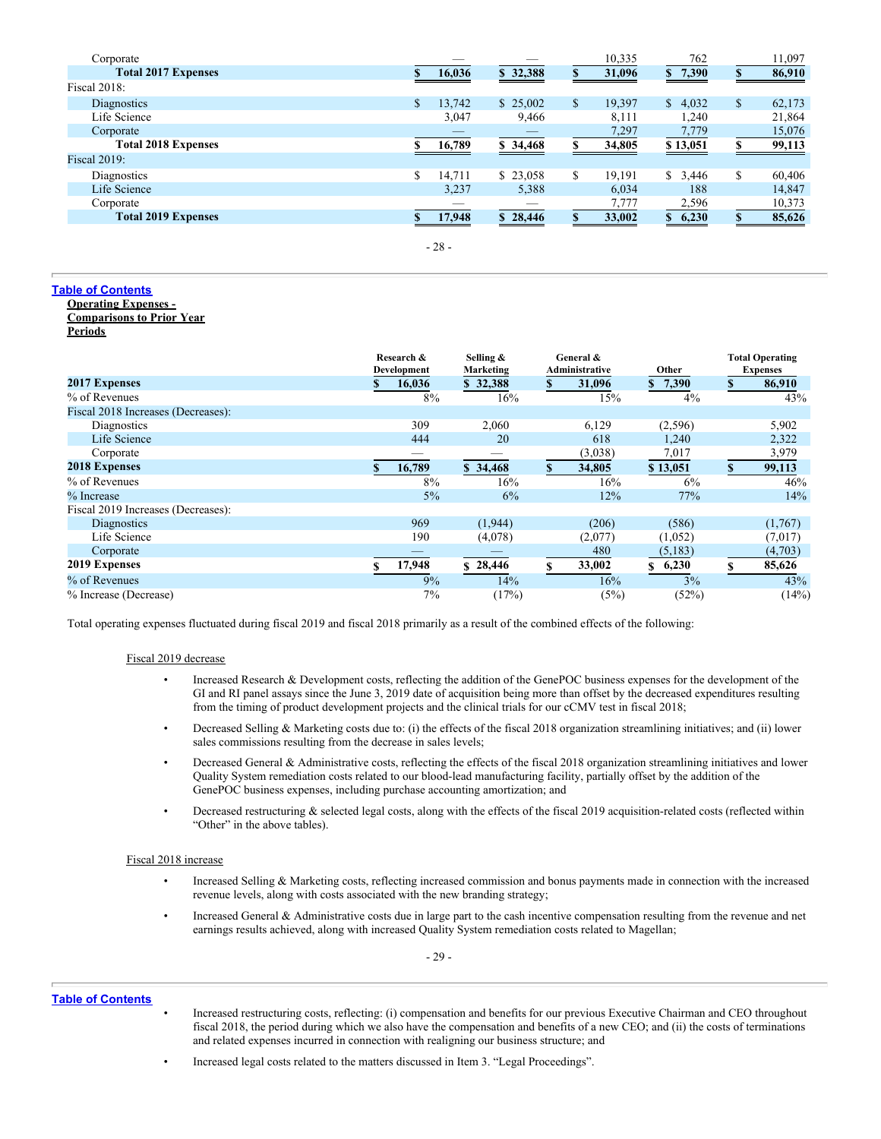| Corporate                  |              |          | 10,335       | 762      | 11,097       |
|----------------------------|--------------|----------|--------------|----------|--------------|
| <b>Total 2017 Expenses</b> | 16,036       | \$32,388 | 31,096       | \$7,390  | 86,910       |
| <b>Fiscal 2018:</b>        |              |          |              |          |              |
| Diagnostics                | \$<br>13,742 | \$25,002 | \$<br>19,397 | \$4,032  | \$<br>62,173 |
| Life Science               | 3,047        | 9,466    | 8,111        | 1,240    | 21,864       |
| Corporate                  | __           |          | 7,297        | 7,779    | 15,076       |
| <b>Total 2018 Expenses</b> | 16,789       | \$34,468 | 34,805       | \$13,051 | 99,113       |
| <b>Fiscal 2019:</b>        |              |          |              |          |              |
| Diagnostics                | \$<br>14,711 | \$23,058 | \$<br>19,191 | \$3,446  | \$<br>60,406 |
| Life Science               | 3,237        | 5,388    | 6.034        | 188      | 14,847       |
| Corporate                  | $-$          |          | 7,777        | 2,596    | 10,373       |
| <b>Total 2019 Expenses</b> | 17,948       | \$28,446 | 33,002       | \$6,230  | 85,626       |
|                            |              |          |              |          |              |

- 28 -

#### **Table of [Contents](#page-1-0)**

#### **Operating Expenses - Comparisons to Prior Year**

**Periods**

|                                    | Research &<br>Development | Selling $\&$<br>Marketing |     | General &<br><b>Administrative</b> | Other       | <b>Total Operating</b><br><b>Expenses</b> |
|------------------------------------|---------------------------|---------------------------|-----|------------------------------------|-------------|-------------------------------------------|
| 2017 Expenses                      | 16,036                    | \$32,388                  |     | 31,096                             | 7,390<br>\$ | 86,910                                    |
| $%$ of Revenues                    | 8%                        | 16%                       |     | 15%                                | 4%          | 43%                                       |
| Fiscal 2018 Increases (Decreases): |                           |                           |     |                                    |             |                                           |
| Diagnostics                        | 309                       | 2,060                     |     | 6,129                              | (2,596)     | 5,902                                     |
| Life Science                       | 444                       | 20                        |     | 618                                | 1,240       | 2,322                                     |
| Corporate                          |                           |                           |     | (3,038)                            | 7,017       | 3,979                                     |
| <b>2018 Expenses</b>               | 16,789                    | \$34,468                  | \$  | 34,805                             | \$13,051    | 99,113                                    |
| $%$ of Revenues                    | 8%                        | 16%                       |     | 16%                                | 6%          | 46%                                       |
| $%$ Increase                       | $5\%$                     | 6%                        |     | 12%                                | 77%         | 14%                                       |
| Fiscal 2019 Increases (Decreases): |                           |                           |     |                                    |             |                                           |
| Diagnostics                        | 969                       | (1,944)                   |     | (206)                              | (586)       | (1,767)                                   |
| Life Science                       | 190                       | (4,078)                   |     | (2,077)                            | (1,052)     | (7,017)                                   |
| Corporate                          |                           |                           |     | 480                                | (5,183)     | (4,703)                                   |
| 2019 Expenses                      | 17,948                    | \$28,446                  | \$. | 33,002                             | 6,230<br>\$ | 85,626                                    |
| $%$ of Revenues                    | 9%                        | 14%                       |     | 16%                                | 3%          | 43%                                       |
| % Increase (Decrease)              | 7%                        | (17%)                     |     | (5%)                               | (52%)       | (14%)                                     |

Total operating expenses fluctuated during fiscal 2019 and fiscal 2018 primarily as a result of the combined effects of the following:

#### Fiscal 2019 decrease

- Increased Research & Development costs, reflecting the addition of the GenePOC business expenses for the development of the GI and RI panel assays since the June 3, 2019 date of acquisition being more than offset by the decreased expenditures resulting from the timing of product development projects and the clinical trials for our cCMV test in fiscal 2018;
- Decreased Selling & Marketing costs due to: (i) the effects of the fiscal 2018 organization streamlining initiatives; and (ii) lower sales commissions resulting from the decrease in sales levels;
- Decreased General & Administrative costs, reflecting the effects of the fiscal 2018 organization streamlining initiatives and lower Quality System remediation costs related to our blood-lead manufacturing facility, partially offset by the addition of the GenePOC business expenses, including purchase accounting amortization; and
- Decreased restructuring & selected legal costs, along with the effects of the fiscal 2019 acquisition-related costs (reflected within "Other" in the above tables).

#### Fiscal 2018 increase

- Increased Selling & Marketing costs, reflecting increased commission and bonus payments made in connection with the increased revenue levels, along with costs associated with the new branding strategy;
- Increased General & Administrative costs due in large part to the cash incentive compensation resulting from the revenue and net earnings results achieved, along with increased Quality System remediation costs related to Magellan;

- 29 -

#### **Table of [Contents](#page-1-0)**

- Increased restructuring costs, reflecting: (i) compensation and benefits for our previous Executive Chairman and CEO throughout fiscal 2018, the period during which we also have the compensation and benefits of a new CEO; and (ii) the costs of terminations and related expenses incurred in connection with realigning our business structure; and
- Increased legal costs related to the matters discussed in Item 3. "Legal Proceedings".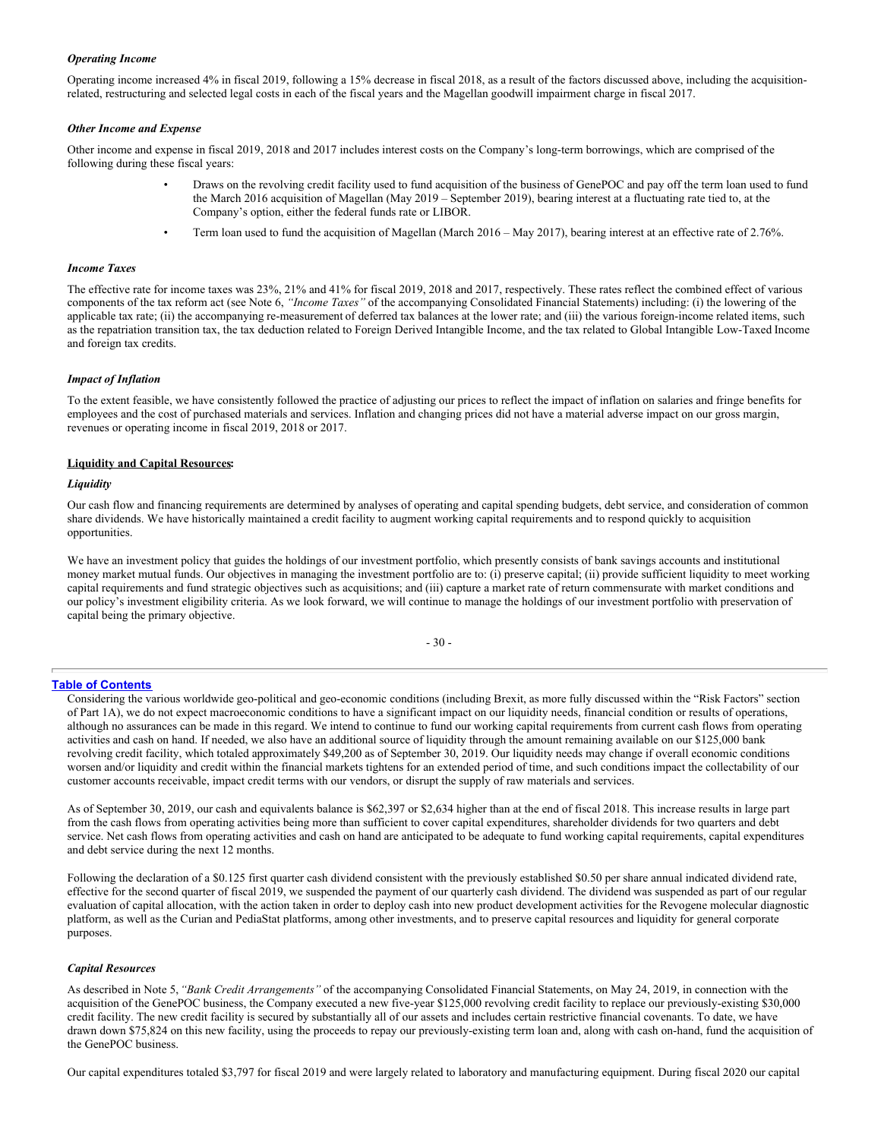#### *Operating Income*

Operating income increased 4% in fiscal 2019, following a 15% decrease in fiscal 2018, as a result of the factors discussed above, including the acquisitionrelated, restructuring and selected legal costs in each of the fiscal years and the Magellan goodwill impairment charge in fiscal 2017.

#### *Other Income and Expense*

Other income and expense in fiscal 2019, 2018 and 2017 includes interest costs on the Company's long-term borrowings, which are comprised of the following during these fiscal years:

- Draws on the revolving credit facility used to fund acquisition of the business of GenePOC and pay off the term loan used to fund the March 2016 acquisition of Magellan (May 2019 – September 2019), bearing interest at a fluctuating rate tied to, at the Company's option, either the federal funds rate or LIBOR.
- Term loan used to fund the acquisition of Magellan (March 2016 May 2017), bearing interest at an effective rate of 2.76%.

#### *Income Taxes*

The effective rate for income taxes was 23%, 21% and 41% for fiscal 2019, 2018 and 2017, respectively. These rates reflect the combined effect of various components of the tax reform act (see Note 6, *"Income Taxes"* of the accompanying Consolidated Financial Statements) including: (i) the lowering of the applicable tax rate; (ii) the accompanying re-measurement of deferred tax balances at the lower rate; and (iii) the various foreign-income related items, such as the repatriation transition tax, the tax deduction related to Foreign Derived Intangible Income, and the tax related to Global Intangible Low-Taxed Income and foreign tax credits.

#### *Impact of Inflation*

To the extent feasible, we have consistently followed the practice of adjusting our prices to reflect the impact of inflation on salaries and fringe benefits for employees and the cost of purchased materials and services. Inflation and changing prices did not have a material adverse impact on our gross margin, revenues or operating income in fiscal 2019, 2018 or 2017.

#### **Liquidity and Capital Resources:**

#### *Liquidity*

Our cash flow and financing requirements are determined by analyses of operating and capital spending budgets, debt service, and consideration of common share dividends. We have historically maintained a credit facility to augment working capital requirements and to respond quickly to acquisition opportunities.

We have an investment policy that guides the holdings of our investment portfolio, which presently consists of bank savings accounts and institutional money market mutual funds. Our objectives in managing the investment portfolio are to: (i) preserve capital; (ii) provide sufficient liquidity to meet working capital requirements and fund strategic objectives such as acquisitions; and (iii) capture a market rate of return commensurate with market conditions and our policy's investment eligibility criteria. As we look forward, we will continue to manage the holdings of our investment portfolio with preservation of capital being the primary objective.

$$
-30 -
$$

#### **Table of [Contents](#page-1-0)**

Considering the various worldwide geo-political and geo-economic conditions (including Brexit, as more fully discussed within the "Risk Factors" section of Part 1A), we do not expect macroeconomic conditions to have a significant impact on our liquidity needs, financial condition or results of operations, although no assurances can be made in this regard. We intend to continue to fund our working capital requirements from current cash flows from operating activities and cash on hand. If needed, we also have an additional source of liquidity through the amount remaining available on our \$125,000 bank revolving credit facility, which totaled approximately \$49,200 as of September 30, 2019. Our liquidity needs may change if overall economic conditions worsen and/or liquidity and credit within the financial markets tightens for an extended period of time, and such conditions impact the collectability of our customer accounts receivable, impact credit terms with our vendors, or disrupt the supply of raw materials and services.

As of September 30, 2019, our cash and equivalents balance is \$62,397 or \$2,634 higher than at the end of fiscal 2018. This increase results in large part from the cash flows from operating activities being more than sufficient to cover capital expenditures, shareholder dividends for two quarters and debt service. Net cash flows from operating activities and cash on hand are anticipated to be adequate to fund working capital requirements, capital expenditures and debt service during the next 12 months.

Following the declaration of a \$0.125 first quarter cash dividend consistent with the previously established \$0.50 per share annual indicated dividend rate, effective for the second quarter of fiscal 2019, we suspended the payment of our quarterly cash dividend. The dividend was suspended as part of our regular evaluation of capital allocation, with the action taken in order to deploy cash into new product development activities for the Revogene molecular diagnostic platform, as well as the Curian and PediaStat platforms, among other investments, and to preserve capital resources and liquidity for general corporate purposes.

#### *Capital Resources*

As described in Note 5,*"Bank Credit Arrangements"* of the accompanying Consolidated Financial Statements, on May 24, 2019, in connection with the acquisition of the GenePOC business, the Company executed a new five-year \$125,000 revolving credit facility to replace our previously-existing \$30,000 credit facility. The new credit facility is secured by substantially all of our assets and includes certain restrictive financial covenants. To date, we have drawn down \$75,824 on this new facility, using the proceeds to repay our previously-existing term loan and, along with cash on-hand, fund the acquisition of the GenePOC business.

Our capital expenditures totaled \$3,797 for fiscal 2019 and were largely related to laboratory and manufacturing equipment. During fiscal 2020 our capital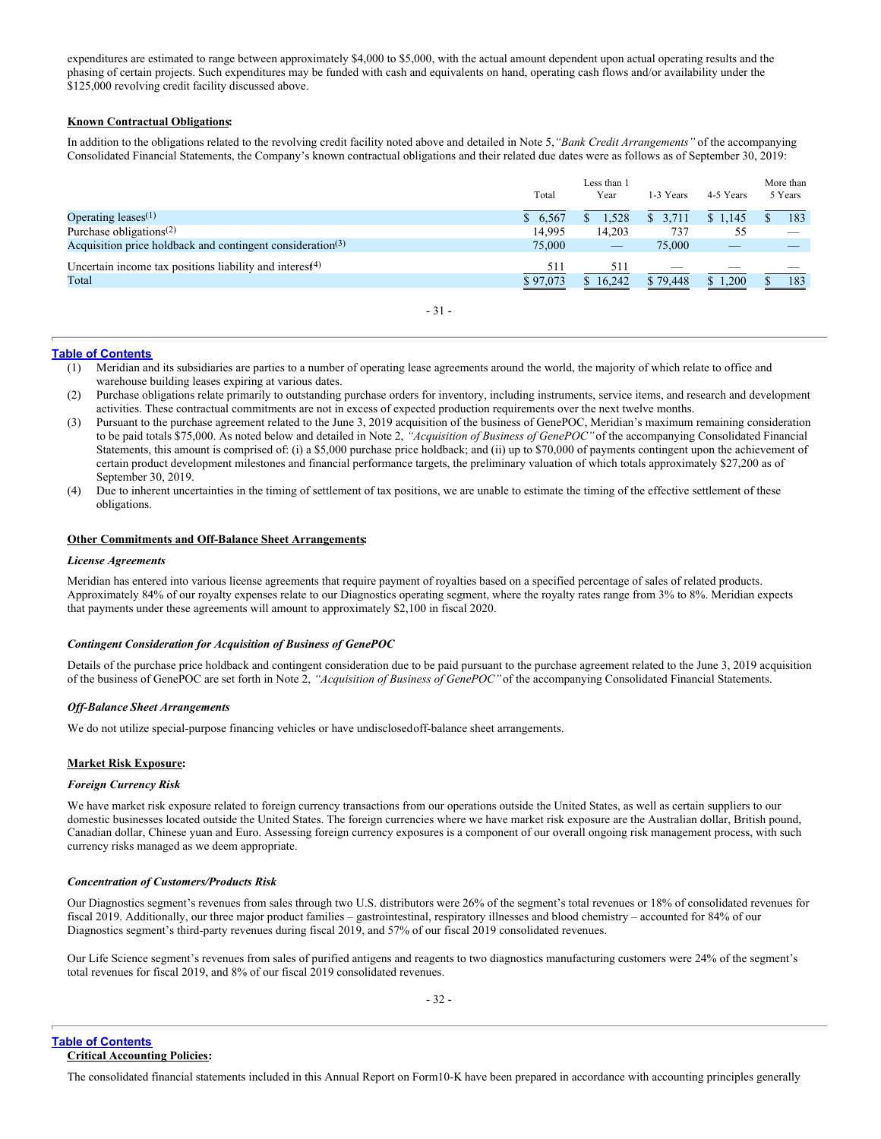expenditures are estimated to range between approximately \$4,000 to \$5,000, with the actual amount dependent upon actual operating results and the phasing of certain projects. Such expenditures may be funded with cash and equivalents on hand, operating cash flows and/or availability under the \$125,000 revolving credit facility discussed above.

#### **Known Contractual Obligations:**

In addition to the obligations related to the revolving credit facility noted above and detailed in Note 5,*"Bank Credit Arrangements"* of the accompanying Consolidated Financial Statements, the Company's known contractual obligations and their related due dates were as follows as of September 30, 2019:

|                                                                        |          | Less than 1 |          |           |           |  | More than |
|------------------------------------------------------------------------|----------|-------------|----------|-----------|-----------|--|-----------|
|                                                                        |          | Total       | Year     | 1-3 Years | 4-5 Years |  | 5 Years   |
| Operating leases $(1)$                                                 |          | \$6,567     | .528     | 3,711     | \$1,145   |  | 183       |
| Purchase obligations <sup><math>(2)</math></sup>                       |          | 14,995      | 14,203   | 737       | 55        |  |           |
| Acquisition price holdback and contingent consideration <sup>(3)</sup> |          | 75,000      |          | 75,000    |           |  |           |
| Uncertain income tax positions liability and interest $(4)$            |          | 511         | 511      |           |           |  |           |
| Total                                                                  |          | \$97,073    | \$16,242 | \$79,448  | \$1,200   |  | 183       |
|                                                                        |          |             |          |           |           |  |           |
|                                                                        | $\sim$ 1 |             |          |           |           |  |           |

- 31 -

# **Table of [Contents](#page-1-0)**

- (1) Meridian and its subsidiaries are parties to a number of operating lease agreements around the world, the majority of which relate to office and warehouse building leases expiring at various dates.
- (2) Purchase obligations relate primarily to outstanding purchase orders for inventory, including instruments, service items, and research and development activities. These contractual commitments are not in excess of expected production requirements over the next twelve months.
- (3) Pursuant to the purchase agreement related to the June 3, 2019 acquisition of the business of GenePOC, Meridian's maximum remaining consideration to be paid totals \$75,000. As noted below and detailed in Note 2, *"Acquisition of Business of GenePOC"*of the accompanying Consolidated Financial Statements, this amount is comprised of: (i) a \$5,000 purchase price holdback; and (ii) up to \$70,000 of payments contingent upon the achievement of certain product development milestones and financial performance targets, the preliminary valuation of which totals approximately \$27,200 as of September 30, 2019.
- (4) Due to inherent uncertainties in the timing of settlement of tax positions, we are unable to estimate the timing of the effective settlement of these obligations.

#### **Other Commitments and Off-Balance Sheet Arrangements:**

#### *License Agreements*

Meridian has entered into various license agreements that require payment of royalties based on a specified percentage of sales of related products. Approximately 84% of our royalty expenses relate to our Diagnostics operating segment, where the royalty rates range from 3% to 8%. Meridian expects that payments under these agreements will amount to approximately \$2,100 in fiscal 2020.

#### *Contingent Consideration for Acquisition of Business of GenePOC*

Details of the purchase price holdback and contingent consideration due to be paid pursuant to the purchase agreement related to the June 3, 2019 acquisition of the business of GenePOC are set forth in Note 2, *"Acquisition of Business of GenePOC"*of the accompanying Consolidated Financial Statements.

#### *Of -Balance Sheet Arrangements*

We do not utilize special-purpose financing vehicles or have undisclosedoff-balance sheet arrangements.

#### **Market Risk Exposure:**

#### *Foreign Currency Risk*

We have market risk exposure related to foreign currency transactions from our operations outside the United States, as well as certain suppliers to our domestic businesses located outside the United States. The foreign currencies where we have market risk exposure are the Australian dollar, British pound, Canadian dollar, Chinese yuan and Euro. Assessing foreign currency exposures is a component of our overall ongoing risk management process, with such currency risks managed as we deem appropriate.

#### *Concentration of Customers/Products Risk*

Our Diagnostics segment's revenues from sales through two U.S. distributors were 26% of the segment's total revenues or 18% of consolidated revenues for fiscal 2019. Additionally, our three major product families – gastrointestinal, respiratory illnesses and blood chemistry – accounted for 84% of our Diagnostics segment's third-party revenues during fiscal 2019, and 57% of our fiscal 2019 consolidated revenues.

Our Life Science segment's revenues from sales of purified antigens and reagents to two diagnostics manufacturing customers were 24% of the segment's total revenues for fiscal 2019, and 8% of our fiscal 2019 consolidated revenues.

# **Table of [Contents](#page-1-0) Critical Accounting Policies:**

The consolidated financial statements included in this Annual Report on Form10-K have been prepared in accordance with accounting principles generally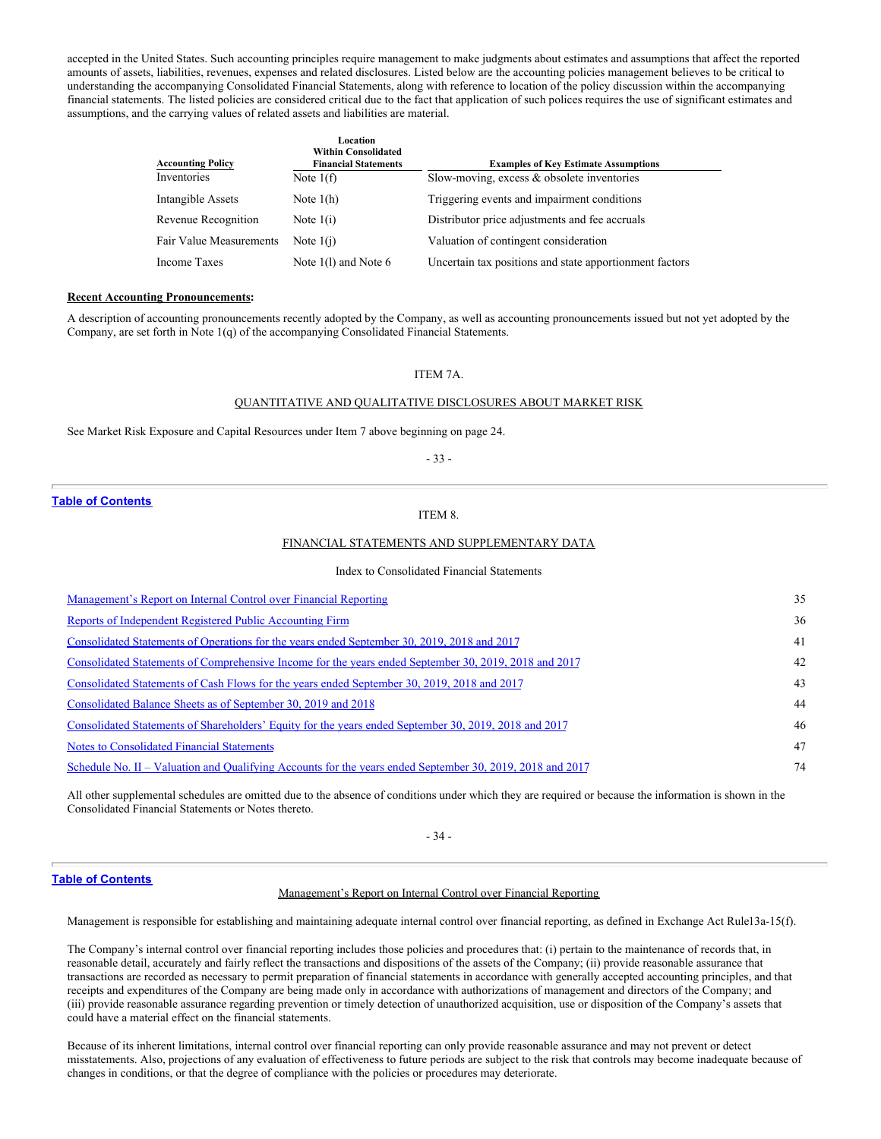<span id="page-22-0"></span>accepted in the United States. Such accounting principles require management to make judgments about estimates and assumptions that affect the reported amounts of assets, liabilities, revenues, expenses and related disclosures. Listed below are the accounting policies management believes to be critical to understanding the accompanying Consolidated Financial Statements, along with reference to location of the policy discussion within the accompanying financial statements. The listed policies are considered critical due to the fact that application of such polices requires the use of significant estimates and assumptions, and the carrying values of related assets and liabilities are material.

| <b>Accounting Policy</b> | Location<br><b>Within Consolidated</b><br><b>Financial Statements</b> | <b>Examples of Key Estimate Assumptions</b>             |
|--------------------------|-----------------------------------------------------------------------|---------------------------------------------------------|
| Inventories              | Note $1(f)$                                                           | Slow-moving, excess $\&$ obsolete inventories           |
| Intangible Assets        | Note $1(h)$                                                           | Triggering events and impairment conditions             |
| Revenue Recognition      | Note $1(i)$                                                           | Distributor price adjustments and fee accruals          |
| Fair Value Measurements  | Note $1(i)$                                                           | Valuation of contingent consideration                   |
| Income Taxes             | Note $1(1)$ and Note 6                                                | Uncertain tax positions and state apportionment factors |

#### **Recent Accounting Pronouncements:**

A description of accounting pronouncements recently adopted by the Company, as well as accounting pronouncements issued but not yet adopted by the Company, are set forth in Note 1(q) of the accompanying Consolidated Financial Statements.

#### ITEM 7A.

# QUANTITATIVE AND QUALITATIVE DISCLOSURES ABOUT MARKET RISK

See Market Risk Exposure and Capital Resources under Item 7 above beginning on page 24.

- 33 -

**Table of [Contents](#page-1-0)**

#### ITEM 8.

#### FINANCIAL STATEMENTS AND SUPPLEMENTARY DATA

# Index to Consolidated Financial Statements

| Management's Report on Internal Control over Financial Reporting                                          | 35 |
|-----------------------------------------------------------------------------------------------------------|----|
| Reports of Independent Registered Public Accounting Firm                                                  | 36 |
| Consolidated Statements of Operations for the years ended September 30, 2019, 2018 and 2017               | 41 |
| Consolidated Statements of Comprehensive Income for the years ended September 30, 2019, 2018 and 2017     | 42 |
| Consolidated Statements of Cash Flows for the years ended September 30, 2019, 2018 and 2017               | 43 |
| Consolidated Balance Sheets as of September 30, 2019 and 2018                                             | 44 |
| Consolidated Statements of Shareholders' Equity for the years ended September 30, 2019, 2018 and 2017     | 46 |
| Notes to Consolidated Financial Statements                                                                | 47 |
| Schedule No. II – Valuation and Qualifying Accounts for the years ended September 30, 2019, 2018 and 2017 | 74 |

All other supplemental schedules are omitted due to the absence of conditions under which they are required or because the information is shown in the Consolidated Financial Statements or Notes thereto.

- 34 -

#### **Table of [Contents](#page-1-0)**

# Management's Report on Internal Control over Financial Reporting

Management is responsible for establishing and maintaining adequate internal control over financial reporting, as defined in Exchange Act Rule13a-15(f).

The Company's internal control over financial reporting includes those policies and procedures that: (i) pertain to the maintenance of records that, in reasonable detail, accurately and fairly reflect the transactions and dispositions of the assets of the Company; (ii) provide reasonable assurance that transactions are recorded as necessary to permit preparation of financial statements in accordance with generally accepted accounting principles, and that receipts and expenditures of the Company are being made only in accordance with authorizations of management and directors of the Company; and (iii) provide reasonable assurance regarding prevention or timely detection of unauthorized acquisition, use or disposition of the Company's assets that could have a material effect on the financial statements.

Because of its inherent limitations, internal control over financial reporting can only provide reasonable assurance and may not prevent or detect misstatements. Also, projections of any evaluation of effectiveness to future periods are subject to the risk that controls may become inadequate because of changes in conditions, or that the degree of compliance with the policies or procedures may deteriorate.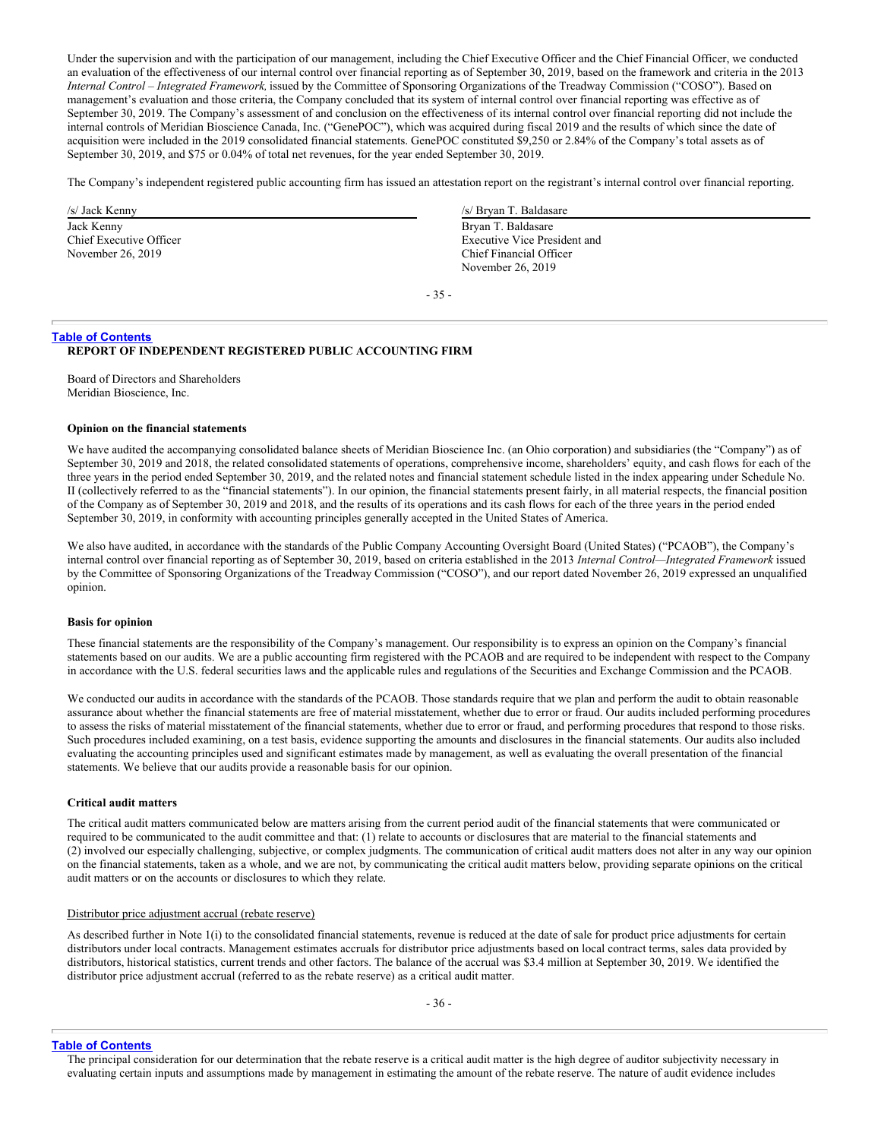<span id="page-23-0"></span>Under the supervision and with the participation of our management, including the Chief Executive Officer and the Chief Financial Officer, we conducted an evaluation of the effectiveness of our internal control over financial reporting as of September 30, 2019, based on the framework and criteria in the 2013 *Internal Control – Integrated Framework,* issued by the Committee of Sponsoring Organizations of the Treadway Commission ("COSO"). Based on management's evaluation and those criteria, the Company concluded that its system of internal control over financial reporting was effective as of September 30, 2019. The Company's assessment of and conclusion on the effectiveness of its internal control over financial reporting did not include the internal controls of Meridian Bioscience Canada, Inc. ("GenePOC"), which was acquired during fiscal 2019 and the results of which since the date of acquisition were included in the 2019 consolidated financial statements. GenePOC constituted \$9,250 or 2.84% of the Company's total assets as of September 30, 2019, and \$75 or 0.04% of total net revenues, for the year ended September 30, 2019.

The Company's independent registered public accounting firm has issued an attestation report on the registrant's internal control over financial reporting.

/s/ Jack Kenny /s/ Bryan T. Baldasare Jack Kenny Bryan T. Baldasare November 26, 2019 Chief Financial Officer

Chief Executive Officer Executive Vice President and November 26, 2019

- 35 -

# **Table of [Contents](#page-1-0) REPORT OF INDEPENDENT REGISTERED PUBLIC ACCOUNTING FIRM**

Board of Directors and Shareholders Meridian Bioscience, Inc.

#### **Opinion on the financial statements**

We have audited the accompanying consolidated balance sheets of Meridian Bioscience Inc. (an Ohio corporation) and subsidiaries (the "Company") as of September 30, 2019 and 2018, the related consolidated statements of operations, comprehensive income, shareholders' equity, and cash flows for each of the three years in the period ended September 30, 2019, and the related notes and financial statement schedule listed in the index appearing under Schedule No. II (collectively referred to as the "financial statements"). In our opinion, the financial statements present fairly, in all material respects, the financial position of the Company as of September 30, 2019 and 2018, and the results of its operations and its cash flows for each of the three years in the period ended September 30, 2019, in conformity with accounting principles generally accepted in the United States of America.

We also have audited, in accordance with the standards of the Public Company Accounting Oversight Board (United States) ("PCAOB"), the Company's internal control over financial reporting as of September 30, 2019, based on criteria established in the 2013 *Internal Control—Integrated Framework* issued by the Committee of Sponsoring Organizations of the Treadway Commission ("COSO"), and our report dated November 26, 2019 expressed an unqualified opinion.

#### **Basis for opinion**

These financial statements are the responsibility of the Company's management. Our responsibility is to express an opinion on the Company's financial statements based on our audits. We are a public accounting firm registered with the PCAOB and are required to be independent with respect to the Company in accordance with the U.S. federal securities laws and the applicable rules and regulations of the Securities and Exchange Commission and the PCAOB.

We conducted our audits in accordance with the standards of the PCAOB. Those standards require that we plan and perform the audit to obtain reasonable assurance about whether the financial statements are free of material misstatement, whether due to error or fraud. Our audits included performing procedures to assess the risks of material misstatement of the financial statements, whether due to error or fraud, and performing procedures that respond to those risks. Such procedures included examining, on a test basis, evidence supporting the amounts and disclosures in the financial statements. Our audits also included evaluating the accounting principles used and significant estimates made by management, as well as evaluating the overall presentation of the financial statements. We believe that our audits provide a reasonable basis for our opinion.

#### **Critical audit matters**

The critical audit matters communicated below are matters arising from the current period audit of the financial statements that were communicated or required to be communicated to the audit committee and that: (1) relate to accounts or disclosures that are material to the financial statements and (2) involved our especially challenging, subjective, or complex judgments. The communication of critical audit matters does not alter in any way our opinion on the financial statements, taken as a whole, and we are not, by communicating the critical audit matters below, providing separate opinions on the critical audit matters or on the accounts or disclosures to which they relate.

#### Distributor price adjustment accrual (rebate reserve)

As described further in Note 1(i) to the consolidated financial statements, revenue is reduced at the date of sale for product price adjustments for certain distributors under local contracts. Management estimates accruals for distributor price adjustments based on local contract terms, sales data provided by distributors, historical statistics, current trends and other factors. The balance of the accrual was \$3.4 million at September 30, 2019. We identified the distributor price adjustment accrual (referred to as the rebate reserve) as a critical audit matter.

# **Table of [Contents](#page-1-0)**

The principal consideration for our determination that the rebate reserve is a critical audit matter is the high degree of auditor subjectivity necessary in evaluating certain inputs and assumptions made by management in estimating the amount of the rebate reserve. The nature of audit evidence includes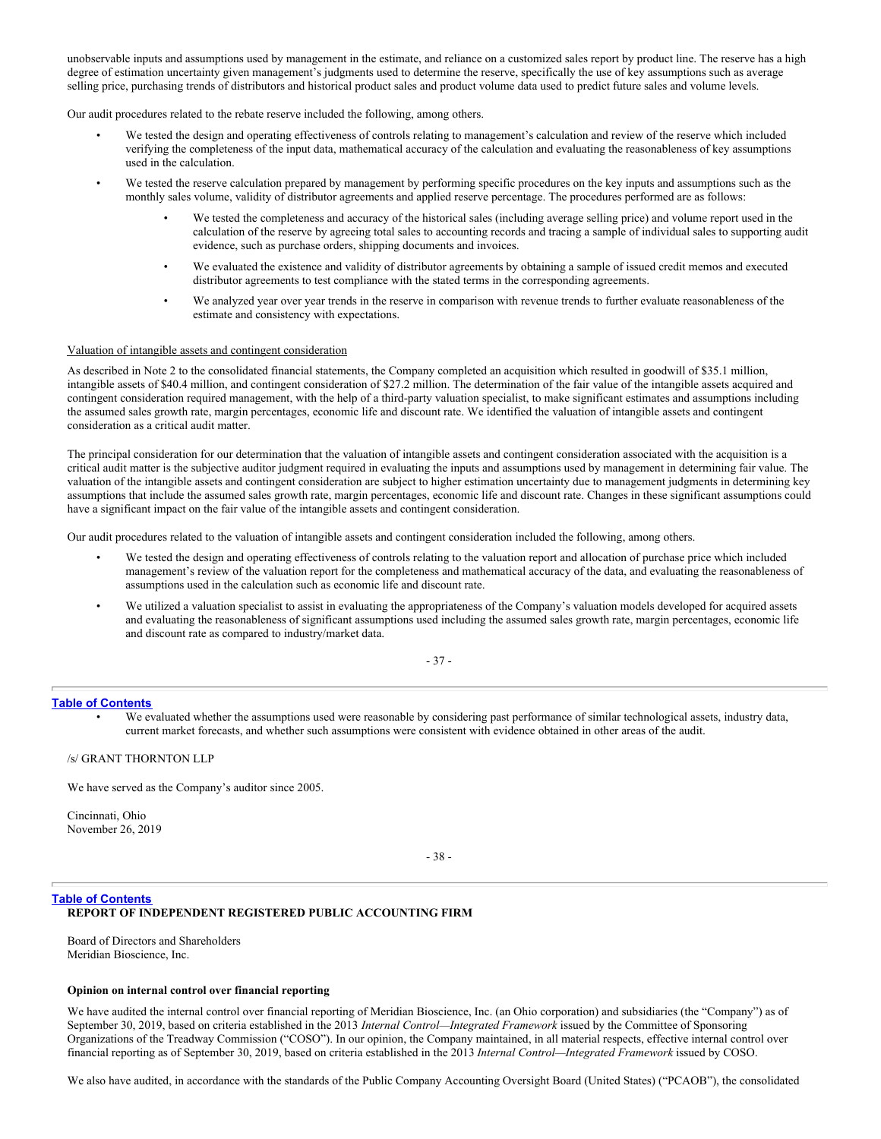unobservable inputs and assumptions used by management in the estimate, and reliance on a customized sales report by product line. The reserve has a high degree of estimation uncertainty given management's judgments used to determine the reserve, specifically the use of key assumptions such as average selling price, purchasing trends of distributors and historical product sales and product volume data used to predict future sales and volume levels.

Our audit procedures related to the rebate reserve included the following, among others.

- We tested the design and operating effectiveness of controls relating to management's calculation and review of the reserve which included verifying the completeness of the input data, mathematical accuracy of the calculation and evaluating the reasonableness of key assumptions used in the calculation.
- We tested the reserve calculation prepared by management by performing specific procedures on the key inputs and assumptions such as the monthly sales volume, validity of distributor agreements and applied reserve percentage. The procedures performed are as follows:
	- We tested the completeness and accuracy of the historical sales (including average selling price) and volume report used in the calculation of the reserve by agreeing total sales to accounting records and tracing a sample of individual sales to supporting audit evidence, such as purchase orders, shipping documents and invoices.
	- We evaluated the existence and validity of distributor agreements by obtaining a sample of issued credit memos and executed distributor agreements to test compliance with the stated terms in the corresponding agreements.
	- We analyzed year over year trends in the reserve in comparison with revenue trends to further evaluate reasonableness of the estimate and consistency with expectations.

#### Valuation of intangible assets and contingent consideration

As described in Note 2 to the consolidated financial statements, the Company completed an acquisition which resulted in goodwill of \$35.1 million, intangible assets of \$40.4 million, and contingent consideration of \$27.2 million. The determination of the fair value of the intangible assets acquired and contingent consideration required management, with the help of a third-party valuation specialist, to make significant estimates and assumptions including the assumed sales growth rate, margin percentages, economic life and discount rate. We identified the valuation of intangible assets and contingent consideration as a critical audit matter.

The principal consideration for our determination that the valuation of intangible assets and contingent consideration associated with the acquisition is a critical audit matter is the subjective auditor judgment required in evaluating the inputs and assumptions used by management in determining fair value. The valuation of the intangible assets and contingent consideration are subject to higher estimation uncertainty due to management judgments in determining key assumptions that include the assumed sales growth rate, margin percentages, economic life and discount rate. Changes in these significant assumptions could have a significant impact on the fair value of the intangible assets and contingent consideration.

Our audit procedures related to the valuation of intangible assets and contingent consideration included the following, among others.

- We tested the design and operating effectiveness of controls relating to the valuation report and allocation of purchase price which included management's review of the valuation report for the completeness and mathematical accuracy of the data, and evaluating the reasonableness of assumptions used in the calculation such as economic life and discount rate.
- We utilized a valuation specialist to assist in evaluating the appropriateness of the Company's valuation models developed for acquired assets and evaluating the reasonableness of significant assumptions used including the assumed sales growth rate, margin percentages, economic life and discount rate as compared to industry/market data.

- 37 -

#### **Table of [Contents](#page-1-0)**

• We evaluated whether the assumptions used were reasonable by considering past performance of similar technological assets, industry data, current market forecasts, and whether such assumptions were consistent with evidence obtained in other areas of the audit.

/s/ GRANT THORNTON LLP

We have served as the Company's auditor since 2005.

Cincinnati, Ohio November 26, 2019

- 38 -

# **Table of [Contents](#page-1-0) REPORT OF INDEPENDENT REGISTERED PUBLIC ACCOUNTING FIRM**

Board of Directors and Shareholders Meridian Bioscience, Inc.

#### **Opinion on internal control over financial reporting**

We have audited the internal control over financial reporting of Meridian Bioscience, Inc. (an Ohio corporation) and subsidiaries (the "Company") as of September 30, 2019, based on criteria established in the 2013 *Internal Control—Integrated Framework* issued by the Committee of Sponsoring Organizations of the Treadway Commission ("COSO"). In our opinion, the Company maintained, in all material respects, effective internal control over financial reporting as of September 30, 2019, based on criteria established in the 2013 *Internal Control—Integrated Framework* issued by COSO.

We also have audited, in accordance with the standards of the Public Company Accounting Oversight Board (United States) ("PCAOB"), the consolidated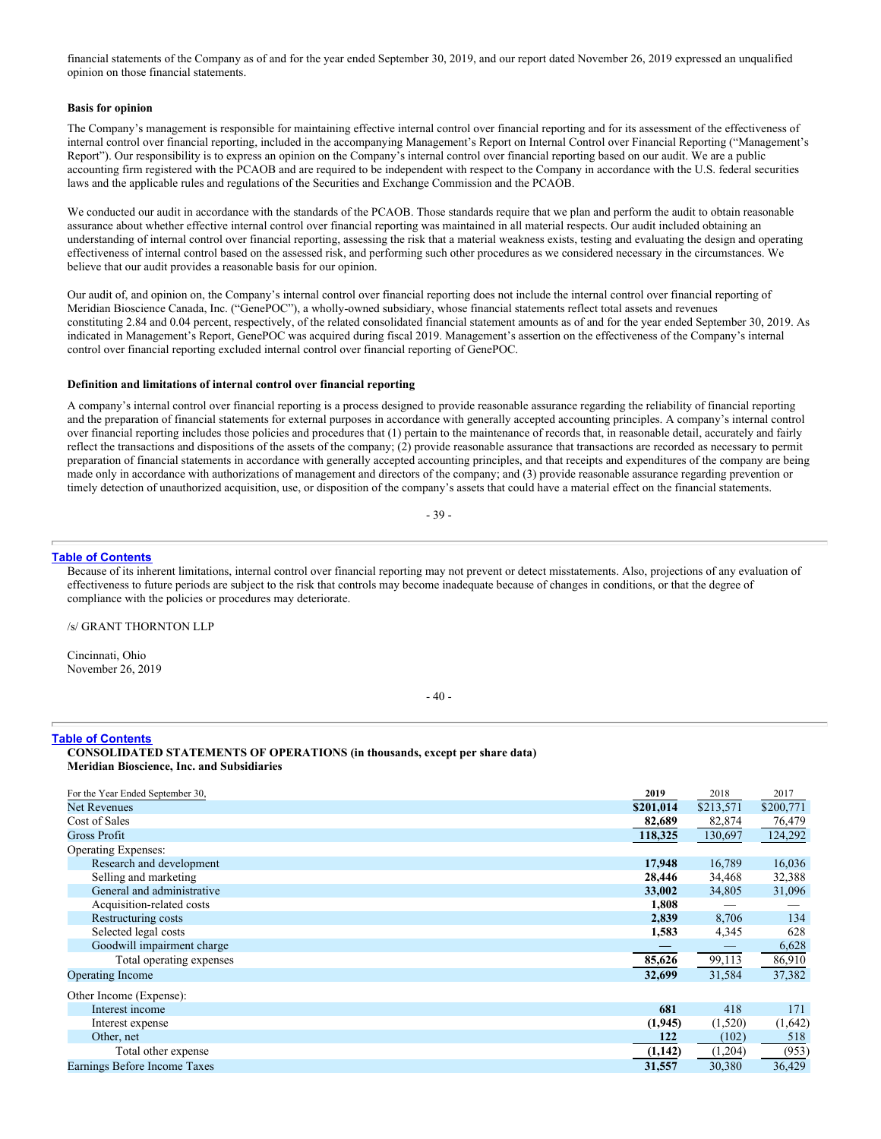<span id="page-25-0"></span>financial statements of the Company as of and for the year ended September 30, 2019, and our report dated November 26, 2019 expressed an unqualified opinion on those financial statements.

#### **Basis for opinion**

The Company's management is responsible for maintaining effective internal control over financial reporting and for its assessment of the effectiveness of internal control over financial reporting, included in the accompanying Management's Report on Internal Control over Financial Reporting ("Management's Report"). Our responsibility is to express an opinion on the Company's internal control over financial reporting based on our audit. We are a public accounting firm registered with the PCAOB and are required to be independent with respect to the Company in accordance with the U.S. federal securities laws and the applicable rules and regulations of the Securities and Exchange Commission and the PCAOB.

We conducted our audit in accordance with the standards of the PCAOB. Those standards require that we plan and perform the audit to obtain reasonable assurance about whether effective internal control over financial reporting was maintained in all material respects. Our audit included obtaining an understanding of internal control over financial reporting, assessing the risk that a material weakness exists, testing and evaluating the design and operating effectiveness of internal control based on the assessed risk, and performing such other procedures as we considered necessary in the circumstances. We believe that our audit provides a reasonable basis for our opinion.

Our audit of, and opinion on, the Company's internal control over financial reporting does not include the internal control over financial reporting of Meridian Bioscience Canada, Inc. ("GenePOC"), a wholly-owned subsidiary, whose financial statements reflect total assets and revenues constituting 2.84 and 0.04 percent, respectively, of the related consolidated financial statement amounts as of and for the year ended September 30, 2019. As indicated in Management's Report, GenePOC was acquired during fiscal 2019. Management's assertion on the effectiveness of the Company's internal control over financial reporting excluded internal control over financial reporting of GenePOC.

#### **Definition and limitations of internal control over financial reporting**

A company's internal control over financial reporting is a process designed to provide reasonable assurance regarding the reliability of financial reporting and the preparation of financial statements for external purposes in accordance with generally accepted accounting principles. A company's internal control over financial reporting includes those policies and procedures that (1) pertain to the maintenance of records that, in reasonable detail, accurately and fairly reflect the transactions and dispositions of the assets of the company; (2) provide reasonable assurance that transactions are recorded as necessary to permit preparation of financial statements in accordance with generally accepted accounting principles, and that receipts and expenditures of the company are being made only in accordance with authorizations of management and directors of the company; and (3) provide reasonable assurance regarding prevention or timely detection of unauthorized acquisition, use, or disposition of the company's assets that could have a material effect on the financial statements.

- 39 -

#### **Table of [Contents](#page-1-0)**

Because of its inherent limitations, internal control over financial reporting may not prevent or detect misstatements. Also, projections of any evaluation of effectiveness to future periods are subject to the risk that controls may become inadequate because of changes in conditions, or that the degree of compliance with the policies or procedures may deteriorate.

/s/ GRANT THORNTON LLP

Cincinnati, Ohio November 26, 2019

- 40 -

#### **Table of [Contents](#page-1-0)**

**CONSOLIDATED STATEMENTS OF OPERATIONS (in thousands, except per share data) Meridian Bioscience, Inc. and Subsidiaries**

| For the Year Ended September 30, | 2019      | 2018      | 2017      |
|----------------------------------|-----------|-----------|-----------|
| <b>Net Revenues</b>              | \$201,014 | \$213,571 | \$200,771 |
| Cost of Sales                    | 82,689    | 82,874    | 76,479    |
| <b>Gross Profit</b>              | 118,325   | 130,697   | 124,292   |
| Operating Expenses:              |           |           |           |
| Research and development         | 17,948    | 16,789    | 16,036    |
| Selling and marketing            | 28,446    | 34,468    | 32,388    |
| General and administrative       | 33,002    | 34,805    | 31,096    |
| Acquisition-related costs        | 1,808     |           |           |
| Restructuring costs              | 2,839     | 8,706     | 134       |
| Selected legal costs             | 1,583     | 4,345     | 628       |
| Goodwill impairment charge       |           |           | 6,628     |
| Total operating expenses         | 85,626    | 99,113    | 86,910    |
| <b>Operating Income</b>          | 32,699    | 31,584    | 37,382    |
| Other Income (Expense):          |           |           |           |
| Interest income                  | 681       | 418       | 171       |
| Interest expense                 | (1,945)   | (1,520)   | (1,642)   |
| Other, net                       | 122       | (102)     | 518       |
| Total other expense              | (1, 142)  | (1,204)   | (953)     |
| Earnings Before Income Taxes     | 31,557    | 30,380    | 36,429    |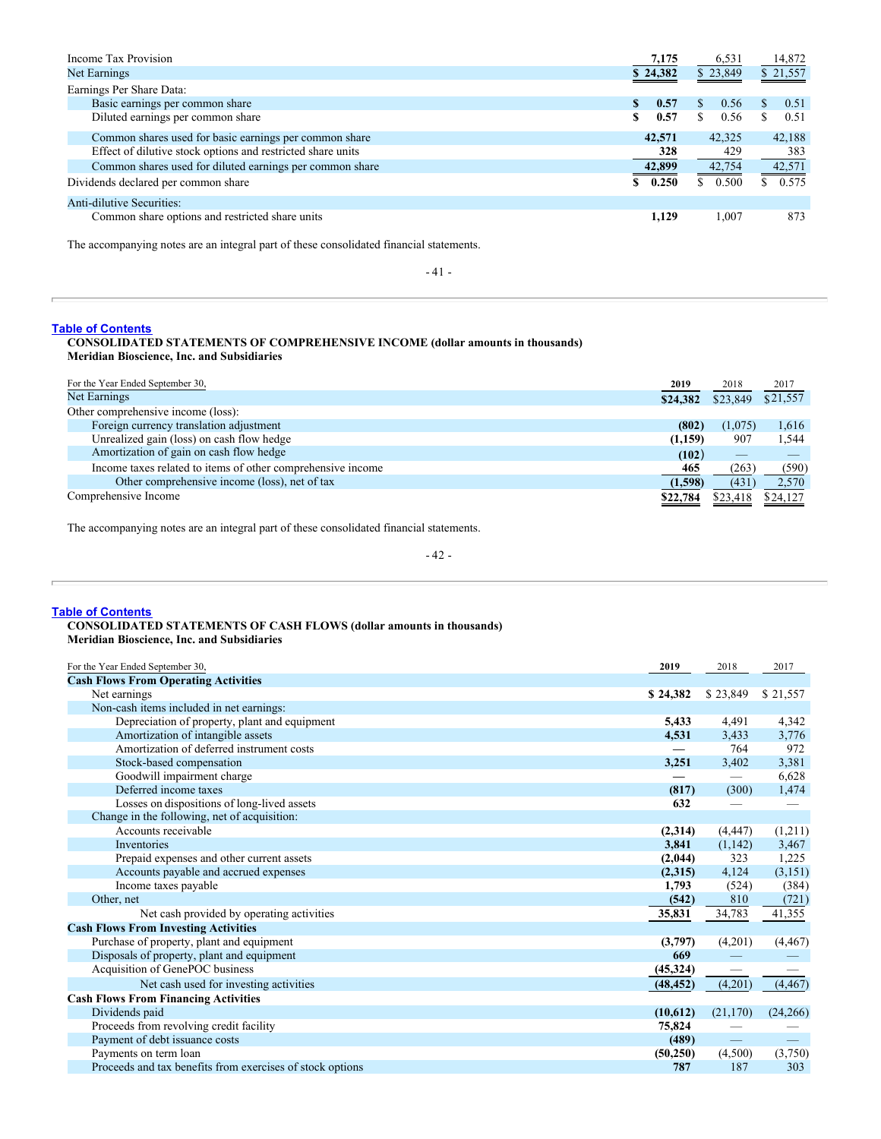<span id="page-26-0"></span>

| Income Tax Provision<br>Net Earnings                        |   | 7,175<br>\$24,382 |               | 6,531<br>\$23,849 |    | 14,872<br>\$21,557 |
|-------------------------------------------------------------|---|-------------------|---------------|-------------------|----|--------------------|
| Earnings Per Share Data:                                    |   |                   |               |                   |    |                    |
| Basic earnings per common share                             |   | 0.57              | S.            | 0.56              |    | 0.51               |
| Diluted earnings per common share                           | S | 0.57              | <sup>\$</sup> | 0.56              | S. | 0.51               |
| Common shares used for basic earnings per common share      |   | 42,571            |               | 42,325            |    | 42,188             |
| Effect of dilutive stock options and restricted share units |   | 328               |               | 429               |    | 383                |
| Common shares used for diluted earnings per common share    |   | 42,899            |               | 42,754            |    | 42,571             |
| Dividends declared per common share                         |   | 0.250             |               | 0.500             |    | 0.575              |
| Anti-dilutive Securities:                                   |   |                   |               |                   |    |                    |
| Common share options and restricted share units             |   | 1.129             |               | 1.007             |    | 873                |

The accompanying notes are an integral part of these consolidated financial statements.

- 41 -

#### **Table of [Contents](#page-1-0)**

**CONSOLIDATED STATEMENTS OF COMPREHENSIVE INCOME (dollar amounts in thousands) Meridian Bioscience, Inc. and Subsidiaries**

| For the Year Ended September 30,                            | 2019     | 2018     | 2017            |
|-------------------------------------------------------------|----------|----------|-----------------|
| Net Earnings                                                | \$24,382 | \$23,849 | \$21,557        |
| Other comprehensive income (loss):                          |          |          |                 |
| Foreign currency translation adjustment                     | (802)    | (1,075)  | 1,616           |
| Unrealized gain (loss) on cash flow hedge                   | (1,159)  | 907      | 1,544           |
| Amortization of gain on cash flow hedge                     | (102)    |          |                 |
| Income taxes related to items of other comprehensive income | 465      | (263)    | (590)           |
| Other comprehensive income (loss), net of tax               | (1,598)  | (431)    | 2,570           |
| Comprehensive Income                                        | \$22,784 | \$23,418 | <u>\$24,127</u> |

The accompanying notes are an integral part of these consolidated financial statements.

- 42 -

#### **Table of [Contents](#page-1-0)**

# **CONSOLIDATED STATEMENTS OF CASH FLOWS (dollar amounts in thousands)**

**Meridian Bioscience, Inc. and Subsidiaries**

| For the Year Ended September 30,                          | 2019      | 2018      | 2017     |
|-----------------------------------------------------------|-----------|-----------|----------|
| <b>Cash Flows From Operating Activities</b>               |           |           |          |
| Net earnings                                              | \$24,382  | \$23,849  | \$21,557 |
| Non-cash items included in net earnings:                  |           |           |          |
| Depreciation of property, plant and equipment             | 5,433     | 4,491     | 4,342    |
| Amortization of intangible assets                         | 4,531     | 3,433     | 3,776    |
| Amortization of deferred instrument costs                 |           | 764       | 972      |
| Stock-based compensation                                  | 3,251     | 3,402     | 3,381    |
| Goodwill impairment charge                                |           |           | 6,628    |
| Deferred income taxes                                     | (817)     | (300)     | 1,474    |
| Losses on dispositions of long-lived assets               | 632       |           |          |
| Change in the following, net of acquisition:              |           |           |          |
| Accounts receivable                                       | (2,314)   | (4, 447)  | (1,211)  |
| <b>Inventories</b>                                        | 3,841     | (1,142)   | 3,467    |
| Prepaid expenses and other current assets                 | (2,044)   | 323       | 1,225    |
| Accounts payable and accrued expenses                     | (2,315)   | 4,124     | (3,151)  |
| Income taxes payable                                      | 1,793     | (524)     | (384)    |
| Other, net                                                | (542)     | 810       | (721)    |
| Net cash provided by operating activities                 | 35,831    | 34,783    | 41,355   |
| <b>Cash Flows From Investing Activities</b>               |           |           |          |
| Purchase of property, plant and equipment                 | (3,797)   | (4,201)   | (4, 467) |
| Disposals of property, plant and equipment                | 669       |           |          |
| Acquisition of GenePOC business                           | (45, 324) |           |          |
| Net cash used for investing activities                    | (48, 452) | (4,201)   | (4, 467) |
| <b>Cash Flows From Financing Activities</b>               |           |           |          |
| Dividends paid                                            | (10,612)  | (21, 170) | (24,266) |
| Proceeds from revolving credit facility                   | 75,824    |           |          |
| Payment of debt issuance costs                            | (489)     |           |          |
| Payments on term loan                                     | (50, 250) | (4,500)   | (3,750)  |
| Proceeds and tax benefits from exercises of stock options | 787       | 187       | 303      |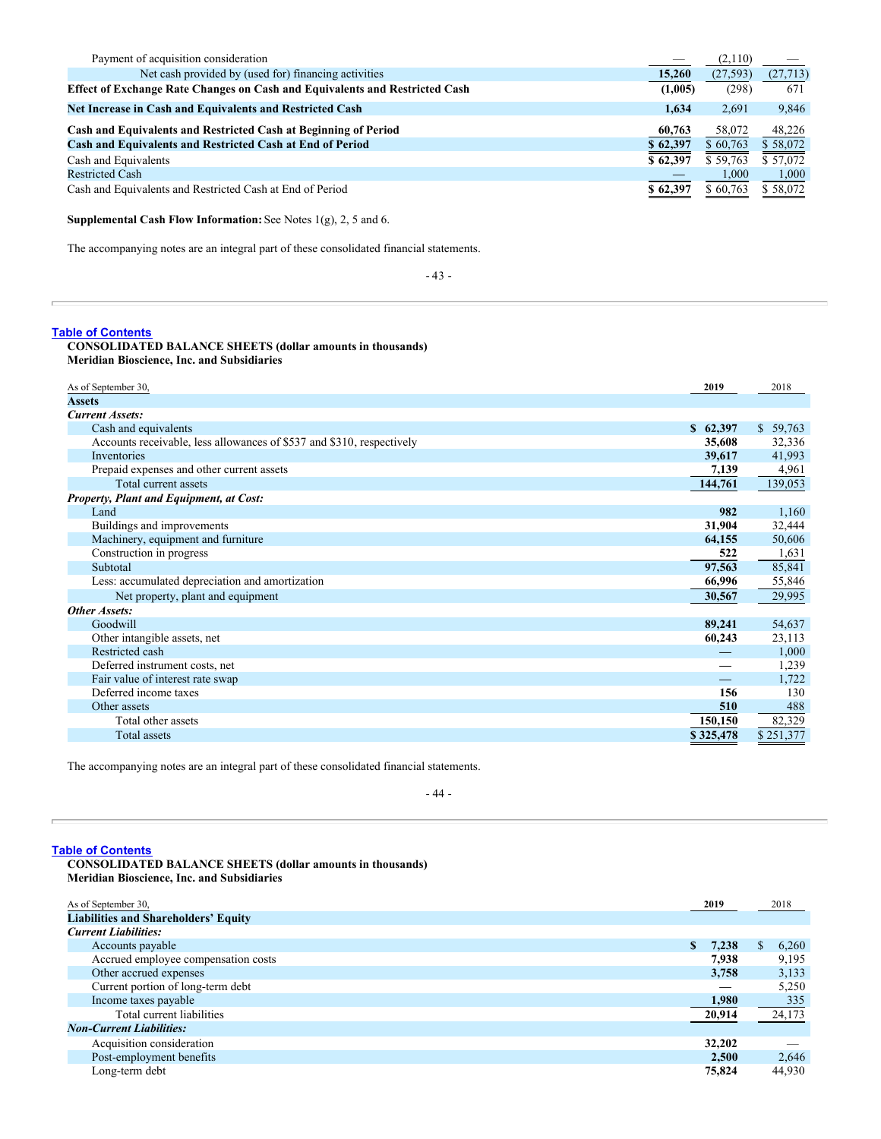<span id="page-27-0"></span>

| Payment of acquisition consideration                                        |          | (2,110)   |           |
|-----------------------------------------------------------------------------|----------|-----------|-----------|
| Net cash provided by (used for) financing activities                        | 15,260   | (27, 593) | (27, 713) |
| Effect of Exchange Rate Changes on Cash and Equivalents and Restricted Cash | (1,005)  | (298)     | 671       |
| Net Increase in Cash and Equivalents and Restricted Cash                    | 1.634    | 2.691     | 9,846     |
| Cash and Equivalents and Restricted Cash at Beginning of Period             | 60,763   | 58,072    | 48,226    |
| Cash and Equivalents and Restricted Cash at End of Period                   | \$62,397 | \$60,763  | \$58,072  |
| Cash and Equivalents                                                        | \$62,397 | \$59,763  | \$57,072  |
| <b>Restricted Cash</b>                                                      |          | 1.000     | 1,000     |
| Cash and Equivalents and Restricted Cash at End of Period                   | \$62,397 | \$60,763  | \$58,072  |

**Supplemental Cash Flow Information:** See Notes 1(g), 2, 5 and 6.

The accompanying notes are an integral part of these consolidated financial statements.

- 43 -

# **Table of [Contents](#page-1-0)**

**CONSOLIDATED BALANCE SHEETS (dollar amounts in thousands) Meridian Bioscience, Inc. and Subsidiaries**

| As of September 30,                                                   | 2019      | 2018      |
|-----------------------------------------------------------------------|-----------|-----------|
| <b>Assets</b>                                                         |           |           |
| <b>Current Assets:</b>                                                |           |           |
| Cash and equivalents                                                  | \$62,397  | \$59,763  |
| Accounts receivable, less allowances of \$537 and \$310, respectively | 35,608    | 32,336    |
| Inventories                                                           | 39,617    | 41,993    |
| Prepaid expenses and other current assets                             | 7,139     | 4,961     |
| Total current assets                                                  | 144,761   | 139,053   |
| Property, Plant and Equipment, at Cost:                               |           |           |
| Land                                                                  | 982       | 1,160     |
| Buildings and improvements                                            | 31,904    | 32,444    |
| Machinery, equipment and furniture                                    | 64,155    | 50,606    |
| Construction in progress                                              | 522       | 1,631     |
| Subtotal                                                              | 97,563    | 85,841    |
| Less: accumulated depreciation and amortization                       | 66,996    | 55,846    |
| Net property, plant and equipment                                     | 30,567    | 29,995    |
| Other Assets:                                                         |           |           |
| Goodwill                                                              | 89,241    | 54,637    |
| Other intangible assets, net                                          | 60,243    | 23,113    |
| Restricted cash                                                       |           | 1,000     |
| Deferred instrument costs, net                                        |           | 1,239     |
| Fair value of interest rate swap                                      |           | 1,722     |
| Deferred income taxes                                                 | 156       | 130       |
| Other assets                                                          | 510       | 488       |
| Total other assets                                                    | 150,150   | 82,329    |
| <b>Total assets</b>                                                   | \$325,478 | \$251,377 |

The accompanying notes are an integral part of these consolidated financial statements.

- 44 -

#### **Table of [Contents](#page-1-0)**

**CONSOLIDATED BALANCE SHEETS (dollar amounts in thousands) Meridian Bioscience, Inc. and Subsidiaries**

| As of September 30,                         | 2019 |        | 2018   |
|---------------------------------------------|------|--------|--------|
| <b>Liabilities and Shareholders' Equity</b> |      |        |        |
| <b>Current Liabilities:</b>                 |      |        |        |
| Accounts payable                            |      | 7,238  | 6,260  |
| Accrued employee compensation costs         |      | 7,938  | 9,195  |
| Other accrued expenses                      |      | 3,758  | 3,133  |
| Current portion of long-term debt           |      | _      | 5,250  |
| Income taxes payable                        |      | 1,980  | 335    |
| Total current liabilities                   |      | 20,914 | 24,173 |
| <b>Non-Current Liabilities:</b>             |      |        |        |
| Acquisition consideration                   |      | 32,202 |        |
| Post-employment benefits                    |      | 2,500  | 2,646  |
| Long-term debt                              |      | 75,824 | 44,930 |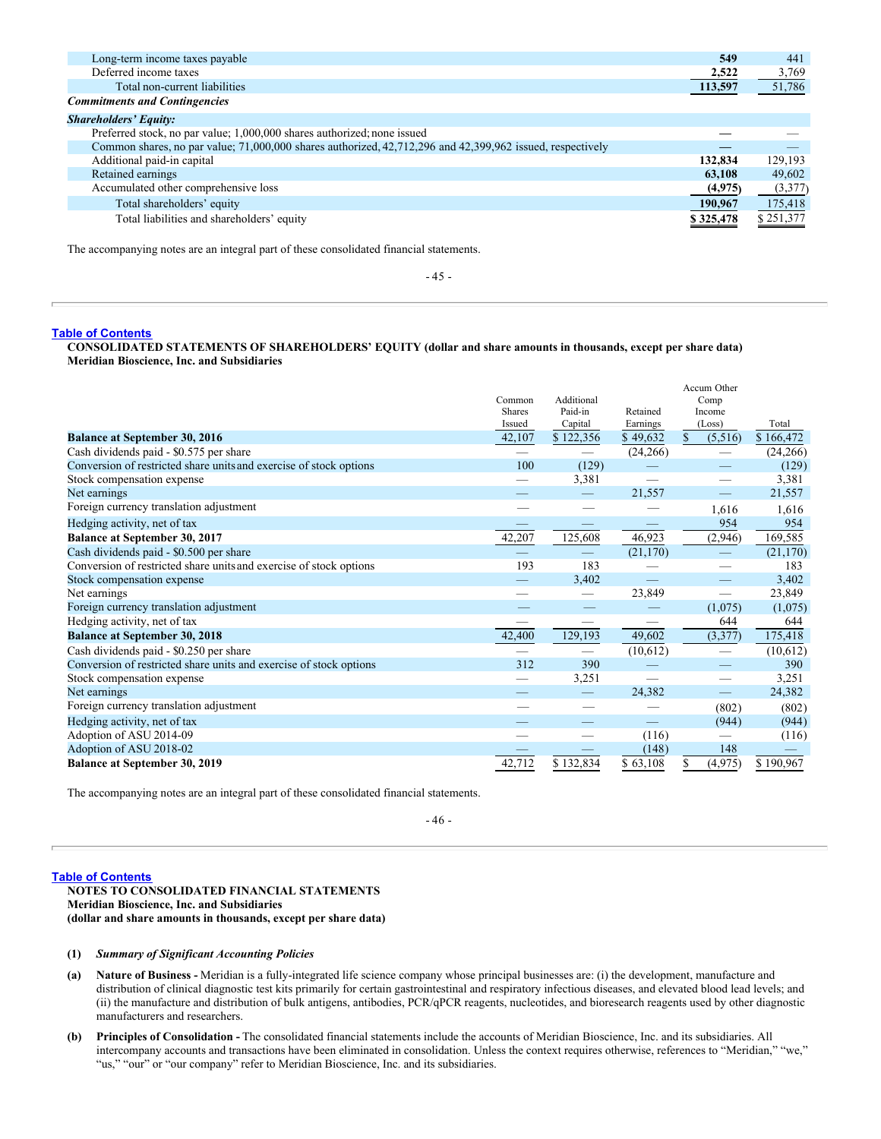<span id="page-28-0"></span>

| Long-term income taxes payable                                                                            | 549       | 441       |
|-----------------------------------------------------------------------------------------------------------|-----------|-----------|
| Deferred income taxes                                                                                     | 2,522     | 3,769     |
| Total non-current liabilities                                                                             | 113,597   | 51,786    |
| <b>Commitments and Contingencies</b>                                                                      |           |           |
| <b>Shareholders' Equity:</b>                                                                              |           |           |
| Preferred stock, no par value; 1,000,000 shares authorized; none issued                                   |           |           |
| Common shares, no par value; 71,000,000 shares authorized, 42,712,296 and 42,399,962 issued, respectively |           |           |
| Additional paid-in capital                                                                                | 132,834   | 129,193   |
| Retained earnings                                                                                         | 63,108    | 49,602    |
| Accumulated other comprehensive loss                                                                      | (4,975)   | (3,377)   |
| Total shareholders' equity                                                                                | 190,967   | 175,418   |
| Total liabilities and shareholders' equity                                                                | \$325,478 | \$251,377 |

The accompanying notes are an integral part of these consolidated financial statements.

- 45 -

#### **Table of [Contents](#page-1-0)**

**CONSOLIDATED STATEMENTS OF SHAREHOLDERS' EQUITY (dollar and share amounts in thousands, except per share data) Meridian Bioscience, Inc. and Subsidiaries**

|                                                                    |               |            |           | Accum Other              |           |
|--------------------------------------------------------------------|---------------|------------|-----------|--------------------------|-----------|
|                                                                    | Common        | Additional |           | Comp                     |           |
|                                                                    | <b>Shares</b> | Paid-in    | Retained  | Income                   |           |
|                                                                    | Issued        | Capital    | Earnings  | (Loss)                   | Total     |
| <b>Balance at September 30, 2016</b>                               | 42,107        | \$122,356  | \$49,632  | \$<br>(5,516)            | \$166,472 |
| Cash dividends paid - \$0.575 per share                            |               |            | (24, 266) |                          | (24,266)  |
| Conversion of restricted share units and exercise of stock options | 100           | (129)      |           | -                        | (129)     |
| Stock compensation expense                                         |               | 3,381      |           |                          | 3,381     |
| Net earnings                                                       |               |            | 21,557    | $\overline{\phantom{0}}$ | 21,557    |
| Foreign currency translation adjustment                            |               |            |           | 1,616                    | 1,616     |
| Hedging activity, net of tax                                       |               |            |           | 954                      | 954       |
| <b>Balance at September 30, 2017</b>                               | 42,207        | 125,608    | 46,923    | (2,946)                  | 169,585   |
| Cash dividends paid - \$0.500 per share                            |               |            | (21, 170) |                          | (21, 170) |
| Conversion of restricted share units and exercise of stock options | 193           | 183        |           |                          | 183       |
| Stock compensation expense                                         |               | 3,402      |           |                          | 3,402     |
| Net earnings                                                       |               |            | 23,849    |                          | 23,849    |
| Foreign currency translation adjustment                            |               |            |           | (1,075)                  | (1,075)   |
| Hedging activity, net of tax                                       |               |            |           | 644                      | 644       |
| <b>Balance at September 30, 2018</b>                               | 42,400        | 129,193    | 49,602    | (3,377)                  | 175,418   |
| Cash dividends paid - \$0.250 per share                            |               |            | (10,612)  |                          | (10,612)  |
| Conversion of restricted share units and exercise of stock options | 312           | 390        |           |                          | 390       |
| Stock compensation expense                                         |               | 3,251      |           |                          | 3,251     |
| Net earnings                                                       |               | ---        | 24,382    | $\overline{\phantom{0}}$ | 24,382    |
| Foreign currency translation adjustment                            |               |            |           | (802)                    | (802)     |
| Hedging activity, net of tax                                       |               |            |           | (944)                    | (944)     |
| Adoption of ASU 2014-09                                            |               |            | (116)     |                          | (116)     |
| Adoption of ASU 2018-02                                            |               |            | (148)     | 148                      |           |
| <b>Balance at September 30, 2019</b>                               | 42,712        | \$132,834  | \$63,108  | \$<br>(4,975)            | \$190,967 |

The accompanying notes are an integral part of these consolidated financial statements.

- 46 -

# **Table of [Contents](#page-1-0)**

**NOTES TO CONSOLIDATED FINANCIAL STATEMENTS Meridian Bioscience, Inc. and Subsidiaries (dollar and share amounts in thousands, except per share data)**

**(1)** *Summary of Significant Accounting Policies*

**(a) Nature of Business -** Meridian is a fully-integrated life science company whose principal businesses are: (i) the development, manufacture and distribution of clinical diagnostic test kits primarily for certain gastrointestinal and respiratory infectious diseases, and elevated blood lead levels; and (ii) the manufacture and distribution of bulk antigens, antibodies, PCR/qPCR reagents, nucleotides, and bioresearch reagents used by other diagnostic manufacturers and researchers.

**(b) Principles of Consolidation -** The consolidated financial statements include the accounts of Meridian Bioscience, Inc. and its subsidiaries. All intercompany accounts and transactions have been eliminated in consolidation. Unless the context requires otherwise, references to "Meridian," "we," "us," "our" or "our company" refer to Meridian Bioscience, Inc. and its subsidiaries.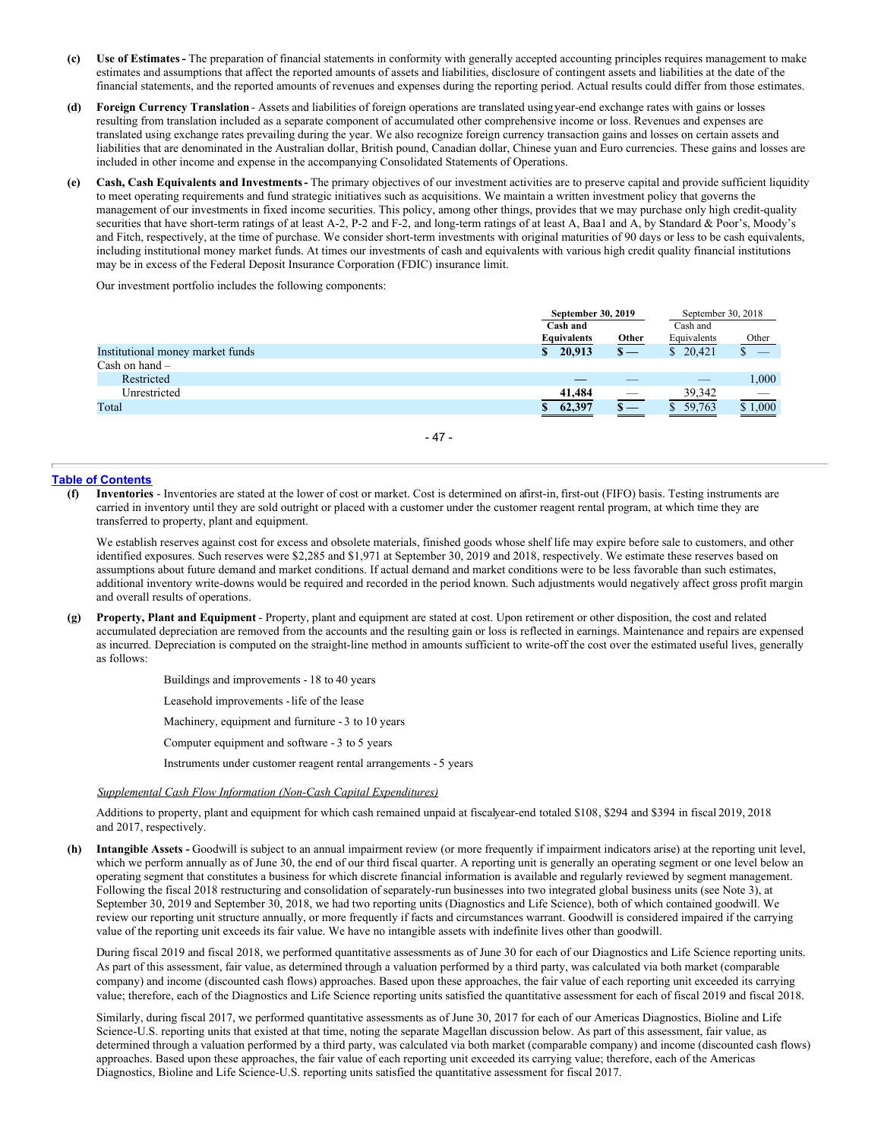- **(c) Use of Estimates-** The preparation of financial statements in conformity with generally accepted accounting principles requires management to make estimates and assumptions that affect the reported amounts of assets and liabilities, disclosure of contingent assets and liabilities at the date of the financial statements, and the reported amounts of revenues and expenses during the reporting period. Actual results could differ from those estimates.
- **(d) Foreign Currency Translation** Assets and liabilities of foreign operations are translated usingyear-end exchange rates with gains or losses resulting from translation included as a separate component of accumulated other comprehensive income or loss. Revenues and expenses are translated using exchange rates prevailing during the year. We also recognize foreign currency transaction gains and losses on certain assets and liabilities that are denominated in the Australian dollar, British pound, Canadian dollar, Chinese yuan and Euro currencies. These gains and losses are included in other income and expense in the accompanying Consolidated Statements of Operations.
- **(e) Cash, Cash Equivalents and Investments-** The primary objectives of our investment activities are to preserve capital and provide sufficient liquidity to meet operating requirements and fund strategic initiatives such as acquisitions. We maintain a written investment policy that governs the management of our investments in fixed income securities. This policy, among other things, provides that we may purchase only high credit-quality securities that have short-term ratings of at least A-2, P-2 and F-2, and long-term ratings of at least A, Baa1 and A, by Standard & Poor's, Moody's and Fitch, respectively, at the time of purchase. We consider short-term investments with original maturities of 90 days or less to be cash equivalents, including institutional money market funds. At times our investments of cash and equivalents with various high credit quality financial institutions may be in excess of the Federal Deposit Insurance Corporation (FDIC) insurance limit.

Our investment portfolio includes the following components:

|                                  | September 30, 2019             |                                 | September 30, 2018      |                     |
|----------------------------------|--------------------------------|---------------------------------|-------------------------|---------------------|
|                                  | Cash and<br><b>Equivalents</b> | Other                           | Cash and<br>Equivalents | Other               |
| Institutional money market funds | 20,913                         | $s -$                           | 520.421                 |                     |
| Cash on hand -                   |                                |                                 |                         |                     |
| Restricted                       |                                |                                 |                         | 1,000               |
| Unrestricted                     | 41,484                         | $\hspace{0.1mm}-\hspace{0.1mm}$ | 39,342                  |                     |
| Total                            | 62,397                         | $s-$                            | 59,763                  | $\overline{$}1,000$ |
|                                  |                                |                                 |                         |                     |



# **Table of [Contents](#page-1-0)**

**(f) Inventories** - Inventories are stated at the lower of cost or market. Cost is determined on afirst-in, first-out (FIFO) basis. Testing instruments are carried in inventory until they are sold outright or placed with a customer under the customer reagent rental program, at which time they are transferred to property, plant and equipment.

We establish reserves against cost for excess and obsolete materials, finished goods whose shelf life may expire before sale to customers, and other identified exposures. Such reserves were \$2,285 and \$1,971 at September 30, 2019 and 2018, respectively. We estimate these reserves based on assumptions about future demand and market conditions. If actual demand and market conditions were to be less favorable than such estimates, additional inventory write-downs would be required and recorded in the period known. Such adjustments would negatively affect gross profit margin and overall results of operations.

**(g) Property, Plant and Equipment** - Property, plant and equipment are stated at cost. Upon retirement or other disposition, the cost and related accumulated depreciation are removed from the accounts and the resulting gain or loss is reflected in earnings. Maintenance and repairs are expensed as incurred. Depreciation is computed on the straight-line method in amounts sufficient to write-off the cost over the estimated useful lives, generally as follows:

Buildings and improvements - 18 to 40 years

Leasehold improvements -life of the lease

Machinery, equipment and furniture - 3 to 10 years

Computer equipment and software - 3 to 5 years

Instruments under customer reagent rental arrangements - 5 years

#### *Supplemental Cash Flow Information (Non-Cash Capital Expenditures)*

Additions to property, plant and equipment for which cash remained unpaid at fiscalyear-end totaled \$108, \$294 and \$394 in fiscal 2019, 2018 and 2017, respectively.

**(h) Intangible Assets -** Goodwill is subject to an annual impairment review (or more frequently if impairment indicators arise) at the reporting unit level, which we perform annually as of June 30, the end of our third fiscal quarter. A reporting unit is generally an operating segment or one level below an operating segment that constitutes a business for which discrete financial information is available and regularly reviewed by segment management. Following the fiscal 2018 restructuring and consolidation of separately-run businesses into two integrated global business units (see Note 3), at September 30, 2019 and September 30, 2018, we had two reporting units (Diagnostics and Life Science), both of which contained goodwill. We review our reporting unit structure annually, or more frequently if facts and circumstances warrant. Goodwill is considered impaired if the carrying value of the reporting unit exceeds its fair value. We have no intangible assets with indefinite lives other than goodwill.

During fiscal 2019 and fiscal 2018, we performed quantitative assessments as of June 30 for each of our Diagnostics and Life Science reporting units. As part of this assessment, fair value, as determined through a valuation performed by a third party, was calculated via both market (comparable company) and income (discounted cash flows) approaches. Based upon these approaches, the fair value of each reporting unit exceeded its carrying value; therefore, each of the Diagnostics and Life Science reporting units satisfied the quantitative assessment for each of fiscal 2019 and fiscal 2018.

Similarly, during fiscal 2017, we performed quantitative assessments as of June 30, 2017 for each of our Americas Diagnostics, Bioline and Life Science-U.S. reporting units that existed at that time, noting the separate Magellan discussion below. As part of this assessment, fair value, as determined through a valuation performed by a third party, was calculated via both market (comparable company) and income (discounted cash flows) approaches. Based upon these approaches, the fair value of each reporting unit exceeded its carrying value; therefore, each of the Americas Diagnostics, Bioline and Life Science-U.S. reporting units satisfied the quantitative assessment for fiscal 2017.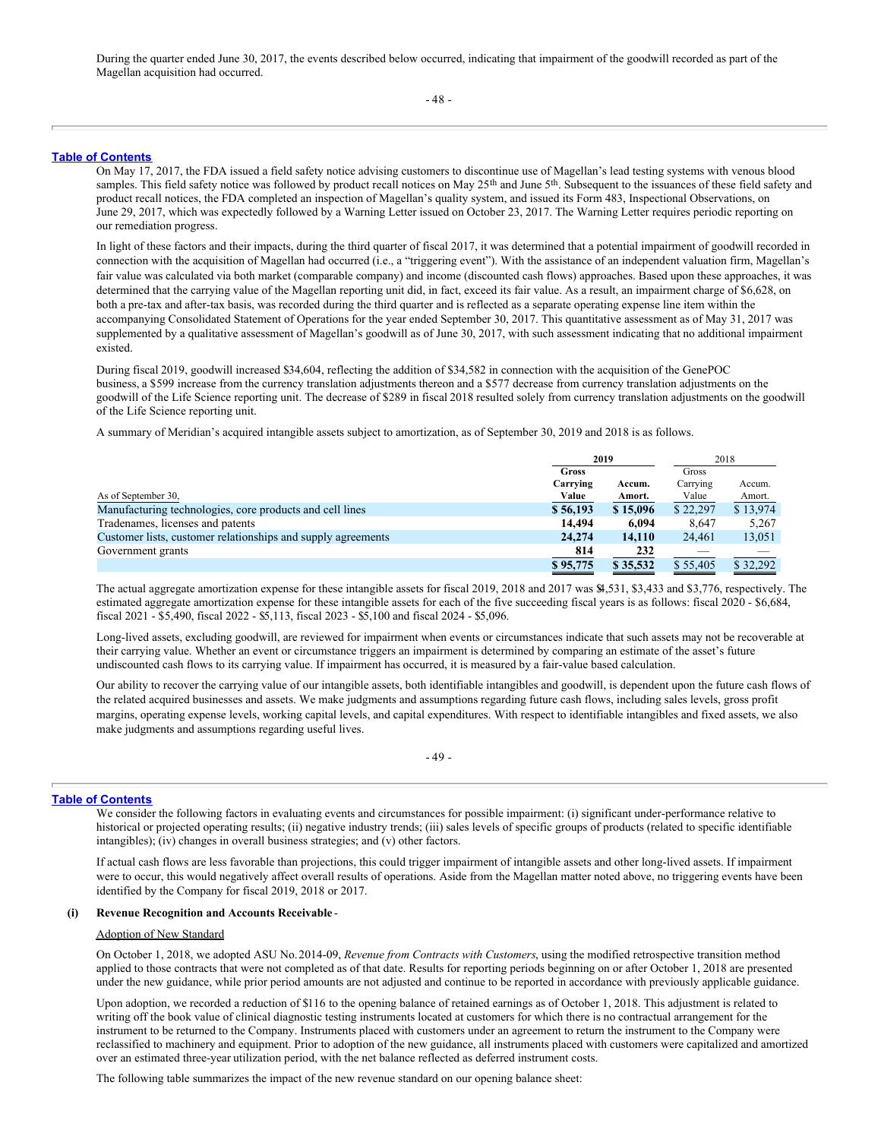During the quarter ended June 30, 2017, the events described below occurred, indicating that impairment of the goodwill recorded as part of the Magellan acquisition had occurred.

#### **Table of [Contents](#page-1-0)**

On May 17, 2017, the FDA issued a field safety notice advising customers to discontinue use of Magellan's lead testing systems with venous blood samples. This field safety notice was followed by product recall notices on May 25<sup>th</sup> and June 5<sup>th</sup>. Subsequent to the issuances of these field safety and product recall notices, the FDA completed an inspection of Magellan's quality system, and issued its Form 483, Inspectional Observations, on June 29, 2017, which was expectedly followed by a Warning Letter issued on October 23, 2017. The Warning Letter requires periodic reporting on our remediation progress.

In light of these factors and their impacts, during the third quarter of fiscal 2017, it was determined that a potential impairment of goodwill recorded in connection with the acquisition of Magellan had occurred (i.e., a "triggering event"). With the assistance of an independent valuation firm, Magellan's fair value was calculated via both market (comparable company) and income (discounted cash flows) approaches. Based upon these approaches, it was determined that the carrying value of the Magellan reporting unit did, in fact, exceed its fair value. As a result, an impairment charge of \$6,628, on both a pre-tax and after-tax basis, was recorded during the third quarter and is reflected as a separate operating expense line item within the accompanying Consolidated Statement of Operations for the year ended September 30, 2017. This quantitative assessment as of May 31, 2017 was supplemented by a qualitative assessment of Magellan's goodwill as of June 30, 2017, with such assessment indicating that no additional impairment existed.

During fiscal 2019, goodwill increased \$34,604, reflecting the addition of \$34,582 in connection with the acquisition of the GenePOC business, a \$599 increase from the currency translation adjustments thereon and a \$577 decrease from currency translation adjustments on the goodwill of the Life Science reporting unit. The decrease of \$289 in fiscal 2018 resulted solely from currency translation adjustments on the goodwill of the Life Science reporting unit.

A summary of Meridian's acquired intangible assets subject to amortization, as of September 30, 2019 and 2018 is as follows.

|                                                              | 2019         |          |          | 2018     |  |
|--------------------------------------------------------------|--------------|----------|----------|----------|--|
|                                                              | <b>Gross</b> |          |          |          |  |
|                                                              | Carrying     | Accum.   | Carrying | Accum.   |  |
| As of September 30,                                          | Value        | Amort.   | Value    | Amort.   |  |
| Manufacturing technologies, core products and cell lines     | \$56,193     | \$15,096 | \$22,297 | \$13.974 |  |
| Tradenames, licenses and patents                             | 14.494       | 6.094    | 8.647    | 5.267    |  |
| Customer lists, customer relationships and supply agreements | 24,274       | 14,110   | 24.461   | 13,051   |  |
| Government grants                                            | 814          | 232      |          |          |  |
|                                                              | \$95,775     | \$35,532 | \$55,405 | \$32,292 |  |

The actual aggregate amortization expense for these intangible assets for fiscal 2019, 2018 and 2017 was \$4,531, \$3,433 and \$3,776, respectively. The estimated aggregate amortization expense for these intangible assets for each of the five succeeding fiscal years is as follows: fiscal 2020 - \$6,684, fiscal 2021 - \$5,490, fiscal 2022 - \$5,113, fiscal 2023 - \$5,100 and fiscal 2024 - \$5,096.

Long-lived assets, excluding goodwill, are reviewed for impairment when events or circumstances indicate that such assets may not be recoverable at their carrying value. Whether an event or circumstance triggers an impairment is determined by comparing an estimate of the asset's future undiscounted cash flows to its carrying value. If impairment has occurred, it is measured by a fair-value based calculation.

Our ability to recover the carrying value of our intangible assets, both identifiable intangibles and goodwill, is dependent upon the future cash flows of the related acquired businesses and assets. We make judgments and assumptions regarding future cash flows, including sales levels, gross profit margins, operating expense levels, working capital levels, and capital expenditures. With respect to identifiable intangibles and fixed assets, we also make judgments and assumptions regarding useful lives.

# - 49 -

# **Table of [Contents](#page-1-0)**

We consider the following factors in evaluating events and circumstances for possible impairment: (i) significant under-performance relative to historical or projected operating results; (ii) negative industry trends; (iii) sales levels of specific groups of products (related to specific identifiable intangibles); (iv) changes in overall business strategies; and (v) other factors.

If actual cash flows are less favorable than projections, this could trigger impairment of intangible assets and other long-lived assets. If impairment were to occur, this would negatively affect overall results of operations. Aside from the Magellan matter noted above, no triggering events have been identified by the Company for fiscal 2019, 2018 or 2017.

# **(i) Revenue Recognition and Accounts Receivable** -

# Adoption of New Standard

On October 1, 2018, we adopted ASU No.2014-09, *Revenue from Contracts with Customers*, using the modified retrospective transition method applied to those contracts that were not completed as of that date. Results for reporting periods beginning on or after October 1, 2018 are presented under the new guidance, while prior period amounts are not adjusted and continue to be reported in accordance with previously applicable guidance.

Upon adoption, we recorded a reduction of \$116 to the opening balance of retained earnings as of October 1, 2018. This adjustment is related to writing off the book value of clinical diagnostic testing instruments located at customers for which there is no contractual arrangement for the instrument to be returned to the Company. Instruments placed with customers under an agreement to return the instrument to the Company were reclassified to machinery and equipment. Prior to adoption of the new guidance, all instruments placed with customers were capitalized and amortized over an estimated three-year utilization period, with the net balance reflected as deferred instrument costs.

The following table summarizes the impact of the new revenue standard on our opening balance sheet: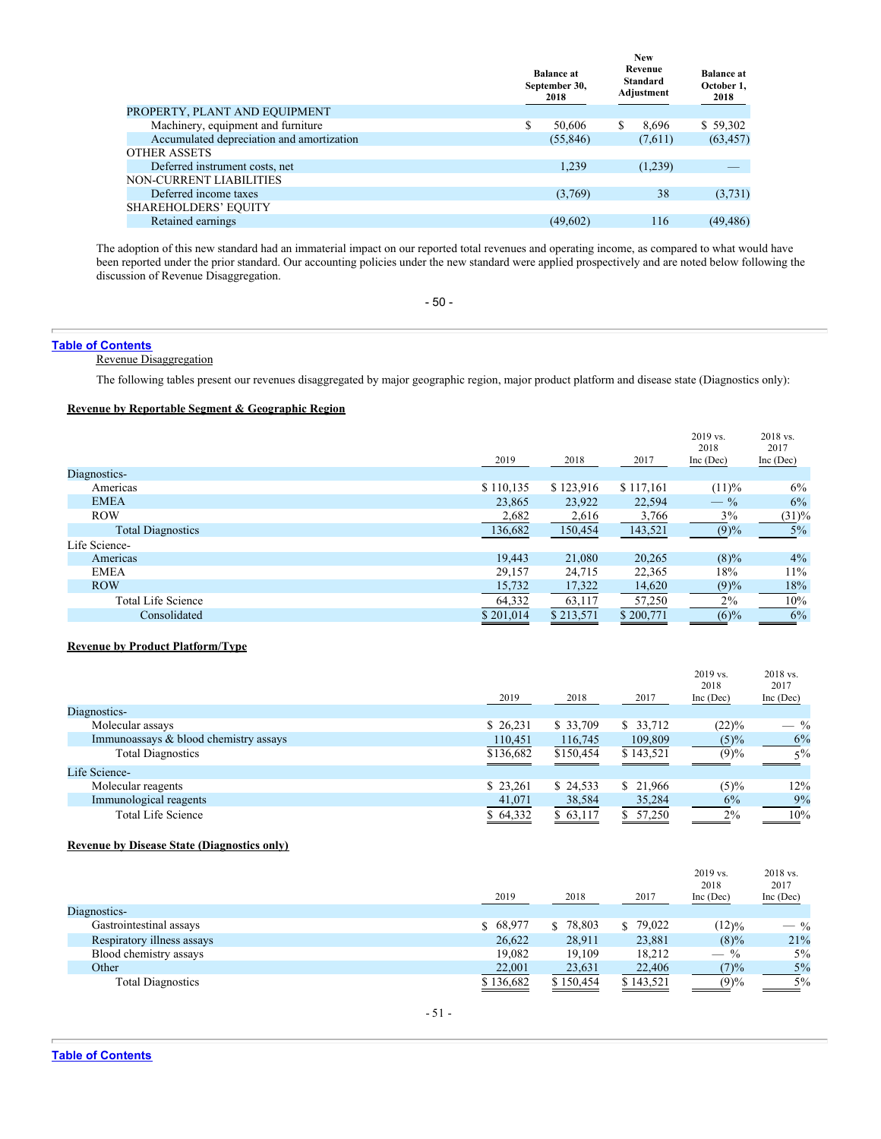|                                           | <b>New</b><br>Revenue<br><b>Balance at</b><br>Standard<br>September 30,<br>Adjustment<br>2018 |    |         | <b>Balance at</b><br>October 1,<br>2018 |
|-------------------------------------------|-----------------------------------------------------------------------------------------------|----|---------|-----------------------------------------|
| PROPERTY, PLANT AND EQUIPMENT             |                                                                                               |    |         |                                         |
| Machinery, equipment and furniture        | \$<br>50,606                                                                                  | \$ | 8,696   | \$59,302                                |
| Accumulated depreciation and amortization | (55, 846)                                                                                     |    | (7,611) | (63, 457)                               |
| <b>OTHER ASSETS</b>                       |                                                                                               |    |         |                                         |
| Deferred instrument costs, net            | 1.239                                                                                         |    | (1,239) |                                         |
| <b>NON-CURRENT LIABILITIES</b>            |                                                                                               |    |         |                                         |
| Deferred income taxes                     | (3,769)                                                                                       |    | 38      | (3,731)                                 |
| <b>SHAREHOLDERS' EQUITY</b>               |                                                                                               |    |         |                                         |
| Retained earnings                         | (49,602)                                                                                      |    | 116     | (49, 486)                               |
|                                           |                                                                                               |    |         |                                         |

The adoption of this new standard had an immaterial impact on our reported total revenues and operating income, as compared to what would have been reported under the prior standard. Our accounting policies under the new standard were applied prospectively and are noted below following the discussion of Revenue Disaggregation.

# - 50 -

# **Table of [Contents](#page-1-0)**

Revenue Disaggregation

The following tables present our revenues disaggregated by major geographic region, major product platform and disease state (Diagnostics only):

# **Revenue by Reportable Segment & Geographic Region**

|                          | 2019      | 2018      | 2017      | 2019 vs.<br>2018<br>Inc $(Dec)$ | 2018 vs.<br>2017<br>Inc $(Dec)$ |
|--------------------------|-----------|-----------|-----------|---------------------------------|---------------------------------|
| Diagnostics-             |           |           |           |                                 |                                 |
| Americas                 | \$110,135 | \$123,916 | \$117,161 | (11)%                           | 6%                              |
| <b>EMEA</b>              | 23,865    | 23,922    | 22,594    | $-$ %                           | 6%                              |
| <b>ROW</b>               | 2,682     | 2,616     | 3,766     | 3%                              | $(31)\%$                        |
| <b>Total Diagnostics</b> | 136,682   | 150,454   | 143,521   | (9)%                            | $5\%$                           |
| Life Science-            |           |           |           |                                 |                                 |
| Americas                 | 19,443    | 21,080    | 20,265    | $(8)\%$                         | 4%                              |
| <b>EMEA</b>              | 29,157    | 24,715    | 22,365    | 18%                             | 11%                             |
| <b>ROW</b>               | 15,732    | 17,322    | 14,620    | $(9)\%$                         | 18%                             |
| Total Life Science       | 64,332    | 63,117    | 57,250    | $2\%$                           | 10%                             |
| Consolidated             | \$201,014 | \$213,571 | \$200,771 | $(6)\%$                         | $6\%$                           |

# **Revenue by Product Platform/Type**

|                                       |           |           |           | 2019 vs.<br>2018 | 2018 vs.<br>2017 |
|---------------------------------------|-----------|-----------|-----------|------------------|------------------|
|                                       | 2019      | 2018      | 2017      | Inc $(Dec)$      | Inc $(Dec)$      |
| Diagnostics-                          |           |           |           |                  |                  |
| Molecular assays                      | \$26,231  | \$ 33,709 | \$ 33,712 | $(22)\%$         | $-$ %            |
| Immunoassays & blood chemistry assays | 110,451   | 116,745   | 109,809   | $(5)\%$          | 6%               |
| <b>Total Diagnostics</b>              | \$136,682 | \$150,454 | \$143,521 | (9)%             | $5\%$            |
| Life Science-                         |           |           |           |                  |                  |
| Molecular reagents                    | \$23,261  | \$24,533  | \$21,966  | $(5)\%$          | 12%              |
| Immunological reagents                | 41,071    | 38,584    | 35,284    | 6%               | 9%               |
| <b>Total Life Science</b>             | \$64,332  | \$63,117  | \$57,250  | 2%               | 10%              |
|                                       |           |           |           |                  |                  |

# **Revenue by Disease State (Diagnostics only)**

|                            | 2019      | 2018      | 2017      | 2019 vs.<br>2018<br>Inc $(Dec)$ | 2018 vs.<br>2017<br>Inc $(Dec)$ |
|----------------------------|-----------|-----------|-----------|---------------------------------|---------------------------------|
| Diagnostics-               |           |           |           |                                 |                                 |
| Gastrointestinal assays    | \$68,977  | \$78,803  | \$79,022  | (12)%                           | $-$ %                           |
| Respiratory illness assays | 26,622    | 28,911    | 23,881    | $(8)\%$                         | 21%                             |
| Blood chemistry assays     | 19.082    | 19,109    | 18,212    | $\frac{0}{0}$                   | 5%                              |
| Other                      | 22,001    | 23,631    | 22,406    | (7)%                            | $5\%$                           |
| <b>Total Diagnostics</b>   | \$136,682 | \$150,454 | \$143,521 | (9)%                            | $5\%$                           |
|                            |           |           |           |                                 |                                 |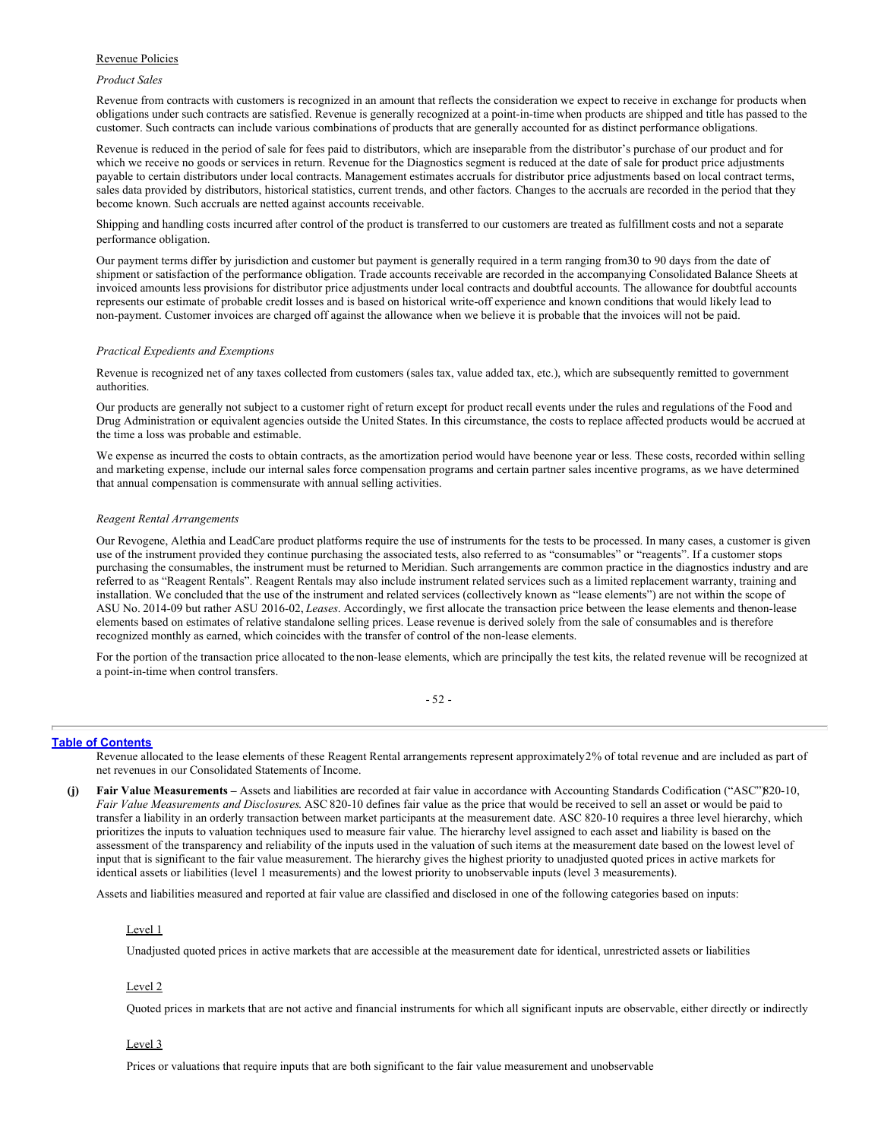# Revenue Policies

# *Product Sales*

Revenue from contracts with customers is recognized in an amount that reflects the consideration we expect to receive in exchange for products when obligations under such contracts are satisfied. Revenue is generally recognized at a point-in-time when products are shipped and title has passed to the customer. Such contracts can include various combinations of products that are generally accounted for as distinct performance obligations.

Revenue is reduced in the period of sale for fees paid to distributors, which are inseparable from the distributor's purchase of our product and for which we receive no goods or services in return. Revenue for the Diagnostics segment is reduced at the date of sale for product price adjustments payable to certain distributors under local contracts. Management estimates accruals for distributor price adjustments based on local contract terms, sales data provided by distributors, historical statistics, current trends, and other factors. Changes to the accruals are recorded in the period that they become known. Such accruals are netted against accounts receivable.

Shipping and handling costs incurred after control of the product is transferred to our customers are treated as fulfillment costs and not a separate performance obligation.

Our payment terms differ by jurisdiction and customer but payment is generally required in a term ranging from30 to 90 days from the date of shipment or satisfaction of the performance obligation. Trade accounts receivable are recorded in the accompanying Consolidated Balance Sheets at invoiced amounts less provisions for distributor price adjustments under local contracts and doubtful accounts. The allowance for doubtful accounts represents our estimate of probable credit losses and is based on historical write-off experience and known conditions that would likely lead to non-payment. Customer invoices are charged off against the allowance when we believe it is probable that the invoices will not be paid.

#### *Practical Expedients and Exemptions*

Revenue is recognized net of any taxes collected from customers (sales tax, value added tax, etc.), which are subsequently remitted to government authorities.

Our products are generally not subject to a customer right of return except for product recall events under the rules and regulations of the Food and Drug Administration or equivalent agencies outside the United States. In this circumstance, the costs to replace affected products would be accrued at the time a loss was probable and estimable.

We expense as incurred the costs to obtain contracts, as the amortization period would have beenone year or less. These costs, recorded within selling and marketing expense, include our internal sales force compensation programs and certain partner sales incentive programs, as we have determined that annual compensation is commensurate with annual selling activities.

#### *Reagent Rental Arrangements*

Our Revogene, Alethia and LeadCare product platforms require the use of instruments for the tests to be processed. In many cases, a customer is given use of the instrument provided they continue purchasing the associated tests, also referred to as "consumables" or "reagents". If a customer stops purchasing the consumables, the instrument must be returned to Meridian. Such arrangements are common practice in the diagnostics industry and are referred to as "Reagent Rentals". Reagent Rentals may also include instrument related services such as a limited replacement warranty, training and installation. We concluded that the use of the instrument and related services (collectively known as "lease elements") are not within the scope of ASU No. 2014-09 but rather ASU 2016-02, *Leases*. Accordingly, we first allocate the transaction price between the lease elements and thenon-lease elements based on estimates of relative standalone selling prices. Lease revenue is derived solely from the sale of consumables and is therefore recognized monthly as earned, which coincides with the transfer of control of the non-lease elements.

For the portion of the transaction price allocated to the non-lease elements, which are principally the test kits, the related revenue will be recognized at a point-in-time when control transfers.

- 52 -

# **Table of [Contents](#page-1-0)**

Revenue allocated to the lease elements of these Reagent Rental arrangements represent approximately2% of total revenue and are included as part of net revenues in our Consolidated Statements of Income.

**(j) Fair Value Measurements –** Assets and liabilities are recorded at fair value in accordance with Accounting Standards Codification ("ASC")820-10, *Fair Value Measurements and Disclosures*. ASC 820-10 defines fair value as the price that would be received to sell an asset or would be paid to transfer a liability in an orderly transaction between market participants at the measurement date. ASC 820-10 requires a three level hierarchy, which prioritizes the inputs to valuation techniques used to measure fair value. The hierarchy level assigned to each asset and liability is based on the assessment of the transparency and reliability of the inputs used in the valuation of such items at the measurement date based on the lowest level of input that is significant to the fair value measurement. The hierarchy gives the highest priority to unadjusted quoted prices in active markets for identical assets or liabilities (level 1 measurements) and the lowest priority to unobservable inputs (level 3 measurements).

Assets and liabilities measured and reported at fair value are classified and disclosed in one of the following categories based on inputs:

# Level 1

Unadjusted quoted prices in active markets that are accessible at the measurement date for identical, unrestricted assets or liabilities

# Level 2

Quoted prices in markets that are not active and financial instruments for which all significant inputs are observable, either directly or indirectly

# Level 3

Prices or valuations that require inputs that are both significant to the fair value measurement and unobservable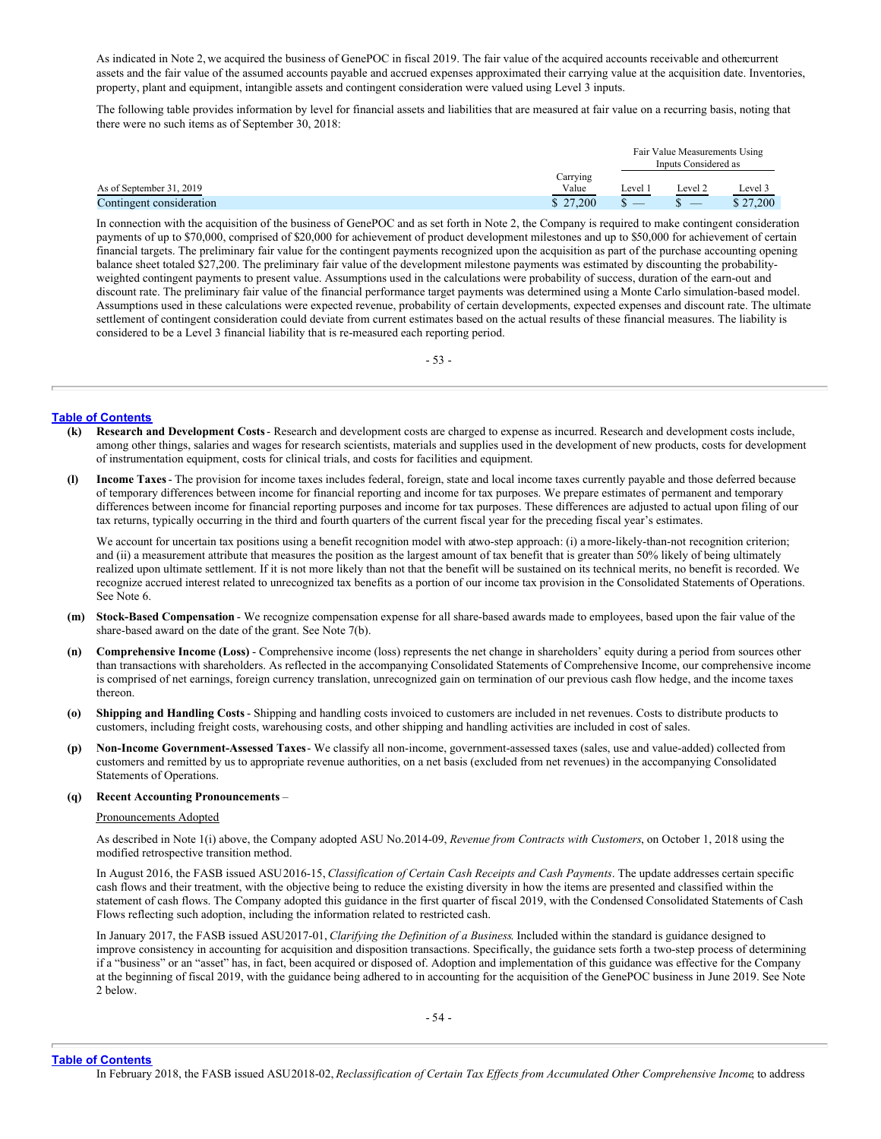As indicated in Note 2, we acquired the business of GenePOC in fiscal 2019. The fair value of the acquired accounts receivable and othercurrent assets and the fair value of the assumed accounts payable and accrued expenses approximated their carrying value at the acquisition date. Inventories, property, plant and equipment, intangible assets and contingent consideration were valued using Level 3 inputs.

The following table provides information by level for financial assets and liabilities that are measured at fair value on a recurring basis, noting that there were no such items as of September 30, 2018:

|                          |          |                    | Fair Value Measurements Using<br>Inputs Considered as |          |  |
|--------------------------|----------|--------------------|-------------------------------------------------------|----------|--|
|                          | Carrying |                    |                                                       |          |  |
| As of September 31, 2019 | Value    | Level <sup>1</sup> | Level 2                                               | Level 3  |  |
| Contingent consideration | \$27.200 |                    |                                                       | \$27,200 |  |

In connection with the acquisition of the business of GenePOC and as set forth in Note 2, the Company is required to make contingent consideration payments of up to \$70,000, comprised of \$20,000 for achievement of product development milestones and up to \$50,000 for achievement of certain financial targets. The preliminary fair value for the contingent payments recognized upon the acquisition as part of the purchase accounting opening balance sheet totaled \$27,200. The preliminary fair value of the development milestone payments was estimated by discounting the probabilityweighted contingent payments to present value. Assumptions used in the calculations were probability of success, duration of the earn-out and discount rate. The preliminary fair value of the financial performance target payments was determined using a Monte Carlo simulation-based model. Assumptions used in these calculations were expected revenue, probability of certain developments, expected expenses and discount rate. The ultimate settlement of contingent consideration could deviate from current estimates based on the actual results of these financial measures. The liability is considered to be a Level 3 financial liability that is re-measured each reporting period.

# **Table of [Contents](#page-1-0)**

- **(k) Research and Development Costs** Research and development costs are charged to expense as incurred. Research and development costs include, among other things, salaries and wages for research scientists, materials and supplies used in the development of new products, costs for development of instrumentation equipment, costs for clinical trials, and costs for facilities and equipment.
- **(l) Income Taxes** The provision for income taxes includes federal, foreign, state and local income taxes currently payable and those deferred because of temporary differences between income for financial reporting and income for tax purposes. We prepare estimates of permanent and temporary differences between income for financial reporting purposes and income for tax purposes. These differences are adjusted to actual upon filing of our tax returns, typically occurring in the third and fourth quarters of the current fiscal year for the preceding fiscal year's estimates.

We account for uncertain tax positions using a benefit recognition model with atwo-step approach: (i) a more-likely-than-not recognition criterion; and (ii) a measurement attribute that measures the position as the largest amount of tax benefit that is greater than 50% likely of being ultimately realized upon ultimate settlement. If it is not more likely than not that the benefit will be sustained on its technical merits, no benefit is recorded. We recognize accrued interest related to unrecognized tax benefits as a portion of our income tax provision in the Consolidated Statements of Operations. See Note 6.

- **(m) Stock-Based Compensation** We recognize compensation expense for all share-based awards made to employees, based upon the fair value of the share-based award on the date of the grant. See Note 7(b).
- **(n) Comprehensive Income (Loss)** Comprehensive income (loss) represents the net change in shareholders' equity during a period from sources other than transactions with shareholders. As reflected in the accompanying Consolidated Statements of Comprehensive Income, our comprehensive income is comprised of net earnings, foreign currency translation, unrecognized gain on termination of our previous cash flow hedge, and the income taxes thereon.
- **(o) Shipping and Handling Costs** Shipping and handling costs invoiced to customers are included in net revenues. Costs to distribute products to customers, including freight costs, warehousing costs, and other shipping and handling activities are included in cost of sales.
- **(p) Non-Income Government-Assessed Taxes** We classify all non-income, government-assessed taxes (sales, use and value-added) collected from customers and remitted by us to appropriate revenue authorities, on a net basis (excluded from net revenues) in the accompanying Consolidated Statements of Operations.

#### **(q) Recent Accounting Pronouncements** –

#### Pronouncements Adopted

As described in Note 1(i) above, the Company adopted ASU No.2014-09, *Revenue from Contracts with Customers*, on October 1, 2018 using the modified retrospective transition method.

In August 2016, the FASB issued ASU2016-15, *Classification of Certain Cash Receipts and Cash Payments*. The update addresses certain specific cash flows and their treatment, with the objective being to reduce the existing diversity in how the items are presented and classified within the statement of cash flows. The Company adopted this guidance in the first quarter of fiscal 2019, with the Condensed Consolidated Statements of Cash Flows reflecting such adoption, including the information related to restricted cash.

In January 2017, the FASB issued ASU2017-01, *Clarifying the Definition of a Business*. Included within the standard is guidance designed to improve consistency in accounting for acquisition and disposition transactions. Specifically, the guidance sets forth a two-step process of determining if a "business" or an "asset" has, in fact, been acquired or disposed of. Adoption and implementation of this guidance was effective for the Company at the beginning of fiscal 2019, with the guidance being adhered to in accounting for the acquisition of the GenePOC business in June 2019. See Note 2 below.

**Table of [Contents](#page-1-0)**

In February 2018, the FASB issued ASU2018-02, *Reclassification of Certain Tax Ef ects from Accumulated Other Comprehensive Income*, to address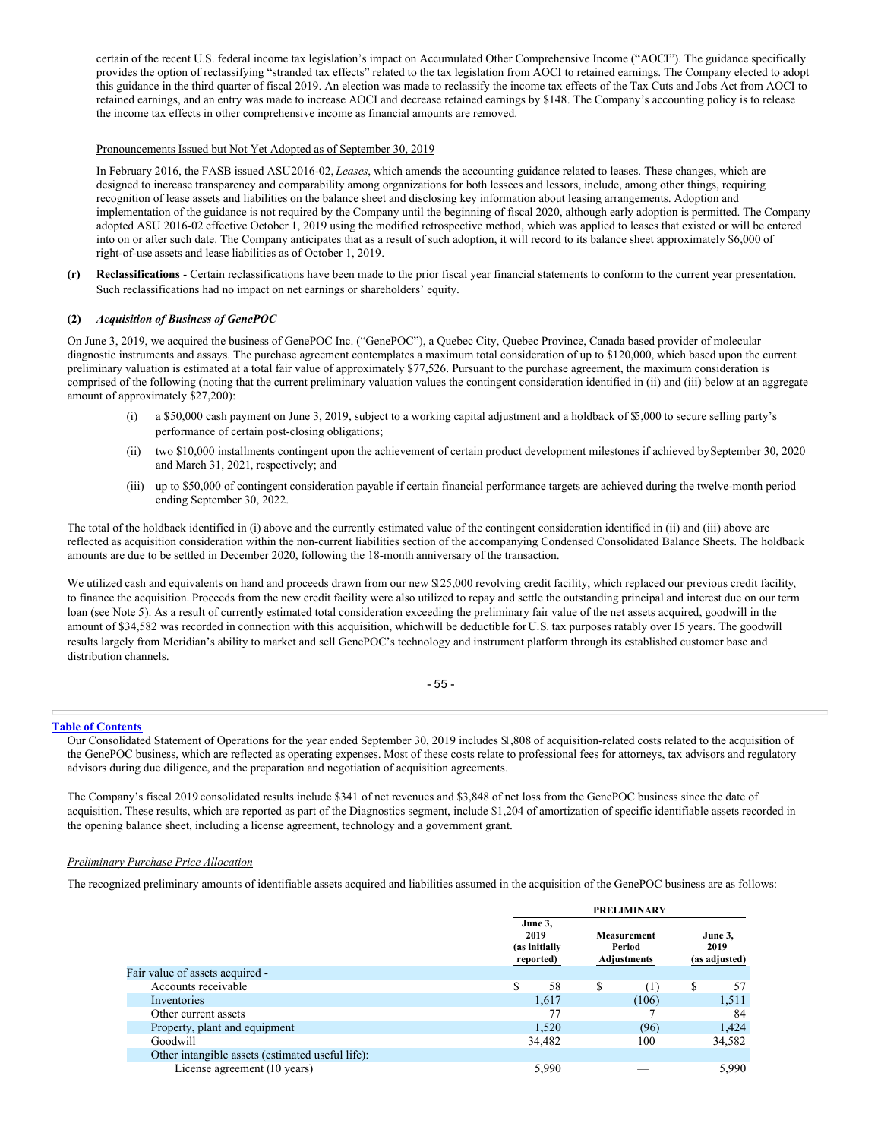certain of the recent U.S. federal income tax legislation's impact on Accumulated Other Comprehensive Income ("AOCI"). The guidance specifically provides the option of reclassifying "stranded tax effects" related to the tax legislation from AOCI to retained earnings. The Company elected to adopt this guidance in the third quarter of fiscal 2019. An election was made to reclassify the income tax effects of the Tax Cuts and Jobs Act from AOCI to retained earnings, and an entry was made to increase AOCI and decrease retained earnings by \$148. The Company's accounting policy is to release the income tax effects in other comprehensive income as financial amounts are removed.

#### Pronouncements Issued but Not Yet Adopted as of September 30, 2019

In February 2016, the FASB issued ASU2016-02, *Leases*, which amends the accounting guidance related to leases. These changes, which are designed to increase transparency and comparability among organizations for both lessees and lessors, include, among other things, requiring recognition of lease assets and liabilities on the balance sheet and disclosing key information about leasing arrangements. Adoption and implementation of the guidance is not required by the Company until the beginning of fiscal 2020, although early adoption is permitted. The Company adopted ASU 2016-02 effective October 1, 2019 using the modified retrospective method, which was applied to leases that existed or will be entered into on or after such date. The Company anticipates that as a result of such adoption, it will record to its balance sheet approximately \$6,000 of right-of-use assets and lease liabilities as of October 1, 2019.

**(r) Reclassifications** - Certain reclassifications have been made to the prior fiscal year financial statements to conform to the current year presentation. Such reclassifications had no impact on net earnings or shareholders' equity.

# **(2)** *Acquisition of Business of GenePOC*

On June 3, 2019, we acquired the business of GenePOC Inc. ("GenePOC"), a Quebec City, Quebec Province, Canada based provider of molecular diagnostic instruments and assays. The purchase agreement contemplates a maximum total consideration of up to \$120,000, which based upon the current preliminary valuation is estimated at a total fair value of approximately \$77,526. Pursuant to the purchase agreement, the maximum consideration is comprised of the following (noting that the current preliminary valuation values the contingent consideration identified in (ii) and (iii) below at an aggregate amount of approximately \$27,200):

- (i) a \$50,000 cash payment on June 3, 2019, subject to a working capital adjustment and a holdback of \$5,000 to secure selling party's performance of certain post-closing obligations;
- two \$10,000 installments contingent upon the achievement of certain product development milestones if achieved bySeptember 30, 2020 and March 31, 2021, respectively; and
- (iii) up to \$50,000 of contingent consideration payable if certain financial performance targets are achieved during the twelve-month period ending September 30, 2022.

The total of the holdback identified in (i) above and the currently estimated value of the contingent consideration identified in (ii) and (iii) above are reflected as acquisition consideration within the non-current liabilities section of the accompanying Condensed Consolidated Balance Sheets. The holdback amounts are due to be settled in December 2020, following the 18-month anniversary of the transaction.

We utilized cash and equivalents on hand and proceeds drawn from our new \$125,000 revolving credit facility, which replaced our previous credit facility, to finance the acquisition. Proceeds from the new credit facility were also utilized to repay and settle the outstanding principal and interest due on our term loan (see Note 5). As a result of currently estimated total consideration exceeding the preliminary fair value of the net assets acquired, goodwill in the amount of \$34,582 was recorded in connection with this acquisition, whichwill be deductible for U.S. tax purposes ratably over 15 years. The goodwill results largely from Meridian's ability to market and sell GenePOC's technology and instrument platform through its established customer base and distribution channels.

#### - 55 -

#### **Table of [Contents](#page-1-0)**

Our Consolidated Statement of Operations for the year ended September 30, 2019 includes \$1,808 of acquisition-related costs related to the acquisition of the GenePOC business, which are reflected as operating expenses. Most of these costs relate to professional fees for attorneys, tax advisors and regulatory advisors during due diligence, and the preparation and negotiation of acquisition agreements.

The Company's fiscal 2019 consolidated results include \$341 of net revenues and \$3,848 of net loss from the GenePOC business since the date of acquisition. These results, which are reported as part of the Diagnostics segment, include \$1,204 of amortization of specific identifiable assets recorded in the opening balance sheet, including a license agreement, technology and a government grant.

#### *Preliminary Purchase Price Allocation*

The recognized preliminary amounts of identifiable assets acquired and liabilities assumed in the acquisition of the GenePOC business are as follows:

|                                                  | <b>PRELIMINARY</b>                            |                                                    |                                  |
|--------------------------------------------------|-----------------------------------------------|----------------------------------------------------|----------------------------------|
|                                                  | June 3,<br>2019<br>(as initially<br>reported) | <b>Measurement</b><br>Period<br><b>Adjustments</b> | June 3,<br>2019<br>(as adjusted) |
| Fair value of assets acquired -                  |                                               |                                                    |                                  |
| Accounts receivable                              | S<br>58                                       | S<br>(1)                                           | \$<br>57                         |
| <b>Inventories</b>                               | 1,617                                         | (106)                                              | 1,511                            |
| Other current assets                             |                                               |                                                    | 84                               |
| Property, plant and equipment                    | 1,520                                         | (96)                                               | 1,424                            |
| Goodwill                                         | 34,482                                        | 100                                                | 34,582                           |
| Other intangible assets (estimated useful life): |                                               |                                                    |                                  |
| License agreement (10 years)                     | 5,990                                         |                                                    | 5,990                            |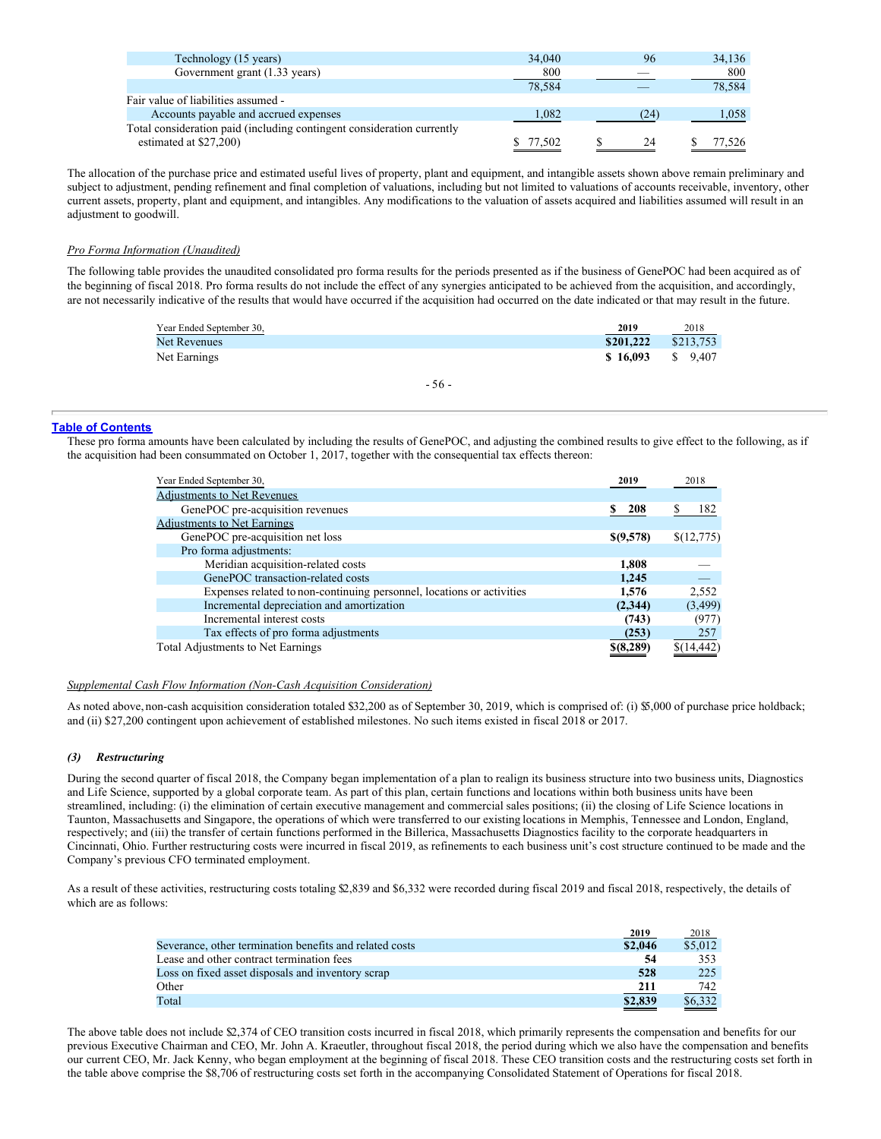| Technology (15 years)                                                  | 34,040 | 96   | 34,136 |
|------------------------------------------------------------------------|--------|------|--------|
| Government grant (1.33 years)                                          | 800    |      | 800    |
|                                                                        | 78.584 |      | 78,584 |
| Fair value of liabilities assumed -                                    |        |      |        |
| Accounts payable and accrued expenses                                  | 1,082  | (24) | 1.058  |
| Total consideration paid (including contingent consideration currently |        |      |        |
| estimated at \$27,200)                                                 | 77,502 | 24   | 7.526  |

The allocation of the purchase price and estimated useful lives of property, plant and equipment, and intangible assets shown above remain preliminary and subject to adjustment, pending refinement and final completion of valuations, including but not limited to valuations of accounts receivable, inventory, other current assets, property, plant and equipment, and intangibles. Any modifications to the valuation of assets acquired and liabilities assumed will result in an adjustment to goodwill.

# *Pro Forma Information (Unaudited)*

The following table provides the unaudited consolidated pro forma results for the periods presented as if the business of GenePOC had been acquired as of the beginning of fiscal 2018. Pro forma results do not include the effect of any synergies anticipated to be achieved from the acquisition, and accordingly, are not necessarily indicative of the results that would have occurred if the acquisition had occurred on the date indicated or that may result in the future.

| Year Ended September 30, | 2019      | 2018      |
|--------------------------|-----------|-----------|
| <b>Net Revenues</b>      | \$201.222 | \$213,753 |
| Net Earnings             | \$16,093  | \$ 9.407  |
|                          |           |           |

#### - 56 -

# **Table of [Contents](#page-1-0)**

These pro forma amounts have been calculated by including the results of GenePOC, and adjusting the combined results to give effect to the following, as if the acquisition had been consummated on October 1, 2017, together with the consequential tax effects thereon:

| Year Ended September 30,                                              | 2019        | 2018        |
|-----------------------------------------------------------------------|-------------|-------------|
| <b>Adjustments to Net Revenues</b>                                    |             |             |
| GenePOC pre-acquisition revenues                                      | 208         | 182         |
| <b>Adjustments to Net Earnings</b>                                    |             |             |
| GenePOC pre-acquisition net loss                                      | \$(9,578)   | \$(12,775)  |
| Pro forma adjustments:                                                |             |             |
| Meridian acquisition-related costs                                    | 1,808       |             |
| GenePOC transaction-related costs                                     | 1,245       |             |
| Expenses related to non-continuing personnel, locations or activities | 1,576       | 2,552       |
| Incremental depreciation and amortization                             | (2,344)     | (3,499)     |
| Incremental interest costs                                            | (743)       | (977)       |
| Tax effects of pro forma adjustments                                  | (253)       | 257         |
| <b>Total Adjustments to Net Earnings</b>                              | \$ (8, 289) | \$(14, 442) |

#### *Supplemental Cash Flow Information (Non-Cash Acquisition Consideration)*

As noted above, non-cash acquisition consideration totaled \$32,200 as of September 30, 2019, which is comprised of: (i) \$5,000 of purchase price holdback; and (ii) \$27,200 contingent upon achievement of established milestones. No such items existed in fiscal 2018 or 2017.

#### *(3) Restructuring*

During the second quarter of fiscal 2018, the Company began implementation of a plan to realign its business structure into two business units, Diagnostics and Life Science, supported by a global corporate team. As part of this plan, certain functions and locations within both business units have been streamlined, including: (i) the elimination of certain executive management and commercial sales positions; (ii) the closing of Life Science locations in Taunton, Massachusetts and Singapore, the operations of which were transferred to our existing locations in Memphis, Tennessee and London, England, respectively; and (iii) the transfer of certain functions performed in the Billerica, Massachusetts Diagnostics facility to the corporate headquarters in Cincinnati, Ohio. Further restructuring costs were incurred in fiscal 2019, as refinements to each business unit's cost structure continued to be made and the Company's previous CFO terminated employment.

As a result of these activities, restructuring costs totaling \$2,839 and \$6,332 were recorded during fiscal 2019 and fiscal 2018, respectively, the details of which are as follows:

|                                                         | 2019    | 2018    |
|---------------------------------------------------------|---------|---------|
| Severance, other termination benefits and related costs | \$2,046 | \$5,012 |
| Lease and other contract termination fees               | 54      | 353     |
| Loss on fixed asset disposals and inventory scrap       | 528     | 225     |
| Other                                                   | 211     | 742     |
| Total                                                   | \$2,839 | \$6.332 |

The above table does not include \$2,374 of CEO transition costs incurred in fiscal 2018, which primarily represents the compensation and benefits for our previous Executive Chairman and CEO, Mr. John A. Kraeutler, throughout fiscal 2018, the period during which we also have the compensation and benefits our current CEO, Mr. Jack Kenny, who began employment at the beginning of fiscal 2018. These CEO transition costs and the restructuring costs set forth in the table above comprise the \$8,706 of restructuring costs set forth in the accompanying Consolidated Statement of Operations for fiscal 2018.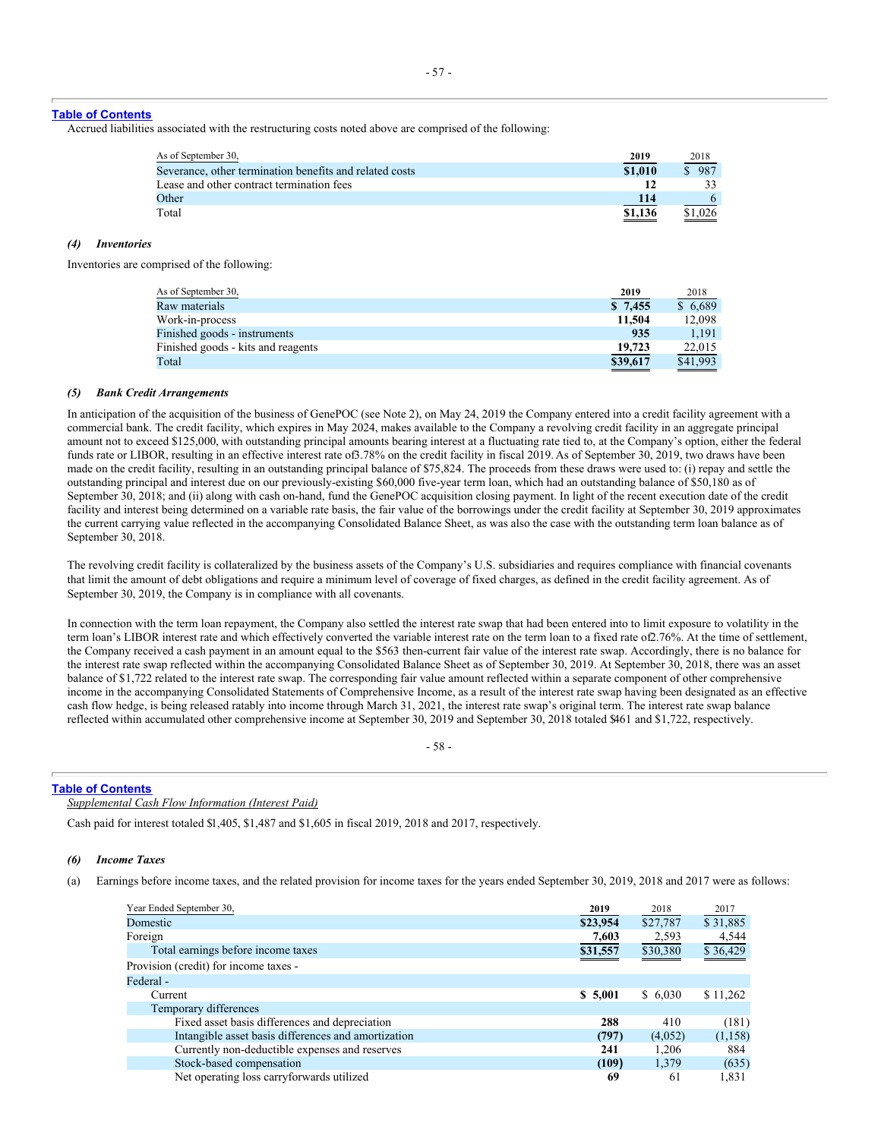## **Table of [Contents](#page-1-0)**

Accrued liabilities associated with the restructuring costs noted above are comprised of the following:

| As of September 30,                                     | 2019    | 2018    |
|---------------------------------------------------------|---------|---------|
| Severance, other termination benefits and related costs | \$1,010 | \$987   |
| Lease and other contract termination fees               |         | 33      |
| Other                                                   | 114     | 6       |
| Total                                                   | \$1,136 | \$1,026 |

# *(4) Inventories*

Inventories are comprised of the following:

| As of September 30,                | 2019     | 2018     |
|------------------------------------|----------|----------|
| Raw materials                      | \$7,455  | \$6,689  |
| Work-in-process                    | 11.504   | 12.098   |
| Finished goods - instruments       | 935      | 1.191    |
| Finished goods - kits and reagents | 19,723   | 22,015   |
| Total                              | \$39,617 | \$41,993 |

## *(5) Bank Credit Arrangements*

In anticipation of the acquisition of the business of GenePOC (see Note 2), on May 24, 2019 the Company entered into a credit facility agreement with a commercial bank. The credit facility, which expires in May 2024, makes available to the Company a revolving credit facility in an aggregate principal amount not to exceed \$125,000, with outstanding principal amounts bearing interest at a fluctuating rate tied to, at the Company's option, either the federal funds rate or LIBOR, resulting in an effective interest rate of 3.78% on the credit facility in fiscal 2019. As of September 30, 2019, two draws have been made on the credit facility, resulting in an outstanding principal balance of \$75,824. The proceeds from these draws were used to: (i) repay and settle the outstanding principal and interest due on our previously-existing \$60,000 five-year term loan, which had an outstanding balance of \$50,180 as of September 30, 2018; and (ii) along with cash on-hand, fund the GenePOC acquisition closing payment. In light of the recent execution date of the credit facility and interest being determined on a variable rate basis, the fair value of the borrowings under the credit facility at September 30, 2019 approximates the current carrying value reflected in the accompanying Consolidated Balance Sheet, as was also the case with the outstanding term loan balance as of September 30, 2018.

The revolving credit facility is collateralized by the business assets of the Company's U.S. subsidiaries and requires compliance with financial covenants that limit the amount of debt obligations and require a minimum level of coverage of fixed charges, as defined in the credit facility agreement. As of September 30, 2019, the Company is in compliance with all covenants.

In connection with the term loan repayment, the Company also settled the interest rate swap that had been entered into to limit exposure to volatility in the term loan's LIBOR interest rate and which effectively converted the variable interest rate on the term loan to a fixed rate of2.76%. At the time of settlement, the Company received a cash payment in an amount equal to the \$563 then-current fair value of the interest rate swap. Accordingly, there is no balance for the interest rate swap reflected within the accompanying Consolidated Balance Sheet as of September 30, 2019. At September 30, 2018, there was an asset balance of \$1,722 related to the interest rate swap. The corresponding fair value amount reflected within a separate component of other comprehensive income in the accompanying Consolidated Statements of Comprehensive Income, as a result of the interest rate swap having been designated as an effective cash flow hedge, is being released ratably into income through March 31, 2021, the interest rate swap's original term. The interest rate swap balance reflected within accumulated other comprehensive income at September 30, 2019 and September 30, 2018 totaled \$461 and \$1,722, respectively.

- 58 -

#### **Table of [Contents](#page-1-0)**

*Supplemental Cash Flow Information (Interest Paid)*

Cash paid for interest totaled \$1,405, \$1,487 and \$1,605 in fiscal 2019, 2018 and 2017, respectively.

#### *(6) Income Taxes*

(a) Earnings before income taxes, and the related provision for income taxes for the years ended September 30, 2019, 2018 and 2017 were as follows:

| Year Ended September 30,                            | 2019     | 2018     | 2017     |
|-----------------------------------------------------|----------|----------|----------|
| Domestic                                            | \$23,954 | \$27,787 | \$31,885 |
| Foreign                                             | 7,603    | 2,593    | 4,544    |
| Total earnings before income taxes                  | \$31,557 | \$30,380 | \$36,429 |
| Provision (credit) for income taxes -               |          |          |          |
| Federal -                                           |          |          |          |
| Current                                             | \$5,001  | \$6,030  | \$11,262 |
| Temporary differences                               |          |          |          |
| Fixed asset basis differences and depreciation      | 288      | 410      | (181)    |
| Intangible asset basis differences and amortization | (797)    | (4,052)  | (1, 158) |
| Currently non-deductible expenses and reserves      | 241      | 1,206    | 884      |
| Stock-based compensation                            | (109)    | 1,379    | (635)    |
| Net operating loss carryforwards utilized           | -69      | 61       | 1,831    |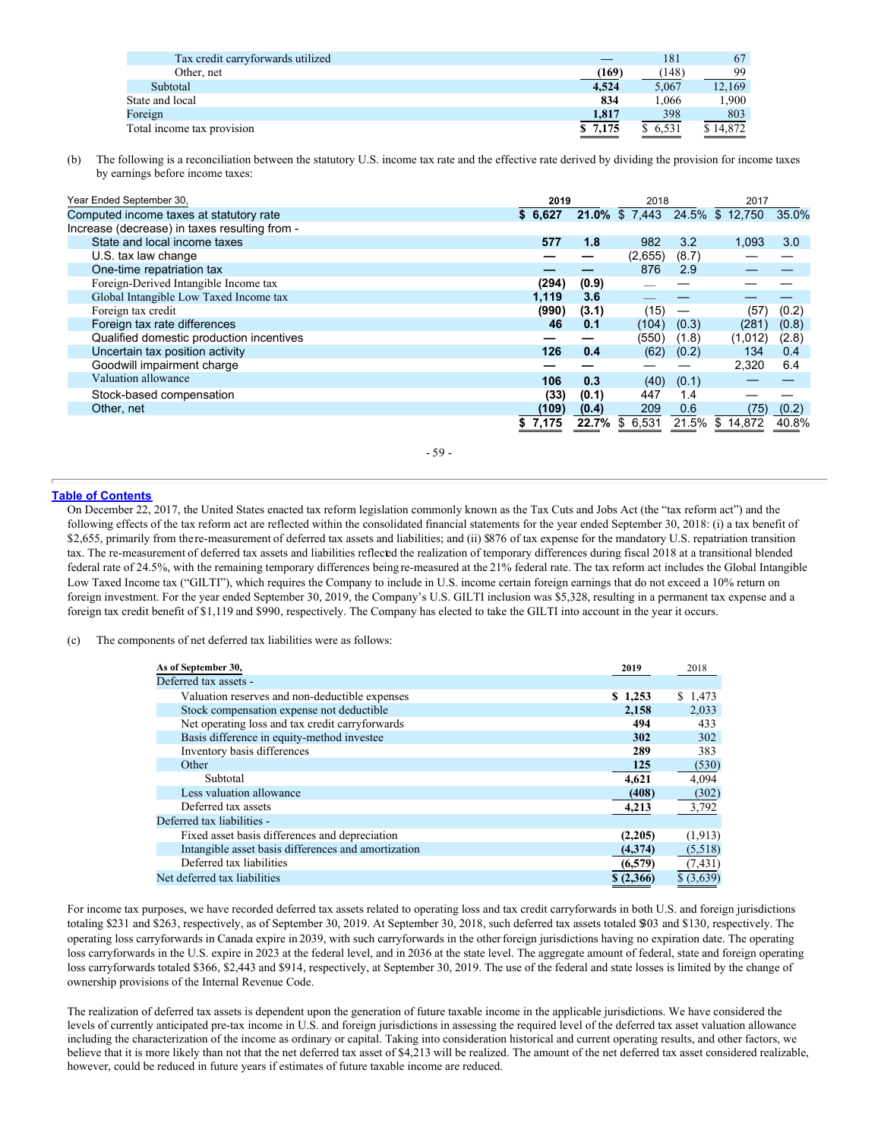| 67       |
|----------|
| 99       |
| 12.169   |
| 1.900    |
| 803      |
| \$14,872 |
|          |

(b) The following is a reconciliation between the statutory U.S. income tax rate and the effective rate derived by dividing the provision for income taxes by earnings before income taxes:

| Year Ended September 30,                      | 2019    |       | 2018        |       | 2017                           |       |
|-----------------------------------------------|---------|-------|-------------|-------|--------------------------------|-------|
| Computed income taxes at statutory rate       | \$6.627 |       |             |       | 21.0% \$ 7,443 24.5% \$ 12,750 | 35.0% |
| Increase (decrease) in taxes resulting from - |         |       |             |       |                                |       |
| State and local income taxes                  | 577     | 1.8   | 982         | 3.2   | 1,093                          | 3.0   |
| U.S. tax law change                           |         |       | (2,655)     | (8.7) |                                |       |
| One-time repatriation tax                     |         |       | 876         | 2.9   |                                |       |
| Foreign-Derived Intangible Income tax         | (294)   | (0.9) |             |       |                                |       |
| Global Intangible Low Taxed Income tax        | 1,119   | 3.6   |             |       |                                |       |
| Foreign tax credit                            | (990)   | (3.1) | (15)        |       | (57)                           | (0.2) |
| Foreign tax rate differences                  | 46      | 0.1   | (104)       | (0.3) | (281)                          | (0.8) |
| Qualified domestic production incentives      |         |       | (550)       | (1.8) | (1,012)                        | (2.8) |
| Uncertain tax position activity               | 126     | 0.4   | (62)        | (0.2) | 134                            | 0.4   |
| Goodwill impairment charge                    |         |       |             |       | 2,320                          | 6.4   |
| Valuation allowance                           | 106     | 0.3   | (40)        | (0.1) |                                |       |
| Stock-based compensation                      | (33)    | (0.1) | 447         | 1.4   |                                |       |
| Other, net                                    | (109)   | (0.4) | 209         | 0.6   | (75)                           | (0.2) |
|                                               | 7,175   | 22.7% | 6,531<br>\$ | 21.5% | \$14,872                       | 40.8% |

- 59 -

## **Table of [Contents](#page-1-0)**

On December 22, 2017, the United States enacted tax reform legislation commonly known as the Tax Cuts and Jobs Act (the "tax reform act") and the following effects of the tax reform act are reflected within the consolidated financial statements for the year ended September 30, 2018: (i) a tax benefit of \$2,655, primarily from the re-measurement of deferred tax assets and liabilities; and (ii) \$876 of tax expense for the mandatory U.S. repatriation transition tax. The re-measurement of deferred tax assets and liabilities reflected the realization of temporary differences during fiscal 2018 at a transitional blended federal rate of 24.5%, with the remaining temporary differences being re-measured at the 21% federal rate. The tax reform act includes the Global Intangible Low Taxed Income tax ("GILTI"), which requires the Company to include in U.S. income certain foreign earnings that do not exceed a 10% return on foreign investment. For the year ended September 30, 2019, the Company's U.S. GILTI inclusion was \$5,328, resulting in a permanent tax expense and a foreign tax credit benefit of \$1,119 and \$990, respectively. The Company has elected to take the GILTI into account in the year it occurs.

(c) The components of net deferred tax liabilities were as follows:

| As of September 30,                                 | 2019      | 2018       |
|-----------------------------------------------------|-----------|------------|
| Deferred tax assets -                               |           |            |
| Valuation reserves and non-deductible expenses      | \$1,253   | \$1,473    |
| Stock compensation expense not deductible           | 2,158     | 2,033      |
| Net operating loss and tax credit carryforwards     | 494       | 433        |
| Basis difference in equity-method investee          | 302       | 302        |
| Inventory basis differences                         | 289       | 383        |
| Other                                               | 125       | (530)      |
| Subtotal                                            | 4,621     | 4,094      |
| Less valuation allowance                            | (408)     | (302)      |
| Deferred tax assets                                 | 4,213     | 3,792      |
| Deferred tax liabilities -                          |           |            |
| Fixed asset basis differences and depreciation      | (2,205)   | (1,913)    |
| Intangible asset basis differences and amortization | (4,374)   | (5,518)    |
| Deferred tax liabilities                            | (6,579)   | (7, 431)   |
| Net deferred tax liabilities                        | \$(2,366) | \$ (3,639) |

For income tax purposes, we have recorded deferred tax assets related to operating loss and tax credit carryforwards in both U.S. and foreign jurisdictions totaling \$231 and \$263, respectively, as of September 30, 2019. At September 30, 2018, such deferred tax assets totaled \$303 and \$130, respectively. The operating loss carryforwards in Canada expire in 2039, with such carryforwards in the other foreign jurisdictions having no expiration date. The operating loss carryforwards in the U.S. expire in 2023 at the federal level, and in 2036 at the state level. The aggregate amount of federal, state and foreign operating loss carryforwards totaled \$366, \$2,443 and \$914, respectively, at September 30, 2019. The use of the federal and state losses is limited by the change of ownership provisions of the Internal Revenue Code.

The realization of deferred tax assets is dependent upon the generation of future taxable income in the applicable jurisdictions. We have considered the levels of currently anticipated pre-tax income in U.S. and foreign jurisdictions in assessing the required level of the deferred tax asset valuation allowance including the characterization of the income as ordinary or capital. Taking into consideration historical and current operating results, and other factors, we believe that it is more likely than not that the net deferred tax asset of \$4,213 will be realized. The amount of the net deferred tax asset considered realizable, however, could be reduced in future years if estimates of future taxable income are reduced.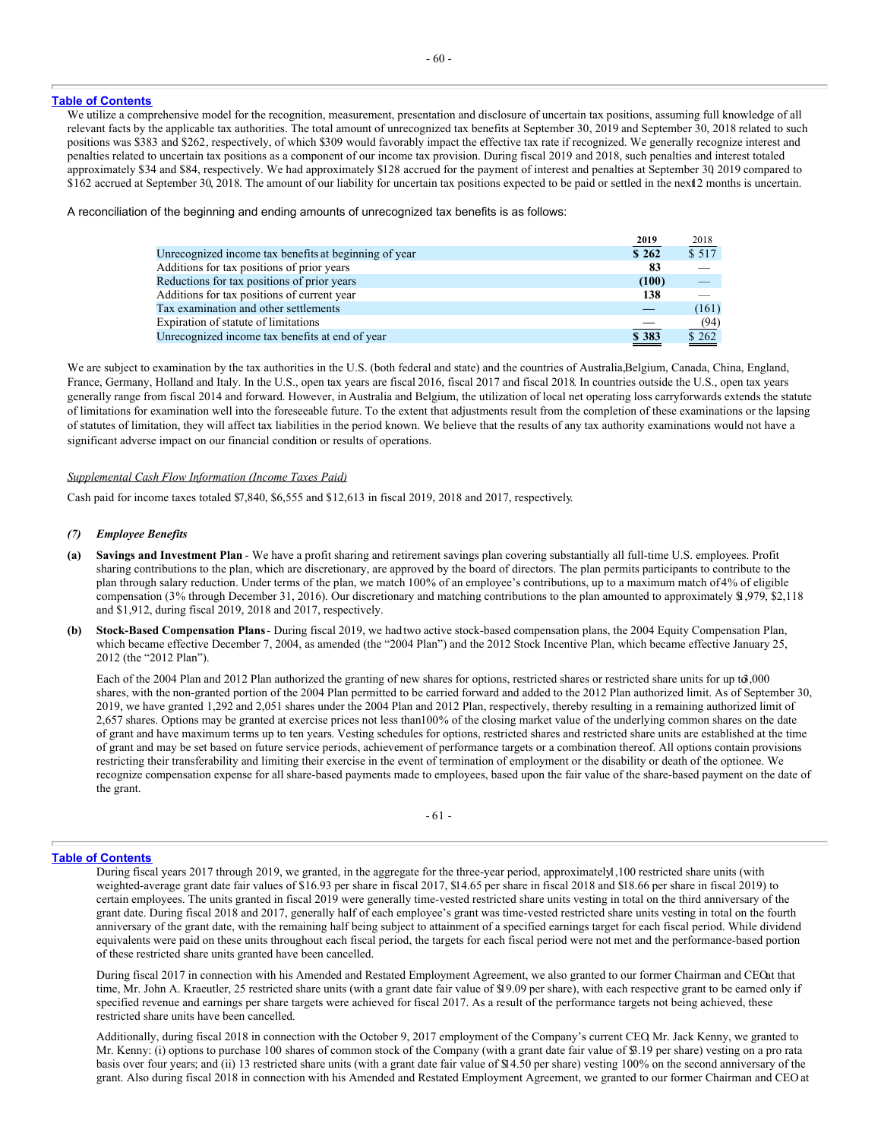## **Table of [Contents](#page-1-0)**

We utilize a comprehensive model for the recognition, measurement, presentation and disclosure of uncertain tax positions, assuming full knowledge of all relevant facts by the applicable tax authorities. The total amount of unrecognized tax benefits at September 30, 2019 and September 30, 2018 related to such positions was \$383 and \$262, respectively, of which \$309 would favorably impact the effective tax rate if recognized. We generally recognize interest and penalties related to uncertain tax positions as a component of our income tax provision. During fiscal 2019 and 2018, such penalties and interest totaled approximately \$34 and \$84, respectively. We had approximately \$128 accrued for the payment of interest and penalties at September 30, 2019 compared to \$162 accrued at September 30, 2018. The amount of our liability for uncertain tax positions expected to be paid or settled in the next 2 months is uncertain.

A reconciliation of the beginning and ending amounts of unrecognized tax benefits is as follows:

|                                                       | 2019  |                      |
|-------------------------------------------------------|-------|----------------------|
| Unrecognized income tax benefits at beginning of year | \$262 | $\frac{2018}{\$517}$ |
| Additions for tax positions of prior years            | 83    |                      |
| Reductions for tax positions of prior years           | (100) |                      |
| Additions for tax positions of current year           | 138   |                      |
| Tax examination and other settlements                 |       | (161)                |
| Expiration of statute of limitations                  |       | (94)                 |
| Unrecognized income tax benefits at end of year       | \$383 | \$262                |

We are subject to examination by the tax authorities in the U.S. (both federal and state) and the countries of Australia,Belgium, Canada, China, England, France, Germany, Holland and Italy. In the U.S., open tax years are fiscal 2016, fiscal 2017 and fiscal 2018. In countries outside the U.S., open tax years generally range from fiscal 2014 and forward. However, in Australia and Belgium, the utilization of local net operating loss carryforwards extends the statute of limitations for examination well into the foreseeable future. To the extent that adjustments result from the completion of these examinations or the lapsing of statutes of limitation, they will affect tax liabilities in the period known. We believe that the results of any tax authority examinations would not have a significant adverse impact on our financial condition or results of operations.

#### *Supplemental Cash Flow Information (Income Taxes Paid)*

Cash paid for income taxes totaled \$7,840, \$6,555 and \$12,613 in fiscal 2019, 2018 and 2017, respectively.

#### *(7) Employee Benefits*

- **(a) Savings and Investment Plan** We have a profit sharing and retirement savings plan covering substantially all full-time U.S. employees. Profit sharing contributions to the plan, which are discretionary, are approved by the board of directors. The plan permits participants to contribute to the plan through salary reduction. Under terms of the plan, we match 100% of an employee's contributions, up to a maximum match of 4% of eligible compensation (3% through December 31, 2016). Our discretionary and matching contributions to the plan amounted to approximately \$1,979, \$2,118 and \$1,912, during fiscal 2019, 2018 and 2017, respectively.
- **(b) Stock-Based Compensation Plans** During fiscal 2019, we hadtwo active stock-based compensation plans, the 2004 Equity Compensation Plan, which became effective December 7, 2004, as amended (the "2004 Plan") and the 2012 Stock Incentive Plan, which became effective January 25, 2012 (the "2012 Plan").

Each of the 2004 Plan and 2012 Plan authorized the granting of new shares for options, restricted shares or restricted share units for up to 3,000 shares, with the non-granted portion of the 2004 Plan permitted to be carried forward and added to the 2012 Plan authorized limit. As of September 30, 2019, we have granted 1,292 and 2,051 shares under the 2004 Plan and 2012 Plan, respectively, thereby resulting in a remaining authorized limit of 2,657 shares. Options may be granted at exercise prices not less than100% of the closing market value of the underlying common shares on the date of grant and have maximum terms up to ten years. Vesting schedules for options, restricted shares and restricted share units are established at the time of grant and may be set based on future service periods, achievement of performance targets or a combination thereof. All options contain provisions restricting their transferability and limiting their exercise in the event of termination of employment or the disability or death of the optionee. We recognize compensation expense for all share-based payments made to employees, based upon the fair value of the share-based payment on the date of the grant.

# - 61 -

#### **Table of [Contents](#page-1-0)**

During fiscal years 2017 through 2019, we granted, in the aggregate for the three-year period, approximatelyl, 100 restricted share units (with weighted-average grant date fair values of \$16.93 per share in fiscal 2017, \$14.65 per share in fiscal 2018 and \$18.66 per share in fiscal 2019) to certain employees. The units granted in fiscal 2019 were generally time-vested restricted share units vesting in total on the third anniversary of the grant date. During fiscal 2018 and 2017, generally half of each employee's grant was time-vested restricted share units vesting in total on the fourth anniversary of the grant date, with the remaining half being subject to attainment of a specified earnings target for each fiscal period. While dividend equivalents were paid on these units throughout each fiscal period, the targets for each fiscal period were not met and the performance-based portion of these restricted share units granted have been cancelled.

During fiscal 2017 in connection with his Amended and Restated Employment Agreement, we also granted to our former Chairman and CEOat that time, Mr. John A. Kraeutler, 25 restricted share units (with a grant date fair value of \$19.09 per share), with each respective grant to be earned only if specified revenue and earnings per share targets were achieved for fiscal 2017. As a result of the performance targets not being achieved, these restricted share units have been cancelled.

Additionally, during fiscal 2018 in connection with the October 9, 2017 employment of the Company's current CEO, Mr. Jack Kenny, we granted to Mr. Kenny: (i) options to purchase 100 shares of common stock of the Company (with a grant date fair value of \$3.19 per share) vesting on a pro rata basis over four years; and (ii) 13 restricted share units (with a grant date fair value of \$14.50 per share) vesting 100% on the second anniversary of the grant. Also during fiscal 2018 in connection with his Amended and Restated Employment Agreement, we granted to our former Chairman and CEO at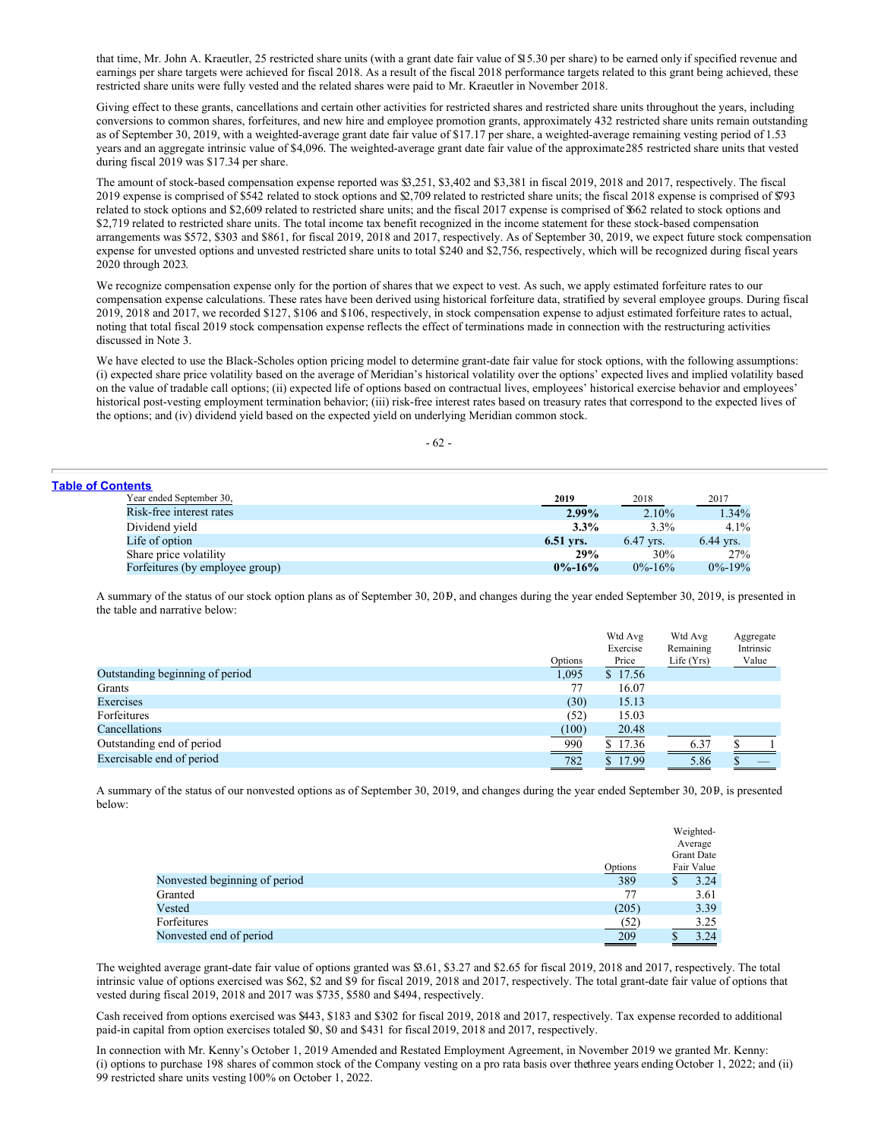that time, Mr. John A. Kraeutler, 25 restricted share units (with a grant date fair value of \$15.30 per share) to be earned only if specified revenue and earnings per share targets were achieved for fiscal 2018. As a result of the fiscal 2018 performance targets related to this grant being achieved, these restricted share units were fully vested and the related shares were paid to Mr. Kraeutler in November 2018.

Giving effect to these grants, cancellations and certain other activities for restricted shares and restricted share units throughout the years, including conversions to common shares, forfeitures, and new hire and employee promotion grants, approximately 432 restricted share units remain outstanding as of September 30, 2019, with a weighted-average grant date fair value of \$17.17 per share, a weighted-average remaining vesting period of 1.53 years and an aggregate intrinsic value of \$4,096. The weighted-average grant date fair value of the approximate285 restricted share units that vested during fiscal 2019 was \$17.34 per share.

The amount of stock-based compensation expense reported was \$3,251, \$3,402 and \$3,381 in fiscal 2019, 2018 and 2017, respectively. The fiscal 2019 expense is comprised of \$542 related to stock options and \$2,709 related to restricted share units; the fiscal 2018 expense is comprised of \$793 related to stock options and \$2,609 related to restricted share units; and the fiscal 2017 expense is comprised of \$662 related to stock options and \$2,719 related to restricted share units. The total income tax benefit recognized in the income statement for these stock-based compensation arrangements was \$572, \$303 and \$861, for fiscal 2019, 2018 and 2017, respectively. As of September 30, 2019, we expect future stock compensation expense for unvested options and unvested restricted share units to total \$240 and \$2,756, respectively, which will be recognized during fiscal years 2020 through 2023.

We recognize compensation expense only for the portion of shares that we expect to vest. As such, we apply estimated forfeiture rates to our compensation expense calculations. These rates have been derived using historical forfeiture data, stratified by several employee groups. During fiscal 2019, 2018 and 2017, we recorded \$127, \$106 and \$106, respectively, in stock compensation expense to adjust estimated forfeiture rates to actual, noting that total fiscal 2019 stock compensation expense reflects the effect of terminations made in connection with the restructuring activities discussed in Note 3.

We have elected to use the Black-Scholes option pricing model to determine grant-date fair value for stock options, with the following assumptions: (i) expected share price volatility based on the average of Meridian's historical volatility over the options' expected lives and implied volatility based on the value of tradable call options; (ii) expected life of options based on contractual lives, employees' historical exercise behavior and employees' historical post-vesting employment termination behavior; (iii) risk-free interest rates based on treasury rates that correspond to the expected lives of the options; and (iv) dividend yield based on the expected yield on underlying Meridian common stock.

| I<br>٧<br>× |
|-------------|
|-------------|

| <b>Table of Contents</b>        |              |              |              |
|---------------------------------|--------------|--------------|--------------|
| Year ended September 30,        | 2019         | 2018         | 2017         |
| Risk-free interest rates        | 2.99%        | $2.10\%$     | 1.34%        |
| Dividend yield                  | 3.3%         | 3.3%         | 4.1%         |
| Life of option                  | 6.51 yrs.    | 6.47 vrs.    | $6.44$ yrs.  |
| Share price volatility          | 29%          | 30%          | 27%          |
| Forfeitures (by employee group) | $0\% - 16\%$ | $0\% - 16\%$ | $0\% - 19\%$ |

A summary of the status of our stock option plans as of September 30, 2019, and changes during the year ended September 30, 2019, is presented in the table and narrative below:

|                                 |         | Wtd Avg<br>Exercise | Wtd Avg<br>Remaining | Aggregate<br>Intrinsic |
|---------------------------------|---------|---------------------|----------------------|------------------------|
|                                 | Options | Price               | Life (Yrs)           | Value                  |
| Outstanding beginning of period | 1,095   | \$17.56             |                      |                        |
| Grants                          | 77      | 16.07               |                      |                        |
| Exercises                       | (30)    | 15.13               |                      |                        |
| Forfeitures                     | (52)    | 15.03               |                      |                        |
| Cancellations                   | (100)   | 20.48               |                      |                        |
| Outstanding end of period       | 990     | \$17.36             | 6.37                 |                        |
| Exercisable end of period       | 782     | \$17.99             | 5.86                 |                        |

A summary of the status of our nonvested options as of September 30, 2019, and changes during the year ended September 30, 2019, is presented below:

|                               |         | Weighted-<br>Average |
|-------------------------------|---------|----------------------|
|                               |         | <b>Grant Date</b>    |
|                               | Options | Fair Value           |
| Nonvested beginning of period | 389     | 3.24<br>S            |
| Granted                       | 77      | 3.61                 |
| Vested                        | (205)   | 3.39                 |
| Forfeitures                   | (52)    | 3.25                 |
| Nonvested end of period       | 209     | 3.24                 |

The weighted average grant-date fair value of options granted was \$3.61, \$3.27 and \$2.65 for fiscal 2019, 2018 and 2017, respectively. The total intrinsic value of options exercised was \$62, \$2 and \$9 for fiscal 2019, 2018 and 2017, respectively. The total grant-date fair value of options that vested during fiscal 2019, 2018 and 2017 was \$735, \$580 and \$494, respectively.

Cash received from options exercised was \$443, \$183 and \$302 for fiscal 2019, 2018 and 2017, respectively. Tax expense recorded to additional paid-in capital from option exercises totaled \$0, \$0 and \$431 for fiscal 2019, 2018 and 2017, respectively.

In connection with Mr. Kenny's October 1, 2019 Amended and Restated Employment Agreement, in November 2019 we granted Mr. Kenny: (i) options to purchase 198 shares of common stock of the Company vesting on a pro rata basis over thethree years ending October 1, 2022; and (ii) 99 restricted share units vesting100% on October 1, 2022.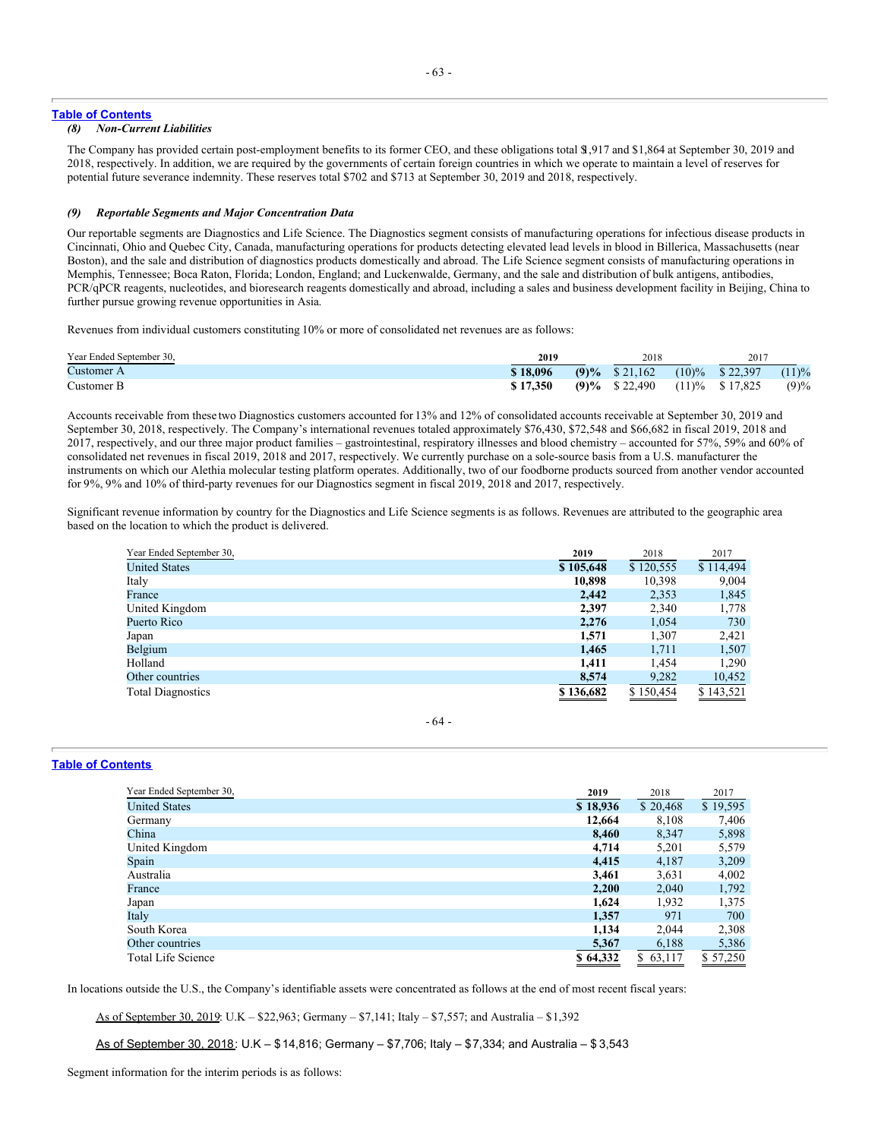#### **Table of [Contents](#page-1-0)**

#### *(8) Non-Current Liabilities*

The Company has provided certain post-employment benefits to its former CEO, and these obligations total \$1,917 and \$1,864 at September 30, 2019 and 2018, respectively. In addition, we are required by the governments of certain foreign countries in which we operate to maintain a level of reserves for potential future severance indemnity. These reserves total \$702 and \$713 at September 30, 2019 and 2018, respectively.

#### *(9) Reportable Segments and Major Concentration Data*

Our reportable segments are Diagnostics and Life Science. The Diagnostics segment consists of manufacturing operations for infectious disease products in Cincinnati, Ohio and Quebec City, Canada, manufacturing operations for products detecting elevated lead levels in blood in Billerica, Massachusetts (near Boston), and the sale and distribution of diagnostics products domestically and abroad. The Life Science segment consists of manufacturing operations in Memphis, Tennessee; Boca Raton, Florida; London, England; and Luckenwalde, Germany, and the sale and distribution of bulk antigens, antibodies, PCR/qPCR reagents, nucleotides, and bioresearch reagents domestically and abroad, including a sales and business development facility in Beijing, China to further pursue growing revenue opportunities in Asia.

Revenues from individual customers constituting 10% or more of consolidated net revenues are as follows:

| Year Ended September 30, | 2019     | 2018                               | 2017               |         |
|--------------------------|----------|------------------------------------|--------------------|---------|
| Customer A               | \$18,096 | $(9)\%$ \$ 21,162                  | $(10)\%$ \$ 22,397 | (11)%   |
| Customer B               | \$17.350 | $(9)\%$ \$22,490 $(11)\%$ \$17,825 |                    | $(9)\%$ |

Accounts receivable from these two Diagnostics customers accounted for 13% and 12% of consolidated accounts receivable at September 30, 2019 and September 30, 2018, respectively. The Company's international revenues totaled approximately \$76,430, \$72,548 and \$66,682 in fiscal 2019, 2018 and 2017, respectively, and our three major product families – gastrointestinal, respiratory illnesses and blood chemistry – accounted for 57%, 59% and 60% of consolidated net revenues in fiscal 2019, 2018 and 2017, respectively. We currently purchase on a sole-source basis from a U.S. manufacturer the instruments on which our Alethia molecular testing platform operates. Additionally, two of our foodborne products sourced from another vendor accounted for 9%, 9% and 10% of third-party revenues for our Diagnostics segment in fiscal 2019, 2018 and 2017, respectively.

Significant revenue information by country for the Diagnostics and Life Science segments is as follows. Revenues are attributed to the geographic area based on the location to which the product is delivered.

| Year Ended September 30, | 2019      | 2018      | 2017      |
|--------------------------|-----------|-----------|-----------|
| <b>United States</b>     | \$105,648 | \$120,555 | \$114,494 |
| Italy                    | 10,898    | 10,398    | 9,004     |
| France                   | 2,442     | 2,353     | 1,845     |
| United Kingdom           | 2,397     | 2,340     | 1,778     |
| Puerto Rico              | 2,276     | 1,054     | 730       |
| Japan                    | 1,571     | 1,307     | 2,421     |
| Belgium                  | 1,465     | 1,711     | 1,507     |
| Holland                  | 1.411     | 1.454     | 1,290     |
| Other countries          | 8,574     | 9,282     | 10,452    |
| <b>Total Diagnostics</b> | \$136,682 | \$150,454 | \$143,521 |

# - 64 -

## **Table of [Contents](#page-1-0)**

| Year Ended September 30, | 2019     | 2018     | 2017     |
|--------------------------|----------|----------|----------|
| <b>United States</b>     | \$18,936 | \$20,468 | \$19,595 |
| Germany                  | 12,664   | 8,108    | 7,406    |
| China                    | 8,460    | 8,347    | 5,898    |
| United Kingdom           | 4,714    | 5,201    | 5,579    |
| Spain                    | 4,415    | 4,187    | 3,209    |
| Australia                | 3,461    | 3,631    | 4,002    |
| France                   | 2,200    | 2,040    | 1,792    |
| Japan                    | 1,624    | 1,932    | 1,375    |
| Italy                    | 1,357    | 971      | 700      |
| South Korea              | 1,134    | 2,044    | 2,308    |
| Other countries          | 5,367    | 6,188    | 5,386    |
| Total Life Science       | \$64,332 | \$63,117 | \$57,250 |

In locations outside the U.S., the Company's identifiable assets were concentrated as follows at the end of most recent fiscal years:

As of September 30, 2019: U.K – \$22,963; Germany – \$7,141; Italy – \$7,557; and Australia – \$1,392

As of September 30, 2018: U.K – \$14,816; Germany – \$7,706; Italy – \$7,334; and Australia – \$ 3,543

Segment information for the interim periods is as follows: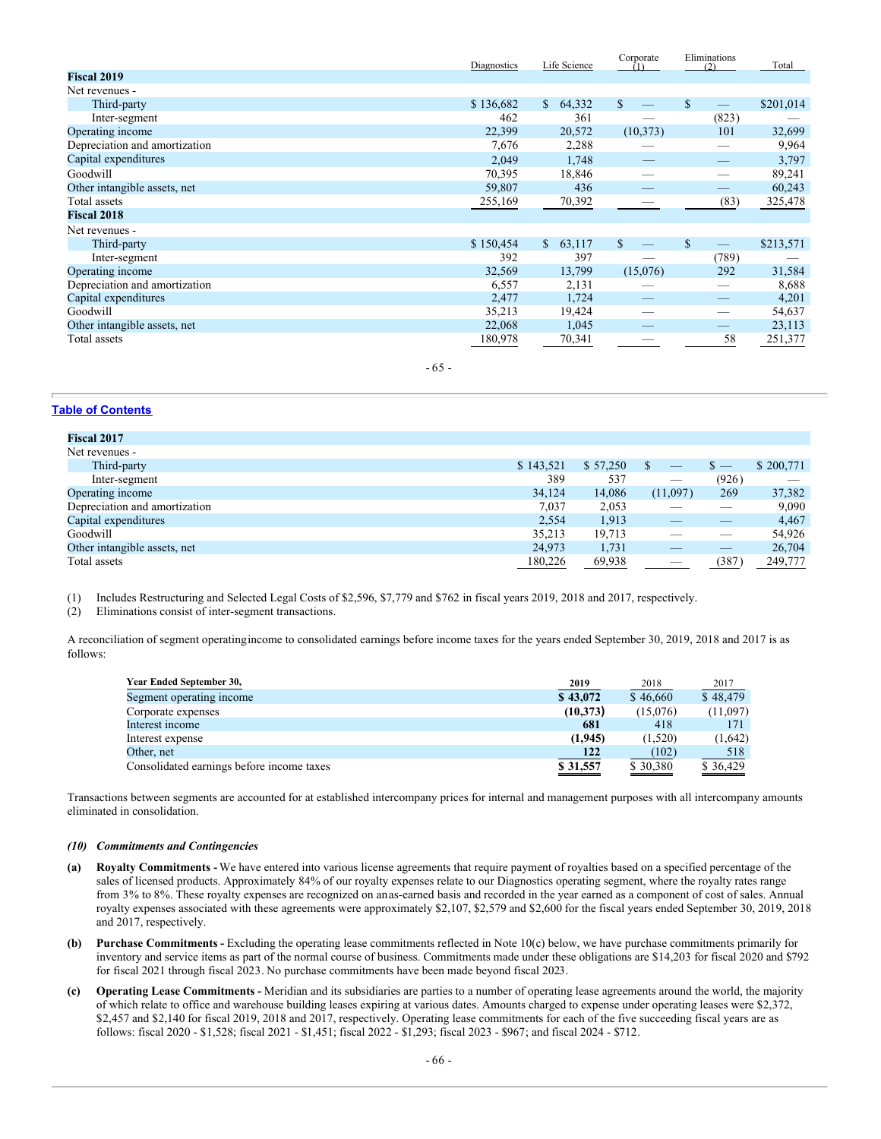|                               | Diagnostics | Life Science           | Corporate                | Eliminations<br>(2)                      | Total     |  |
|-------------------------------|-------------|------------------------|--------------------------|------------------------------------------|-----------|--|
| <b>Fiscal 2019</b>            |             |                        |                          |                                          |           |  |
| Net revenues -                |             |                        |                          |                                          |           |  |
| Third-party                   | \$136,682   | 64,332<br>\$           | $\mathbb{S}$             | <sup>\$</sup>                            | \$201,014 |  |
| Inter-segment                 | 462         | 361                    |                          | (823)                                    |           |  |
| Operating income              | 22,399      | 20,572                 | (10,373)                 | 101                                      | 32,699    |  |
| Depreciation and amortization | 7,676       | 2,288                  |                          | —                                        | 9,964     |  |
| Capital expenditures          | 2,049       | 1,748                  |                          |                                          | 3,797     |  |
| Goodwill                      | 70,395      | 18,846                 |                          |                                          | 89,241    |  |
| Other intangible assets, net  | 59,807      | 436                    | --                       |                                          | 60,243    |  |
| Total assets                  | 255,169     | 70,392                 |                          | (83)                                     | 325,478   |  |
| <b>Fiscal 2018</b>            |             |                        |                          |                                          |           |  |
| Net revenues -                |             |                        |                          |                                          |           |  |
| Third-party                   | \$150,454   | 63,117<br>$\mathbb{S}$ | $\mathcal{S}$            | $\mathbf{s}$<br>$\overline{\phantom{m}}$ | \$213,571 |  |
| Inter-segment                 | 392         | 397                    |                          | (789)                                    |           |  |
| Operating income              | 32,569      | 13,799                 | (15,076)                 | 292                                      | 31,584    |  |
| Depreciation and amortization | 6,557       | 2,131                  |                          |                                          | 8,688     |  |
| Capital expenditures          | 2,477       | 1,724                  |                          |                                          | 4,201     |  |
| Goodwill                      | 35,213      | 19,424                 | $\overline{\phantom{a}}$ |                                          | 54,637    |  |
| Other intangible assets, net  | 22,068      | 1,045                  |                          |                                          | 23,113    |  |
| Total assets                  | 180,978     | 70,341                 |                          | 58                                       | 251,377   |  |

- 65 -

## **Table of [Contents](#page-1-0)**

| <b>Fiscal 2017</b>            |           |          |                 |                 |           |
|-------------------------------|-----------|----------|-----------------|-----------------|-----------|
| Net revenues -                |           |          |                 |                 |           |
| Third-party                   | \$143,521 | \$57,250 | S.              | $s =$           | \$200,771 |
| Inter-segment                 | 389       | 537      |                 | (926)           | __        |
| Operating income              | 34,124    | 14,086   | (11,097)        | 269             | 37,382    |
| Depreciation and amortization | 7.037     | 2,053    |                 |                 | 9,090     |
| Capital expenditures          | 2,554     | 1,913    |                 |                 | 4,467     |
| Goodwill                      | 35,213    | 19,713   | __              | $\qquad \qquad$ | 54,926    |
| Other intangible assets, net  | 24,973    | 1,731    |                 |                 | 26,704    |
| Total assets                  | 180.226   | 69,938   | $\qquad \qquad$ | (387)           | 249,777   |

(1) Includes Restructuring and Selected Legal Costs of \$2,596, \$7,779 and \$762 in fiscal years 2019, 2018 and 2017, respectively.

(2) Eliminations consist of inter-segment transactions.

A reconciliation of segment operatingincome to consolidated earnings before income taxes for the years ended September 30, 2019, 2018 and 2017 is as follows:

| Year Ended September 30,                  | 2019      | 2018     | 2017     |
|-------------------------------------------|-----------|----------|----------|
| Segment operating income                  | \$43,072  | \$46,660 | \$48,479 |
| Corporate expenses                        | (10, 373) | (15,076) | (11,097) |
| Interest income                           | 681       | 418      | 171      |
| Interest expense                          | (1,945)   | (1.520)  | (1,642)  |
| Other, net                                | 122       | (102)    | 518      |
| Consolidated earnings before income taxes | \$31,557  | \$30,380 | \$36,429 |

Transactions between segments are accounted for at established intercompany prices for internal and management purposes with all intercompany amounts eliminated in consolidation.

#### *(10) Commitments and Contingencies*

- **(a) Royalty Commitments -** We have entered into various license agreements that require payment of royalties based on a specified percentage of the sales of licensed products. Approximately 84% of our royalty expenses relate to our Diagnostics operating segment, where the royalty rates range from 3% to 8%. These royalty expenses are recognized on anas-earned basis and recorded in the year earned as a component of cost of sales. Annual royalty expenses associated with these agreements were approximately \$2,107, \$2,579 and \$2,600 for the fiscal years ended September 30, 2019, 2018 and 2017, respectively.
- **(b) Purchase Commitments -** Excluding the operating lease commitments reflected in Note 10(c) below, we have purchase commitments primarily for inventory and service items as part of the normal course of business. Commitments made under these obligations are \$14,203 for fiscal 2020 and \$792 for fiscal 2021 through fiscal 2023. No purchase commitments have been made beyond fiscal 2023.
- **(c) Operating Lease Commitments -** Meridian and its subsidiaries are parties to a number of operating lease agreements around the world, the majority of which relate to office and warehouse building leases expiring at various dates. Amounts charged to expense under operating leases were \$2,372, \$2,457 and \$2,140 for fiscal 2019, 2018 and 2017, respectively. Operating lease commitments for each of the five succeeding fiscal years are as follows: fiscal 2020 - \$1,528; fiscal 2021 - \$1,451; fiscal 2022 - \$1,293; fiscal 2023 - \$967; and fiscal 2024 - \$712.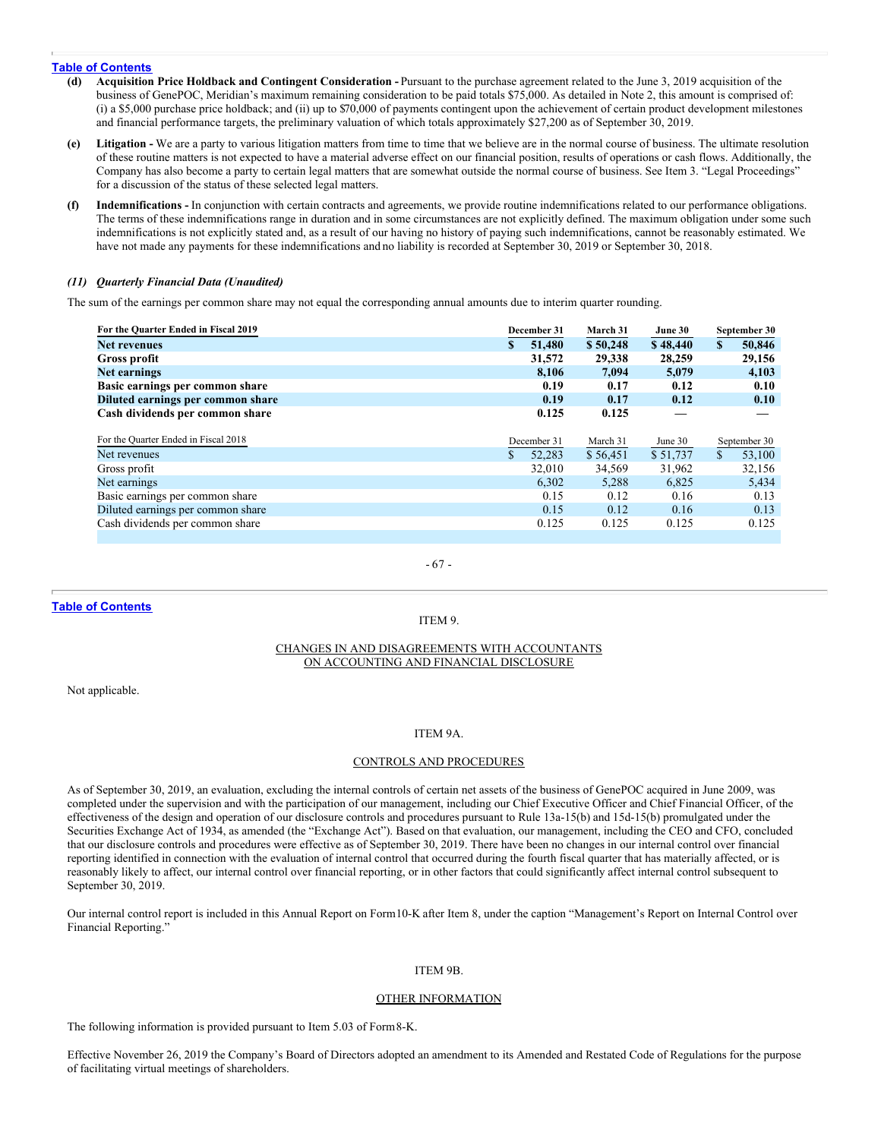#### **Table of [Contents](#page-1-0)**

- **(d) Acquisition Price Holdback and Contingent Consideration -** Pursuant to the purchase agreement related to the June 3, 2019 acquisition of the business of GenePOC, Meridian's maximum remaining consideration to be paid totals \$75,000. As detailed in Note 2, this amount is comprised of: (i) a \$5,000 purchase price holdback; and (ii) up to \$70,000 of payments contingent upon the achievement of certain product development milestones and financial performance targets, the preliminary valuation of which totals approximately \$27,200 as of September 30, 2019.
- **(e) Litigation -** We are a party to various litigation matters from time to time that we believe are in the normal course of business. The ultimate resolution of these routine matters is not expected to have a material adverse effect on our financial position, results of operations or cash flows. Additionally, the Company has also become a party to certain legal matters that are somewhat outside the normal course of business. See Item 3. "Legal Proceedings" for a discussion of the status of these selected legal matters.
- **(f) Indemnifications -** In conjunction with certain contracts and agreements, we provide routine indemnifications related to our performance obligations. The terms of these indemnifications range in duration and in some circumstances are not explicitly defined. The maximum obligation under some such indemnifications is not explicitly stated and, as a result of our having no history of paying such indemnifications, cannot be reasonably estimated. We have not made any payments for these indemnifications and no liability is recorded at September 30, 2019 or September 30, 2018.

#### *(11) Quarterly Financial Data (Unaudited)*

The sum of the earnings per common share may not equal the corresponding annual amounts due to interim quarter rounding.

| For the Quarter Ended in Fiscal 2019 | December 31  | March 31 | June 30  | September 30           |
|--------------------------------------|--------------|----------|----------|------------------------|
| <b>Net revenues</b>                  | 51,480<br>\$ | \$50,248 | \$48,440 | \$<br>50,846           |
| Gross profit                         | 31,572       | 29,338   | 28,259   | 29,156                 |
| <b>Net earnings</b>                  | 8.106        | 7,094    | 5,079    | 4,103                  |
| Basic earnings per common share      | 0.19         | 0.17     | 0.12     | 0.10                   |
| Diluted earnings per common share    | 0.19         | 0.17     | 0.12     | 0.10                   |
| Cash dividends per common share      | 0.125        |          |          |                        |
|                                      |              |          |          |                        |
|                                      |              |          |          |                        |
| For the Quarter Ended in Fiscal 2018 | December 31  | March 31 | June 30  | September 30           |
| Net revenues                         | 52.283<br>\$ | \$56.451 | \$51,737 | $\mathbb{S}$<br>53,100 |
| Gross profit                         | 32,010       | 34,569   | 31,962   | 32,156                 |
| Net earnings                         | 6,302        | 5,288    | 6,825    | 5,434                  |
| Basic earnings per common share      | 0.15         | 0.12     | 0.16     | 0.13                   |
| Diluted earnings per common share    | 0.15         | 0.12     | 0.16     | 0.13                   |
| Cash dividends per common share      | 0.125        | 0.125    | 0.125    | 0.125                  |

- 67 -

## **Table of [Contents](#page-1-0)**

### ITEM 9.

# CHANGES IN AND DISAGREEMENTS WITH ACCOUNTANTS ON ACCOUNTING AND FINANCIAL DISCLOSURE

Not applicable.

## ITEM 9A.

### CONTROLS AND PROCEDURES

As of September 30, 2019, an evaluation, excluding the internal controls of certain net assets of the business of GenePOC acquired in June 2009, was completed under the supervision and with the participation of our management, including our Chief Executive Officer and Chief Financial Officer, of the effectiveness of the design and operation of our disclosure controls and procedures pursuant to Rule 13a-15(b) and 15d-15(b) promulgated under the Securities Exchange Act of 1934, as amended (the "Exchange Act"). Based on that evaluation, our management, including the CEO and CFO, concluded that our disclosure controls and procedures were effective as of September 30, 2019. There have been no changes in our internal control over financial reporting identified in connection with the evaluation of internal control that occurred during the fourth fiscal quarter that has materially affected, or is reasonably likely to affect, our internal control over financial reporting, or in other factors that could significantly affect internal control subsequent to September 30, 2019.

Our internal control report is included in this Annual Report on Form10-K after Item 8, under the caption "Management's Report on Internal Control over Financial Reporting."

#### ITEM 9B.

#### OTHER INFORMATION

The following information is provided pursuant to Item 5.03 of Form8-K.

Effective November 26, 2019 the Company's Board of Directors adopted an amendment to its Amended and Restated Code of Regulations for the purpose of facilitating virtual meetings of shareholders.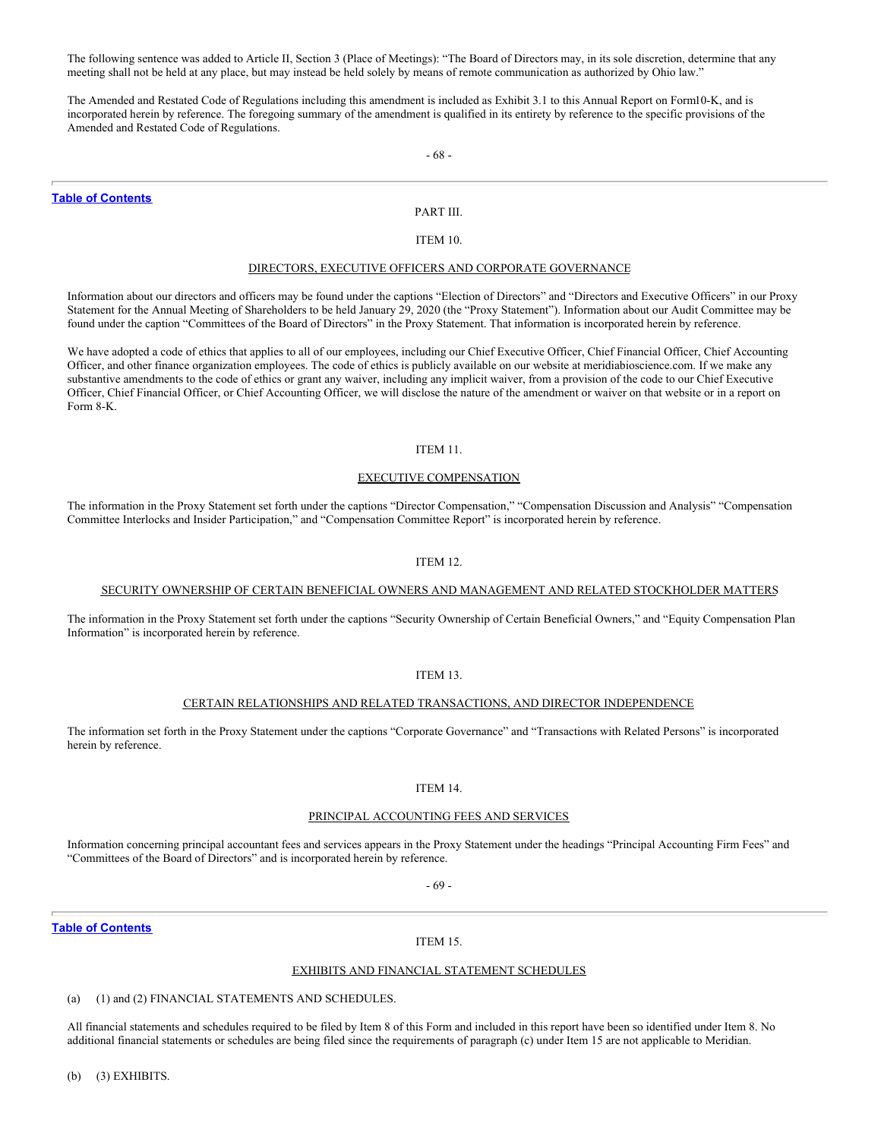The following sentence was added to Article II, Section 3 (Place of Meetings): "The Board of Directors may, in its sole discretion, determine that any meeting shall not be held at any place, but may instead be held solely by means of remote communication as authorized by Ohio law."

The Amended and Restated Code of Regulations including this amendment is included as Exhibit 3.1 to this Annual Report on Form10-K, and is incorporated herein by reference. The foregoing summary of the amendment is qualified in its entirety by reference to the specific provisions of the Amended and Restated Code of Regulations.

# **Table of [Contents](#page-1-0)**

## PART III.

## ITEM 10.

# DIRECTORS, EXECUTIVE OFFICERS AND CORPORATE GOVERNANCE

Information about our directors and officers may be found under the captions "Election of Directors" and "Directors and Executive Officers" in our Proxy Statement for the Annual Meeting of Shareholders to be held January 29, 2020 (the "Proxy Statement"). Information about our Audit Committee may be found under the caption "Committees of the Board of Directors" in the Proxy Statement. That information is incorporated herein by reference.

We have adopted a code of ethics that applies to all of our employees, including our Chief Executive Officer, Chief Financial Officer, Chief Accounting Officer, and other finance organization employees. The code of ethics is publicly available on our website at meridiabioscience.com. If we make any substantive amendments to the code of ethics or grant any waiver, including any implicit waiver, from a provision of the code to our Chief Executive Officer, Chief Financial Officer, or Chief Accounting Officer, we will disclose the nature of the amendment or waiver on that website or in a report on Form 8-K.

# ITEM 11.

#### EXECUTIVE COMPENSATION

The information in the Proxy Statement set forth under the captions "Director Compensation," "Compensation Discussion and Analysis" "Compensation Committee Interlocks and Insider Participation," and "Compensation Committee Report" is incorporated herein by reference.

#### ITEM 12.

#### SECURITY OWNERSHIP OF CERTAIN BENEFICIAL OWNERS AND MANAGEMENT AND RELATED STOCKHOLDER MATTERS

The information in the Proxy Statement set forth under the captions "Security Ownership of Certain Beneficial Owners," and "Equity Compensation Plan Information" is incorporated herein by reference.

#### ITEM 13.

# CERTAIN RELATIONSHIPS AND RELATED TRANSACTIONS, AND DIRECTOR INDEPENDENCE

The information set forth in the Proxy Statement under the captions "Corporate Governance" and "Transactions with Related Persons" is incorporated herein by reference.

#### **ITEM 14**

#### PRINCIPAL ACCOUNTING FEES AND SERVICES

Information concerning principal accountant fees and services appears in the Proxy Statement under the headings "Principal Accounting Firm Fees" and "Committees of the Board of Directors" and is incorporated herein by reference.

- 69 -

**Table of [Contents](#page-1-0)**

#### ITEM 15.

## EXHIBITS AND FINANCIAL STATEMENT SCHEDULES

## (a) (1) and (2) FINANCIAL STATEMENTS AND SCHEDULES.

All financial statements and schedules required to be filed by Item 8 of this Form and included in this report have been so identified under Item 8. No additional financial statements or schedules are being filed since the requirements of paragraph (c) under Item 15 are not applicable to Meridian.

(b) (3) EXHIBITS.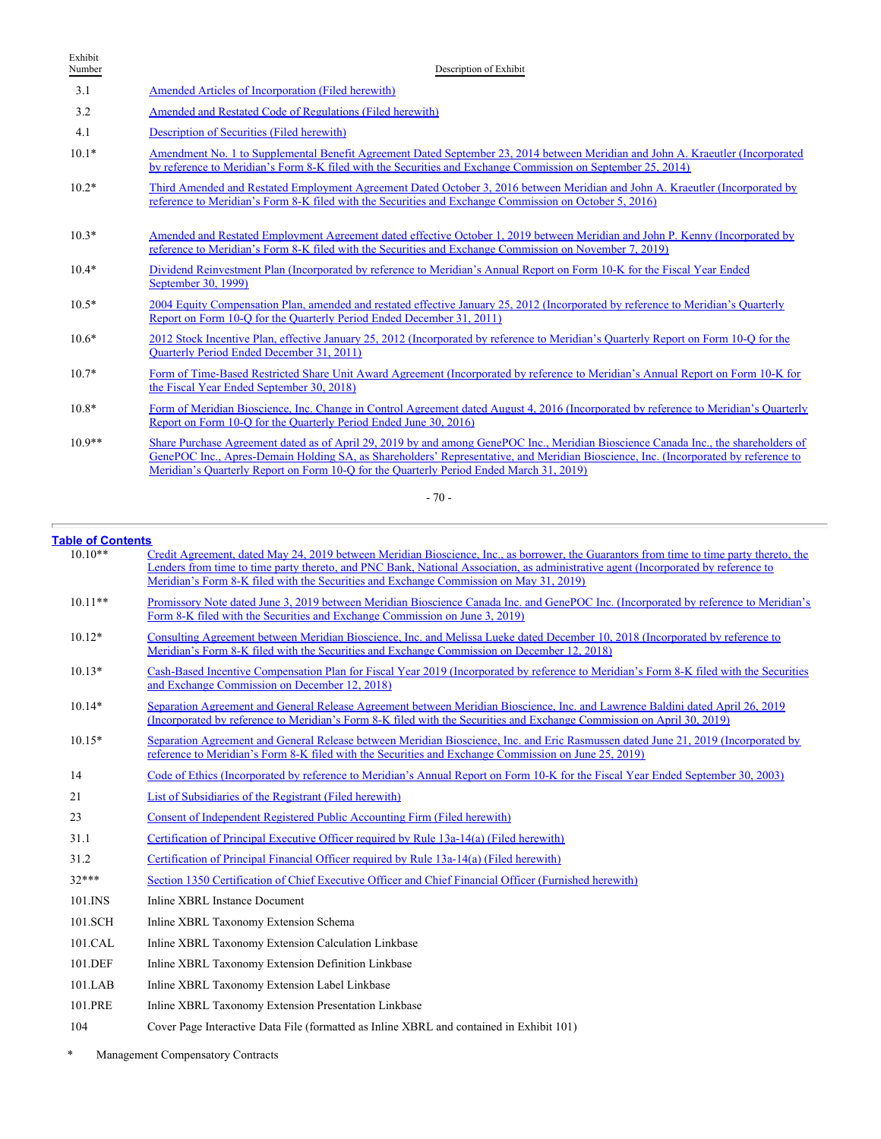| Exhibit |
|---------|
| Vumber  |

Description of Exhibit

| 3.1      | Amended Articles of Incorporation (Filed herewith)                                                                                                                                                                                                                                                                                                                    |
|----------|-----------------------------------------------------------------------------------------------------------------------------------------------------------------------------------------------------------------------------------------------------------------------------------------------------------------------------------------------------------------------|
| 3.2      | Amended and Restated Code of Regulations (Filed herewith)                                                                                                                                                                                                                                                                                                             |
| 4.1      | Description of Securities (Filed herewith)                                                                                                                                                                                                                                                                                                                            |
| $10.1*$  | Amendment No. 1 to Supplemental Benefit Agreement Dated September 23, 2014 between Meridian and John A. Kraeutler (Incorporated<br>by reference to Meridian's Form 8-K filed with the Securities and Exchange Commission on September 25, 2014)                                                                                                                       |
| $10.2*$  | Third Amended and Restated Employment Agreement Dated October 3, 2016 between Meridian and John A. Kraeutler (Incorporated by<br>reference to Meridian's Form 8-K filed with the Securities and Exchange Commission on October 5, 2016)                                                                                                                               |
| $10.3*$  | Amended and Restated Employment Agreement dated effective October 1, 2019 between Meridian and John P. Kenny (Incorporated by<br>reference to Meridian's Form 8-K filed with the Securities and Exchange Commission on November 7, 2019)                                                                                                                              |
| $10.4*$  | Dividend Reinvestment Plan (Incorporated by reference to Meridian's Annual Report on Form 10-K for the Fiscal Year Ended<br>September 30, 1999)                                                                                                                                                                                                                       |
| $10.5*$  | 2004 Equity Compensation Plan, amended and restated effective January 25, 2012 (Incorporated by reference to Meridian's Ouarterly<br>Report on Form 10-O for the Ouarterly Period Ended December 31, 2011)                                                                                                                                                            |
| $10.6*$  | 2012 Stock Incentive Plan, effective January 25, 2012 (Incorporated by reference to Meridian's Quarterly Report on Form 10-Q for the<br><b>Ouarterly Period Ended December 31, 2011)</b>                                                                                                                                                                              |
| $10.7*$  | Form of Time-Based Restricted Share Unit Award Agreement (Incorporated by reference to Meridian's Annual Report on Form 10-K for<br>the Fiscal Year Ended September 30, 2018)                                                                                                                                                                                         |
| $10.8*$  | Form of Meridian Bioscience, Inc. Change in Control Agreement dated August 4, 2016 (Incorporated by reference to Meridian's Quarterly<br>Report on Form 10-O for the Ouarterly Period Ended June 30, 2016)                                                                                                                                                            |
| $10.9**$ | Share Purchase Agreement dated as of April 29, 2019 by and among GenePOC Inc., Meridian Bioscience Canada Inc., the shareholders of<br>GenePOC Inc., Apres-Demain Holding SA, as Shareholders' Representative, and Meridian Bioscience, Inc. (Incorporated by reference to<br>Meridian's Quarterly Report on Form 10-Q for the Quarterly Period Ended March 31, 2019) |

- 70 -

# **Table of [Contents](#page-1-0)**

| $10.10**$ | Credit Agreement, dated May 24, 2019 between Meridian Bioscience, Inc., as borrower, the Guarantors from time to time party thereto, the<br>Lenders from time to time party thereto, and PNC Bank, National Association, as administrative agent (Incorporated by reference to<br>Meridian's Form 8-K filed with the Securities and Exchange Commission on May 31, 2019) |
|-----------|--------------------------------------------------------------------------------------------------------------------------------------------------------------------------------------------------------------------------------------------------------------------------------------------------------------------------------------------------------------------------|
| $10.11**$ | Promissory Note dated June 3, 2019 between Meridian Bioscience Canada Inc. and GenePOC Inc. (Incorporated by reference to Meridian's<br>Form 8-K filed with the Securities and Exchange Commission on June 3, 2019)                                                                                                                                                      |
| $10.12*$  | Consulting Agreement between Meridian Bioscience, Inc. and Melissa Lueke dated December 10, 2018 (Incorporated by reference to<br>Meridian's Form 8-K filed with the Securities and Exchange Commission on December 12, 2018)                                                                                                                                            |
| $10.13*$  | Cash-Based Incentive Compensation Plan for Fiscal Year 2019 (Incorporated by reference to Meridian's Form 8-K filed with the Securities<br>and Exchange Commission on December 12, 2018)                                                                                                                                                                                 |
| $10.14*$  | Separation Agreement and General Release Agreement between Meridian Bioscience, Inc. and Lawrence Baldini dated April 26, 2019<br>(Incorporated by reference to Meridian's Form 8-K filed with the Securities and Exchange Commission on April 30, 2019)                                                                                                                 |
| $10.15*$  | Separation Agreement and General Release between Meridian Bioscience, Inc. and Eric Rasmussen dated June 21, 2019 (Incorporated by<br>reference to Meridian's Form 8-K filed with the Securities and Exchange Commission on June 25, 2019)                                                                                                                               |
| 14        | Code of Ethics (Incorporated by reference to Meridian's Annual Report on Form 10-K for the Fiscal Year Ended September 30, 2003)                                                                                                                                                                                                                                         |
| 21        | List of Subsidiaries of the Registrant (Filed herewith)                                                                                                                                                                                                                                                                                                                  |
| 23        | Consent of Independent Registered Public Accounting Firm (Filed herewith)                                                                                                                                                                                                                                                                                                |
| 31.1      | Certification of Principal Executive Officer required by Rule 13a-14(a) (Filed herewith)                                                                                                                                                                                                                                                                                 |
| 31.2      | Certification of Principal Financial Officer required by Rule 13a-14(a) (Filed herewith)                                                                                                                                                                                                                                                                                 |
| $32***$   | Section 1350 Certification of Chief Executive Officer and Chief Financial Officer (Furnished herewith)                                                                                                                                                                                                                                                                   |
| 101.INS   | Inline XBRL Instance Document                                                                                                                                                                                                                                                                                                                                            |
| 101.SCH   | Inline XBRL Taxonomy Extension Schema                                                                                                                                                                                                                                                                                                                                    |
| 101.CAL   | Inline XBRL Taxonomy Extension Calculation Linkbase                                                                                                                                                                                                                                                                                                                      |
| 101.DEF   | Inline XBRL Taxonomy Extension Definition Linkbase                                                                                                                                                                                                                                                                                                                       |
| 101.LAB   | Inline XBRL Taxonomy Extension Label Linkbase                                                                                                                                                                                                                                                                                                                            |
| 101.PRE   | Inline XBRL Taxonomy Extension Presentation Linkbase                                                                                                                                                                                                                                                                                                                     |
| 104       | Cover Page Interactive Data File (formatted as Inline XBRL and contained in Exhibit 101)                                                                                                                                                                                                                                                                                 |
|           |                                                                                                                                                                                                                                                                                                                                                                          |

\* Management Compensatory Contracts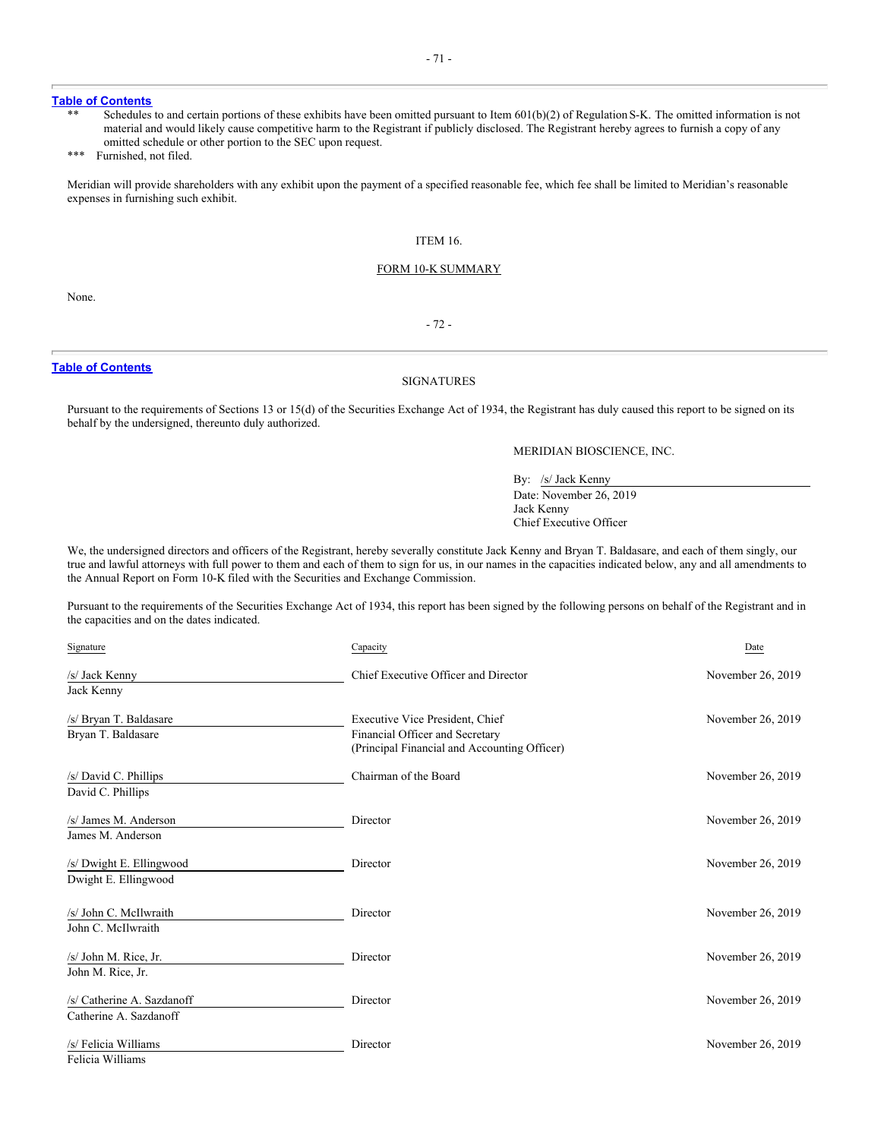## **Table of [Contents](#page-1-0)**

Schedules to and certain portions of these exhibits have been omitted pursuant to Item  $601(b)(2)$  of Regulation S-K. The omitted information is not material and would likely cause competitive harm to the Registrant if publicly disclosed. The Registrant hereby agrees to furnish a copy of any omitted schedule or other portion to the SEC upon request.

\*\*\* Furnished, not filed.

Meridian will provide shareholders with any exhibit upon the payment of a specified reasonable fee, which fee shall be limited to Meridian's reasonable expenses in furnishing such exhibit.

## ITEM 16.

## FORM 10-K SUMMARY

None.

## **Table of [Contents](#page-1-0)**

# **SIGNATURES**

- 72 -

Pursuant to the requirements of Sections 13 or 15(d) of the Securities Exchange Act of 1934, the Registrant has duly caused this report to be signed on its behalf by the undersigned, thereunto duly authorized.

## MERIDIAN BIOSCIENCE, INC.

By: /s/ Jack Kenny Date: November 26, 2019 Jack Kenny Chief Executive Officer

We, the undersigned directors and officers of the Registrant, hereby severally constitute Jack Kenny and Bryan T. Baldasare, and each of them singly, our true and lawful attorneys with full power to them and each of them to sign for us, in our names in the capacities indicated below, any and all amendments to the Annual Report on Form 10-K filed with the Securities and Exchange Commission.

Pursuant to the requirements of the Securities Exchange Act of 1934, this report has been signed by the following persons on behalf of the Registrant and in the capacities and on the dates indicated.

| Signature                                            | Capacity                                                                                                           | Date              |
|------------------------------------------------------|--------------------------------------------------------------------------------------------------------------------|-------------------|
| /s/ Jack Kenny<br>Jack Kenny                         | Chief Executive Officer and Director                                                                               | November 26, 2019 |
| /s/ Bryan T. Baldasare<br>Bryan T. Baldasare         | Executive Vice President, Chief<br>Financial Officer and Secretary<br>(Principal Financial and Accounting Officer) | November 26, 2019 |
| /s/ David C. Phillips<br>David C. Phillips           | Chairman of the Board                                                                                              | November 26, 2019 |
| /s/ James M. Anderson<br>James M. Anderson           | Director                                                                                                           | November 26, 2019 |
| /s/ Dwight E. Ellingwood<br>Dwight E. Ellingwood     | Director                                                                                                           | November 26, 2019 |
| /s/ John C. McIlwraith<br>John C. McIlwraith         | Director                                                                                                           | November 26, 2019 |
| /s/ John M. Rice, Jr.<br>John M. Rice, Jr.           | Director                                                                                                           | November 26, 2019 |
| /s/ Catherine A. Sazdanoff<br>Catherine A. Sazdanoff | Director                                                                                                           | November 26, 2019 |
| /s/ Felicia Williams<br>Felicia Williams             | Director                                                                                                           | November 26, 2019 |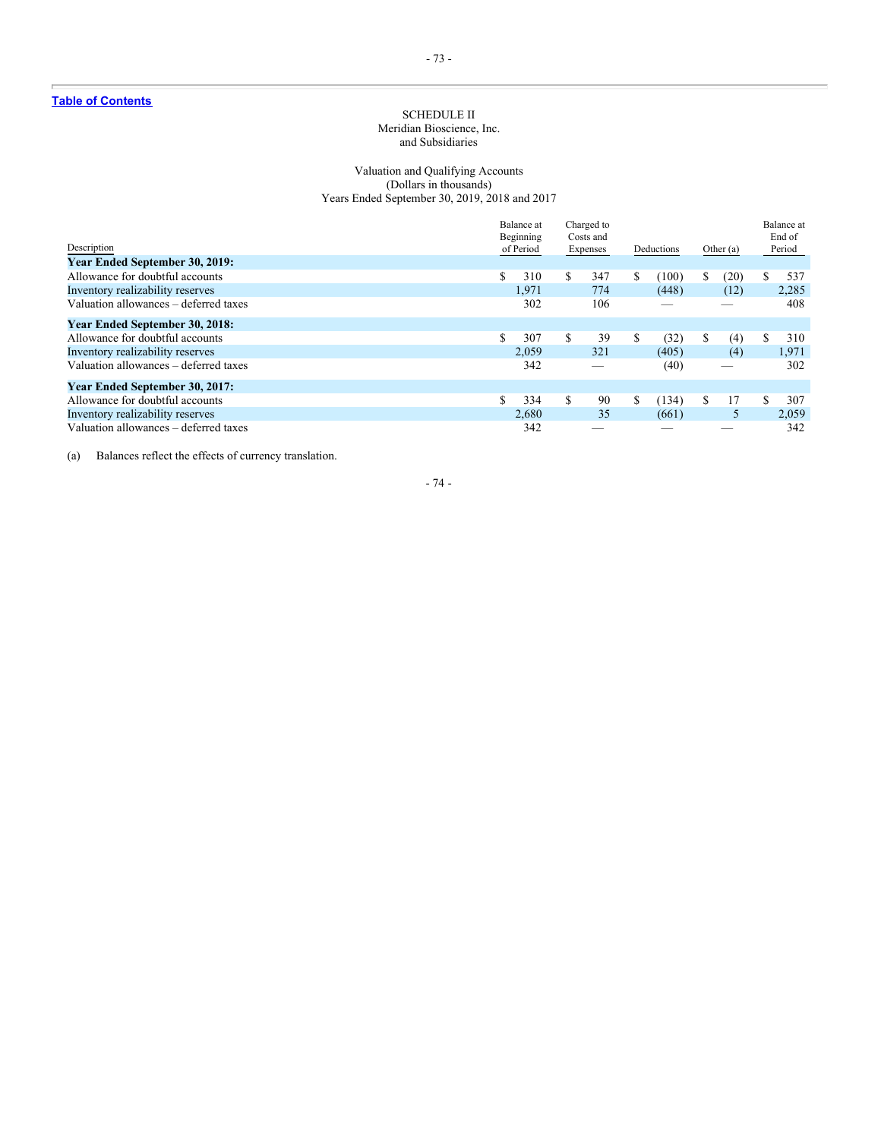# **Table of [Contents](#page-1-0)**

# SCHEDULE II Meridian Bioscience, Inc. and Subsidiaries

#### Valuation and Qualifying Accounts (Dollars in thousands) Years Ended September 30, 2019, 2018 and 2017

|                                       | Balance at<br>Beginning | Charged to<br>Costs and |     |    |            |    |             |     | Balance at<br>End of |
|---------------------------------------|-------------------------|-------------------------|-----|----|------------|----|-------------|-----|----------------------|
| Description                           | of Period               | Expenses                |     |    | Deductions |    | Other $(a)$ |     | Period               |
| Year Ended September 30, 2019:        |                         |                         |     |    |            |    |             |     |                      |
| Allowance for doubtful accounts       | 310                     | \$.                     | 347 | \$ | (100)      | S  | (20)        | \$. | 537                  |
| Inventory realizability reserves      | 1.971                   |                         | 774 |    | (448)      |    | (12)        |     | 2,285                |
| Valuation allowances – deferred taxes | 302                     |                         | 106 |    |            |    |             |     | 408                  |
| Year Ended September 30, 2018:        |                         |                         |     |    |            |    |             |     |                      |
| Allowance for doubtful accounts       | \$<br>307               | \$.                     | 39  | S  | (32)       | \$ | (4)         | \$. | 310                  |
| Inventory realizability reserves      | 2.059                   |                         | 321 |    | (405)      |    | (4)         |     | 1,971                |
| Valuation allowances – deferred taxes | 342                     |                         |     |    | (40)       |    |             |     | 302                  |
| Year Ended September 30, 2017:        |                         |                         |     |    |            |    |             |     |                      |
| Allowance for doubtful accounts       | 334                     | \$.                     | 90  | S  | (134)      | \$ | 17          | S   | 307                  |
| Inventory realizability reserves      | 2.680                   |                         | 35  |    | (661)      |    | 5           |     | 2,059                |
| Valuation allowances – deferred taxes | 342                     |                         |     |    |            |    |             |     | 342                  |

(a) Balances reflect the effects of currency translation.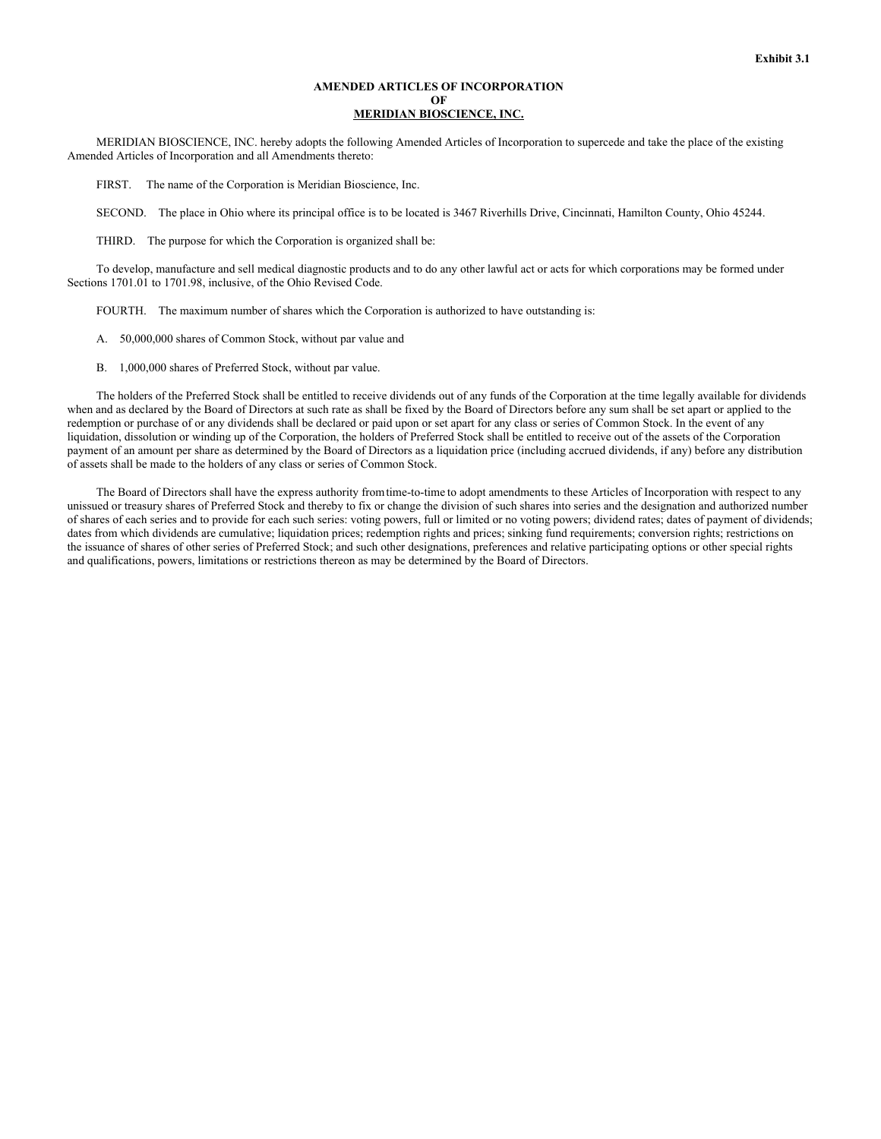#### **AMENDED ARTICLES OF INCORPORATION OF MERIDIAN BIOSCIENCE, INC.**

<span id="page-47-0"></span>MERIDIAN BIOSCIENCE, INC. hereby adopts the following Amended Articles of Incorporation to supercede and take the place of the existing Amended Articles of Incorporation and all Amendments thereto:

FIRST. The name of the Corporation is Meridian Bioscience, Inc.

SECOND. The place in Ohio where its principal office is to be located is 3467 Riverhills Drive, Cincinnati, Hamilton County, Ohio 45244.

THIRD. The purpose for which the Corporation is organized shall be:

To develop, manufacture and sell medical diagnostic products and to do any other lawful act or acts for which corporations may be formed under Sections 1701.01 to 1701.98, inclusive, of the Ohio Revised Code.

FOURTH. The maximum number of shares which the Corporation is authorized to have outstanding is:

- A. 50,000,000 shares of Common Stock, without par value and
- B. 1,000,000 shares of Preferred Stock, without par value.

The holders of the Preferred Stock shall be entitled to receive dividends out of any funds of the Corporation at the time legally available for dividends when and as declared by the Board of Directors at such rate as shall be fixed by the Board of Directors before any sum shall be set apart or applied to the redemption or purchase of or any dividends shall be declared or paid upon or set apart for any class or series of Common Stock. In the event of any liquidation, dissolution or winding up of the Corporation, the holders of Preferred Stock shall be entitled to receive out of the assets of the Corporation payment of an amount per share as determined by the Board of Directors as a liquidation price (including accrued dividends, if any) before any distribution of assets shall be made to the holders of any class or series of Common Stock.

The Board of Directors shall have the express authority fromtime-to-time to adopt amendments to these Articles of Incorporation with respect to any unissued or treasury shares of Preferred Stock and thereby to fix or change the division of such shares into series and the designation and authorized number of shares of each series and to provide for each such series: voting powers, full or limited or no voting powers; dividend rates; dates of payment of dividends; dates from which dividends are cumulative; liquidation prices; redemption rights and prices; sinking fund requirements; conversion rights; restrictions on the issuance of shares of other series of Preferred Stock; and such other designations, preferences and relative participating options or other special rights and qualifications, powers, limitations or restrictions thereon as may be determined by the Board of Directors.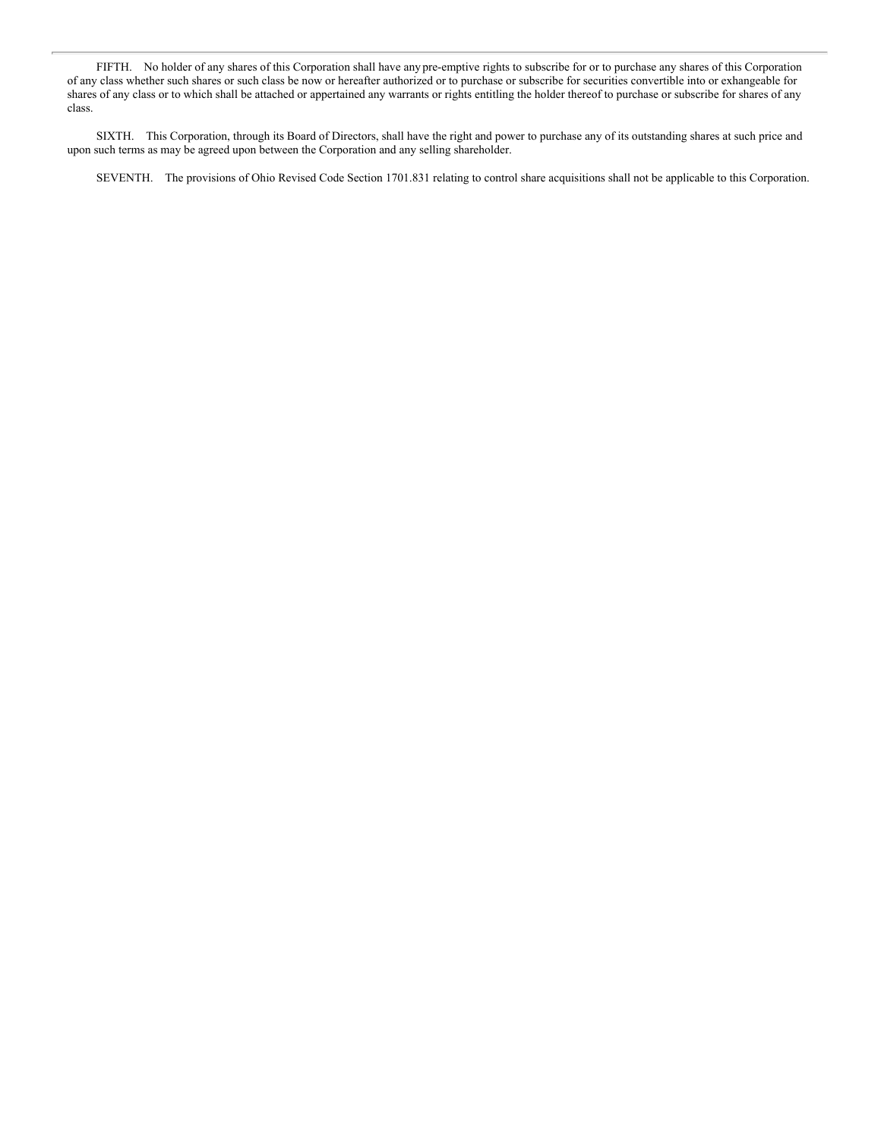FIFTH. No holder of any shares of this Corporation shall have any pre-emptive rights to subscribe for or to purchase any shares of this Corporation of any class whether such shares or such class be now or hereafter authorized or to purchase or subscribe for securities convertible into or exhangeable for shares of any class or to which shall be attached or appertained any warrants or rights entitling the holder thereof to purchase or subscribe for shares of any class.

SIXTH. This Corporation, through its Board of Directors, shall have the right and power to purchase any of its outstanding shares at such price and upon such terms as may be agreed upon between the Corporation and any selling shareholder.

SEVENTH. The provisions of Ohio Revised Code Section 1701.831 relating to control share acquisitions shall not be applicable to this Corporation.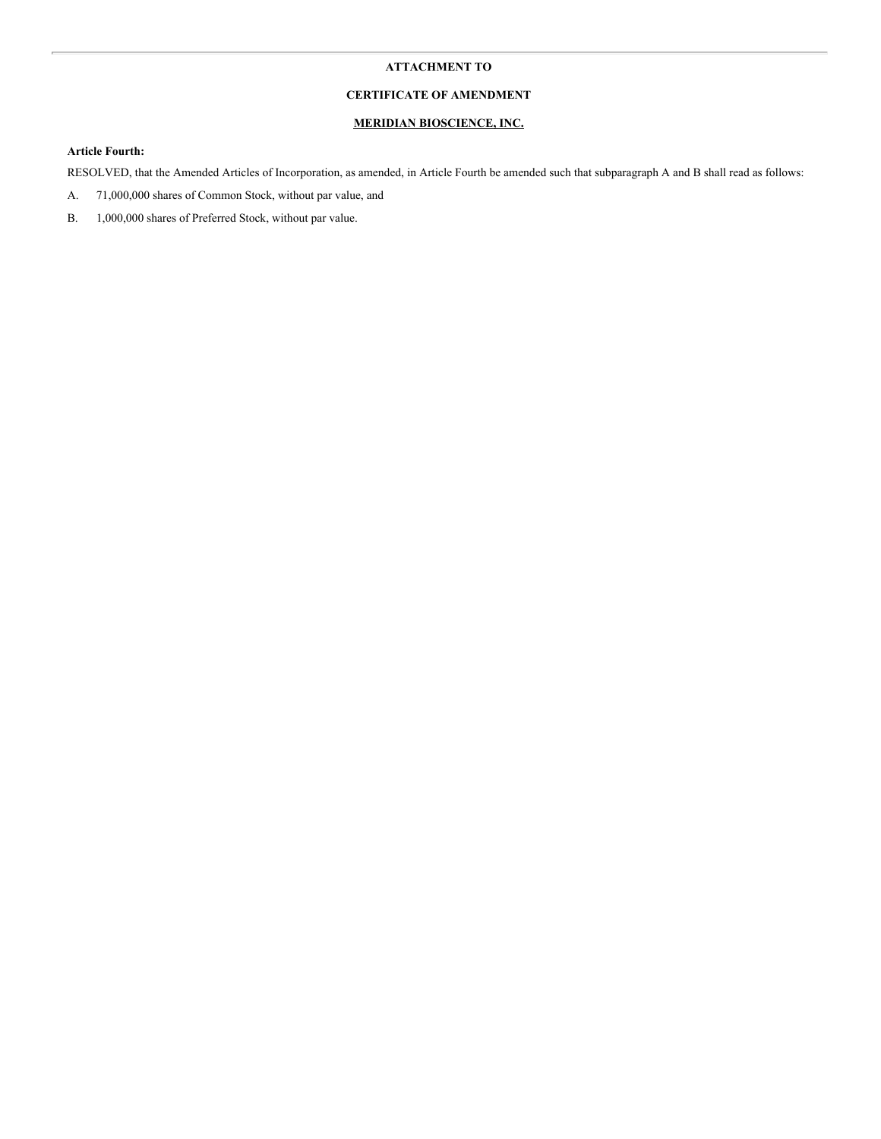# **ATTACHMENT TO**

# **CERTIFICATE OF AMENDMENT**

# **MERIDIAN BIOSCIENCE, INC.**

# **Article Fourth:**

RESOLVED, that the Amended Articles of Incorporation, as amended, in Article Fourth be amended such that subparagraph A and B shall read as follows:

- A. 71,000,000 shares of Common Stock, without par value, and
- B. 1,000,000 shares of Preferred Stock, without par value.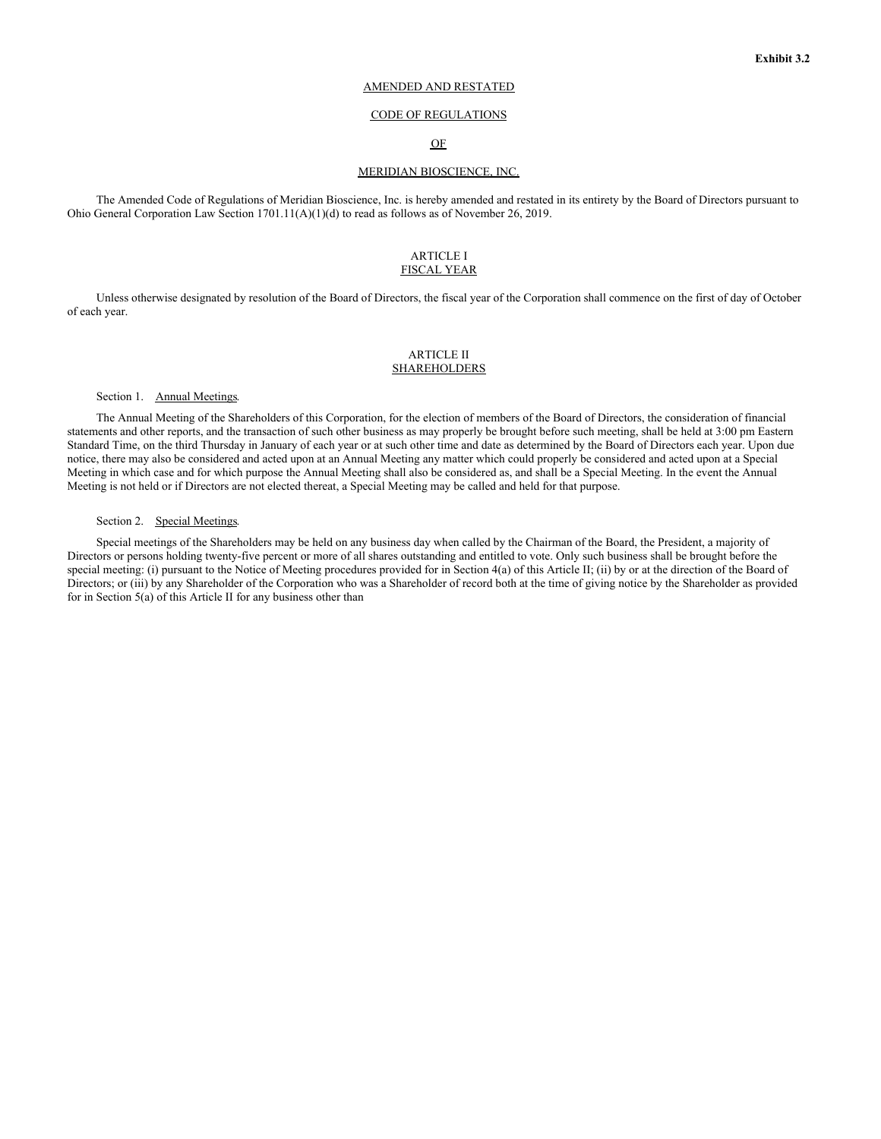### AMENDED AND RESTATED

## CODE OF REGULATIONS

# $\Omega$ F

#### MERIDIAN BIOSCIENCE, INC.

<span id="page-50-0"></span>The Amended Code of Regulations of Meridian Bioscience, Inc. is hereby amended and restated in its entirety by the Board of Directors pursuant to Ohio General Corporation Law Section 1701.11(A)(1)(d) to read as follows as of November 26, 2019.

## ARTICLE I FISCAL YEAR

Unless otherwise designated by resolution of the Board of Directors, the fiscal year of the Corporation shall commence on the first of day of October of each year.

## ARTICLE II SHAREHOLDERS

#### Section 1. Annual Meetings.

The Annual Meeting of the Shareholders of this Corporation, for the election of members of the Board of Directors, the consideration of financial statements and other reports, and the transaction of such other business as may properly be brought before such meeting, shall be held at 3:00 pm Eastern Standard Time, on the third Thursday in January of each year or at such other time and date as determined by the Board of Directors each year. Upon due notice, there may also be considered and acted upon at an Annual Meeting any matter which could properly be considered and acted upon at a Special Meeting in which case and for which purpose the Annual Meeting shall also be considered as, and shall be a Special Meeting. In the event the Annual Meeting is not held or if Directors are not elected thereat, a Special Meeting may be called and held for that purpose.

#### Section 2. Special Meetings.

Special meetings of the Shareholders may be held on any business day when called by the Chairman of the Board, the President, a majority of Directors or persons holding twenty-five percent or more of all shares outstanding and entitled to vote. Only such business shall be brought before the special meeting: (i) pursuant to the Notice of Meeting procedures provided for in Section 4(a) of this Article II; (ii) by or at the direction of the Board of Directors; or (iii) by any Shareholder of the Corporation who was a Shareholder of record both at the time of giving notice by the Shareholder as provided for in Section 5(a) of this Article II for any business other than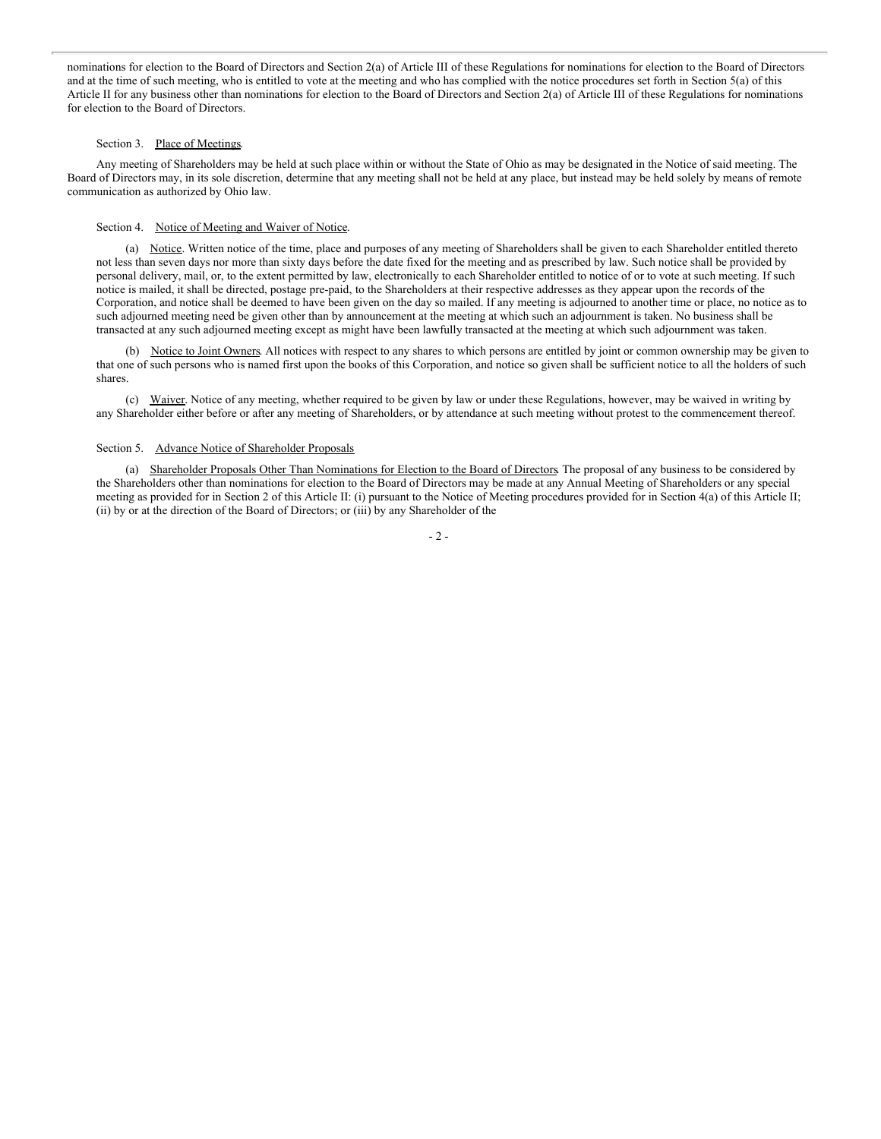nominations for election to the Board of Directors and Section 2(a) of Article III of these Regulations for nominations for election to the Board of Directors and at the time of such meeting, who is entitled to vote at the meeting and who has complied with the notice procedures set forth in Section 5(a) of this Article II for any business other than nominations for election to the Board of Directors and Section 2(a) of Article III of these Regulations for nominations for election to the Board of Directors.

## Section 3. Place of Meetings.

Any meeting of Shareholders may be held at such place within or without the State of Ohio as may be designated in the Notice of said meeting. The Board of Directors may, in its sole discretion, determine that any meeting shall not be held at any place, but instead may be held solely by means of remote communication as authorized by Ohio law.

## Section 4. Notice of Meeting and Waiver of Notice.

(a) Notice. Written notice of the time, place and purposes of any meeting of Shareholders shall be given to each Shareholder entitled thereto not less than seven days nor more than sixty days before the date fixed for the meeting and as prescribed by law. Such notice shall be provided by personal delivery, mail, or, to the extent permitted by law, electronically to each Shareholder entitled to notice of or to vote at such meeting. If such notice is mailed, it shall be directed, postage pre-paid, to the Shareholders at their respective addresses as they appear upon the records of the Corporation, and notice shall be deemed to have been given on the day so mailed. If any meeting is adjourned to another time or place, no notice as to such [adjour](#page-1-0)ned meeting need be given other than by announcement at the meeting at which such an adjournment is taken. No business shall be transacted at any such adjourned meeting except as might have been lawfully transacted at the meeting at which such adjournment was taken.

(b) Notice to Joint Owners. All notices with respect to any shares to which persons are entitled by joint or common ownership may be given to that one of such persons who is named first upon the books of this Corporation, and notice so given shall be sufficient notice to all the holders of such shares.

(c) Waiver. Notice of any meeting, whether required to be given by law or under these Regulations, however, may be waived in writing by any Share[holder](#page-2-0) either before or after any meeting of Shareholders, or by attendance at such meeting without protest to the commencement thereof.

# Section 5. [Advance](#page-13-0) Notice of Shareholder Proposals

(a) [Sharehol](#page-13-0)[der](#page-14-0) Proposals Other Than Nominations for Election to the Board of Directors. The proposal of any business to be considered by the Shareholders other than nominations for election to the Board of Directors may be made at any Annual Meeting of Shareholders or any special meeting as [provided](#page-14-0) for in Section 2 of this Article II: (i) pursuant to the Notice of Meeting procedures provided for in Section 4(a) of this Article II; (ii) by or at the direction of the Board of Directors; or (iii) by any Shareholder of the

- [2](#page-14-0) -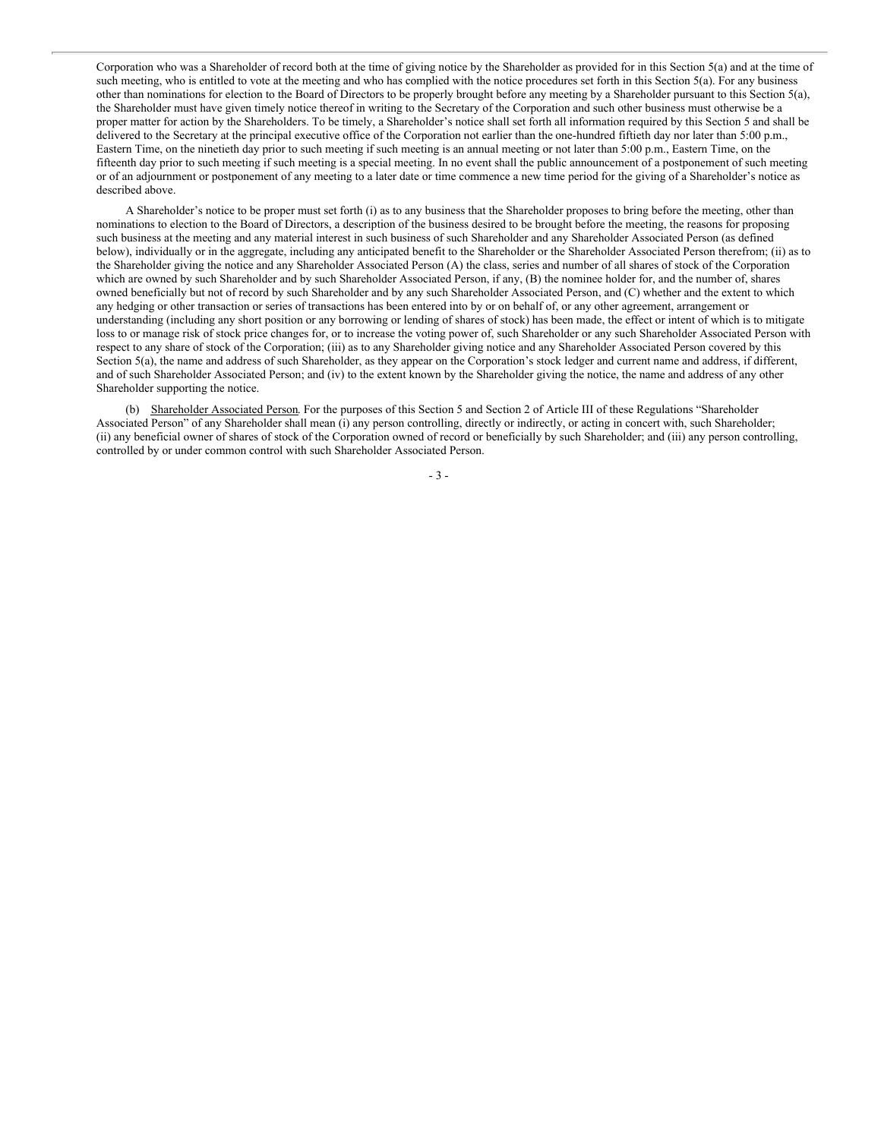Corporation who was a Shareholder of record both at the time of giving notice by the Shareholder as provided for in this Section 5(a) and at the time of such meeting, who is entitled to vote at the meeting and who has complied with the notice procedures set forth in this Section 5(a). For any business other than nominations for election to the Board of Directors to be properly brought before any meeting by a Shareholder pursuant to this Section 5(a), the Shareholder must have given timely notice thereof in writing to the Secretary of the Corporation and such other business must otherwise be a proper matter for action by the Shareholders. To be timely, a Shareholder's notice shall set forth all information required by this Section 5 and shall be delivered to the Secretary at the principal executive office of the Corporation not earlier than the one-hundred fiftieth day nor later than 5:00 p.m., Eastern Time, on the ninetieth day prior to such meeting if such meeting is an annual meeting or not later than 5:00 p.m., Eastern Time, on the fifteenth day prior to such meeting if such meeting is a special meeting. In no event shall the public announcement of a postponement of such meeting or of an adjournment or postponement of any meeting to a later date or time commence a new time period for the giving of a Shareholder's notice as described above.

A Shareholder's notice to be proper must set forth (i) as to any business that the Shareholder proposes to bring before the meeting, other than nominations to election to the Board of Directors, a description of the business desired to be brought before the meeting, the reasons for proposing such business at the meeting and any material interest in such business of such Shareholder and any Shareholder Associated Person (as defined below), individually or in the aggregate, including any anticipated benefit to the Shareholder or the Shareholder Associated Person therefrom; (ii) as to the Shareholder giving the notice and any Shareholder Associated Person (A) the class, series and number of all shares of stock of the Corporation which are owned by such Shareholder and by such Shareholder Associated Person, if any, (B) the nominee holder for, and the number of, shares owned beneficially but not of record by such Shareholder and by any such Shareholder Associated Person, and (C) whether and the extent to which any hedging or other transaction or series of transactions has been entered into by or on behalf of, or any other agreement, arrangement or understanding (including any short position or any borrowing or lending of shares of stock) has been made, the effect or intent of which is to mitigate loss to or manage risk of stock price changes for, or to increase the voting power of, such Shareholder or any such Shareholder Associated Person with respect to any share of stock of the Corporation; (iii) as to any Shareholder giving notice and any Shareholder Associated Person covered by this Section 5(a), the name and address of such Shareholder, as they appear on the Corporation's stock ledger and current name and address, if different, and of such Shareholder Associated Person; and (iv) to the extent known by the Shareholder giving the notice, the name and address of any other Shareholder supporting the notice.

(b) Shareholder Associated Person. For the purposes of this Section 5 and Section 2 of Article III of these Regulations "Shareholder Associated Person" of any Shareholder shall mean (i) any person controlling, directly or indirectly, or acting in concert with, such Shareholder; (ii) any beneficial owner of shares of stock of the Corporation owned of record or beneficially by such Shareholder; and (iii) any person controlling, controlled by or under common control with such Shareholder Associated Person.

- 3 -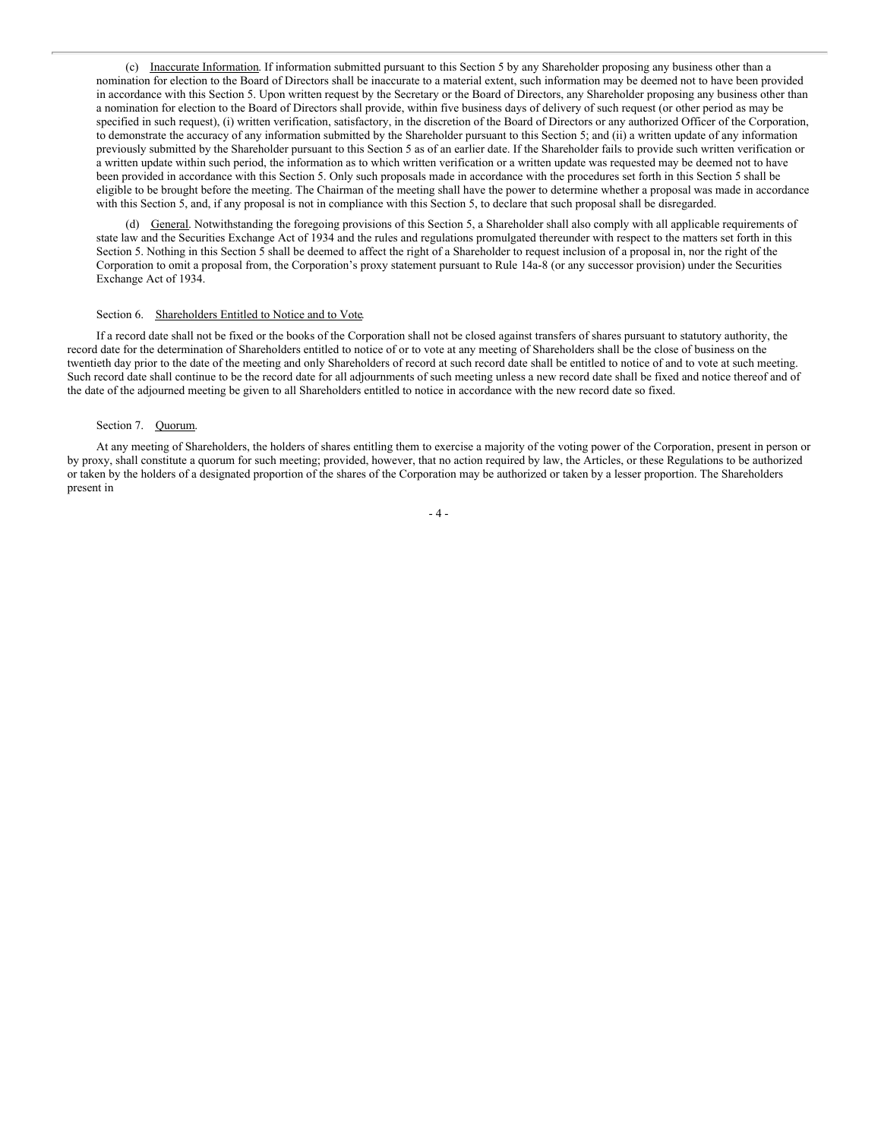(c) Inaccurate Information. If information submitted pursuant to this Section 5 by any Shareholder proposing any business other than a nomination for election to the Board of Directors shall be inaccurate to a material extent, such information may be deemed not to have been provided in accordance with this Section 5. Upon written request by the Secretary or the Board of Directors, any Shareholder proposing any business other than a nomination for election to the Board of Directors shall provide, within five business days of delivery of such request (or other period as may be specified in such request), (i) written verification, satisfactory, in the discretion of the Board of Directors or any authorized Officer of the Corporation, to demonstrate the accuracy of any information submitted by the Shareholder pursuant to this Section 5; and (ii) a written update of any information previously submitted by the Shareholder pursuant to this Section 5 as of an earlier date. If the Shareholder fails to provide such written verification or a written update within such period, the information as to which written verification or a written update was requested may be deemed not to have been provided in accordance with this Section 5. Only such proposals made in accordance with the procedures set forth in this Section 5 shall be eligible to be brought before the meeting. The Chairman of the meeting shall have the power to determine whether a proposal was made in accordance with this Section 5, and, if any proposal is not in compliance with this Section 5, to declare that such proposal shall be disregarded.

(d) General. Notwithstanding the foregoing provisions of this Section 5, a Shareholder shall also comply with all applicable requirements of state law and the Securities Exchange Act of 1934 and the rules and regulations promulgated thereunder with respect to the matters set forth in this Section 5. Nothing in this Section 5 shall be deemed to affect the right of a Shareholder to request inclusion of a proposal in, nor the right of the Corporation to omit a proposal from, the Corporation's proxy statement pursuant to Rule 14a-8 (or any successor provision) under the Securities Exchange Act of 1934.

#### Section 6. Shareholders Entitled to Notice and to Vote.

If a [record](#page-1-0) date shall not be fixed or the books of the Corporation shall not be closed against transfers of shares pursuant to statutory authority, the record date for the determination of Shareholders entitled to notice of or to vote at any meeting of Shareholders shall be the close of business on the twentieth day prior to the date of the meeting and only Shareholders of record at such record date shall be entitled to notice of and to vote at such meeting. Such record date shall continue to be the record date for all adjournments of such meeting unless a new record date shall be fixed and notice thereof and of the date of the adjourned meeting be given to all Shareholders entitled to notice in accordance with the new record date so fixed.

## Section 7. **Quorum.**

At any meeting of Shareholders, the holders of shares entitling them to exercise a majority of the voting power of the Corporation, present in person or by proxy, shall constitute a quorum for such meeting; provided, however, that no action required by law, the Articles, or these Regulations to be authorized or taken by the holders of a designated proportion of the shares of the Corporation may be authorized or taken by a lesser proportion. The Shareholders present in

 $- 4 -$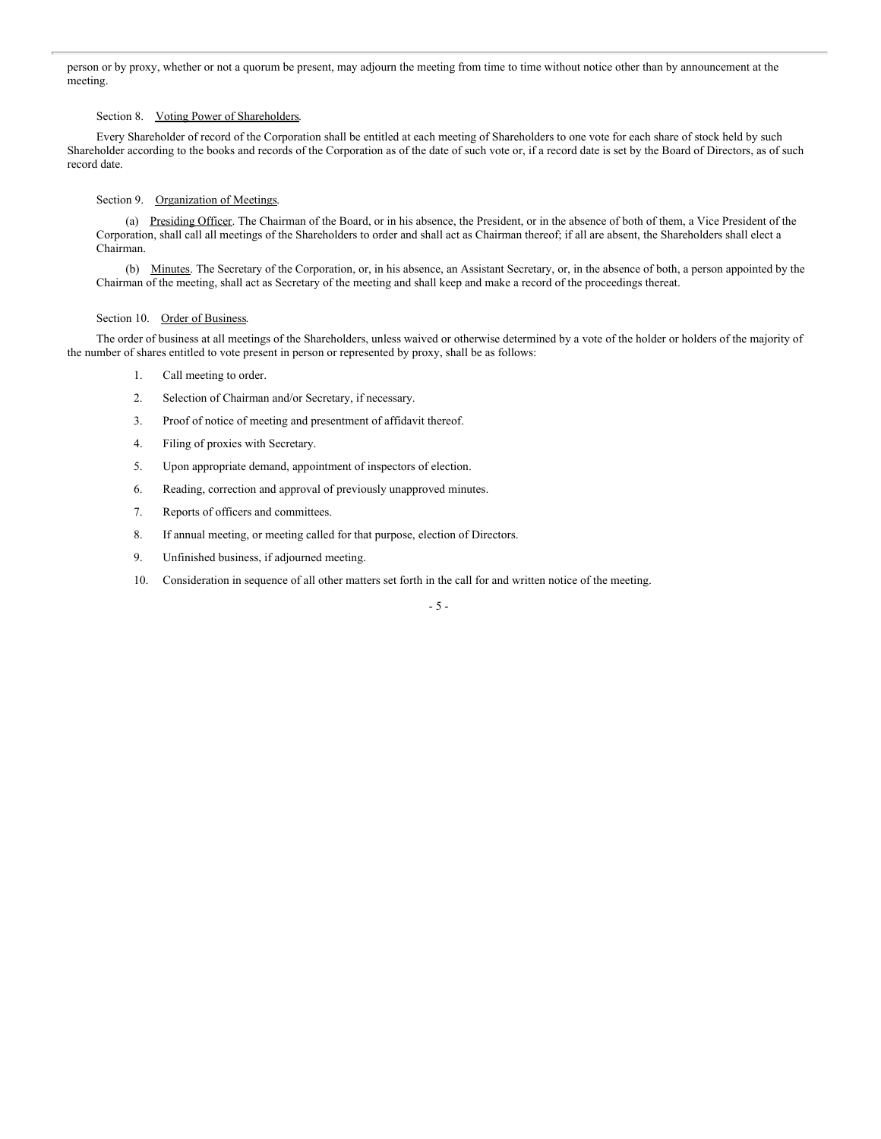person or by proxy, whether or not a quorum be present, may adjourn the meeting from time to time without notice other than by announcement at the meeting.

## Section 8. Voting Power of Shareholders.

Every Shareholder of record of the Corporation shall be entitled at each meeting of Shareholders to one vote for each share of stock held by such Shareholder according to the books and records of the Corporation as of the date of such vote or, if a record date is set by the Board of Directors, as of such record date.

## Section 9. Organization of Meetings.

(a) Presiding Officer. The Chairman of the Board, or in his absence, the President, or in the absence of both of them, a Vice President of the Corporation, shall call all meetings of the Shareholders to order and shall act as Chairman thereof; if all are absent, the Shareholders shall elect a Chairman.

(b) Minutes. The Secretary of the Corporation, or, in his absence, an Assistant Secretary, or, in the absence of both, a person appointed by the Chairman of the meeting, shall act as Secretary of the meeting and shall keep and make a record of the proceedings thereat.

## Section 10. Order of Business.

The order of business at all meetings of the Shareholders, unless waived or otherwise determined by a vote of the holder or holders of the majority of the number of shares entitled to vote present in person or represented by proxy, shall be as follows:

- 1. Call meeting to order.
- 2. Selection of Chairman and/or Secretary, if necessary.
- 3. Proof of notice of meeting and presentment of affidavit thereof.
- 4. Filing of proxies with Secretary.
- 5. Upon appropriate demand, appointment of inspectors of election.
- 6. Reading, correction and approval of previously unapproved minutes.
- 7. Reports of officers and committees.
- 8. If annual meeting, or meeting called for that purpose, election of Directors.
- 9. Unfinished business, if adjourned meeting.
- 10. Consideration in sequence of all other matters set forth in the call for and written notice of the meeting.

- 5 -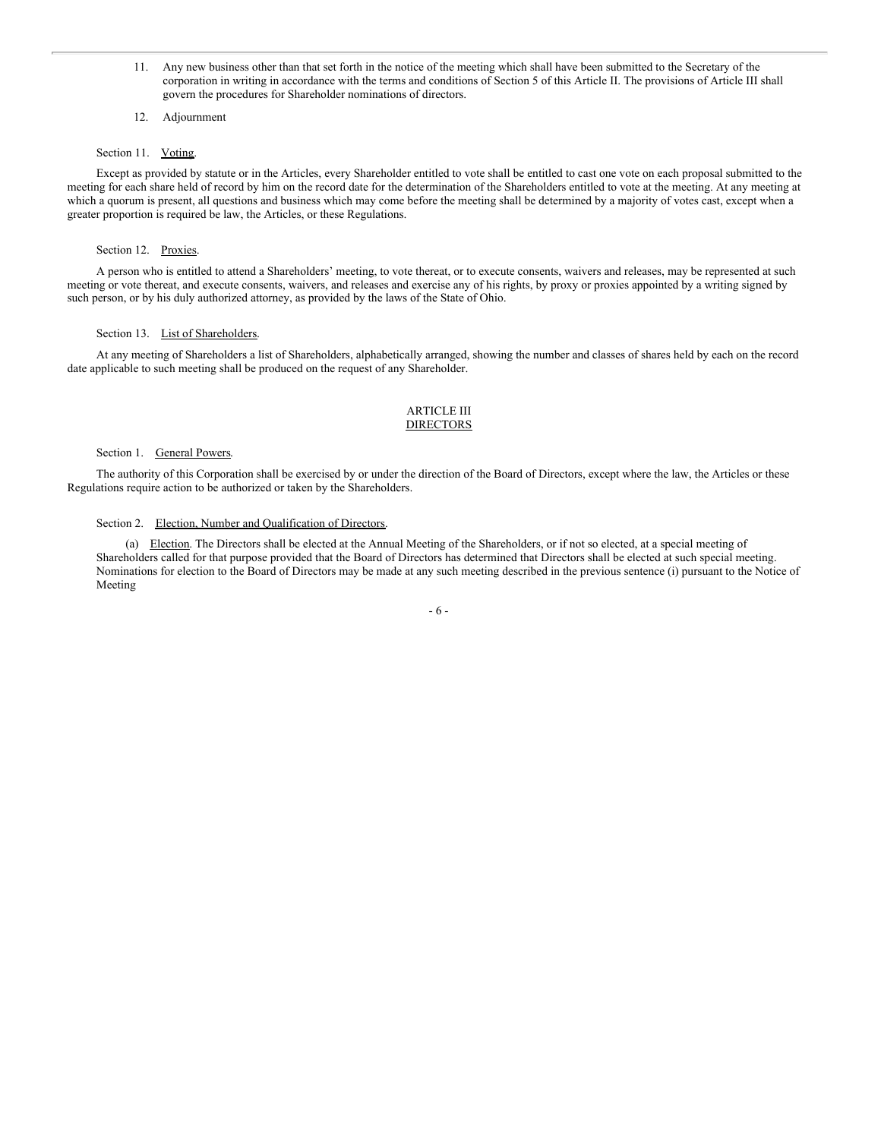- 11. Any new business other than that set forth in the notice of the meeting which shall have been submitted to the Secretary of the corporation in writing in accordance with the terms and conditions of Section 5 of this Article II. The provisions of Article III shall govern the procedures for Shareholder nominations of directors.
- 12. Adjournment

# Section 11. Voting.

Except as provided by statute or in the Articles, every Shareholder entitled to vote shall be entitled to cast one vote on each proposal submitted to the meeting for each share held of record by him on the record date for the determination of the Shareholders entitled to vote at the meeting. At any meeting at which a quorum is present, all questions and business which may come before the meeting shall be determined by a majority of votes cast, except when a greater proportion is required be law, the Articles, or these Regulations.

#### Section 12. Proxies.

A person who is entitled to attend a Shareholders' meeting, to vote thereat, or to execute consents, waivers and releases, may be represented at such meeting or vote thereat, and execute consents, waivers, and releases and exercise any of his rights, by proxy or proxies appointed by a writing signed by such person, or by his duly authorized attorney, as provided by the laws of the State of Ohio.

#### Section 13. List of Shareholders.

At any meeting of Shareholders a list of Shareholders, alphabetically arranged, showing the number and classes of shares held by each on the record date applicable to such meeting shall be produced on the request of any Shareholder.

## ARTICLE III **DIRECTORS**

#### Section 1. General Powers.

The [authori](#page-1-0)ty of this Corporation shall be exercised by or under the direction of the Board of Directors, except where the law, the Articles or these Regulations require action to be authorized or taken by the Shareholders.

### Section 2. Election, Number and Qualification of Directors.

(a) Election. The Directors shall be elected at the Annual Meeting of the Shareholders, or if not so elected, at a special meeting of Shareholders called for that purpose provided that the Board of Directors has determined that Directors shall be elected at such special meeting. Nominations for election to the Board of Directors may be made at any such meeting described in the previous sentence (i) pursuant to the Notice of Meeting

- 6 -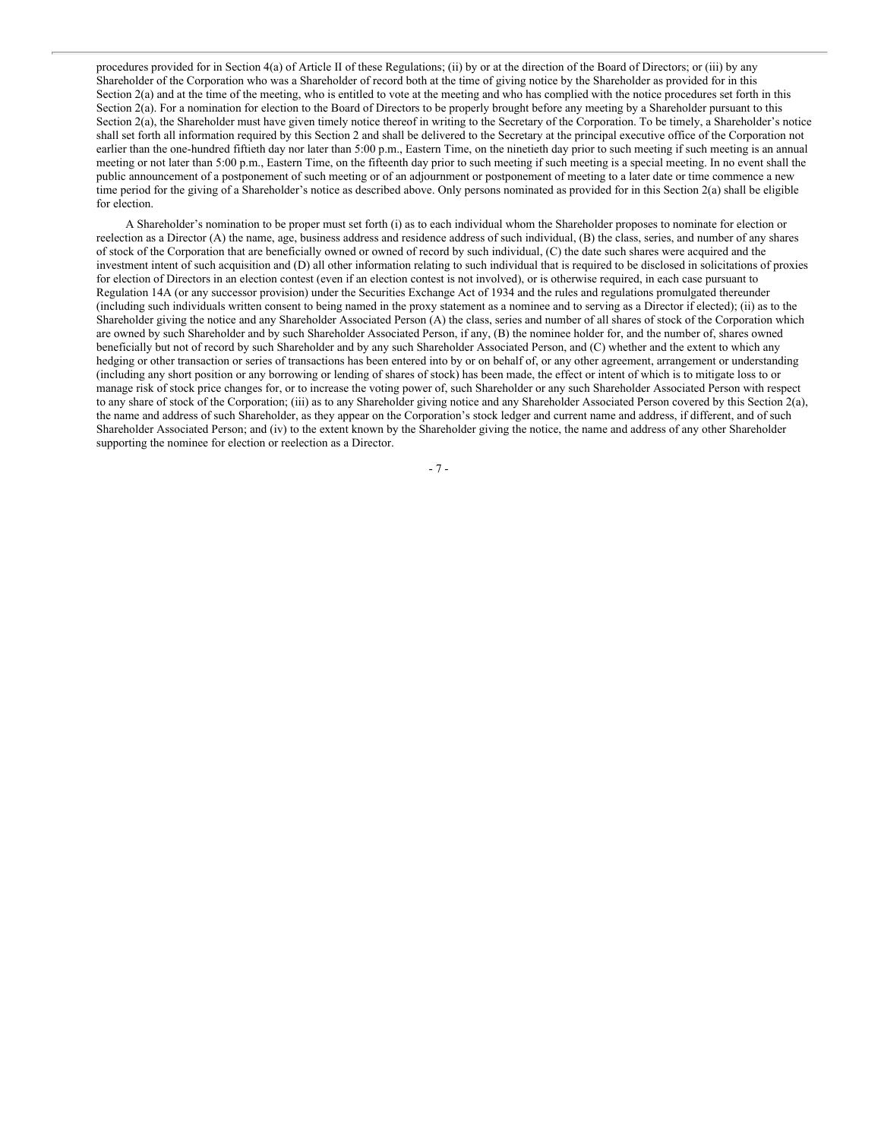procedures provided for in Section 4(a) of Article II of these Regulations; (ii) by or at the direction of the Board of Directors; or (iii) by any Shareholder of the Corporation who was a Shareholder of record both at the time of giving notice by the Shareholder as provided for in this Section 2(a) and at the time of the meeting, who is entitled to vote at the meeting and who has complied with the notice procedures set forth in this Section 2(a). For a nomination for election to the Board of Directors to be properly brought before any meeting by a Shareholder pursuant to this Section 2(a), the Shareholder must have given timely notice thereof in writing to the Secretary of the Corporation. To be timely, a Shareholder's notice shall set forth all information required by this Section 2 and shall be delivered to the Secretary at the principal executive office of the Corporation not earlier than the one-hundred fiftieth day nor later than 5:00 p.m., Eastern Time, on the ninetieth day prior to such meeting if such meeting is an annual [meeting](#page-1-0) or not later than 5:00 p.m., Eastern Time, on the fifteenth day prior to such meeting if such meeting is a special meeting. In no event shall the public announcement of a postponement of such meeting or of an adjournment or postponement of meeting to a later date or time commence a new time period for the giving of a Shareholder's notice as described above. Only persons nominated as provided for in this Section 2(a) shall be eligible for election.

A Shareholder's nomination to be proper must set forth (i) as to each individual whom the Shareholder proposes to nominate for election or reelection as a Director (A) the name, age, business address and residence address of such individual, (B) the class, series, and number of any shares of stock of the Corporation that are beneficially owned or owned of record by such individual, (C) the date such shares were acquired and the investment intent of such acquisition and (D) all other information relating to such individual that is required to be disclosed in solicitations of proxies for election of Directors in an election contest (even if an election contest is not involved), or is otherwise required, in each case pursuant to Regulation 14A (or any successor provision) under the Securities Exchange Act of 1934 and the rules and regulations promulgated thereunder (including such individuals written consent to being named in the proxy statement as a nominee and to serving as a Director if elected); (ii) as to the Shareholder giving the notice and any Shareholder Associated Person (A) the class, series and number of all shares of stock of the Corporation which are owned by such Shareholder and by such Shareholder Associated Person, if any, (B) the nominee holder for, and the number of, shares owned beneficially but not of record by such Shareholder and by any such Shareholder Associated Person, and (C) whether and the extent to which any hedging or other transaction or series of transactions has been entered into by or on behalf of, or any other agreement, arrangement or understanding (including any short position or any borrowing or lending of shares of stock) has been made, the effect or intent of which is to mitigate loss to or manage risk of stock price changes for, or to increase the voting power of, such Shareholder or any such Shareholder Associated Person with respect to any share of stock of the Corporation; (iii) as to any Shareholder giving notice and any Shareholder Associated Person covered by this Section 2(a), the name and address of such Shareholder, as they appear on the Corporation's stock ledger and current name and address, if different, and of such Shareholder Associated Person; and (iv) to the extent known by the Shareholder giving the notice, the name and address of any other Shareholder supporting the nominee for election or reelection as a Director.

- 7 -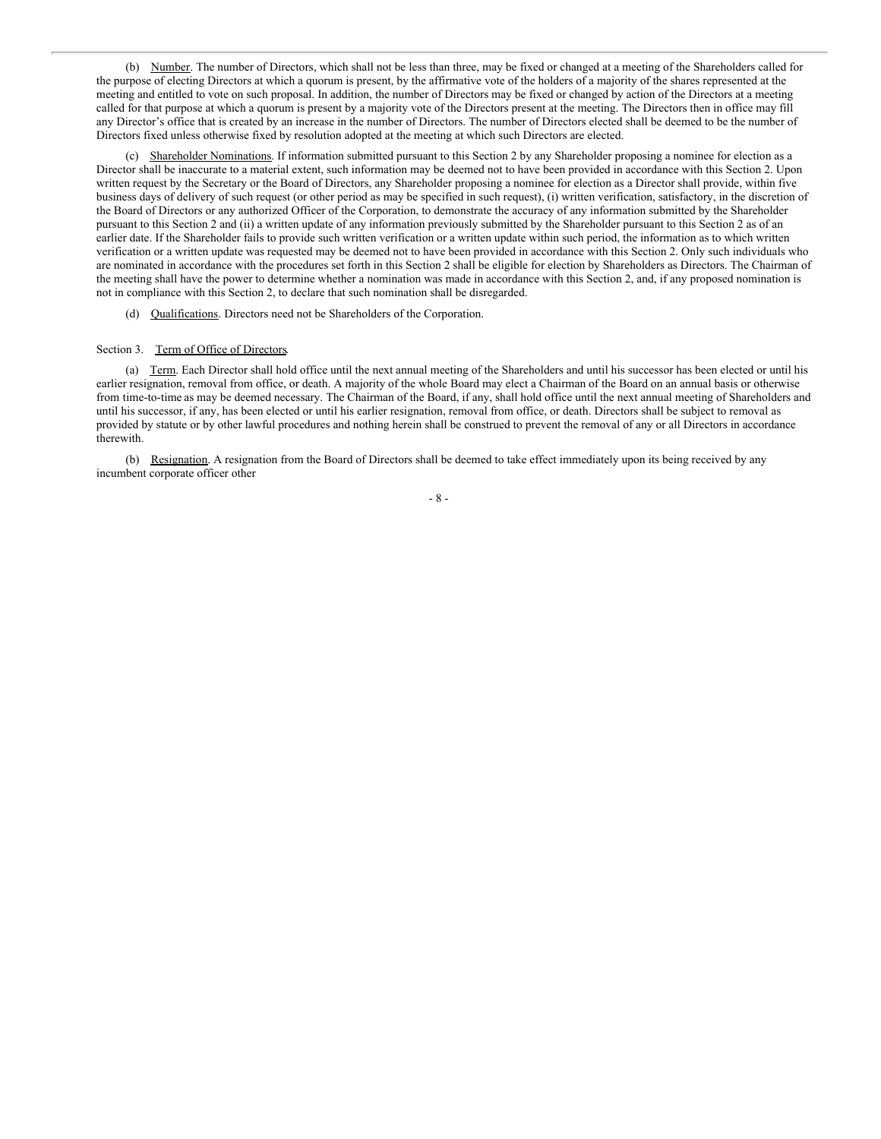(b) Number. The number of Directors, which shall not be less than three, may be fixed or changed at a meeting of the Shareholders called for the purpose of electing Directors at which a quorum is present, by the affirmative vote of the holders of a majority of the shares represented at the meeting and entitled to vote on such proposal. In addition, the number of Directors may be fixed or changed by action of the Directors at a meeting called for that purpose at which a quorum is present by a majority vote of the Directors present at the meeting. The Directors then in office may fill any Director's office that is created by an increase in the number of Directors. The number of Directors elected shall be deemed to be the number of Directors fixed unless otherwise fixed by resolution adopted at the meeting at which such Directors are elected.

(c) Shareholder Nominations. If information submitted pursuant to this Section 2 by any Shareholder proposing a nominee for election as a Director shall be inaccurate to a material extent, such information may be deemed not to have been provided in accordance with this Section 2. Upon written request by the Secretary or the Board of Directors, any Shareholder proposing a nominee for election as a Director shall provide, within five business days of delivery of such request (or other period as may be specified in such request), (i) written verification, satisfactory, in the discretion of the Board of Directors or any authorized Officer of the Corporation, to demonstrate the accuracy of any information submitted by the Shareholder pursuant to this Section 2 and (ii) a written update of any information previously submitted by the Shareholder pursuant to this Section 2 as of an earlier date. If the Shareholder fails to provide such written verification or a written update within such period, the information as to which written verification or a written update was requested may be deemed not to have been provided in accordance with this Section 2. Only such individuals who are nominated in accordance with the procedures set forth in this Section 2 shall be eligible for election by Shareholders as Directors. The Chairman of the meeting shall have the power to determine whether a nomination was made in accordance with this Section 2, and, if any proposed nomination is not in compliance with this Section 2, to declare that such nomination shall be disregarded.

(d) Qualifications. Directors need not be Shareholders of the Corporation.

## Section 3. Term of Office of Directors.

(a) Term. Each Director shall hold office until the next annual meeting of the Shareholders and until his successor has been elected or until his earlier resignation, removal from office, or death. A majority of the whole Board may elect a Chairman of the Board on an annual basis or otherwise from time-to-time as may be deemed necessary. The Chairman of the Board, if any, shall hold office until the next annual meeting of Shareholders and until his successor, if any, has been elected or until his earlier resignation, removal from office, or death. Directors shall be subject to removal as provided by statute or by other lawful procedures and nothing herein shall be construed to prevent the removal of any or all Directors in accordance therewith.

(b) Resignation. A resignation from the Board of Directors shall be deemed to take effect immediately upon its being received by any incumbent corporate officer other

- 8 -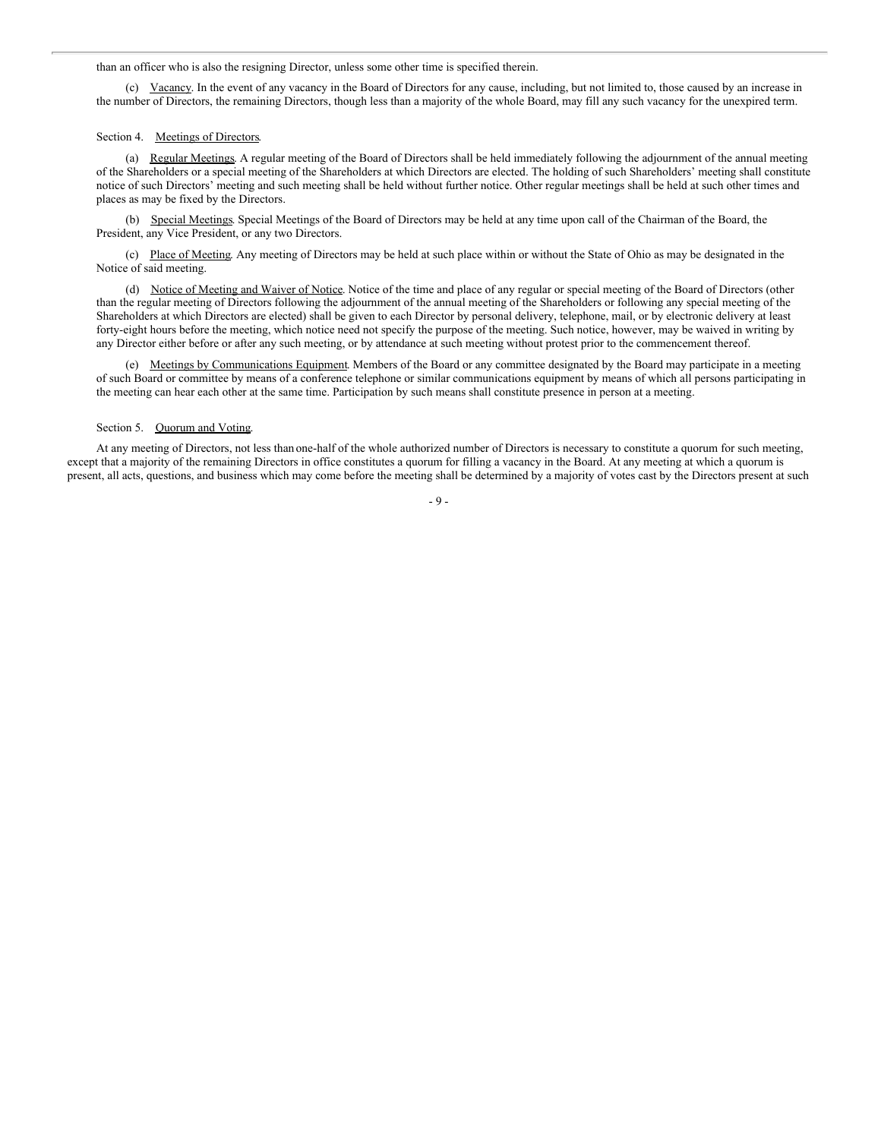than an officer who is also the resigning Director, unless some other time is specified therein.

(c) Vacancy. In the event of any vacancy in the Board of Directors for any cause, including, but not limited to, those caused by an increase in the number of Directors, the remaining Directors, though less than a majority of the whole Board, may fill any such vacancy for the unexpired term.

## Section 4. Meetings of Directors.

(a) Regular Meetings. A regular meeting of the Board of Directors shall be held immediately following the adjournment of the annual meeting of the Shareholders or a special meeting of the Shareholders at which Directors are elected. The holding of such Shareholders' meeting shall constitute notice of such Directors' meeting and such meeting shall be held without further notice. Other regular meetings shall be held at such other times and places as may be fixed by the Directors.

(b) Special Meetings. Special Meetings of the Board of Directors may be held at any time upon call of the Chairman of the Board, the President, any Vice President, or any two Directors.

(c) Place of Meeting. Any meeting of Directors may be held at such place within or without the State of Ohio as may be designated in the Notice of said meeting.

(d) Notice of Meeting and Waiver of Notice. Notice of the time and place of any regular or special meeting of the Board of Directors (other than the regular meeting of Directors following the adjournment of the annual meeting of the Shareholders or following any special meeting of the Shareholders at which Directors are elected) shall be given to each Director by personal delivery, telephone, mail, or by electronic delivery at least forty-eight hours before the meeting, which notice need not specify the purpose of the meeting. Such notice, however, may be waived in writing by any Director either before or after any such meeting, or by attendance at such meeting without protest prior to the commencement thereof.

[\(e\)](#page-1-0) Meetings by Communications Equipment. Members of the Board or any committee designated by the Board may participate in a meeting of such Board or committee by means of a conference telephone or similar communications equipment by means of which all persons participating in the meeting can hear each other at the same time. Participation by such means shall constitute presence in person at a meeting.

#### Section 5. Quorum and Voting.

At any meeting of Directors, not less than one-half of the whole authorized number of Directors is necessary to constitute a quorum for such meeting, except that a majority of the remaining Directors in office constitutes a quorum for filling a vacancy in the Board. At any meeting at which a quorum is present, all acts, questions, and business which may come before the meeting shall be determined by a majority of votes cast by the Directors present at such

- 9 -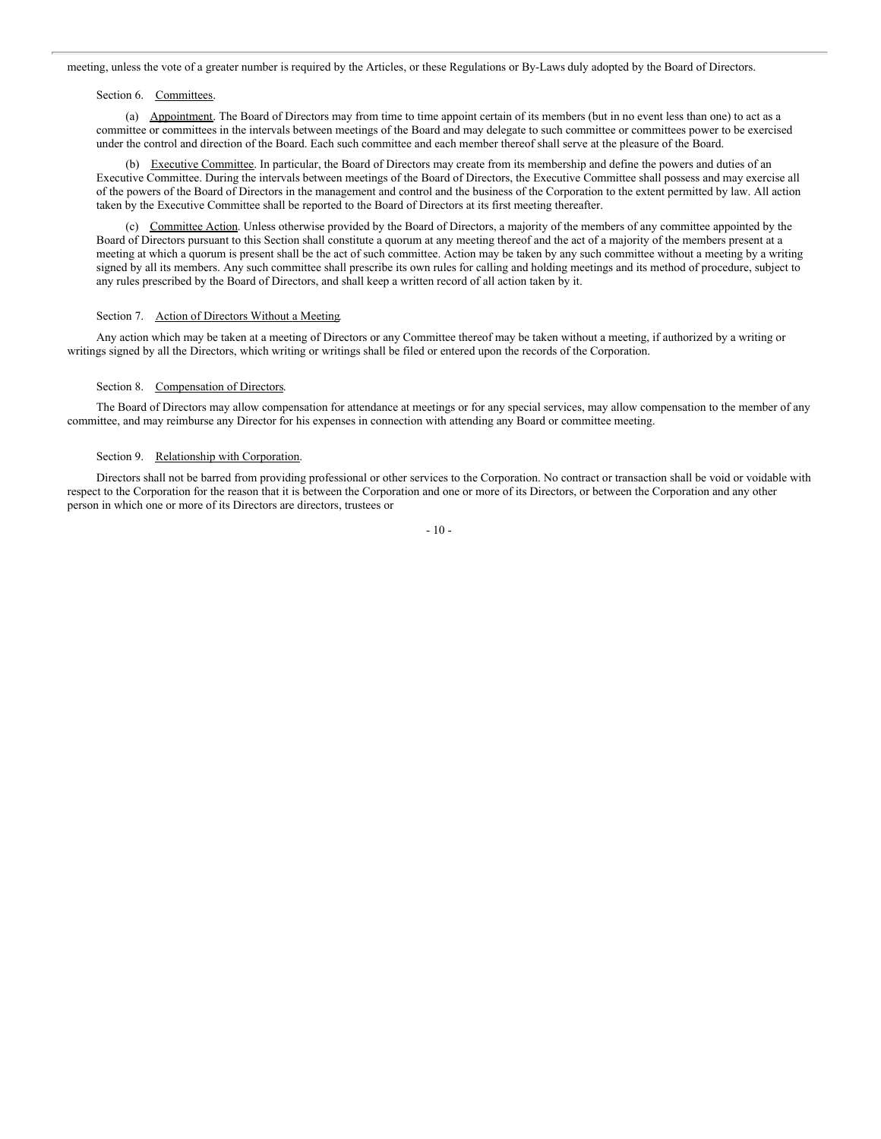meeting, unless the vote of a greater number is required by the Articles, or these Regulations or By-Laws duly adopted by the Board of Directors.

## Section 6. Committees.

(a) Appointment. The Board of Directors may from time to time appoint certain of its members (but in no event less than one) to act as a committee or committees in the intervals between meetings of the Board and may delegate to such committee or committees power to be exercised under the control and direction of the Board. Each such committee and each member thereof shall serve at the pleasure of the Board.

(b) Executive Committee. In particular, the Board of Directors may create from its membership and define the powers and duties of an Executive Committee. During the intervals between meetings of the Board of Directors, the Executive Committee shall possess and may exercise all of the powers of the Board of Directors in the management and control and the business of the Corporation to the extent permitted by law. All action taken by the Executive Committee shall be reported to the Board of Directors at its first meeting thereafter.

(c) Committee Action. Unless otherwise provided by the Board of Directors, a majority of the members of any committee appointed by the Board of Directors pursuant to this Section shall constitute a quorum at any meeting thereof and the act of a majority of the members present at a meeting at which a quorum is present shall be the act of such committee. Action may be taken by any such committee without a meeting by a writing signed by all its members. Any such committee shall prescribe its own rules for calling and holding meetings and its method of procedure, subject to any rules prescribed by the Board of Directors, and shall keep a written record of all action taken by it.

## Section 7. Action of Directors Without a Meeting.

Any action which may be taken at a meeting of Directors or any Committee thereof may be taken without a meeting, if authorized by a writing or writings signed by all the Directors, which writing or writings shall be filed or entered upon the records of the Corporation.

#### Section 8. Compensation of Directors.

The Board of Directors may allow compensation for attendance at meetings or for any special services, may allow compensation to the member of any committee, and may reimburse any Director for his expenses in connection with attending any Board or committee meeting.

## Section 9. Relationship with Corporation.

Directors shall not be barred from providing professional or other services to the Corporation. No contract or transaction shall be void or voidable with respect to the Corporation for the reason that it is between the Corporation and one or more of its Directors, or between the Corporation and any other person in which one or more of its Directors are directors, trustees or

- 10 -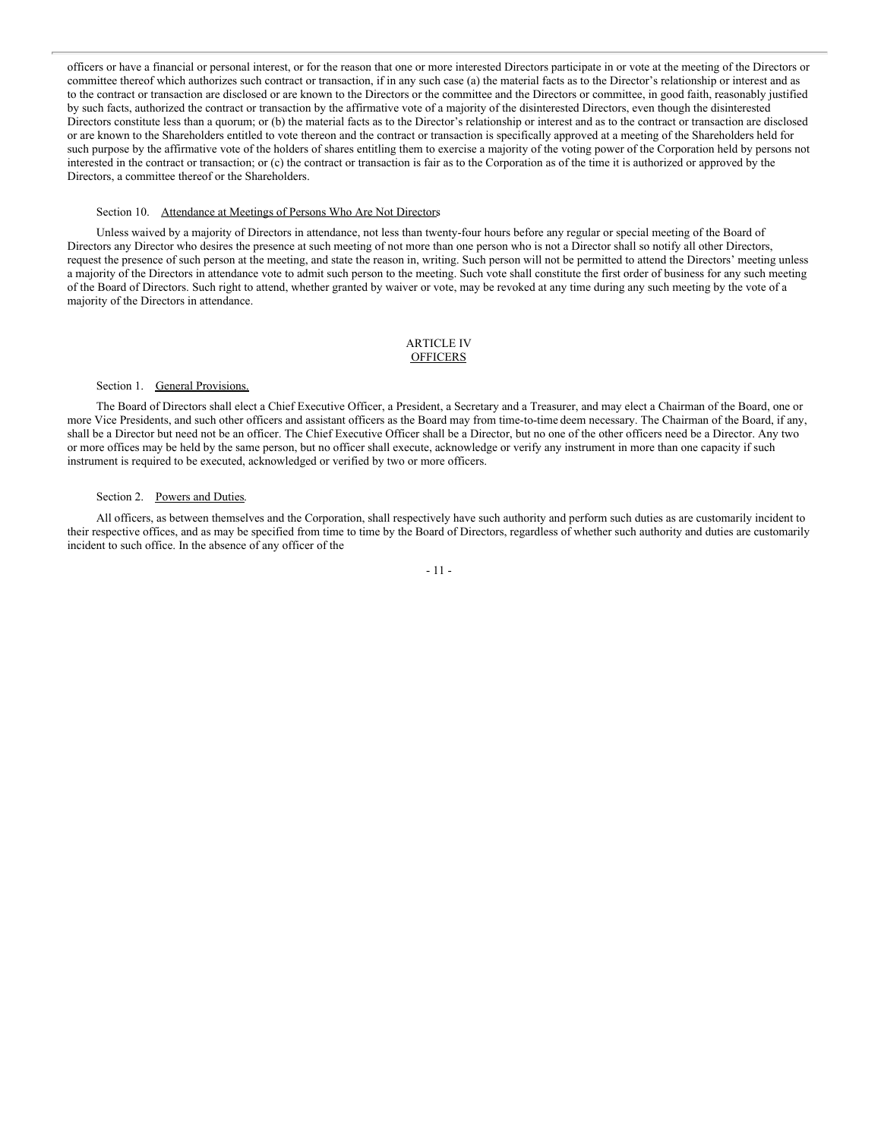officers or have a financial or personal interest, or for the reason that one or more interested Directors participate in or vote at the meeting of the Directors or committee thereof which authorizes such contract or transaction, if in any such case (a) the material facts as to the Director's relationship or interest and as to the contract or transaction are disclosed or are known to the Directors or the committee and the Directors or committee, in good faith, reasonably justified by such facts, authorized the contract or transaction by the affirmative vote of a majority of the disinterested Directors, even though the disinterested Directors constitute less than a quorum; or (b) the material facts as to the Director's relationship or interest and as to the contract or transaction are disclosed or are known to the Shareholders entitled to vote thereon and the contract or transaction is specifically approved at a meeting of the Shareholders held for such purpose by the affirmative vote of the holders of shares entitling them to exercise a majority of the voting power of the Corporation held by persons not interested in the contract or transaction; or (c) the contract or transaction is fair as to the Corporation as of the time it is authorized or approved by the Directors, a committee thereof or the Shareholders.

### Section 10. Attendance at Meetings of Persons Who Are Not Directors

Unless waived by a majority of Directors in attendance, not less than twenty-four hours before any regular or special meeting of the Board of Directors any Director who desires the presence at such meeting of not more than one person who is not a Director shall so notify all other Directors, request the presence of such person at the meeting, and state the reason in, writing. Such person will not be permitted to attend the Directors' meeting unless a majority of the Directors in attendance vote to admit such person to the meeting. Such vote shall constitute the first order of business for any such meeting of the Board of Directors. Such right to attend, whether granted by waiver or vote, may be revoked at any time during any such meeting by the vote of a majority of the Directors in attendance.

## ARTICLE IV **OFFICERS**

## Section 1. **General Provisions.**

The Board of Directors shall elect a Chief Executive Officer, a President, a Secretary and a Treasurer, and may elect a Chairman of the Board, one or more Vice Presidents, and such other officers and assistant officers as the Board may from time-to-time deem necessary. The Chairman of the Board, if any, shall be a Director but need not be an officer. The Chief Executive Officer shall be a Director, but no one of the other officers need be a Director. Any two or more offices may be held by the same person, but no officer shall execute, acknowledge or verify any instrument in more than one capacity if such instrument is required to be executed, acknowledged or verified by two or more officers.

### Section 2. Powers and Duties.

All officers, as between themselves and the Corporation, shall respectively have such authority and perform such duties as are customarily incident to their respective offices, and as may be specified from time to time by the Board of Directors, regardless of whether such authority and duties are customarily incident to such office. In the absence of any officer of the

- 11 -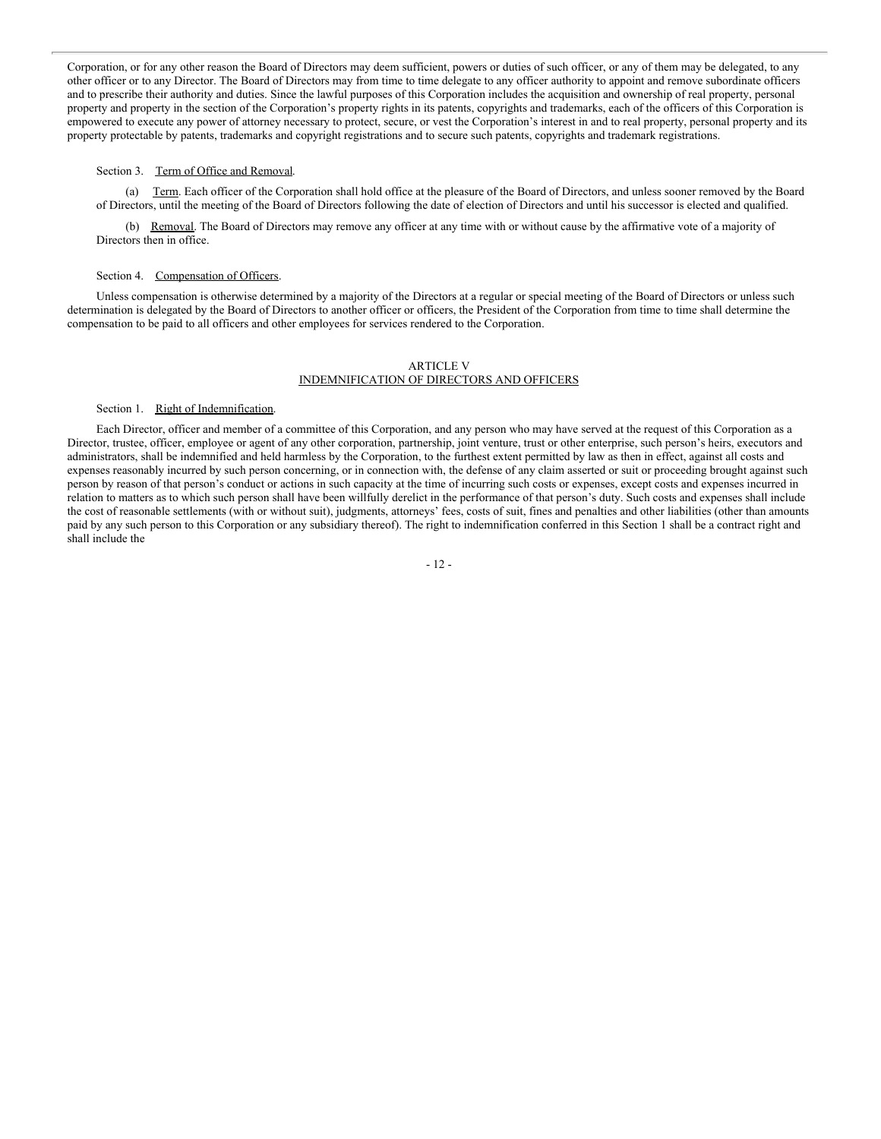Corporation, or for any other reason the Board of Directors may deem sufficient, powers or duties of such officer, or any of them may be delegated, to any other officer or to any Director. The Board of Directors may from time to time delegate to any officer authority to appoint and remove subordinate officers and to prescribe their authority and duties. Since the lawful purposes of this Corporation includes the acquisition and ownership of real property, personal property and property in the section of the Corporation's property rights in its patents, copyrights and trademarks, each of the officers of this Corporation is empowered to execute any power of attorney necessary to protect, secure, or vest the Corporation's interest in and to real property, personal property and its property protectable by patents, trademarks and copyright registrations and to secure such patents, copyrights and trademark registrations.

## Section 3. Term of Office and Removal.

(a) Term. Each officer of the Corporation shall hold office at the pleasure of the Board of Directors, and unless sooner removed by the Board of Directors, until the meeting of the Board of Directors following the date of election of Directors and until his successor is elected and qualified.

(b) Removal. The Board of Directors may remove any officer at any time with or without cause by the affirmative vote of a majority of Directors then in office.

#### Section 4. Compensation of Officers.

Unless compensation is otherwise determined by a majority of the Directors at a regular or special meeting of the Board of Directors or unless such determination is delegated by the Board of Directors to another officer or officers, the President of the Corporation from time to time shall determine the compensation to be paid to all officers and other employees for services rendered to the Corporation.

#### ARTICLE V INDEMNIFICATION OF DIRECTORS AND OFFICERS

#### Section 1. Right of Indemnification.

Each Director, officer and member of a committee of this Corporation, and any person who may have served at the request of this Corporation as a Director, trustee, officer, employee or agent of any other corporation, partnership, joint venture, trust or other enterprise, such person's heirs, executors and administrators, shall be indemnified and held harmless by the Corporation, to the furthest extent permitted by law as then in effect, against all costs and expenses reasonably incurred by such person concerning, or in connection with, the defense of any claim asserted or suit or proceeding brought against such person by reason of that person's conduct or actions in such capacity at the time of incurring such costs or expenses, except costs and expenses incurred in relation to matters as to which such person shall have been willfully derelict in the performance of that person's duty. Such costs and expenses shall include the cost of reasonable settlements (with or without suit), judgments, attorneys' fees, costs of suit, fines and penalties and other liabilities (other than amounts paid by any such person to this Corporation or any subsidiary thereof). The right to indemnification conferred in this Section 1 shall be a contract right and shall include the

- 12 -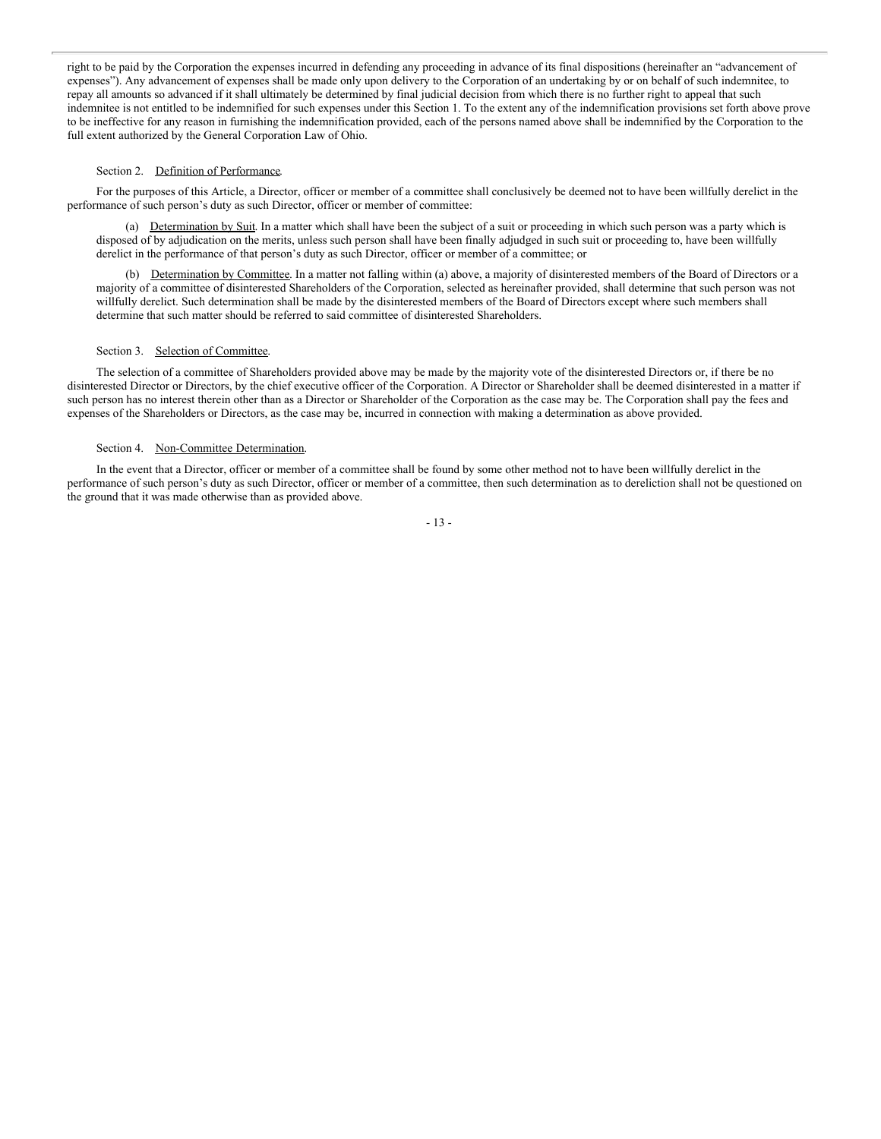right to be paid by the Corporation the expenses incurred in defending any proceeding in advance of its final dispositions (hereinafter an "advancement of expenses"). Any advancement of expenses shall be made only upon delivery to the Corporation of an undertaking by or on behalf of such indemnitee, to repay all amounts so advanced if it shall ultimately be determined by final judicial decision from which there is no further right to appeal that such indemnitee is not entitled to be indemnified for such expenses under this Section 1. To the extent any of the indemnification provisions set forth above prove to be ineffective for any reason in furnishing the indemnification provided, each of the persons named above shall be indemnified by the Corporation to the full extent authorized by the General Corporation Law of Ohio.

## Section 2. Definition of Performance.

For the purposes of this Article, a Director, officer or member of a committee shall conclusively be deemed not to have been willfully derelict in the performance of such person's duty as such Director, officer or member of committee:

(a) Determination by Suit. In a matter which shall have been the subject of a suit or proceeding in which such person was a party which is disposed of by adjudication on the merits, unless such person shall have been finally adjudged in such suit or proceeding to, have been willfully derelict in the performance of that person's duty as such Director, officer or member of a committee; or

[\(b\)](#page-1-0) Determination by Committee. In a matter not falling within (a) above, a majority of disinterested members of the Board of Directors or a majority of a committee of disinterested Shareholders of the Corporation, selected as hereinafter provided, shall determine that such person was not willfully derelict. Such determination shall be made by the disinterested members of the Board of Directors except where such members shall determine that such matter should be referred to said committee of disinterested Shareholders.

#### Section 3. Selection of Committee.

The selection of a committee of Shareholders provided above may be made by the majority vote of the disinterested Directors or, if there be no disinterested Director or Directors, by the chief executive officer of the Corporation. A Director or Shareholder shall be deemed disinterested in a matter if such person has no interest therein other than as a Director or Shareholder of the Corporation as the case may be. The Corporation shall pay the fees and expenses of the Shareholders or Directors, as the case may be, incurred in connection with making a determination as above provided.

## Section 4. Non-Committee Determination.

In the event that a Director, officer or member of a committee shall be found by some other method not to have been willfully derelict in the performance of such person's duty as such Director, officer or member of a committee, then such determination as to dereliction shall not be questioned on the ground that it was made otherwise than as provided above.

- 13 -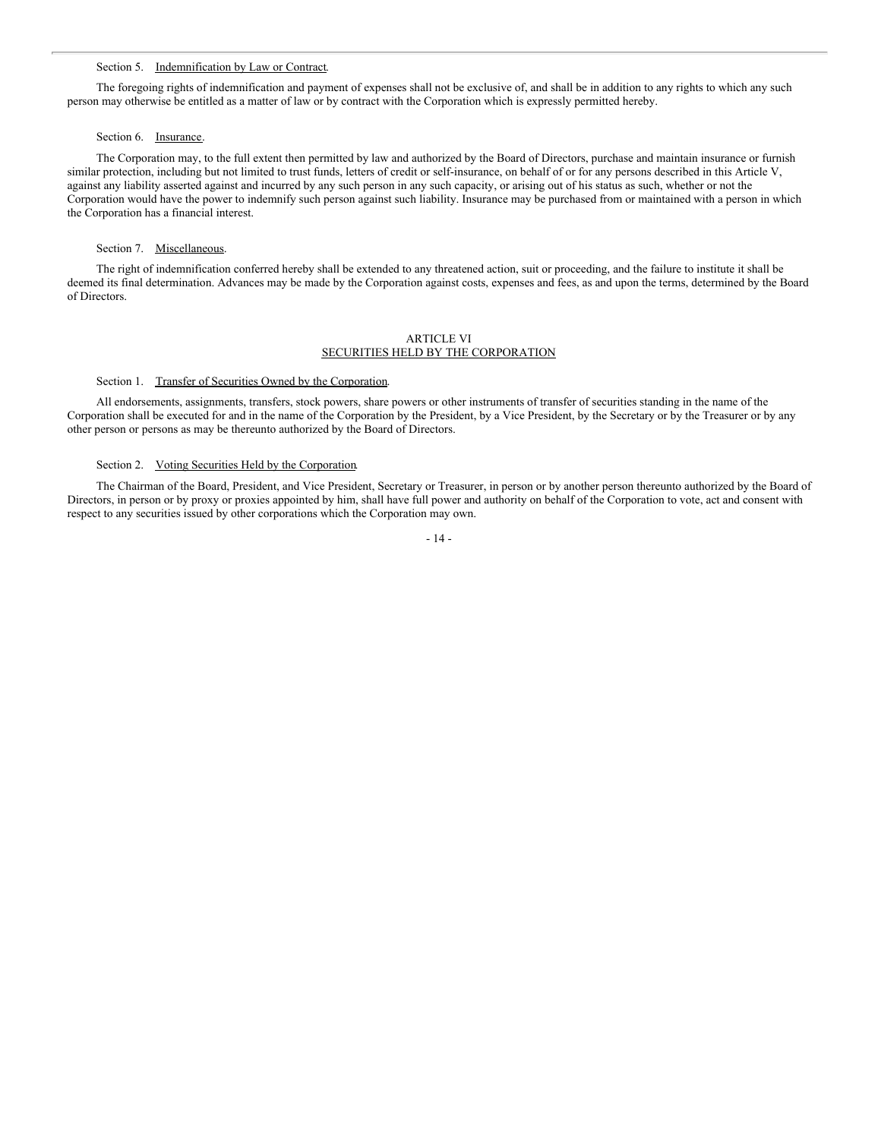#### Section 5. Indemnification by Law or Contract.

The foregoing rights of indemnification and payment of expenses shall not be exclusive of, and shall be in addition to any rights to which any such person may otherwise be entitled as a matter of law or by contract with the Corporation which is expressly permitted hereby.

# Section 6. **Insurance**.

The Corporation may, to the full extent then permitted by law and authorized by the Board of Directors, purchase and maintain insurance or furnish similar protection, including but not limited to trust funds, letters of credit or self-insurance, on behalf of or for any persons described in this Article V, against any liability asserted against and incurred by any such person in any such capacity, or arising out of his status as such, whether or not the Corporation would have the power to indemnify such person against such liability. Insurance may be purchased from or maintained with a person in which the Corporation has a financial interest.

# Section 7. Miscellaneous.

The right of indemnification conferred hereby shall be extended to any threatened action, suit or proceeding, and the failure to institute it shall be deemed its final determination. Advances may be made by the Corporation against costs, expenses and fees, as and upon the terms, determined by the Board of Directors.

## ARTICLE VI SECURITIES HELD BY THE CORPORATION

#### Section 1. Transfer of Securities Owned by the Corporation.

All endorsements, assignments, transfers, stock powers, share powers or other instruments of transfer of securities standing in the name of the Corporation shall be executed for and in the name of the Corporation by the President, by a Vice President, by the Secretary or by the Treasurer or by any other person or persons as may be thereunto authorized by the Board of Directors.

#### Section 2. Voting Securities Held by the Corporation.

The Chairman of the Board, President, and Vice President, Secretary or Treasurer, in person or by another person thereunto authorized by the Board of Directors, in person or by proxy or proxies appointed by him, shall have full power and authority on behalf of the Corporation to vote, act and consent with respect to any securities issued by other corporations which the Corporation may own.

- 14 -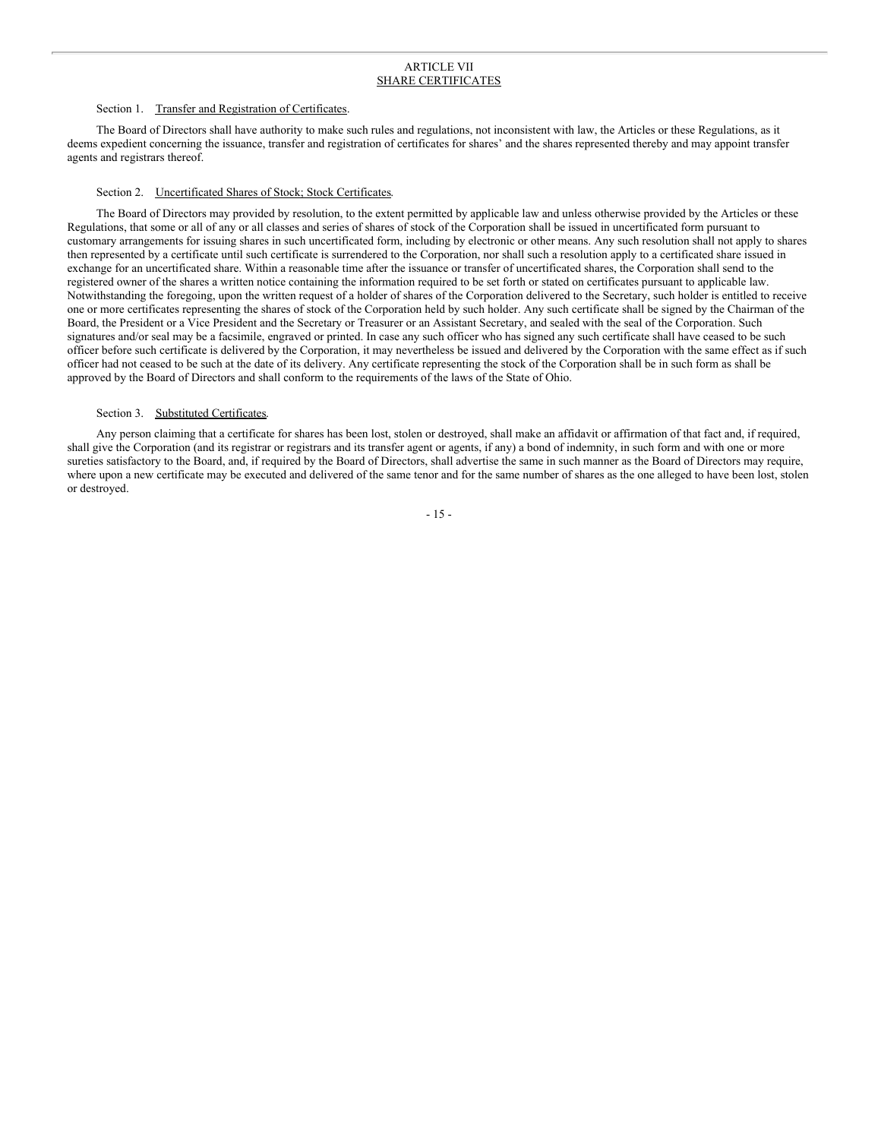#### ARTICLE VII SHARE CERTIFICATES

#### Section 1. Transfer and Registration of Certificates.

The Board of Directors shall have authority to make such rules and regulations, not inconsistent with law, the Articles or these Regulations, as it deems expedient concerning the issuance, transfer and registration of certificates for shares' and the shares represented thereby and may appoint transfer agents and registrars thereof.

#### Section 2. Uncertificated Shares of Stock; Stock Certificates.

The Board of Directors may provided by resolution, to the extent permitted by applicable law and unless otherwise provided by the Articles or these Regulations, that some or all of any or all classes and series of shares of stock of the Corporation shall be issued in uncertificated form pursuant to customary arrangements for issuing shares in such uncertificated form, including by electronic or other means. Any such resolution shall not apply to shares then represented by a certificate until such certificate is surrendered to the Corporation, nor shall such a resolution apply to a certificated share issued in exchange for an uncertificated share. Within a reasonable time after the issuance or transfer of uncertificated shares, the Corporation shall send to the registered owner of the shares a written notice containing the information required to be set forth or stated on certificates pursuant to applicable law. Notwithstanding the foregoing, upon the written request of a holder of shares of the Corporation delivered to the Secretary, such holder is entitled to receive one or more certificates representing the shares of stock of the Corporation held by such holder. Any such certificate shall be signed by the Chairman of the Board, the President or a Vice President and the Secretary or Treasurer or an Assistant Secretary, and sealed with the seal of the Corporation. Such signatures and/or seal may be a facsimile, engraved or printed. In case any such officer who has signed any such certificate shall have ceased to be such officer before such certificate is delivered by the Corporation, it may nevertheless be issued and delivered by the Corporation with the same effect as if such officer had not ceased to be such at the date of its delivery. Any certificate representing the stock of the Corporation shall be in such form as shall be approved by the Board of Directors and shall conform to the requirements of the laws of the State of Ohio.

## Section 3. Substituted Certificates.

Any person claiming that a certificate for shares has been lost, stolen or destroyed, shall make an affidavit or affirmation of that fact and, if required, shall give the Corporation (and its registrar or registrars and its transfer agent or agents, if any) a bond of indemnity, in such form and with one or more sureties [satisfacto](#page-1-0)ry to the Board, and, if required by the Board of Directors, shall advertise the same in such manner as the Board of Directors may require, where upon a new certificate may be executed and delivered of the same tenor and for the same number of shares as the one alleged to have been lost, stolen or destroyed.

- 15 -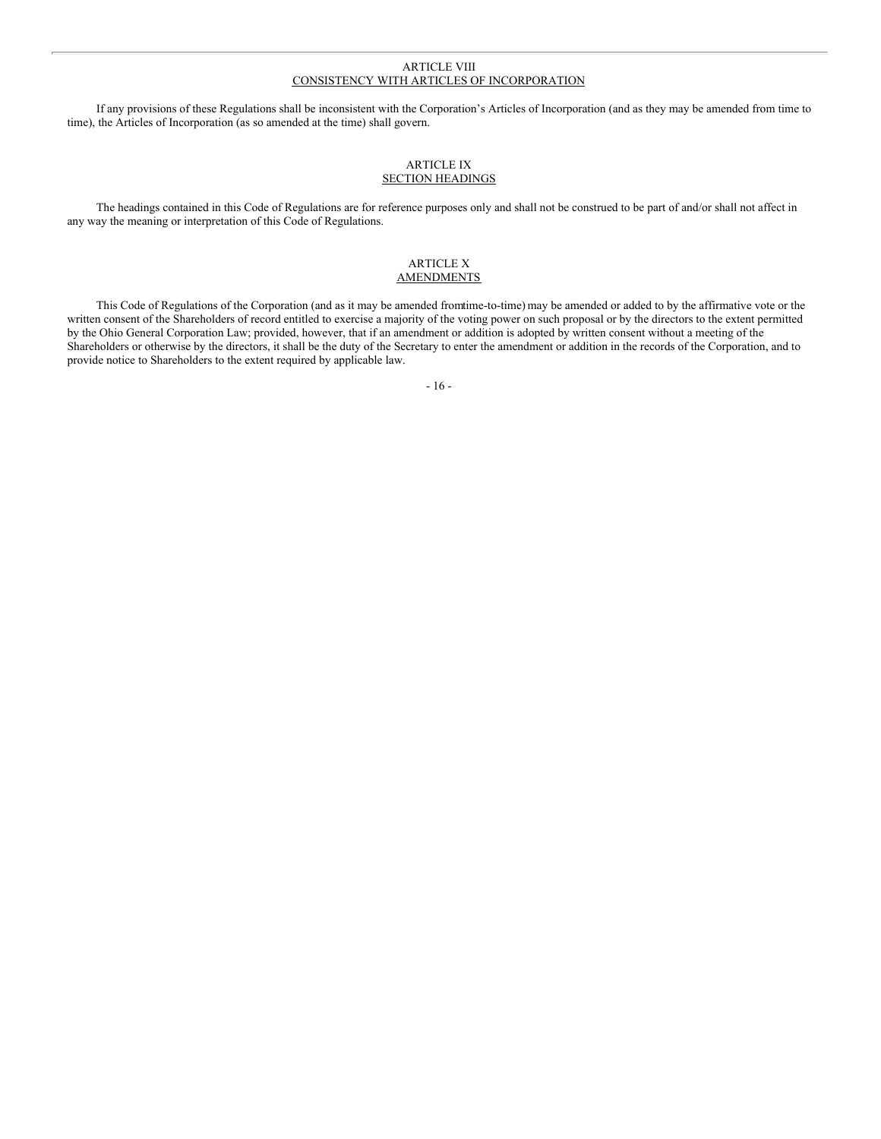## ARTICLE VIII CONSISTENCY WITH ARTICLES OF INCORPORATION

If any provisions of these Regulations shall be inconsistent with the Corporation's Articles of Incorporation (and as they may be amended from time to time), the Articles of Incorporation (as so amended at the time) shall govern.

## ARTICLE IX SECTION HEADINGS

The headings contained in this Code of Regulations are for reference purposes only and shall not be construed to be part of and/or shall not affect in any way the [mean](#page-1-0)ing or interpretation of this Code of Regulations.

## ARTICLE X **AMENDMENTS**

This Code of Regulations of the Corporation (and as it may be amended fromtime-to-time) may be amended or added to by the affirmative vote or the written consent of the Shareholders of record entitled to exercise a majority of the voting power on such proposal or by the directors to the extent permitted by the Ohio General Corporation Law; provided, however, that if an amendment or addition is adopted by written consent without a meeting of the Shareholders or otherwise by the directors, it shall be the duty of the Secretary to enter the amendment or addition in the records of the Corporation, and to provide notice to Shareholders to the extent required by applicable law.

- 16 -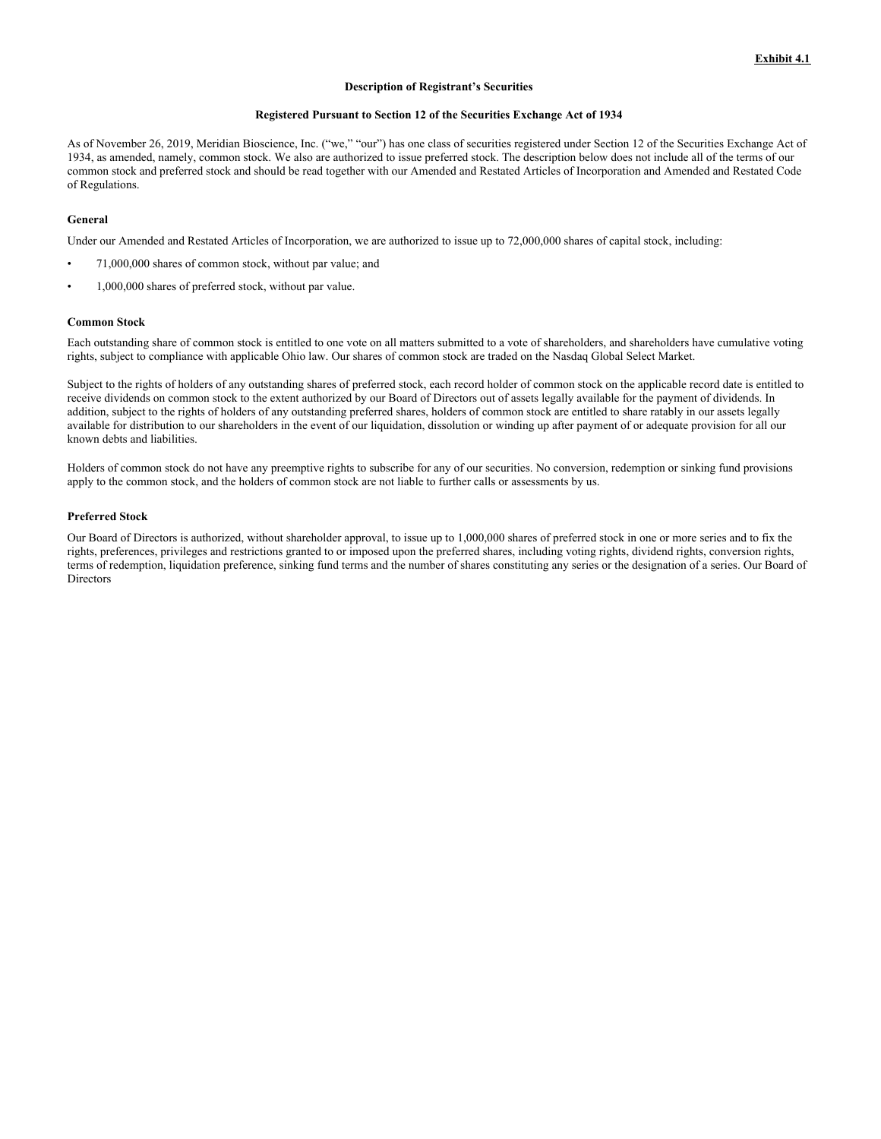#### **Description of Registrant's Securities**

#### **Registered Pursuant to Section 12 of the Securities Exchange Act of 1934**

<span id="page-66-0"></span>As of November 26, 2019, Meridian Bioscience, Inc. ("we," "our") has one class of securities registered under Section 12 of the Securities Exchange Act of 1934, as amended, namely, common stock. We also are authorized to issue preferred stock. The description below does not include all of the terms of our common stock and preferred stock and should be read together with our Amended and Restated Articles of Incorporation and Amended and Restated Code of Regulations.

## **General**

Under our Amended and Restated Articles of Incorporation, we are authorized to issue up to 72,000,000 shares of capital stock, including:

- 71,000,000 shares of common stock, without par value; and
- 1,000,000 shares of preferred stock, without par value.

## **Common Stock**

Each outstanding share of common stock is entitled to one vote on all matters submitted to a vote of shareholders, and shareholders have cumulative voting rights, subject to compliance with applicable Ohio law. Our shares of common stock are traded on the Nasdaq Global Select Market.

Subject to the rights of holders of any outstanding shares of preferred stock, each record holder of common stock on the applicable record date is entitled to receive dividends on common stock to the extent authorized by our Board of Directors out of assets legally available for the payment of dividends. In addition, subject to the rights of holders of any outstanding preferred shares, holders of common stock are entitled to share ratably in our assets legally available for distribution to our shareholders in the event of our liquidation, dissolution or winding up after payment of or adequate provision for all our known debts and liabilities.

Holders of common stock do not have any preemptive rights to subscribe for any of our securities. No conversion, redemption or sinking fund provisions apply to the common stock, and the holders of common stock are not liable to further calls or assessments by us.

#### **Preferred Stock**

Our Board of Directors is authorized, without shareholder approval, to issue up to 1,000,000 shares of preferred stock in one or more series and to fix the rights, preferences, privileges and restrictions granted to or imposed upon the preferred shares, including voting rights, dividend rights, conversion rights, terms of redemption, liquidation preference, sinking fund terms and the number of shares constituting any series or the designation of a series. Our Board of **Directors**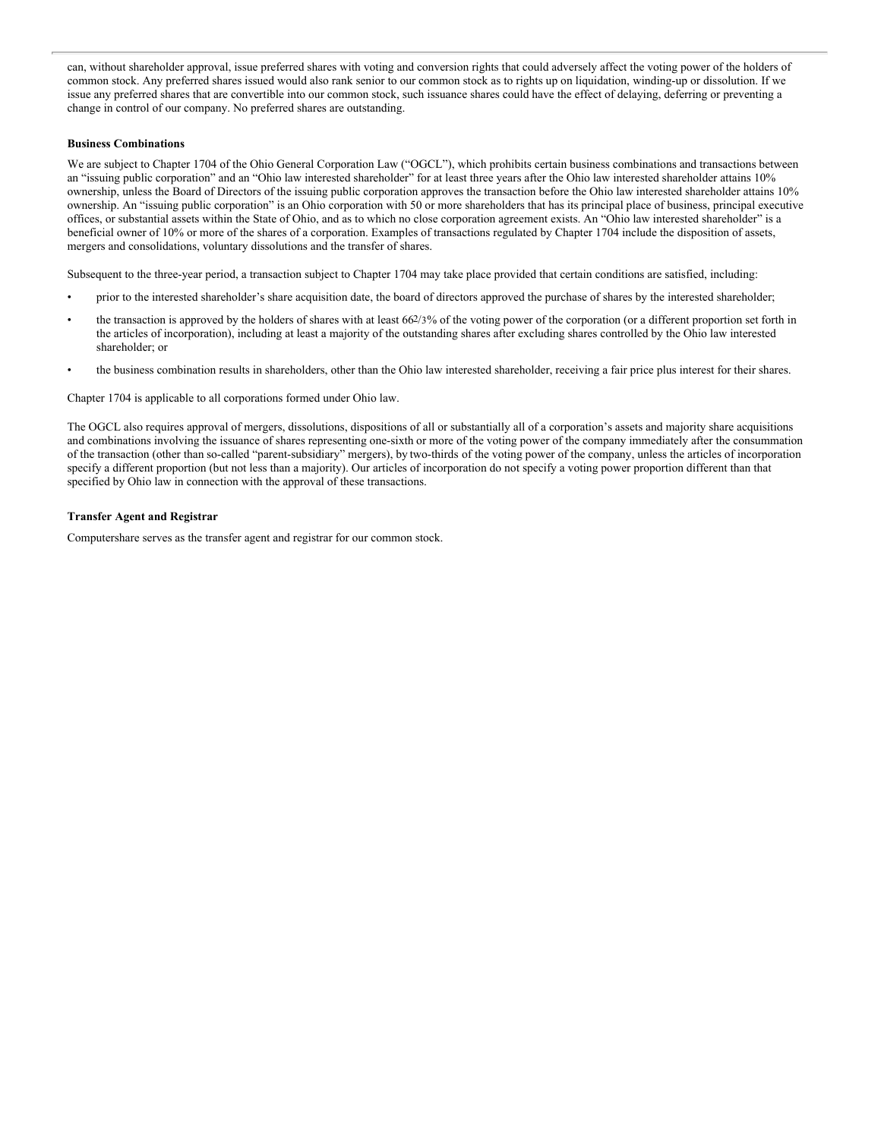can, without shareholder approval, issue preferred shares with voting and conversion rights that could adversely affect the voting power of the holders of common stock. Any preferred shares issued would also rank senior to our common stock as to rights up on liquidation, winding-up or dissolution. If we issue any preferred shares that are convertible into our common stock, such issuance shares could have the effect of delaying, deferring or preventing a change in control of our company. No preferred shares are outstanding.

## **Business Combinations**

We are subject to Chapter 1704 of the Ohio General Corporation Law ("OGCL"), which prohibits certain business combinations and transactions between an "issuing public corporation" and an "Ohio law interested shareholder" for at least three years after the Ohio law interested shareholder attains 10% ownership, unless the Board of Directors of the issuing public corporation approves the transaction before the Ohio law interested shareholder attains 10% ownership. An "issuing public corporation" is an Ohio corporation with 50 or more shareholders that has its principal place of business, principal executive offices, or substantial assets within the State of Ohio, and as to which no close corporation agreement exists. An "Ohio law interested shareholder" is a beneficial owner of 10% or more of the shares of a corporation. Examples of transactions regulated by Chapter 1704 include the disposition of assets, mergers and consolidations, voluntary dissolutions and the transfer of shares.

Subsequent to the three-year period, a transaction subject to Chapter 1704 may take place provided that certain conditions are satisfied, including:

- prior to the interested shareholder's share acquisition date, the board of directors approved the purchase of shares by the interested shareholder;
- the [transacti](#page-1-0)on is approved by the holders of shares with at least 662/3% of the voting power of the corporation (or a different proportion set forth in the articles of incorporation), including at least a majority of the outstanding shares after excluding shares controlled by the Ohio law interested shareholder; or
- the business combination results in shareholders, other than the Ohio law interested shareholder, receiving a fair price plus interest for their shares.

[Chapt](#page-1-0)er 1704 is applicable to all corporations formed under Ohio law.

The OGCL also [requires](#page-2-0) approval of mergers, dissolutions, dispositions of all or substantially all of a corporation's assets and majority share acquisitions and combinations [involving](#page-6-0) the issuance of shares representing one-sixth or more of the voting power of the company immediately after the consummation of the transaction (other than [so-called](#page-13-0) "parent-subsidiary" mergers), by two-thirds of the voting power of the company, unless the articles of incorporation specify a different [proporti](#page-13-0)on (but not less than a majority). Our articles of incorporation do not specify a voting power proportion different than that specified by Ohio law in [connection](#page-14-0) with the approval of these transactions.

## **[Trans](#page-14-0)fer Agent and Registrar**

Computershare serves as the [transfer](#page-15-0) agent and registrar for our [common](#page-14-0) stock.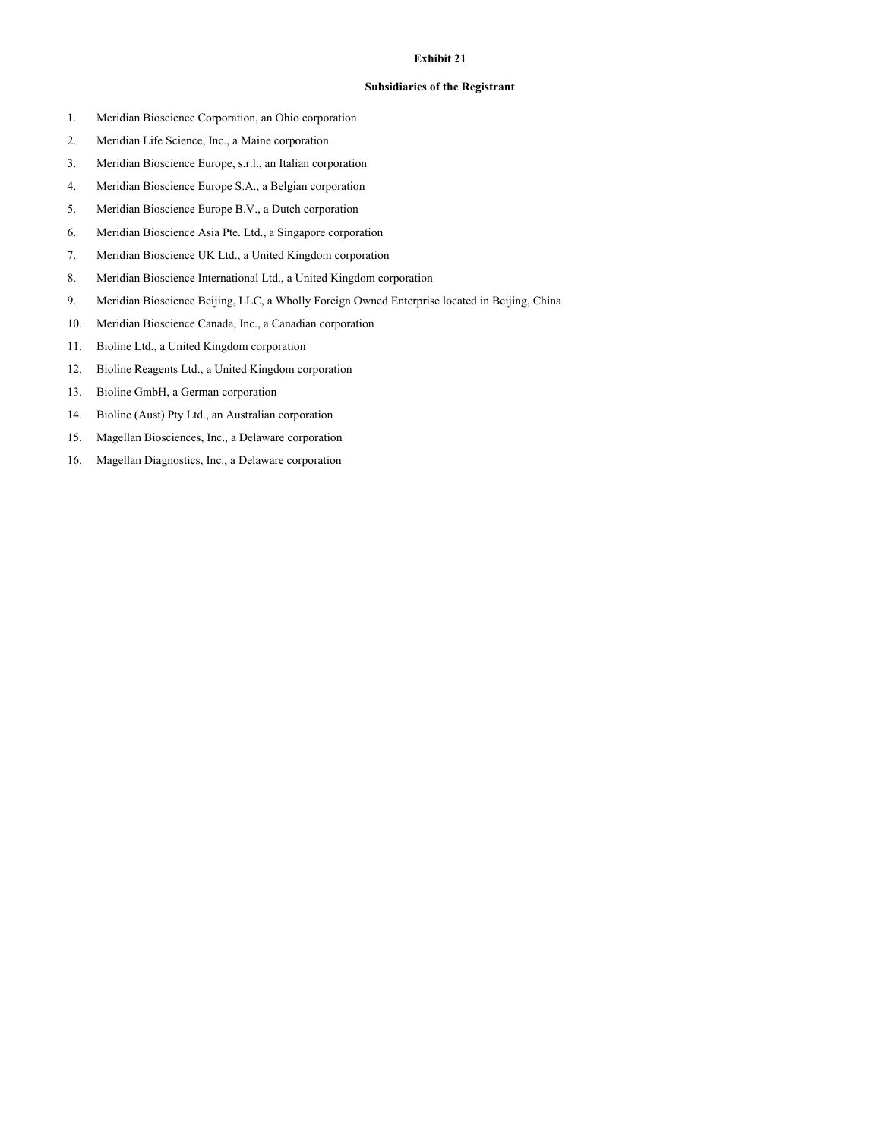# **Exhibit 21**

# **Subsidiaries of the Registrant**

- <span id="page-68-0"></span>1. Meridian Bioscience Corporation, an Ohio corporation
- 2. Meridian Life Science, Inc., a Maine corporation
- 3. Meridian Bioscience Europe, s.r.l., an Italian corporation
- 4. Meridian Bioscience Europe S.A., a Belgian corporation
- 5. Meridian Bioscience Europe B.V., a Dutch corporation
- 6. Meridian Bioscience Asia Pte. Ltd., a Singapore corporation
- 7. Meridian Bioscience UK Ltd., a United Kingdom corporation
- 8. Meridian Bioscience International Ltd., a United Kingdom corporation
- 9. Meridian Bioscience Beijing, LLC, a Wholly Foreign Owned Enterprise located in Beijing, China
- 10. Meridian Bioscience Canada, Inc., a Canadian corporation
- 11. Bioline Ltd., a United Kingdom corporation
- 12. Bioline Reagents Ltd., a United Kingdom corporation
- 13. Bioline GmbH, a German corporation
- 14. Bioline (Aust) Pty Ltd., an Australian corporation
- 15. Magellan Biosciences, Inc., a Delaware corporation
- 16. Magellan Diagnostics, Inc., a Delaware corporation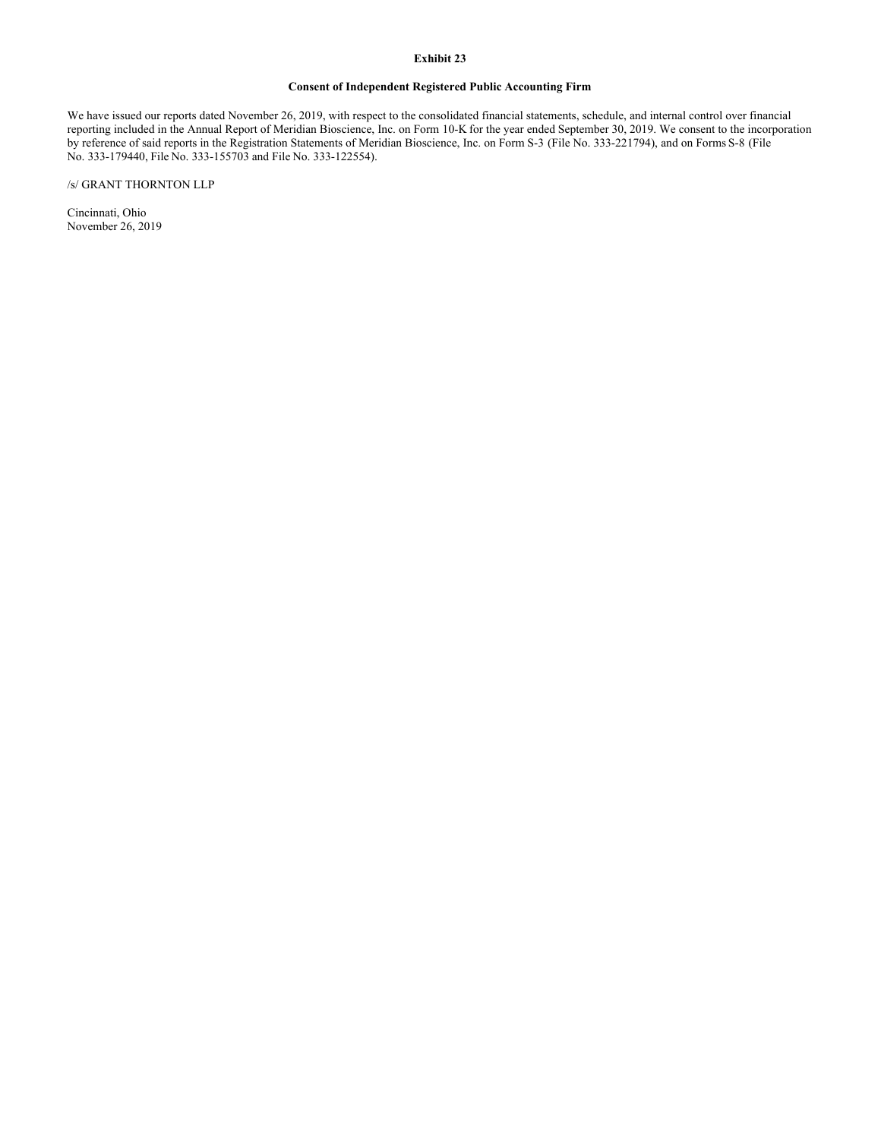# **Exhibit 23**

# **Consent of Independent Registered Public Accounting Firm**

<span id="page-69-0"></span>We have issued our reports dated November 26, 2019, with respect to the consolidated financial statements, schedule, and internal control over financial reporting included in the Annual Report of Meridian Bioscience, Inc. on Form 10-K for the year ended September 30, 2019. We consent to the incorporation by reference of said reports in the Registration Statements of Meridian Bioscience, Inc. on Form S-3 (File No. 333-221794), and on Forms S-8 (File No. 333-179440, File No. 333-155703 and File No. 333-122554).

/s/ GRANT THORNTON LLP

Cincinnati, Ohio November 26, 2019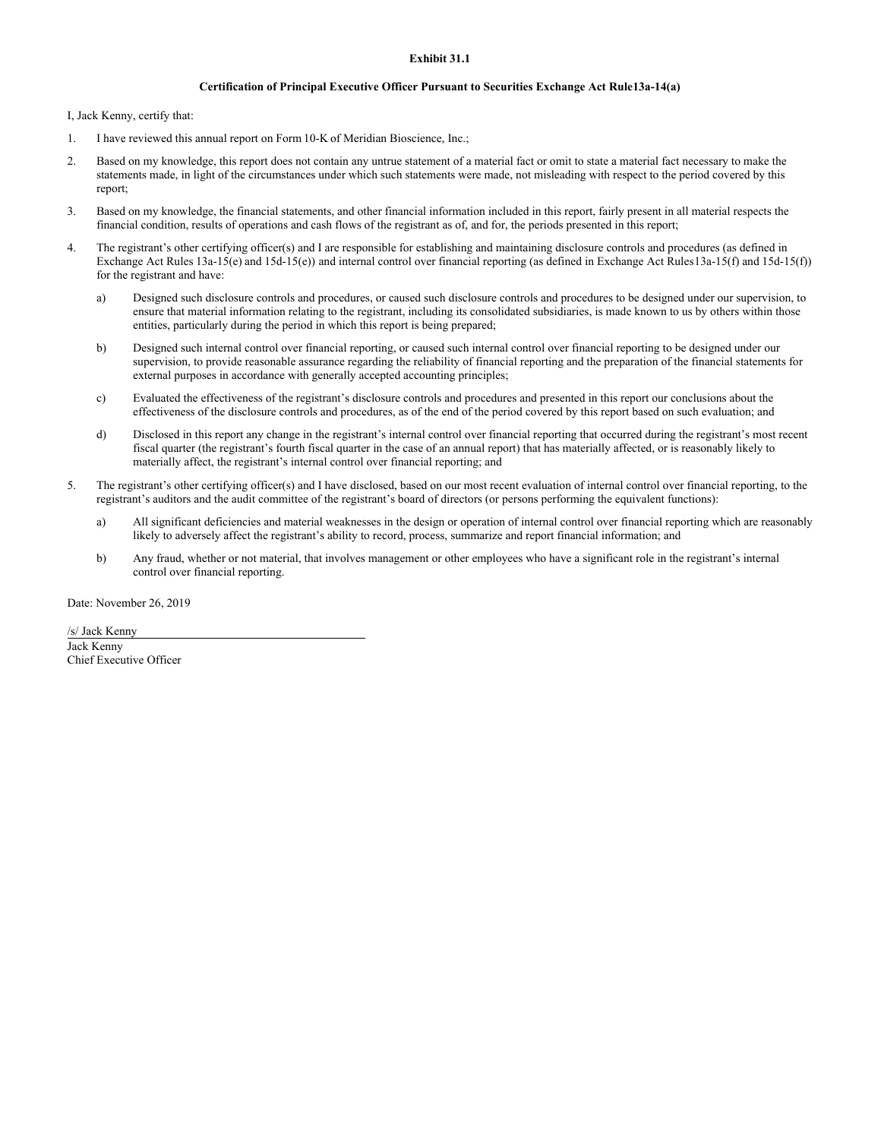## **Exhibit 31.1**

## **Certification of Principal Executive Officer Pursuant to Securities Exchange Act Rule13a-14(a)**

<span id="page-70-0"></span>I, Jack Kenny, certify that:

- 1. I have reviewed this annual report on Form 10-K of Meridian Bioscience, Inc.;
- 2. Based on my knowledge, this report does not contain any untrue statement of a material fact or omit to state a material fact necessary to make the statements made, in light of the circumstances under which such statements were made, not misleading with respect to the period covered by this report;
- 3. Based on my knowledge, the financial statements, and other financial information included in this report, fairly present in all material respects the financial condition, results of operations and cash flows of the registrant as of, and for, the periods presented in this report;
- 4. The registrant's other certifying officer(s) and I are responsible for establishing and maintaining disclosure controls and procedures (as defined in Exchange Act Rules 13a-15(e) and 15d-15(e)) and internal control over financial reporting (as defined in Exchange Act Rules13a-15(f) and 15d-15(f)) for the registrant and have:
	- a) Designed such disclosure controls and procedures, or caused such disclosure controls and procedures to be designed under our supervision, to ensure that material information relating to the registrant, including its consolidated subsidiaries, is made known to us by others within those entities, particularly during the period in which this report is being prepared;
	- b) Designed such internal control over financial reporting, or caused such internal control over financial reporting to be designed under our supervision, to provide reasonable assurance regarding the reliability of financial reporting and the preparation of the financial statements for external purposes in accordance with generally accepted accounting principles;
	- c) Evaluated the effectiveness of the registrant's disclosure controls and procedures and presented in this report our conclusions about the effectiveness of the disclosure controls and procedures, as of the end of the period covered by this report based on such evaluation; and
	- d) Disclosed in this report any change in the registrant's internal control over financial reporting that occurred during the registrant's most recent fiscal quarter (the registrant's fourth fiscal quarter in the case of an annual report) that has materially affected, or is reasonably likely to materially affect, the registrant's internal control over financial reporting; and
- 5. The registrant's other certifying officer(s) and I have disclosed, based on our most recent evaluation of internal control over financial reporting, to the registrant's auditors and the audit committee of the registrant's board of directors (or persons performing the equivalent functions):
	- a) All significant deficiencies and material weaknesses in the design or operation of internal control over financial reporting which are reasonably likely to adversely affect the registrant's ability to record, process, summarize and report financial information; and
	- b) Any fraud, whether or not material, that involves management or other employees who have a significant role in the registrant's internal control over financial reporting.

Date: November 26, 2019

/s/ Jack Kenny Jack Kenny Chief Executive Officer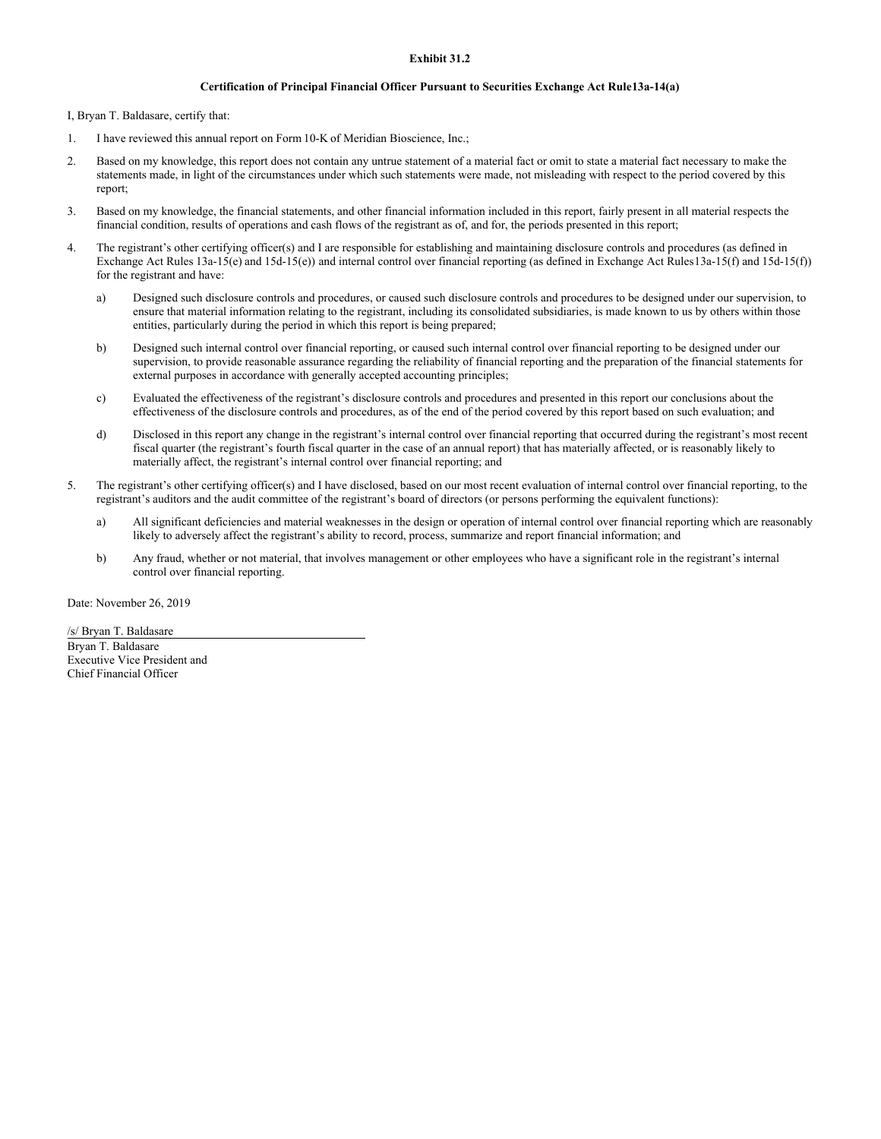## **Exhibit 31.2**

## **Certification of Principal Financial Officer Pursuant to Securities Exchange Act Rule13a-14(a)**

<span id="page-71-0"></span>I, Bryan T. Baldasare, certify that:

- 1. I have reviewed this annual report on Form 10-K of Meridian Bioscience, Inc.;
- 2. Based on my knowledge, this report does not contain any untrue statement of a material fact or omit to state a material fact necessary to make the statements made, in light of the circumstances under which such statements were made, not misleading with respect to the period covered by this report;
- 3. Based on my knowledge, the financial statements, and other financial information included in this report, fairly present in all material respects the financial condition, results of operations and cash flows of the registrant as of, and for, the periods presented in this report;
- 4. The registrant's other certifying officer(s) and I are responsible for establishing and maintaining disclosure controls and procedures (as defined in Exchange Act Rules 13a-15(e) and 15d-15(e)) and internal control over financial reporting (as defined in Exchange Act Rules13a-15(f) and 15d-15(f)) for the registrant and have:
	- a) Designed such disclosure controls and procedures, or caused such disclosure controls and procedures to be designed under our supervision, to ensure that material information relating to the registrant, including its consolidated subsidiaries, is made known to us by others within those entities, particularly during the period in which this report is being prepared;
	- b) Designed such internal control over financial reporting, or caused such internal control over financial reporting to be designed under our supervision, to provide reasonable assurance regarding the reliability of financial reporting and the preparation of the financial statements for external purposes in accordance with generally accepted accounting principles;
	- c) Evaluated the effectiveness of the registrant's disclosure controls and procedures and presented in this report our conclusions about the effectiveness of the disclosure controls and procedures, as of the end of the period covered by this report based on such evaluation; and
	- d) Disclosed in this report any change in the registrant's internal control over financial reporting that occurred during the registrant's most recent fiscal quarter (the registrant's fourth fiscal quarter in the case of an annual report) that has materially affected, or is reasonably likely to materially affect, the registrant's internal control over financial reporting; and
- 5. The registrant's other certifying officer(s) and I have disclosed, based on our most recent evaluation of internal control over financial reporting, to the registrant's auditors and the audit committee of the registrant's board of directors (or persons performing the equivalent functions):
	- a) All significant deficiencies and material weaknesses in the design or operation of internal control over financial reporting which are reasonably likely to adversely affect the registrant's ability to record, process, summarize and report financial information; and
	- b) Any fraud, whether or not material, that involves management or other employees who have a significant role in the registrant's internal control over financial reporting.

Date: November 26, 2019

/s/ Bryan T. Baldasare Bryan T. Baldasare Executive Vice President and Chief Financial Officer